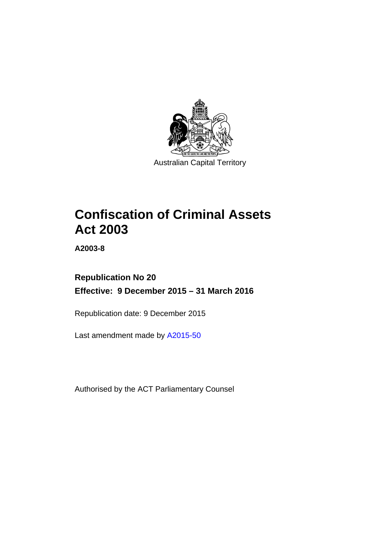

# **Confiscation of Criminal Assets Act 2003**

**A2003-8** 

# **Republication No 20 Effective: 9 December 2015 – 31 March 2016**

Republication date: 9 December 2015

Last amendment made by [A2015-50](http://www.legislation.act.gov.au/a/2015-50)

Authorised by the ACT Parliamentary Counsel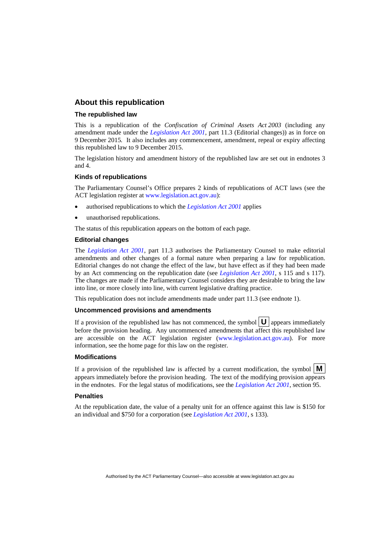### **About this republication**

### **The republished law**

This is a republication of the *Confiscation of Criminal Assets Act 2003* (including any amendment made under the *[Legislation Act 2001](http://www.legislation.act.gov.au/a/2001-14)*, part 11.3 (Editorial changes)) as in force on 9 December 2015*.* It also includes any commencement, amendment, repeal or expiry affecting this republished law to 9 December 2015.

The legislation history and amendment history of the republished law are set out in endnotes 3 and 4.

### **Kinds of republications**

The Parliamentary Counsel's Office prepares 2 kinds of republications of ACT laws (see the ACT legislation register at [www.legislation.act.gov.au](http://www.legislation.act.gov.au/)):

- authorised republications to which the *[Legislation Act 2001](http://www.legislation.act.gov.au/a/2001-14)* applies
- unauthorised republications.

The status of this republication appears on the bottom of each page.

### **Editorial changes**

The *[Legislation Act 2001](http://www.legislation.act.gov.au/a/2001-14)*, part 11.3 authorises the Parliamentary Counsel to make editorial amendments and other changes of a formal nature when preparing a law for republication. Editorial changes do not change the effect of the law, but have effect as if they had been made by an Act commencing on the republication date (see *[Legislation Act 2001](http://www.legislation.act.gov.au/a/2001-14)*, s 115 and s 117). The changes are made if the Parliamentary Counsel considers they are desirable to bring the law into line, or more closely into line, with current legislative drafting practice.

This republication does not include amendments made under part 11.3 (see endnote 1).

### **Uncommenced provisions and amendments**

If a provision of the republished law has not commenced, the symbol  $\mathbf{U}$  appears immediately before the provision heading. Any uncommenced amendments that affect this republished law are accessible on the ACT legislation register [\(www.legislation.act.gov.au\)](http://www.legislation.act.gov.au/). For more information, see the home page for this law on the register.

#### **Modifications**

If a provision of the republished law is affected by a current modification, the symbol  $\mathbf{M}$ appears immediately before the provision heading. The text of the modifying provision appears in the endnotes. For the legal status of modifications, see the *[Legislation Act 2001](http://www.legislation.act.gov.au/a/2001-14)*, section 95.

#### **Penalties**

At the republication date, the value of a penalty unit for an offence against this law is \$150 for an individual and \$750 for a corporation (see *[Legislation Act 2001](http://www.legislation.act.gov.au/a/2001-14)*, s 133).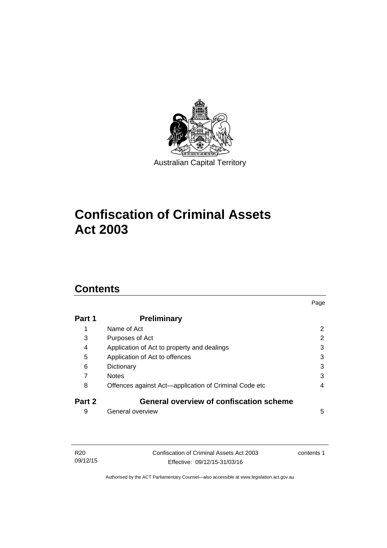

# **Confiscation of Criminal Assets Act 2003**

# **Contents**

| Part 1 | <b>Preliminary</b>                                    |                |
|--------|-------------------------------------------------------|----------------|
| 1      | Name of Act                                           | $\overline{2}$ |
| 3      | Purposes of Act                                       | 2              |
| 4      | Application of Act to property and dealings           | 3              |
| 5      | Application of Act to offences                        | 3              |
| 6      | Dictionary                                            | 3              |
| 7      | <b>Notes</b>                                          | 3              |
| 8      | Offences against Act-application of Criminal Code etc | 4              |
| Part 2 | <b>General overview of confiscation scheme</b>        |                |
| 9      | General overview                                      | 5              |

Page

| R20      | Confiscation of Criminal Assets Act 2003 | contents 1 |
|----------|------------------------------------------|------------|
| 09/12/15 | Effective: 09/12/15-31/03/16             |            |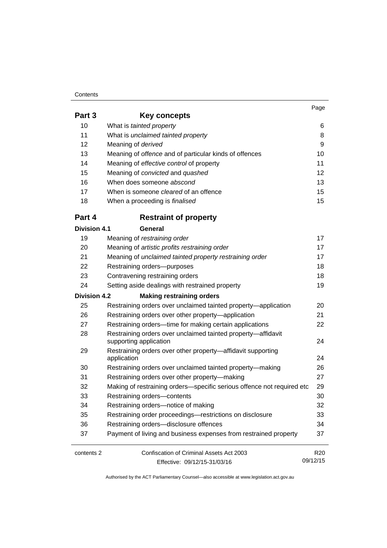### **Contents**

09/12/15

| Part 3              | Key concepts                                                               |                 |
|---------------------|----------------------------------------------------------------------------|-----------------|
| 10                  | What is tainted property                                                   | 6               |
| 11                  | What is unclaimed tainted property                                         | 8               |
| 12                  | Meaning of derived                                                         | 9               |
| 13                  | Meaning of offence and of particular kinds of offences                     | 10              |
| 14                  | Meaning of effective control of property                                   | 11              |
| 15                  | Meaning of convicted and quashed                                           | 12              |
| 16                  | When does someone abscond                                                  | 13              |
| 17                  | When is someone <i>cleared</i> of an offence                               | 15              |
| 18                  | When a proceeding is <i>finalised</i>                                      | 15              |
| Part 4              | <b>Restraint of property</b>                                               |                 |
| <b>Division 4.1</b> | General                                                                    |                 |
| 19                  | Meaning of restraining order                                               | 17              |
| 20                  | Meaning of artistic profits restraining order                              | 17              |
| 21                  | Meaning of unclaimed tainted property restraining order                    | 17              |
| 22                  | Restraining orders-purposes                                                | 18              |
| 23                  | Contravening restraining orders                                            | 18              |
| 24                  | Setting aside dealings with restrained property                            | 19              |
| Division 4.2        | <b>Making restraining orders</b>                                           |                 |
| 25                  | Restraining orders over unclaimed tainted property-application             | 20              |
| 26                  | Restraining orders over other property-application                         | 21              |
| 27                  | Restraining orders-time for making certain applications                    | 22              |
| 28                  | Restraining orders over unclaimed tainted property-affidavit               |                 |
|                     | supporting application                                                     | 24              |
| 29                  | Restraining orders over other property-affidavit supporting<br>application | 24              |
| 30                  | Restraining orders over unclaimed tainted property-making                  | 26              |
| 31                  | Restraining orders over other property-making                              | 27              |
| 32                  | Making of restraining orders-specific serious offence not required etc     | 29              |
| 33                  | Restraining orders-contents                                                | 30              |
| 34                  | Restraining orders-notice of making                                        | 32              |
| 35                  | Restraining order proceedings-restrictions on disclosure                   | 33              |
| 36                  | Restraining orders-disclosure offences                                     | 34              |
| 37                  | Payment of living and business expenses from restrained property           | 37              |
| contents 2          | Confiscation of Criminal Assets Act 2003                                   | R <sub>20</sub> |

Effective: 09/12/15-31/03/16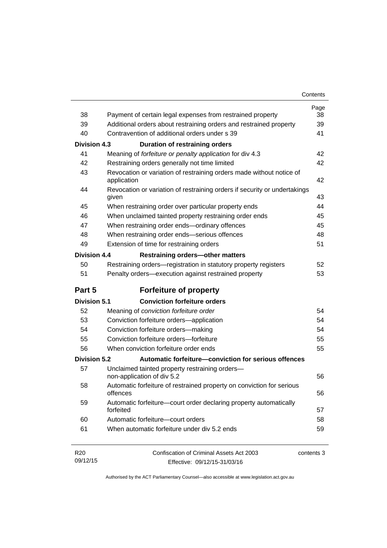| Contents |
|----------|
|----------|

| 38                          | Payment of certain legal expenses from restrained property                         | Page<br>38 |
|-----------------------------|------------------------------------------------------------------------------------|------------|
| 39                          | Additional orders about restraining orders and restrained property                 | 39         |
| 40                          | Contravention of additional orders under s 39                                      | 41         |
| <b>Division 4.3</b>         | <b>Duration of restraining orders</b>                                              |            |
| 41                          | Meaning of forfeiture or penalty application for div 4.3                           | 42         |
| 42                          | Restraining orders generally not time limited                                      | 42         |
| 43                          | Revocation or variation of restraining orders made without notice of               |            |
|                             | application                                                                        | 42         |
| 44                          | Revocation or variation of restraining orders if security or undertakings<br>given | 43         |
| 45                          | When restraining order over particular property ends                               | 44         |
| 46                          | When unclaimed tainted property restraining order ends                             | 45         |
| 47                          | When restraining order ends-ordinary offences                                      | 45         |
| 48                          | When restraining order ends-serious offences                                       | 48         |
| 49                          | Extension of time for restraining orders                                           | 51         |
| <b>Division 4.4</b>         | <b>Restraining orders-other matters</b>                                            |            |
| 50                          | Restraining orders-registration in statutory property registers                    | 52         |
| 51                          | Penalty orders-execution against restrained property                               | 53         |
| Part 5                      | <b>Forfeiture of property</b>                                                      |            |
| <b>Division 5.1</b>         | <b>Conviction forfeiture orders</b>                                                |            |
| 52                          | Meaning of conviction forfeiture order                                             | 54         |
| 53                          | Conviction forfeiture orders-application                                           | 54         |
| 54                          | Conviction forfeiture orders-making                                                | 54         |
| 55                          | Conviction forfeiture orders-forfeiture                                            | 55         |
| 56                          | When conviction forfeiture order ends                                              | 55         |
| Division 5.2                | Automatic forfeiture-conviction for serious offences                               |            |
| 57                          | Unclaimed tainted property restraining orders-<br>non-application of div 5.2       | 56         |
| 58                          | Automatic forfeiture of restrained property on conviction for serious<br>offences  | 56         |
| 59                          | Automatic forfeiture-court order declaring property automatically<br>forfeited     | 57         |
| 60                          | Automatic forfeiture-court orders                                                  | 58         |
| 61                          | When automatic forfeiture under div 5.2 ends                                       | 59         |
| R <sub>20</sub><br>09/12/15 | Confiscation of Criminal Assets Act 2003<br>Effective: 09/12/15-31/03/16           | contents 3 |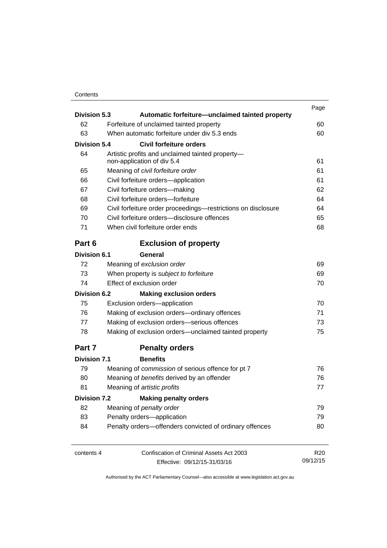## **Contents**

|                     | <b>Division 5.3</b><br>Automatic forfeiture-unclaimed tainted property |                                                                                             | Page            |  |  |  |  |    |
|---------------------|------------------------------------------------------------------------|---------------------------------------------------------------------------------------------|-----------------|--|--|--|--|----|
| 62                  |                                                                        | Forfeiture of unclaimed tainted property                                                    | 60              |  |  |  |  |    |
| 63                  |                                                                        | When automatic forfeiture under div 5.3 ends                                                | 60              |  |  |  |  |    |
| <b>Division 5.4</b> |                                                                        | Civil forfeiture orders                                                                     |                 |  |  |  |  |    |
| 64                  |                                                                        |                                                                                             |                 |  |  |  |  |    |
|                     |                                                                        | Artistic profits and unclaimed tainted property-<br>non-application of div 5.4              |                 |  |  |  |  |    |
| 65                  |                                                                        | Meaning of civil forfeiture order                                                           | 61              |  |  |  |  |    |
| 66                  | Civil forfeiture orders-application                                    | 61                                                                                          |                 |  |  |  |  |    |
| 67                  |                                                                        | Civil forfeiture orders-making                                                              | 62              |  |  |  |  |    |
| 68                  |                                                                        | Civil forfeiture orders-forfeiture                                                          | 64              |  |  |  |  |    |
| 69                  |                                                                        | Civil forfeiture order proceedings-restrictions on disclosure                               | 64              |  |  |  |  |    |
| 70                  |                                                                        | Civil forfeiture orders-disclosure offences                                                 | 65              |  |  |  |  |    |
| 71                  |                                                                        | When civil forfeiture order ends                                                            | 68              |  |  |  |  |    |
| Part 6              |                                                                        | <b>Exclusion of property</b>                                                                |                 |  |  |  |  |    |
| <b>Division 6.1</b> |                                                                        | General                                                                                     |                 |  |  |  |  |    |
| 72                  |                                                                        | Meaning of exclusion order                                                                  | 69              |  |  |  |  |    |
| 73                  | When property is subject to forfeiture<br>Effect of exclusion order    | 69                                                                                          |                 |  |  |  |  |    |
| 74                  |                                                                        | 70                                                                                          |                 |  |  |  |  |    |
| <b>Division 6.2</b> |                                                                        | <b>Making exclusion orders</b>                                                              |                 |  |  |  |  |    |
| 75                  |                                                                        | Exclusion orders-application                                                                | 70              |  |  |  |  |    |
| 76                  |                                                                        | Making of exclusion orders-ordinary offences<br>Making of exclusion orders-serious offences |                 |  |  |  |  | 71 |
| 77                  | Making of exclusion orders—unclaimed tainted property                  |                                                                                             |                 |  |  |  |  |    |
| 78                  |                                                                        |                                                                                             |                 |  |  |  |  |    |
| Part 7              |                                                                        | <b>Penalty orders</b>                                                                       |                 |  |  |  |  |    |
| <b>Division 7.1</b> |                                                                        | <b>Benefits</b>                                                                             |                 |  |  |  |  |    |
| 79                  |                                                                        | Meaning of commission of serious offence for pt 7                                           | 76              |  |  |  |  |    |
| 80                  |                                                                        | Meaning of benefits derived by an offender                                                  | 76              |  |  |  |  |    |
| 81                  | Meaning of artistic profits                                            | 77                                                                                          |                 |  |  |  |  |    |
| <b>Division 7.2</b> |                                                                        | <b>Making penalty orders</b>                                                                |                 |  |  |  |  |    |
| 82                  |                                                                        | Meaning of penalty order                                                                    | 79              |  |  |  |  |    |
| 83                  |                                                                        | Penalty orders-application                                                                  | 79              |  |  |  |  |    |
| 84                  |                                                                        | Penalty orders-offenders convicted of ordinary offences                                     | 80              |  |  |  |  |    |
| contents 4          |                                                                        | Confiscation of Criminal Assets Act 2003                                                    | R <sub>20</sub> |  |  |  |  |    |
|                     |                                                                        | Effective: 09/12/15-31/03/16                                                                | 09/12/15        |  |  |  |  |    |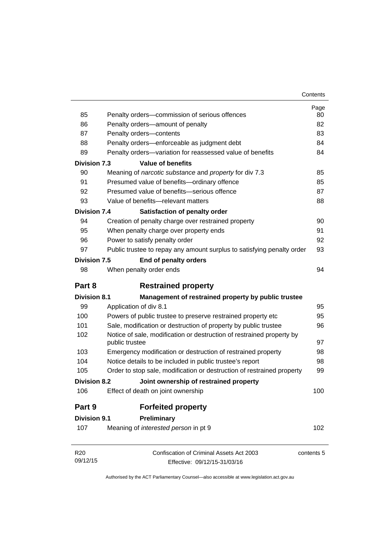| Contents |
|----------|
|----------|

|                     |                                                                        | Page       |
|---------------------|------------------------------------------------------------------------|------------|
| 85                  | Penalty orders-commission of serious offences                          | 80         |
| 86                  | Penalty orders-amount of penalty                                       | 82         |
| 87                  | Penalty orders-contents                                                | 83         |
| 88                  | Penalty orders-enforceable as judgment debt                            | 84         |
| 89                  | Penalty orders-variation for reassessed value of benefits              | 84         |
| <b>Division 7.3</b> | <b>Value of benefits</b>                                               |            |
| 90                  | Meaning of narcotic substance and property for div 7.3                 | 85         |
| 91                  | Presumed value of benefits-ordinary offence                            | 85         |
| 92                  | Presumed value of benefits-serious offence                             | 87         |
| 93                  | Value of benefits-relevant matters                                     | 88         |
| <b>Division 7.4</b> | Satisfaction of penalty order                                          |            |
| 94                  | Creation of penalty charge over restrained property                    | 90         |
| 95                  | When penalty charge over property ends                                 | 91         |
| 96                  | Power to satisfy penalty order                                         | 92         |
| 97                  | Public trustee to repay any amount surplus to satisfying penalty order | 93         |
| <b>Division 7.5</b> | End of penalty orders                                                  |            |
| 98                  | When penalty order ends                                                | 94         |
|                     |                                                                        |            |
| Part 8              | <b>Restrained property</b>                                             |            |
| <b>Division 8.1</b> | Management of restrained property by public trustee                    |            |
| 99                  | Application of div 8.1                                                 | 95         |
| 100                 | Powers of public trustee to preserve restrained property etc           | 95         |
| 101                 | Sale, modification or destruction of property by public trustee        | 96         |
| 102                 | Notice of sale, modification or destruction of restrained property by  |            |
|                     | public trustee                                                         | 97         |
| 103                 | Emergency modification or destruction of restrained property           | 98         |
| 104                 | Notice details to be included in public trustee's report               | 98         |
| 105                 | Order to stop sale, modification or destruction of restrained property | 99         |
| <b>Division 8.2</b> | Joint ownership of restrained property                                 |            |
| 106                 | Effect of death on joint ownership                                     | 100        |
| Part 9              | <b>Forfeited property</b>                                              |            |
| <b>Division 9.1</b> | Preliminary                                                            |            |
| 107                 | Meaning of interested person in pt 9                                   | 102        |
| R <sub>20</sub>     | Confiscation of Criminal Assets Act 2003                               | contents 5 |
| 09/12/15            | Effective: 09/12/15-31/03/16                                           |            |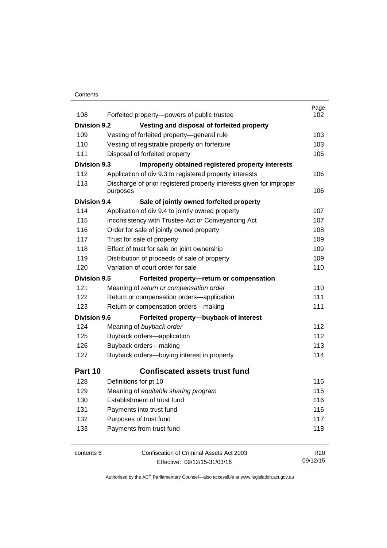### **Contents**

| 108                 | Forfeited property-powers of public trustee                                     | Page<br>102     |
|---------------------|---------------------------------------------------------------------------------|-----------------|
| Division 9.2        | Vesting and disposal of forfeited property                                      |                 |
| 109                 | Vesting of forfeited property-general rule                                      | 103             |
| 110                 | Vesting of registrable property on forfeiture                                   | 103             |
| 111                 | Disposal of forfeited property                                                  | 105             |
|                     |                                                                                 |                 |
| <b>Division 9.3</b> | Improperly obtained registered property interests                               |                 |
| 112                 | Application of div 9.3 to registered property interests                         | 106             |
| 113                 | Discharge of prior registered property interests given for improper<br>purposes | 106             |
| <b>Division 9.4</b> | Sale of jointly owned forfeited property                                        |                 |
| 114                 | Application of div 9.4 to jointly owned property                                | 107             |
| 115                 | Inconsistency with Trustee Act or Conveyancing Act                              | 107             |
| 116                 | Order for sale of jointly owned property                                        | 108             |
| 117                 | Trust for sale of property                                                      | 109             |
| 118                 | Effect of trust for sale on joint ownership                                     | 109             |
| 119                 | Distribution of proceeds of sale of property                                    | 109             |
| 120                 | Variation of court order for sale                                               | 110             |
| <b>Division 9.5</b> | Forfeited property-return or compensation                                       |                 |
| 121                 | Meaning of return or compensation order                                         | 110             |
| 122                 | Return or compensation orders-application                                       | 111             |
| 123                 | Return or compensation orders-making                                            | 111             |
| <b>Division 9.6</b> | Forfeited property-buyback of interest                                          |                 |
| 124                 | Meaning of buyback order                                                        | 112             |
| 125                 | Buyback orders-application                                                      | 112             |
| 126                 | Buyback orders-making                                                           | 113             |
| 127                 | Buyback orders-buying interest in property                                      | 114             |
| Part 10             | <b>Confiscated assets trust fund</b>                                            |                 |
| 128                 | Definitions for pt 10                                                           | 115             |
| 129                 | Meaning of equitable sharing program                                            | 115             |
| 130                 | Establishment of trust fund                                                     | 116             |
| 131                 | Payments into trust fund                                                        | 116             |
| 132                 | Purposes of trust fund                                                          | 117             |
| 133                 | Payments from trust fund                                                        | 118             |
|                     |                                                                                 |                 |
| contents 6          | Confiscation of Criminal Assets Act 2003                                        | R <sub>20</sub> |

Effective: 09/12/15-31/03/16

09/12/15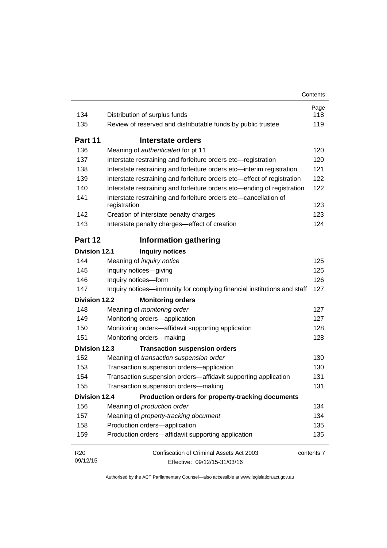| 134                  | Distribution of surplus funds                                             | Page<br>118 |
|----------------------|---------------------------------------------------------------------------|-------------|
| 135                  | Review of reserved and distributable funds by public trustee              | 119         |
|                      |                                                                           |             |
| Part 11              | Interstate orders                                                         |             |
| 136                  | Meaning of authenticated for pt 11                                        | 120         |
| 137                  | Interstate restraining and forfeiture orders etc-registration             | 120         |
| 138                  | Interstate restraining and forfeiture orders etc-interim registration     | 121         |
| 139                  | Interstate restraining and forfeiture orders etc—effect of registration   | 122         |
| 140                  | Interstate restraining and forfeiture orders etc-ending of registration   | 122         |
| 141                  | Interstate restraining and forfeiture orders etc-cancellation of          |             |
|                      | registration                                                              | 123         |
| 142                  | Creation of interstate penalty charges                                    | 123         |
| 143                  | Interstate penalty charges-effect of creation                             | 124         |
| Part 12              | <b>Information gathering</b>                                              |             |
| <b>Division 12.1</b> | <b>Inquiry notices</b>                                                    |             |
| 144                  | Meaning of <i>inquiry notice</i>                                          | 125         |
| 145                  | Inquiry notices-giving                                                    | 125         |
| 146                  | Inquiry notices-form                                                      | 126         |
| 147                  | Inquiry notices—immunity for complying financial institutions and staff   | 127         |
| Division 12.2        | <b>Monitoring orders</b>                                                  |             |
| 148                  | Meaning of monitoring order                                               | 127         |
| 149                  | Monitoring orders-application                                             | 127         |
| 150                  | Monitoring orders-affidavit supporting application                        | 128         |
| 151                  | Monitoring orders-making                                                  | 128         |
| <b>Division 12.3</b> | <b>Transaction suspension orders</b>                                      |             |
| 152                  | Meaning of transaction suspension order                                   | 130         |
| 153                  | Transaction suspension orders-application                                 | 130         |
| 154                  | Transaction suspension orders-affidavit supporting application            | 131         |
| 155                  | Transaction suspension orders-making                                      | 131         |
|                      | <b>Division 12.4</b><br>Production orders for property-tracking documents |             |
| 156                  | Meaning of production order                                               | 134         |
| 157                  | Meaning of property-tracking document                                     | 134         |
| 158                  | Production orders-application                                             | 135         |
| 159                  | Production orders-affidavit supporting application                        | 135         |
| R <sub>20</sub>      | Confiscation of Criminal Assets Act 2003                                  | contents 7  |
| 09/12/15             | Effective: 09/12/15-31/03/16                                              |             |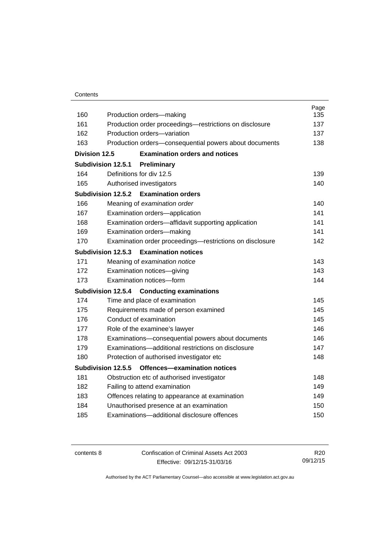| 160           |                                                                                        | Page       |
|---------------|----------------------------------------------------------------------------------------|------------|
| 161           | Production orders-making                                                               | 135<br>137 |
| 162           | Production order proceedings—restrictions on disclosure<br>Production orders-variation | 137        |
| 163           | Production orders-consequential powers about documents                                 | 138        |
|               |                                                                                        |            |
| Division 12.5 | <b>Examination orders and notices</b>                                                  |            |
|               | <b>Subdivision 12.5.1</b><br>Preliminary                                               |            |
| 164           | Definitions for div 12.5                                                               | 139        |
| 165           | Authorised investigators                                                               | 140        |
|               | Subdivision 12.5.2<br><b>Examination orders</b>                                        |            |
| 166           | Meaning of examination order                                                           | 140        |
| 167           | Examination orders-application                                                         | 141        |
| 168           | Examination orders-affidavit supporting application                                    | 141        |
| 169           | Examination orders-making                                                              | 141        |
| 170           | Examination order proceedings-restrictions on disclosure                               | 142        |
|               | Subdivision 12.5.3<br><b>Examination notices</b>                                       |            |
| 171           | Meaning of examination notice                                                          | 143        |
| 172           | Examination notices-giving                                                             | 143        |
| 173           | Examination notices-form                                                               | 144        |
|               | Subdivision 12.5.4<br><b>Conducting examinations</b>                                   |            |
| 174           | Time and place of examination                                                          | 145        |
| 175           | Requirements made of person examined                                                   | 145        |
| 176           | Conduct of examination                                                                 | 145        |
| 177           | Role of the examinee's lawyer                                                          | 146        |
| 178           | Examinations-consequential powers about documents                                      | 146        |
| 179           | Examinations-additional restrictions on disclosure                                     | 147        |
| 180           | Protection of authorised investigator etc                                              | 148        |
|               | Subdivision 12.5.5<br>Offences-examination notices                                     |            |
| 181           | Obstruction etc of authorised investigator                                             | 148        |
| 182           | Failing to attend examination                                                          | 149        |
| 183           | Offences relating to appearance at examination                                         | 149        |
| 184           | Unauthorised presence at an examination                                                | 150        |
| 185           | Examinations-additional disclosure offences                                            | 150        |
|               |                                                                                        |            |

contents 8 Confiscation of Criminal Assets Act 2003 Effective: 09/12/15-31/03/16

R20 09/12/15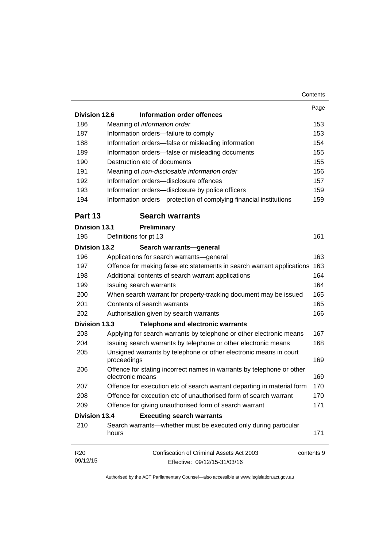|                      |                                                                                           | Contents |
|----------------------|-------------------------------------------------------------------------------------------|----------|
|                      |                                                                                           | Page     |
| Division 12.6        | Information order offences                                                                |          |
| 186                  | Meaning of information order                                                              |          |
| 187                  | Information orders-failure to comply                                                      |          |
| 188                  | Information orders-false or misleading information                                        |          |
| 189                  | Information orders-false or misleading documents                                          |          |
| 190                  | Destruction etc of documents                                                              |          |
| 191                  | Meaning of non-disclosable information order                                              |          |
| 192                  | Information orders-disclosure offences                                                    |          |
| 193                  | Information orders-disclosure by police officers                                          |          |
| 194                  | Information orders-protection of complying financial institutions                         |          |
| Part 13              | <b>Search warrants</b>                                                                    |          |
| <b>Division 13.1</b> | <b>Preliminary</b>                                                                        |          |
| 195                  | Definitions for pt 13                                                                     |          |
| <b>Division 13.2</b> | Search warrants-general                                                                   |          |
| 196                  | Applications for search warrants-general                                                  |          |
| 197                  | Offence for making false etc statements in search warrant applications                    |          |
| 198                  | Additional contents of search warrant applications                                        |          |
| 199                  | Issuing search warrants                                                                   |          |
| 200                  | When search warrant for property-tracking document may be issued                          |          |
| 201                  | Contents of search warrants                                                               |          |
| 202                  | Authorisation given by search warrants                                                    |          |
| <b>Division 13.3</b> | <b>Telephone and electronic warrants</b>                                                  |          |
| 203                  | Applying for search warrants by telephone or other electronic means                       |          |
| 204                  | Issuing search warrants by telephone or other electronic means                            |          |
| 205                  | Unsigned warrants by telephone or other electronic means in court<br>proceedings          |          |
| 206                  | Offence for stating incorrect names in warrants by telephone or other<br>electronic means |          |
| 207                  | Offence for execution etc of search warrant departing in material form                    |          |
| 208                  | Offence for execution etc of unauthorised form of search warrant                          |          |
| 209                  | Offence for giving unauthorised form of search warrant                                    |          |
| <b>Division 13.4</b> | <b>Executing search warrants</b>                                                          |          |
| 210                  | Search warrants—whether must be executed only during particular<br>hours                  |          |
| R <sub>20</sub>      | Confiscation of Criminal Assets Act 2003<br>contents 9                                    |          |
| 09/12/15             | Effective: 09/12/15-31/03/16                                                              |          |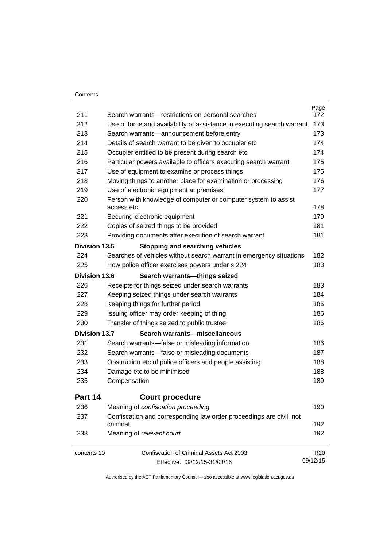### **Contents**

|                      |                                                                                                                      | Page<br>172     |  |
|----------------------|----------------------------------------------------------------------------------------------------------------------|-----------------|--|
|                      | 211<br>Search warrants-restrictions on personal searches<br>212                                                      |                 |  |
| 213                  | Use of force and availability of assistance in executing search warrant<br>Search warrants-announcement before entry |                 |  |
| 214                  |                                                                                                                      | 173<br>174      |  |
|                      | Details of search warrant to be given to occupier etc                                                                |                 |  |
| 215                  | Occupier entitled to be present during search etc                                                                    | 174             |  |
| 216                  | Particular powers available to officers executing search warrant                                                     | 175             |  |
| 217                  | Use of equipment to examine or process things                                                                        | 175<br>176      |  |
| 218                  | Moving things to another place for examination or processing                                                         |                 |  |
| 219                  | Use of electronic equipment at premises                                                                              | 177             |  |
| 220                  | Person with knowledge of computer or computer system to assist<br>access etc                                         | 178             |  |
| 221                  | Securing electronic equipment                                                                                        | 179             |  |
| 222                  | Copies of seized things to be provided                                                                               | 181             |  |
| 223                  | Providing documents after execution of search warrant                                                                | 181             |  |
| <b>Division 13.5</b> | <b>Stopping and searching vehicles</b>                                                                               |                 |  |
| 224                  | Searches of vehicles without search warrant in emergency situations                                                  | 182             |  |
| 225                  | How police officer exercises powers under s 224                                                                      | 183             |  |
| Division 13.6        | Search warrants-things seized                                                                                        |                 |  |
| 226                  | Receipts for things seized under search warrants                                                                     | 183             |  |
| 227                  | Keeping seized things under search warrants                                                                          | 184             |  |
| 228                  | Keeping things for further period                                                                                    |                 |  |
| 229                  | Issuing officer may order keeping of thing                                                                           | 186             |  |
| 230                  | Transfer of things seized to public trustee                                                                          | 186             |  |
| <b>Division 13.7</b> | Search warrants-miscellaneous                                                                                        |                 |  |
| 231                  | Search warrants-false or misleading information                                                                      | 186             |  |
| 232                  | Search warrants—false or misleading documents                                                                        | 187             |  |
| 233                  | Obstruction etc of police officers and people assisting                                                              |                 |  |
| 234                  | Damage etc to be minimised                                                                                           |                 |  |
| 235                  | Compensation                                                                                                         | 189             |  |
| Part 14              | <b>Court procedure</b>                                                                                               |                 |  |
| 236                  | Meaning of confiscation proceeding                                                                                   | 190             |  |
| 237                  | Confiscation and corresponding law order proceedings are civil, not<br>criminal                                      | 192             |  |
| 238                  | Meaning of relevant court                                                                                            | 192             |  |
| contents 10          | Confiscation of Criminal Assets Act 2003                                                                             | R <sub>20</sub> |  |
|                      | Effective: 09/12/15-31/03/16                                                                                         | 09/12/15        |  |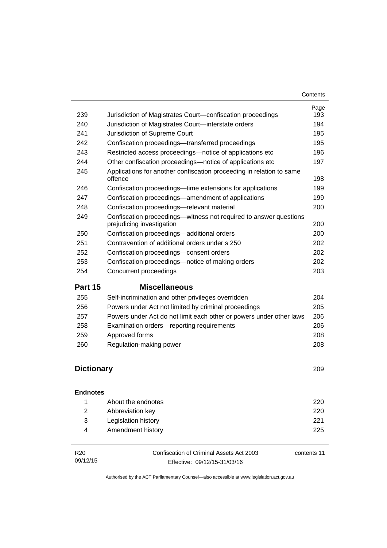| 239               | Jurisdiction of Magistrates Court-confiscation proceedings                                     | Page<br>193 |
|-------------------|------------------------------------------------------------------------------------------------|-------------|
| 240               | Jurisdiction of Magistrates Court-interstate orders                                            | 194         |
| 241               | Jurisdiction of Supreme Court                                                                  | 195         |
| 242               | Confiscation proceedings—transferred proceedings                                               | 195         |
| 243               | Restricted access proceedings—notice of applications etc                                       | 196         |
| 244               | Other confiscation proceedings—notice of applications etc                                      | 197         |
| 245               | Applications for another confiscation proceeding in relation to same<br>offence                | 198         |
| 246               | Confiscation proceedings—time extensions for applications                                      | 199         |
| 247               | Confiscation proceedings—amendment of applications                                             | 199         |
| 248               | Confiscation proceedings-relevant material                                                     | 200         |
| 249               | Confiscation proceedings—witness not required to answer questions<br>prejudicing investigation | 200         |
| 250               | Confiscation proceedings—additional orders                                                     | 200         |
| 251               | Contravention of additional orders under s 250                                                 | 202         |
| 252               | Confiscation proceedings-consent orders                                                        | 202         |
| 253               | Confiscation proceedings—notice of making orders                                               | 202         |
| 254               | Concurrent proceedings                                                                         | 203         |
| Part 15           | <b>Miscellaneous</b>                                                                           |             |
| 255               | Self-incrimination and other privileges overridden                                             | 204         |
| 256               | Powers under Act not limited by criminal proceedings                                           | 205         |
| 257               | Powers under Act do not limit each other or powers under other laws                            | 206         |
| 258               | Examination orders-reporting requirements                                                      | 206         |
| 259               | Approved forms                                                                                 | 208         |
| 260               | Regulation-making power                                                                        | 208         |
| <b>Dictionary</b> |                                                                                                | 209         |

### **[Endnotes](#page-233-0)**

|     | About the endnotes  | 220 |
|-----|---------------------|-----|
| 2   | Abbreviation key    | 220 |
| -3- | Legislation history | 221 |
| 4   | Amendment history   | 225 |
|     |                     |     |

| R20      | Confiscation of Criminal Assets Act 2003 | contents 11 |
|----------|------------------------------------------|-------------|
| 09/12/15 | Effective: 09/12/15-31/03/16             |             |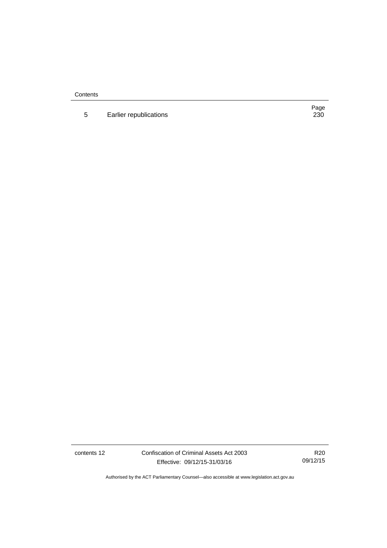**Contents** 

5 Earlier republications

Page<br>230

contents 12 Confiscation of Criminal Assets Act 2003 Effective: 09/12/15-31/03/16

R20 09/12/15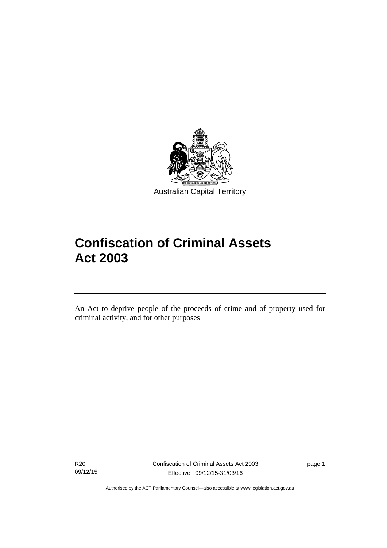

# **Confiscation of Criminal Assets Act 2003**

An Act to deprive people of the proceeds of crime and of property used for criminal activity, and for other purposes

R20 09/12/15

l

page 1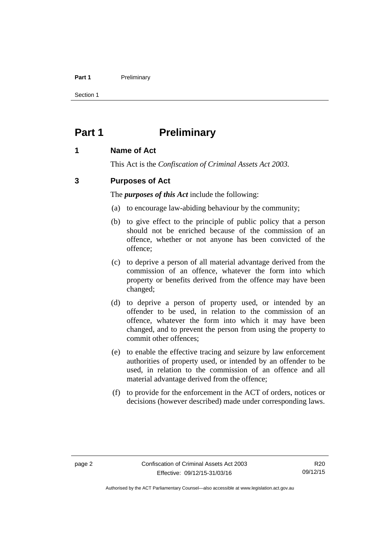### Part 1 **Preliminary**

Section 1

# <span id="page-15-0"></span>**Part 1** Preliminary

# <span id="page-15-1"></span>**1 Name of Act**

This Act is the *Confiscation of Criminal Assets Act 2003.*

# <span id="page-15-2"></span>**3 Purposes of Act**

The *purposes of this Act* include the following:

- (a) to encourage law-abiding behaviour by the community;
- (b) to give effect to the principle of public policy that a person should not be enriched because of the commission of an offence, whether or not anyone has been convicted of the offence;
- (c) to deprive a person of all material advantage derived from the commission of an offence, whatever the form into which property or benefits derived from the offence may have been changed;
- (d) to deprive a person of property used, or intended by an offender to be used, in relation to the commission of an offence, whatever the form into which it may have been changed, and to prevent the person from using the property to commit other offences;
- (e) to enable the effective tracing and seizure by law enforcement authorities of property used, or intended by an offender to be used, in relation to the commission of an offence and all material advantage derived from the offence;
- (f) to provide for the enforcement in the ACT of orders, notices or decisions (however described) made under corresponding laws.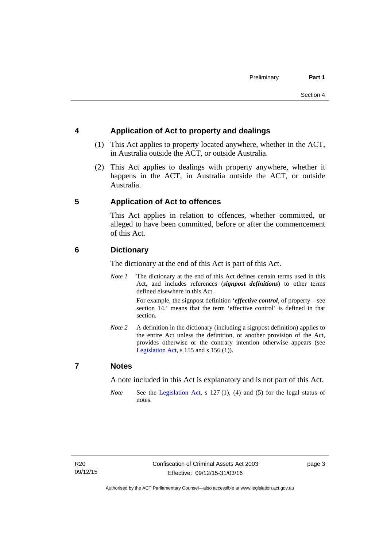# <span id="page-16-0"></span>**4 Application of Act to property and dealings**

- (1) This Act applies to property located anywhere, whether in the ACT, in Australia outside the ACT, or outside Australia.
- (2) This Act applies to dealings with property anywhere, whether it happens in the ACT, in Australia outside the ACT, or outside Australia.

# <span id="page-16-1"></span>**5 Application of Act to offences**

This Act applies in relation to offences, whether committed, or alleged to have been committed, before or after the commencement of this Act.

# <span id="page-16-2"></span>**6 Dictionary**

The dictionary at the end of this Act is part of this Act.

*Note 1* The dictionary at the end of this Act defines certain terms used in this Act, and includes references (*signpost definitions*) to other terms defined elsewhere in this Act.

> For example, the signpost definition '*effective control*, of property—see section 14.' means that the term 'effective control' is defined in that section.

*Note 2* A definition in the dictionary (including a signpost definition) applies to the entire Act unless the definition, or another provision of the Act, provides otherwise or the contrary intention otherwise appears (see [Legislation Act,](http://www.legislation.act.gov.au/a/2001-14)  $s$  155 and  $s$  156 (1)).

# <span id="page-16-3"></span>**7 Notes**

A note included in this Act is explanatory and is not part of this Act.

*Note* See the [Legislation Act,](http://www.legislation.act.gov.au/a/2001-14) s 127 (1), (4) and (5) for the legal status of notes.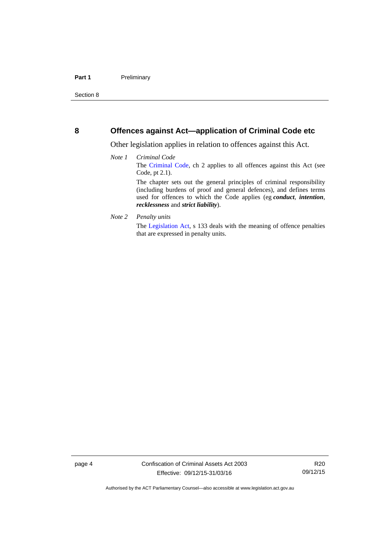## <span id="page-17-0"></span>**8 Offences against Act—application of Criminal Code etc**

Other legislation applies in relation to offences against this Act.

- *Note 1 Criminal Code* The [Criminal Code](http://www.legislation.act.gov.au/a/2002-51), ch 2 applies to all offences against this Act (see Code, pt 2.1). The chapter sets out the general principles of criminal responsibility (including burdens of proof and general defences), and defines terms used for offences to which the Code applies (eg *conduct*, *intention*, *recklessness* and *strict liability*).
- *Note 2 Penalty units*

The [Legislation Act](http://www.legislation.act.gov.au/a/2001-14), s 133 deals with the meaning of offence penalties that are expressed in penalty units.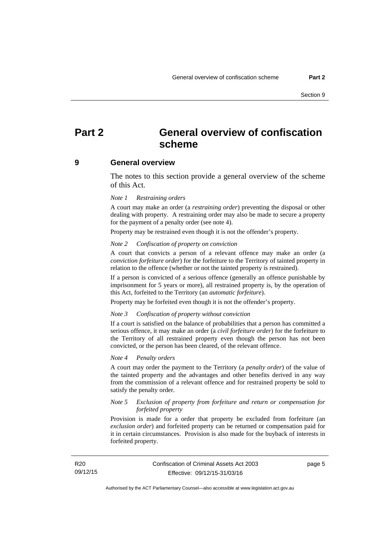# <span id="page-18-0"></span>**Part 2 General overview of confiscation scheme**

### <span id="page-18-1"></span>**9 General overview**

The notes to this section provide a general overview of the scheme of this Act.

### *Note 1 Restraining orders*

A court may make an order (a *restraining order*) preventing the disposal or other dealing with property. A restraining order may also be made to secure a property for the payment of a penalty order (see note 4).

Property may be restrained even though it is not the offender's property.

#### *Note 2 Confiscation of property on conviction*

A court that convicts a person of a relevant offence may make an order (a *conviction forfeiture order*) for the forfeiture to the Territory of tainted property in relation to the offence (whether or not the tainted property is restrained).

If a person is convicted of a serious offence (generally an offence punishable by imprisonment for 5 years or more), all restrained property is, by the operation of this Act, forfeited to the Territory (an *automatic forfeiture*).

Property may be forfeited even though it is not the offender's property.

#### *Note 3 Confiscation of property without conviction*

If a court is satisfied on the balance of probabilities that a person has committed a serious offence, it may make an order (a *civil forfeiture order*) for the forfeiture to the Territory of all restrained property even though the person has not been convicted, or the person has been cleared, of the relevant offence.

### *Note 4 Penalty orders*

A court may order the payment to the Territory (a *penalty order*) of the value of the tainted property and the advantages and other benefits derived in any way from the commission of a relevant offence and for restrained property be sold to satisfy the penalty order.

### *Note 5 Exclusion of property from forfeiture and return or compensation for forfeited property*

Provision is made for a order that property be excluded from forfeiture (an *exclusion order*) and forfeited property can be returned or compensation paid for it in certain circumstances. Provision is also made for the buyback of interests in forfeited property.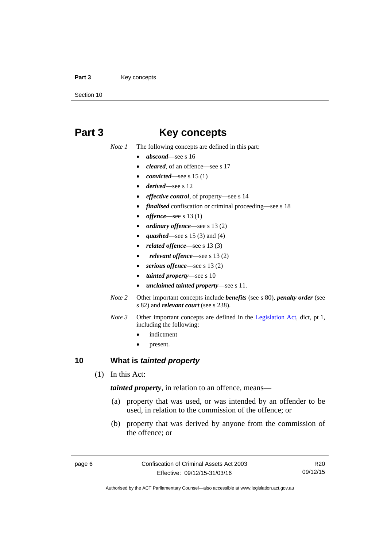### Part 3 **Key concepts**

Section 10

# <span id="page-19-0"></span>**Part 3 Key concepts**

*Note 1* The following concepts are defined in this part:

- *abscond*—see s 16
- *cleared*, of an offence—see s 17
- *convicted*—see s 15 (1)
- *derived*—see s 12
- *effective control*, of property—see s 14
- *finalised* confiscation or criminal proceeding—see s 18
- *offence*—see s 13 (1)
- *ordinary offence*—see s 13 (2)
- *quashed*—see s 15 (3) and (4)
- *related offence*—see s 13 (3)
- *relevant offence*—see s 13 (2)
- *serious offence*—see s 13 (2)
- *tainted property*—see s 10
- *unclaimed tainted property*—see s 11.
- *Note 2* Other important concepts include *benefits* (see s 80), *penalty order* (see s 82) and *relevant court* (see s 238).
- *Note 3* Other important concepts are defined in the [Legislation Act,](http://www.legislation.act.gov.au/a/2001-14) dict, pt 1, including the following:
	- indictment
	- present.

# <span id="page-19-1"></span>**10 What is** *tainted property*

(1) In this Act:

*tainted property*, in relation to an offence, means—

- (a) property that was used, or was intended by an offender to be used, in relation to the commission of the offence; or
- (b) property that was derived by anyone from the commission of the offence; or

R20 09/12/15

Authorised by the ACT Parliamentary Counsel—also accessible at www.legislation.act.gov.au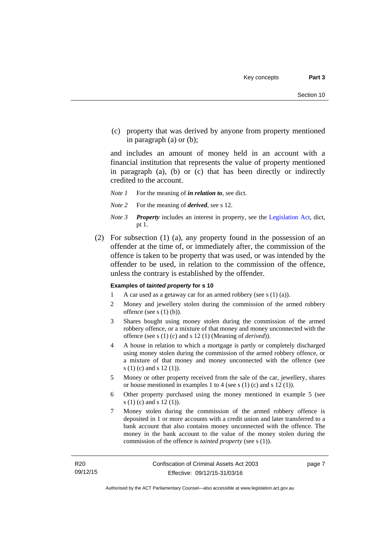(c) property that was derived by anyone from property mentioned in paragraph (a) or (b);

and includes an amount of money held in an account with a financial institution that represents the value of property mentioned in paragraph (a), (b) or (c) that has been directly or indirectly credited to the account.

- *Note 1* For the meaning of *in relation to*, see dict.
- *Note 2* For the meaning of *derived*, see s 12.
- *Note 3 Property* includes an interest in property, see the [Legislation Act,](http://www.legislation.act.gov.au/a/2001-14) dict, pt 1.
- (2) For subsection (1) (a), any property found in the possession of an offender at the time of, or immediately after, the commission of the offence is taken to be property that was used, or was intended by the offender to be used, in relation to the commission of the offence, unless the contrary is established by the offender.

### **Examples of** *tainted property* **for s 10**

- 1 A car used as a getaway car for an armed robbery (see s (1) (a)).
- 2 Money and jewellery stolen during the commission of the armed robbery offence (see s (1) (b)).
- 3 Shares bought using money stolen during the commission of the armed robbery offence, or a mixture of that money and money unconnected with the offence (see s (1) (c) and s 12 (1) (Meaning of *derived*)).
- 4 A house in relation to which a mortgage is partly or completely discharged using money stolen during the commission of the armed robbery offence, or a mixture of that money and money unconnected with the offence (see s (1) (c) and s 12 (1)).
- 5 Money or other property received from the sale of the car, jewellery, shares or house mentioned in examples 1 to 4 (see s (1) (c) and s 12 (1)).
- 6 Other property purchased using the money mentioned in example 5 (see s (1) (c) and s 12 (1)).
- 7 Money stolen during the commission of the armed robbery offence is deposited in 1 or more accounts with a credit union and later transferred to a bank account that also contains money unconnected with the offence. The money in the bank account to the value of the money stolen during the commission of the offence is *tainted property* (see s (1)).

page 7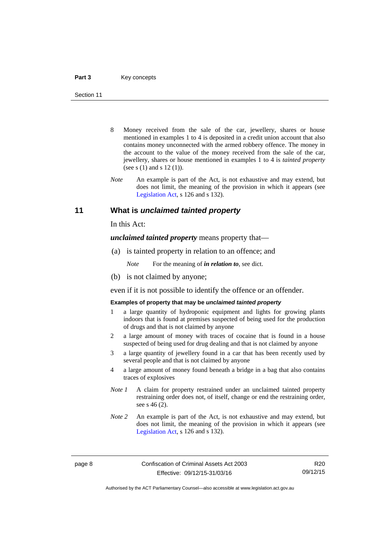- 8 Money received from the sale of the car, jewellery, shares or house mentioned in examples 1 to 4 is deposited in a credit union account that also contains money unconnected with the armed robbery offence. The money in the account to the value of the money received from the sale of the car, jewellery, shares or house mentioned in examples 1 to 4 is *tainted property* (see s (1) and s 12 (1)).
- *Note* An example is part of the Act, is not exhaustive and may extend, but does not limit, the meaning of the provision in which it appears (see [Legislation Act,](http://www.legislation.act.gov.au/a/2001-14) s 126 and s 132).

### <span id="page-21-0"></span>**11 What is** *unclaimed tainted property*

In this Act:

*unclaimed tainted property* means property that—

(a) is tainted property in relation to an offence; and

*Note* For the meaning of *in relation to*, see dict.

(b) is not claimed by anyone;

even if it is not possible to identify the offence or an offender.

### **Examples of property that may be** *unclaimed tainted property*

- 1 a large quantity of hydroponic equipment and lights for growing plants indoors that is found at premises suspected of being used for the production of drugs and that is not claimed by anyone
- 2 a large amount of money with traces of cocaine that is found in a house suspected of being used for drug dealing and that is not claimed by anyone
- 3 a large quantity of jewellery found in a car that has been recently used by several people and that is not claimed by anyone
- 4 a large amount of money found beneath a bridge in a bag that also contains traces of explosives
- *Note 1* A claim for property restrained under an unclaimed tainted property restraining order does not, of itself, change or end the restraining order, see s 46 (2).
- *Note 2* An example is part of the Act, is not exhaustive and may extend, but does not limit, the meaning of the provision in which it appears (see [Legislation Act,](http://www.legislation.act.gov.au/a/2001-14) s 126 and s 132).

R20 09/12/15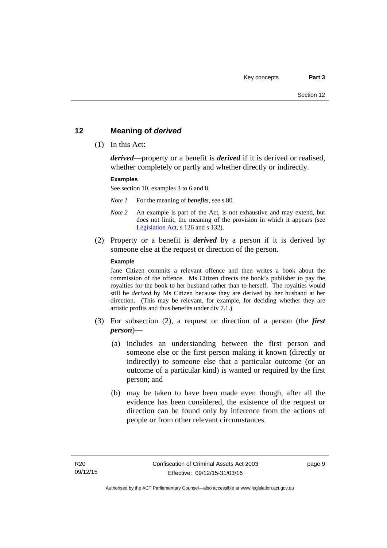# <span id="page-22-0"></span>**12 Meaning of** *derived*

(1) In this Act:

*derived*—property or a benefit is *derived* if it is derived or realised, whether completely or partly and whether directly or indirectly.

### **Examples**

See section 10, examples 3 to 6 and 8.

*Note 1* For the meaning of *benefits*, see s 80.

- *Note 2* An example is part of the Act, is not exhaustive and may extend, but does not limit, the meaning of the provision in which it appears (see [Legislation Act,](http://www.legislation.act.gov.au/a/2001-14) s 126 and s 132).
- (2) Property or a benefit is *derived* by a person if it is derived by someone else at the request or direction of the person.

### **Example**

Jane Citizen commits a relevant offence and then writes a book about the commission of the offence. Ms Citizen directs the book's publisher to pay the royalties for the book to her husband rather than to herself. The royalties would still be *derived* by Ms Citizen because they are derived by her husband at her direction. (This may be relevant, for example, for deciding whether they are artistic profits and thus benefits under div 7.1.)

- (3) For subsection (2), a request or direction of a person (the *first person*)—
	- (a) includes an understanding between the first person and someone else or the first person making it known (directly or indirectly) to someone else that a particular outcome (or an outcome of a particular kind) is wanted or required by the first person; and
	- (b) may be taken to have been made even though, after all the evidence has been considered, the existence of the request or direction can be found only by inference from the actions of people or from other relevant circumstances.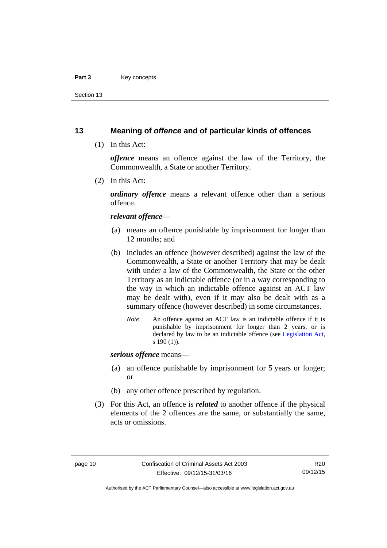### Part 3 **Key concepts**

Section 13

# <span id="page-23-0"></span>**13 Meaning of** *offence* **and of particular kinds of offences**

(1) In this Act:

*offence* means an offence against the law of the Territory, the Commonwealth, a State or another Territory.

(2) In this Act:

*ordinary offence* means a relevant offence other than a serious offence.

### *relevant offence*—

- (a) means an offence punishable by imprisonment for longer than 12 months; and
- (b) includes an offence (however described) against the law of the Commonwealth, a State or another Territory that may be dealt with under a law of the Commonwealth, the State or the other Territory as an indictable offence (or in a way corresponding to the way in which an indictable offence against an ACT law may be dealt with), even if it may also be dealt with as a summary offence (however described) in some circumstances.
	- *Note* An offence against an ACT law is an indictable offence if it is punishable by imprisonment for longer than 2 years, or is declared by law to be an indictable offence (see [Legislation Act,](http://www.legislation.act.gov.au/a/2001-14) s 190 (1)).

*serious offence* means—

- (a) an offence punishable by imprisonment for 5 years or longer; or
- (b) any other offence prescribed by regulation.
- (3) For this Act, an offence is *related* to another offence if the physical elements of the 2 offences are the same, or substantially the same, acts or omissions.

Authorised by the ACT Parliamentary Counsel—also accessible at www.legislation.act.gov.au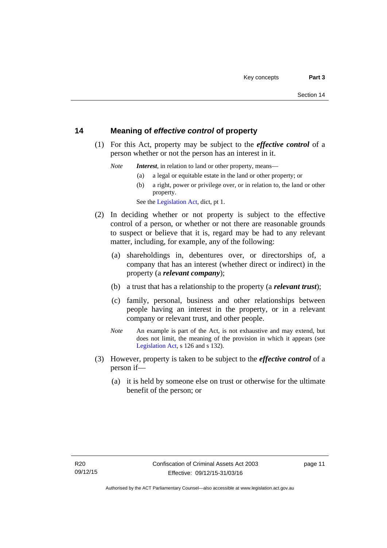# <span id="page-24-0"></span>**14 Meaning of** *effective control* **of property**

 (1) For this Act, property may be subject to the *effective control* of a person whether or not the person has an interest in it.

*Note Interest*, in relation to land or other property, means—

- (a) a legal or equitable estate in the land or other property; or
- (b) a right, power or privilege over, or in relation to, the land or other property.

See the [Legislation Act,](http://www.legislation.act.gov.au/a/2001-14) dict, pt 1.

- (2) In deciding whether or not property is subject to the effective control of a person, or whether or not there are reasonable grounds to suspect or believe that it is, regard may be had to any relevant matter, including, for example, any of the following:
	- (a) shareholdings in, debentures over, or directorships of, a company that has an interest (whether direct or indirect) in the property (a *relevant company*);
	- (b) a trust that has a relationship to the property (a *relevant trust*);
	- (c) family, personal, business and other relationships between people having an interest in the property, or in a relevant company or relevant trust, and other people.
	- *Note* An example is part of the Act, is not exhaustive and may extend, but does not limit, the meaning of the provision in which it appears (see [Legislation Act,](http://www.legislation.act.gov.au/a/2001-14) s 126 and s 132).
- (3) However, property is taken to be subject to the *effective control* of a person if—
	- (a) it is held by someone else on trust or otherwise for the ultimate benefit of the person; or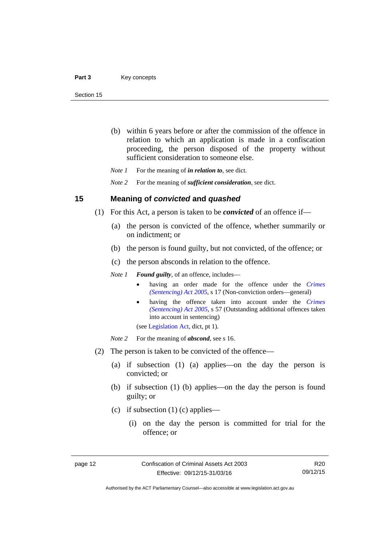- (b) within 6 years before or after the commission of the offence in relation to which an application is made in a confiscation proceeding, the person disposed of the property without sufficient consideration to someone else.
- *Note 1* For the meaning of *in relation to*, see dict.

*Note 2* For the meaning of *sufficient consideration*, see dict.

## <span id="page-25-0"></span>**15 Meaning of** *convicted* **and** *quashed*

- (1) For this Act, a person is taken to be *convicted* of an offence if—
	- (a) the person is convicted of the offence, whether summarily or on indictment; or
	- (b) the person is found guilty, but not convicted, of the offence; or
	- (c) the person absconds in relation to the offence.

*Note 1 Found guilty*, of an offence, includes—

- having an order made for the offence under the *[Crimes](http://www.legislation.act.gov.au/a/2005-58)  [\(Sentencing\) Act 2005](http://www.legislation.act.gov.au/a/2005-58)*, s 17 (Non-conviction orders—general)
- having the offence taken into account under the *[Crimes](http://www.legislation.act.gov.au/a/2005-58)  [\(Sentencing\) Act 2005](http://www.legislation.act.gov.au/a/2005-58)*, s 57 (Outstanding additional offences taken into account in sentencing)

(see [Legislation Act,](http://www.legislation.act.gov.au/a/2001-14) dict, pt 1).

*Note* 2 For the meaning of *abscond*, see s 16.

- (2) The person is taken to be convicted of the offence—
	- (a) if subsection (1) (a) applies—on the day the person is convicted; or
	- (b) if subsection (1) (b) applies—on the day the person is found guilty; or
	- (c) if subsection  $(1)$  (c) applies—
		- (i) on the day the person is committed for trial for the offence; or

R20 09/12/15

Authorised by the ACT Parliamentary Counsel—also accessible at www.legislation.act.gov.au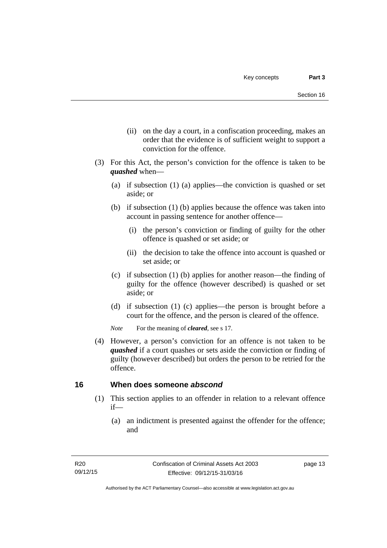- (ii) on the day a court, in a confiscation proceeding, makes an order that the evidence is of sufficient weight to support a conviction for the offence.
- (3) For this Act, the person's conviction for the offence is taken to be *quashed* when—
	- (a) if subsection (1) (a) applies—the conviction is quashed or set aside; or
	- (b) if subsection (1) (b) applies because the offence was taken into account in passing sentence for another offence—
		- (i) the person's conviction or finding of guilty for the other offence is quashed or set aside; or
		- (ii) the decision to take the offence into account is quashed or set aside; or
	- (c) if subsection (1) (b) applies for another reason—the finding of guilty for the offence (however described) is quashed or set aside; or
	- (d) if subsection (1) (c) applies—the person is brought before a court for the offence, and the person is cleared of the offence.

*Note* For the meaning of *cleared*, see s 17.

 (4) However, a person's conviction for an offence is not taken to be *quashed* if a court quashes or sets aside the conviction or finding of guilty (however described) but orders the person to be retried for the offence.

# <span id="page-26-0"></span>**16 When does someone** *abscond*

- (1) This section applies to an offender in relation to a relevant offence if—
	- (a) an indictment is presented against the offender for the offence; and

page 13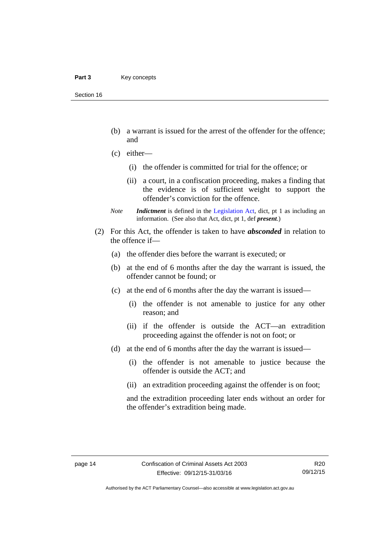- (b) a warrant is issued for the arrest of the offender for the offence; and
- (c) either—
	- (i) the offender is committed for trial for the offence; or
	- (ii) a court, in a confiscation proceeding, makes a finding that the evidence is of sufficient weight to support the offender's conviction for the offence.
- *Note Indictment* is defined in the [Legislation Act,](http://www.legislation.act.gov.au/a/2001-14) dict, pt 1 as including an information. (See also that Act, dict, pt 1, def *present*.)
- (2) For this Act, the offender is taken to have *absconded* in relation to the offence if—
	- (a) the offender dies before the warrant is executed; or
	- (b) at the end of 6 months after the day the warrant is issued, the offender cannot be found; or
	- (c) at the end of 6 months after the day the warrant is issued—
		- (i) the offender is not amenable to justice for any other reason; and
		- (ii) if the offender is outside the ACT—an extradition proceeding against the offender is not on foot; or
	- (d) at the end of 6 months after the day the warrant is issued—
		- (i) the offender is not amenable to justice because the offender is outside the ACT; and
		- (ii) an extradition proceeding against the offender is on foot;

and the extradition proceeding later ends without an order for the offender's extradition being made.

R20 09/12/15

Authorised by the ACT Parliamentary Counsel—also accessible at www.legislation.act.gov.au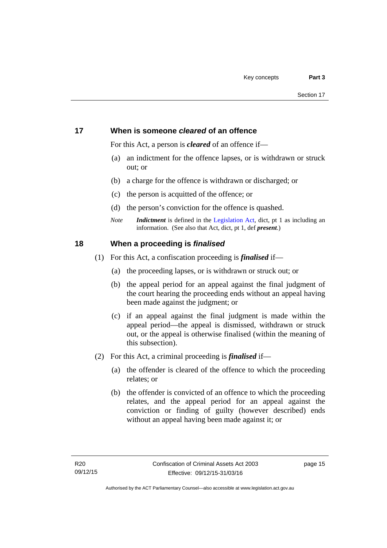# <span id="page-28-0"></span>**17 When is someone** *cleared* **of an offence**

For this Act, a person is *cleared* of an offence if—

- (a) an indictment for the offence lapses, or is withdrawn or struck out; or
- (b) a charge for the offence is withdrawn or discharged; or
- (c) the person is acquitted of the offence; or
- (d) the person's conviction for the offence is quashed.
- *Note Indictment* is defined in the [Legislation Act,](http://www.legislation.act.gov.au/a/2001-14) dict, pt 1 as including an information. (See also that Act, dict, pt 1, def *present*.)

# <span id="page-28-1"></span>**18 When a proceeding is** *finalised*

- (1) For this Act, a confiscation proceeding is *finalised* if—
	- (a) the proceeding lapses, or is withdrawn or struck out; or
	- (b) the appeal period for an appeal against the final judgment of the court hearing the proceeding ends without an appeal having been made against the judgment; or
	- (c) if an appeal against the final judgment is made within the appeal period—the appeal is dismissed, withdrawn or struck out, or the appeal is otherwise finalised (within the meaning of this subsection).
- (2) For this Act, a criminal proceeding is *finalised* if—
	- (a) the offender is cleared of the offence to which the proceeding relates; or
	- (b) the offender is convicted of an offence to which the proceeding relates, and the appeal period for an appeal against the conviction or finding of guilty (however described) ends without an appeal having been made against it; or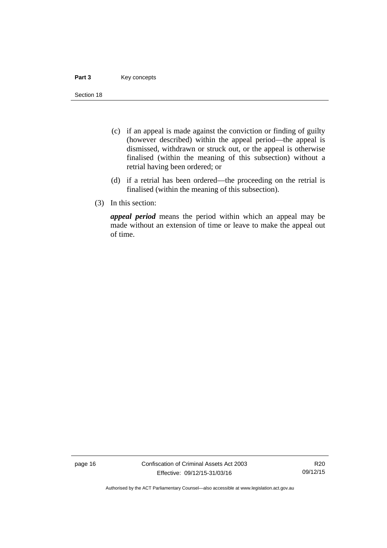### Part 3 **Key concepts**

Section 18

- (c) if an appeal is made against the conviction or finding of guilty (however described) within the appeal period—the appeal is dismissed, withdrawn or struck out, or the appeal is otherwise finalised (within the meaning of this subsection) without a retrial having been ordered; or
- (d) if a retrial has been ordered—the proceeding on the retrial is finalised (within the meaning of this subsection).
- (3) In this section:

*appeal period* means the period within which an appeal may be made without an extension of time or leave to make the appeal out of time.

page 16 Confiscation of Criminal Assets Act 2003 Effective: 09/12/15-31/03/16

R20 09/12/15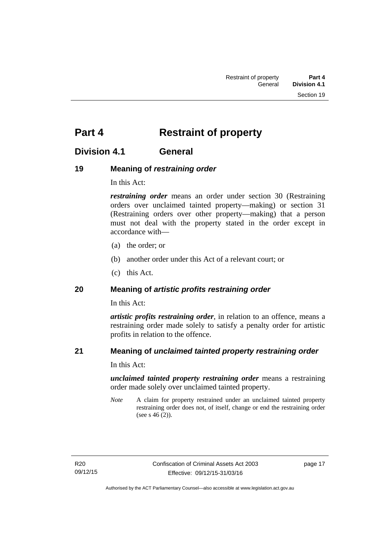# <span id="page-30-0"></span>**Part 4** Restraint of property

# <span id="page-30-1"></span>**Division 4.1 General**

# <span id="page-30-2"></span>**19 Meaning of** *restraining order*

In this Act:

*restraining order* means an order under section 30 (Restraining orders over unclaimed tainted property—making) or section 31 (Restraining orders over other property—making) that a person must not deal with the property stated in the order except in accordance with—

- (a) the order; or
- (b) another order under this Act of a relevant court; or
- (c) this Act.

# <span id="page-30-3"></span>**20 Meaning of** *artistic profits restraining order*

In this Act:

*artistic profits restraining order*, in relation to an offence, means a restraining order made solely to satisfy a penalty order for artistic profits in relation to the offence.

# <span id="page-30-4"></span>**21 Meaning of** *unclaimed tainted property restraining order*

In this Act:

*unclaimed tainted property restraining order* means a restraining order made solely over unclaimed tainted property.

*Note* A claim for property restrained under an unclaimed tainted property restraining order does not, of itself, change or end the restraining order (see s 46 (2)).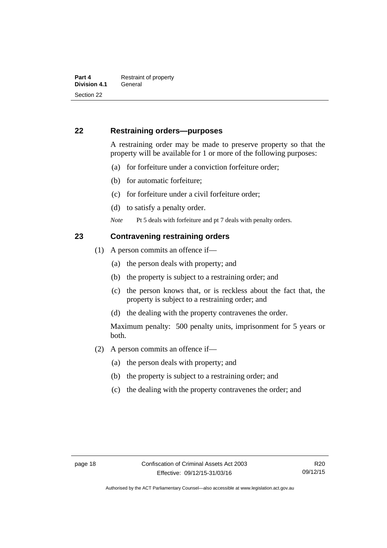# <span id="page-31-0"></span>**22 Restraining orders—purposes**

A restraining order may be made to preserve property so that the property will be available for 1 or more of the following purposes:

- (a) for forfeiture under a conviction forfeiture order;
- (b) for automatic forfeiture;
- (c) for forfeiture under a civil forfeiture order;
- (d) to satisfy a penalty order.
- *Note* Pt 5 deals with forfeiture and pt 7 deals with penalty orders.

# <span id="page-31-1"></span>**23 Contravening restraining orders**

- (1) A person commits an offence if—
	- (a) the person deals with property; and
	- (b) the property is subject to a restraining order; and
	- (c) the person knows that, or is reckless about the fact that, the property is subject to a restraining order; and
	- (d) the dealing with the property contravenes the order.

Maximum penalty: 500 penalty units, imprisonment for 5 years or both.

- (2) A person commits an offence if—
	- (a) the person deals with property; and
	- (b) the property is subject to a restraining order; and
	- (c) the dealing with the property contravenes the order; and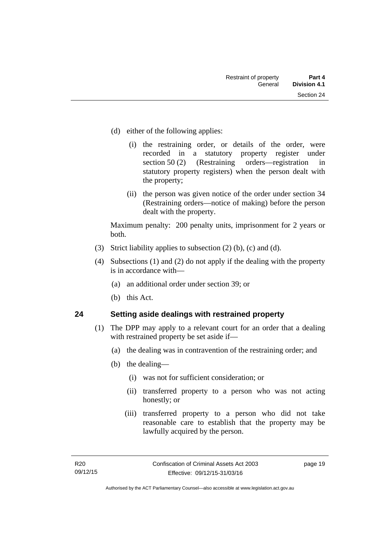- (d) either of the following applies:
	- (i) the restraining order, or details of the order, were recorded in a statutory property register under section 50 (2) (Restraining orders—registration in statutory property registers) when the person dealt with the property;
	- (ii) the person was given notice of the order under section 34 (Restraining orders—notice of making) before the person dealt with the property.

Maximum penalty: 200 penalty units, imprisonment for 2 years or both.

- (3) Strict liability applies to subsection (2) (b), (c) and (d).
- (4) Subsections (1) and (2) do not apply if the dealing with the property is in accordance with—
	- (a) an additional order under section 39; or
	- (b) this Act.

# <span id="page-32-0"></span>**24 Setting aside dealings with restrained property**

- (1) The DPP may apply to a relevant court for an order that a dealing with restrained property be set aside if—
	- (a) the dealing was in contravention of the restraining order; and
	- (b) the dealing—
		- (i) was not for sufficient consideration; or
		- (ii) transferred property to a person who was not acting honestly; or
		- (iii) transferred property to a person who did not take reasonable care to establish that the property may be lawfully acquired by the person.

page 19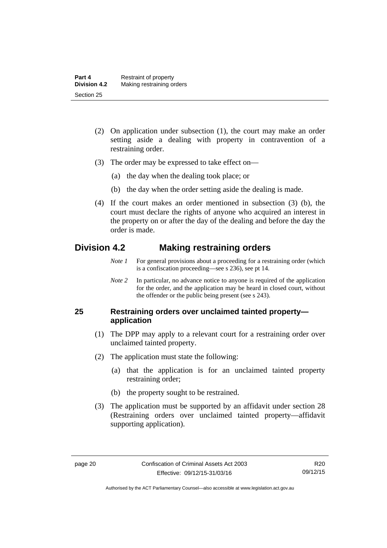- (2) On application under subsection (1), the court may make an order setting aside a dealing with property in contravention of a restraining order.
- (3) The order may be expressed to take effect on—
	- (a) the day when the dealing took place; or
	- (b) the day when the order setting aside the dealing is made.
- (4) If the court makes an order mentioned in subsection (3) (b), the court must declare the rights of anyone who acquired an interest in the property on or after the day of the dealing and before the day the order is made.

# <span id="page-33-0"></span>**Division 4.2 Making restraining orders**

- *Note 1* For general provisions about a proceeding for a restraining order (which is a confiscation proceeding—see s 236), see pt 14.
- *Note 2* In particular, no advance notice to anyone is required of the application for the order, and the application may be heard in closed court, without the offender or the public being present (see s 243).

# <span id="page-33-1"></span>**25 Restraining orders over unclaimed tainted property application**

- (1) The DPP may apply to a relevant court for a restraining order over unclaimed tainted property.
- (2) The application must state the following:
	- (a) that the application is for an unclaimed tainted property restraining order;
	- (b) the property sought to be restrained.
- (3) The application must be supported by an affidavit under section 28 (Restraining orders over unclaimed tainted property—affidavit supporting application).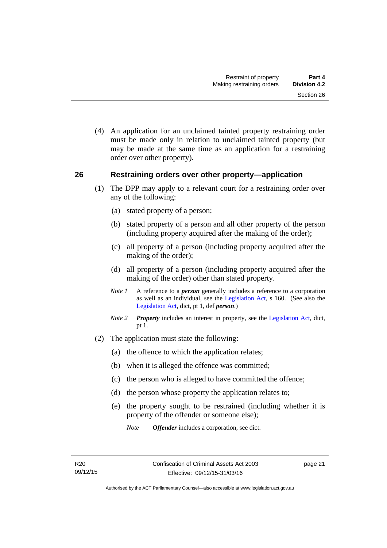(4) An application for an unclaimed tainted property restraining order must be made only in relation to unclaimed tainted property (but may be made at the same time as an application for a restraining order over other property).

## <span id="page-34-0"></span>**26 Restraining orders over other property—application**

- (1) The DPP may apply to a relevant court for a restraining order over any of the following:
	- (a) stated property of a person;
	- (b) stated property of a person and all other property of the person (including property acquired after the making of the order);
	- (c) all property of a person (including property acquired after the making of the order);
	- (d) all property of a person (including property acquired after the making of the order) other than stated property.
	- *Note 1* A reference to a *person* generally includes a reference to a corporation as well as an individual, see the [Legislation Act](http://www.legislation.act.gov.au/a/2001-14), s 160. (See also the [Legislation Act,](http://www.legislation.act.gov.au/a/2001-14) dict, pt 1, def *person*.)
	- *Note 2 Property* includes an interest in property, see the [Legislation Act,](http://www.legislation.act.gov.au/a/2001-14) dict, pt 1.
- (2) The application must state the following:
	- (a) the offence to which the application relates;
	- (b) when it is alleged the offence was committed;
	- (c) the person who is alleged to have committed the offence;
	- (d) the person whose property the application relates to;
	- (e) the property sought to be restrained (including whether it is property of the offender or someone else);
		- *Note Offender* includes a corporation, see dict.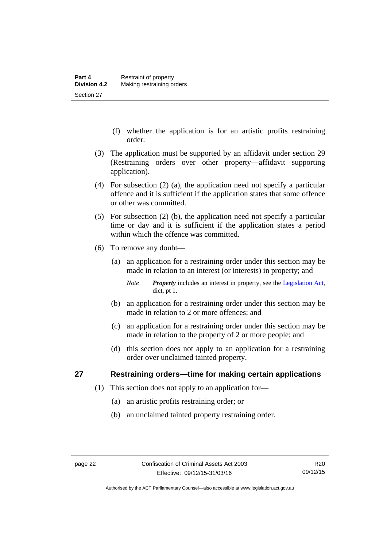- (f) whether the application is for an artistic profits restraining order.
- (3) The application must be supported by an affidavit under section 29 (Restraining orders over other property—affidavit supporting application).
- (4) For subsection (2) (a), the application need not specify a particular offence and it is sufficient if the application states that some offence or other was committed.
- (5) For subsection (2) (b), the application need not specify a particular time or day and it is sufficient if the application states a period within which the offence was committed.
- (6) To remove any doubt—
	- (a) an application for a restraining order under this section may be made in relation to an interest (or interests) in property; and
		- *Note Property* includes an interest in property, see the [Legislation Act,](http://www.legislation.act.gov.au/a/2001-14) dict, pt 1.
	- (b) an application for a restraining order under this section may be made in relation to 2 or more offences; and
	- (c) an application for a restraining order under this section may be made in relation to the property of 2 or more people; and
	- (d) this section does not apply to an application for a restraining order over unclaimed tainted property.

# <span id="page-35-0"></span>**27 Restraining orders—time for making certain applications**

- (1) This section does not apply to an application for—
	- (a) an artistic profits restraining order; or
	- (b) an unclaimed tainted property restraining order.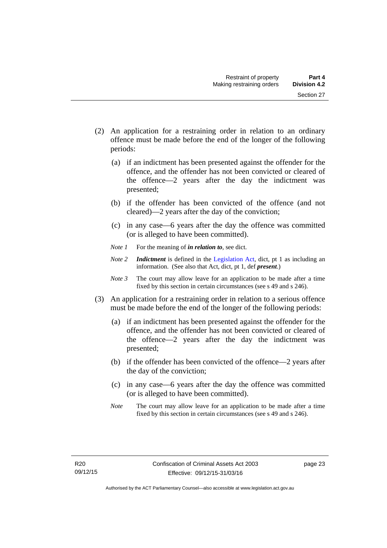- (2) An application for a restraining order in relation to an ordinary offence must be made before the end of the longer of the following periods:
	- (a) if an indictment has been presented against the offender for the offence, and the offender has not been convicted or cleared of the offence—2 years after the day the indictment was presented;
	- (b) if the offender has been convicted of the offence (and not cleared)—2 years after the day of the conviction;
	- (c) in any case—6 years after the day the offence was committed (or is alleged to have been committed).
	- *Note 1* For the meaning of *in relation to*, see dict.
	- *Note 2 Indictment* is defined in the [Legislation Act,](http://www.legislation.act.gov.au/a/2001-14) dict, pt 1 as including an information. (See also that Act, dict, pt 1, def *present*.)
	- *Note 3* The court may allow leave for an application to be made after a time fixed by this section in certain circumstances (see s 49 and s 246).
- (3) An application for a restraining order in relation to a serious offence must be made before the end of the longer of the following periods:
	- (a) if an indictment has been presented against the offender for the offence, and the offender has not been convicted or cleared of the offence—2 years after the day the indictment was presented;
	- (b) if the offender has been convicted of the offence—2 years after the day of the conviction;
	- (c) in any case—6 years after the day the offence was committed (or is alleged to have been committed).
	- *Note* The court may allow leave for an application to be made after a time fixed by this section in certain circumstances (see s 49 and s 246).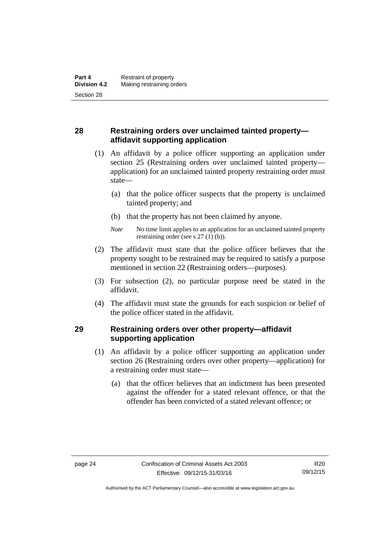# **28 Restraining orders over unclaimed tainted property affidavit supporting application**

- (1) An affidavit by a police officer supporting an application under section 25 (Restraining orders over unclaimed tainted property application) for an unclaimed tainted property restraining order must state—
	- (a) that the police officer suspects that the property is unclaimed tainted property; and
	- (b) that the property has not been claimed by anyone.
	- *Note* No time limit applies to an application for an unclaimed tainted property restraining order (see s 27 (1) (b)).
- (2) The affidavit must state that the police officer believes that the property sought to be restrained may be required to satisfy a purpose mentioned in section 22 (Restraining orders—purposes).
- (3) For subsection (2), no particular purpose need be stated in the affidavit.
- (4) The affidavit must state the grounds for each suspicion or belief of the police officer stated in the affidavit.

# **29 Restraining orders over other property—affidavit supporting application**

- (1) An affidavit by a police officer supporting an application under section 26 (Restraining orders over other property—application) for a restraining order must state—
	- (a) that the officer believes that an indictment has been presented against the offender for a stated relevant offence, or that the offender has been convicted of a stated relevant offence; or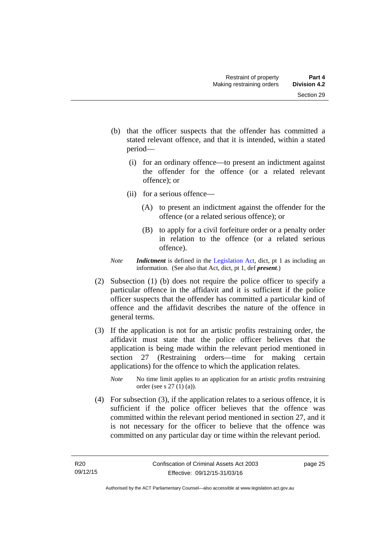- (b) that the officer suspects that the offender has committed a stated relevant offence, and that it is intended, within a stated period—
	- (i) for an ordinary offence—to present an indictment against the offender for the offence (or a related relevant offence); or
	- (ii) for a serious offence—
		- (A) to present an indictment against the offender for the offence (or a related serious offence); or
		- (B) to apply for a civil forfeiture order or a penalty order in relation to the offence (or a related serious offence).
- *Note Indictment* is defined in the [Legislation Act,](http://www.legislation.act.gov.au/a/2001-14) dict, pt 1 as including an information. (See also that Act, dict, pt 1, def *present*.)
- (2) Subsection (1) (b) does not require the police officer to specify a particular offence in the affidavit and it is sufficient if the police officer suspects that the offender has committed a particular kind of offence and the affidavit describes the nature of the offence in general terms.
- (3) If the application is not for an artistic profits restraining order, the affidavit must state that the police officer believes that the application is being made within the relevant period mentioned in section 27 (Restraining orders—time for making certain applications) for the offence to which the application relates.
	- *Note* No time limit applies to an application for an artistic profits restraining order (see s 27 (1) (a)).
- (4) For subsection (3), if the application relates to a serious offence, it is sufficient if the police officer believes that the offence was committed within the relevant period mentioned in section 27, and it is not necessary for the officer to believe that the offence was committed on any particular day or time within the relevant period.

page 25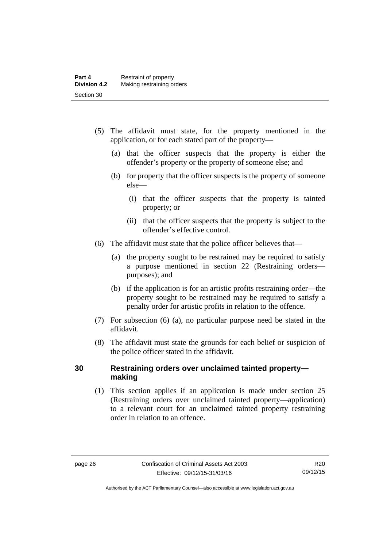- (5) The affidavit must state, for the property mentioned in the application, or for each stated part of the property—
	- (a) that the officer suspects that the property is either the offender's property or the property of someone else; and
	- (b) for property that the officer suspects is the property of someone else—
		- (i) that the officer suspects that the property is tainted property; or
		- (ii) that the officer suspects that the property is subject to the offender's effective control.
- (6) The affidavit must state that the police officer believes that—
	- (a) the property sought to be restrained may be required to satisfy a purpose mentioned in section 22 (Restraining orders purposes); and
	- (b) if the application is for an artistic profits restraining order—the property sought to be restrained may be required to satisfy a penalty order for artistic profits in relation to the offence.
- (7) For subsection (6) (a), no particular purpose need be stated in the affidavit.
- (8) The affidavit must state the grounds for each belief or suspicion of the police officer stated in the affidavit.

### **30 Restraining orders over unclaimed tainted property making**

(1) This section applies if an application is made under section 25 (Restraining orders over unclaimed tainted property—application) to a relevant court for an unclaimed tainted property restraining order in relation to an offence.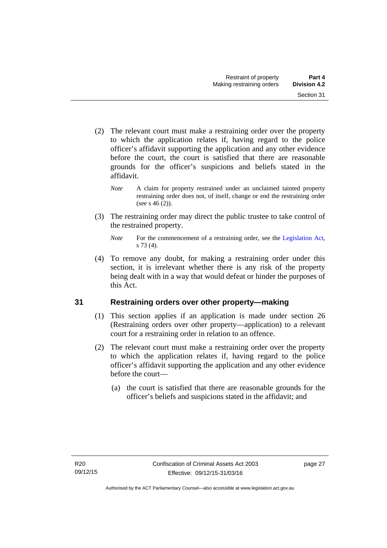- (2) The relevant court must make a restraining order over the property to which the application relates if, having regard to the police officer's affidavit supporting the application and any other evidence before the court, the court is satisfied that there are reasonable grounds for the officer's suspicions and beliefs stated in the affidavit.
	- *Note* A claim for property restrained under an unclaimed tainted property restraining order does not, of itself, change or end the restraining order (see s  $46(2)$ ).
- (3) The restraining order may direct the public trustee to take control of the restrained property.

 (4) To remove any doubt, for making a restraining order under this section, it is irrelevant whether there is any risk of the property being dealt with in a way that would defeat or hinder the purposes of this Act.

# **31 Restraining orders over other property—making**

- (1) This section applies if an application is made under section 26 (Restraining orders over other property—application) to a relevant court for a restraining order in relation to an offence.
- (2) The relevant court must make a restraining order over the property to which the application relates if, having regard to the police officer's affidavit supporting the application and any other evidence before the court—
	- (a) the court is satisfied that there are reasonable grounds for the officer's beliefs and suspicions stated in the affidavit; and

*Note* For the commencement of a restraining order, see the [Legislation Act,](http://www.legislation.act.gov.au/a/2001-14) s 73 (4).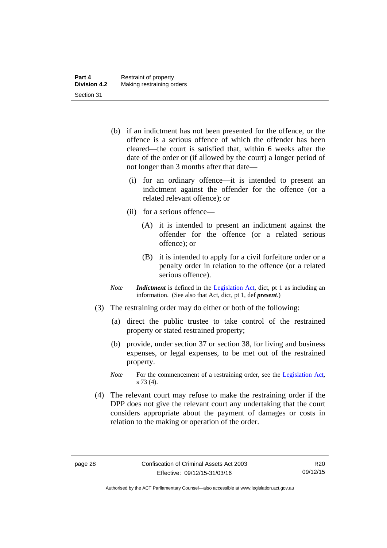- (b) if an indictment has not been presented for the offence, or the offence is a serious offence of which the offender has been cleared—the court is satisfied that, within 6 weeks after the date of the order or (if allowed by the court) a longer period of not longer than 3 months after that date—
	- (i) for an ordinary offence—it is intended to present an indictment against the offender for the offence (or a related relevant offence); or
	- (ii) for a serious offence—
		- (A) it is intended to present an indictment against the offender for the offence (or a related serious offence); or
		- (B) it is intended to apply for a civil forfeiture order or a penalty order in relation to the offence (or a related serious offence).
- *Note Indictment* is defined in the [Legislation Act,](http://www.legislation.act.gov.au/a/2001-14) dict, pt 1 as including an information. (See also that Act, dict, pt 1, def *present*.)
- (3) The restraining order may do either or both of the following:
	- (a) direct the public trustee to take control of the restrained property or stated restrained property;
	- (b) provide, under section 37 or section 38, for living and business expenses, or legal expenses, to be met out of the restrained property.
	- *Note* For the commencement of a restraining order, see the [Legislation Act,](http://www.legislation.act.gov.au/a/2001-14) s 73 (4).
- (4) The relevant court may refuse to make the restraining order if the DPP does not give the relevant court any undertaking that the court considers appropriate about the payment of damages or costs in relation to the making or operation of the order.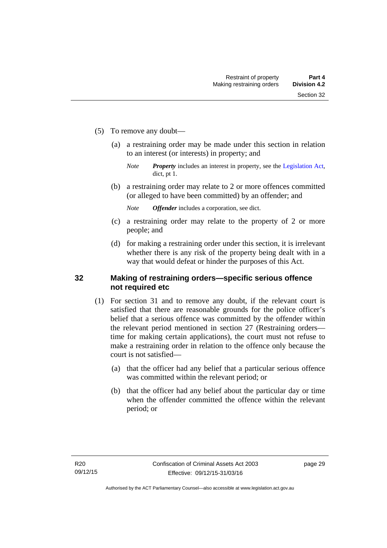- (5) To remove any doubt—
	- (a) a restraining order may be made under this section in relation to an interest (or interests) in property; and
		- *Note Property* includes an interest in property, see the [Legislation Act,](http://www.legislation.act.gov.au/a/2001-14) dict, pt 1.
	- (b) a restraining order may relate to 2 or more offences committed (or alleged to have been committed) by an offender; and

*Note Offender* includes a corporation, see dict.

- (c) a restraining order may relate to the property of 2 or more people; and
- (d) for making a restraining order under this section, it is irrelevant whether there is any risk of the property being dealt with in a way that would defeat or hinder the purposes of this Act.

### **32 Making of restraining orders—specific serious offence not required etc**

- (1) For section 31 and to remove any doubt, if the relevant court is satisfied that there are reasonable grounds for the police officer's belief that a serious offence was committed by the offender within the relevant period mentioned in section 27 (Restraining orders time for making certain applications), the court must not refuse to make a restraining order in relation to the offence only because the court is not satisfied—
	- (a) that the officer had any belief that a particular serious offence was committed within the relevant period; or
	- (b) that the officer had any belief about the particular day or time when the offender committed the offence within the relevant period; or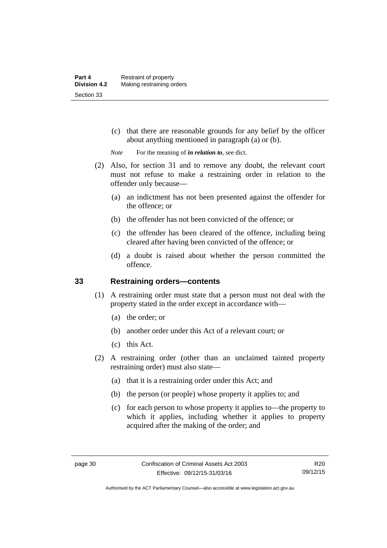(c) that there are reasonable grounds for any belief by the officer about anything mentioned in paragraph (a) or (b).

*Note* For the meaning of *in relation to*, see dict.

- (2) Also, for section 31 and to remove any doubt, the relevant court must not refuse to make a restraining order in relation to the offender only because—
	- (a) an indictment has not been presented against the offender for the offence; or
	- (b) the offender has not been convicted of the offence; or
	- (c) the offender has been cleared of the offence, including being cleared after having been convicted of the offence; or
	- (d) a doubt is raised about whether the person committed the offence.

### **33 Restraining orders—contents**

- (1) A restraining order must state that a person must not deal with the property stated in the order except in accordance with—
	- (a) the order; or
	- (b) another order under this Act of a relevant court; or
	- (c) this Act.
- (2) A restraining order (other than an unclaimed tainted property restraining order) must also state—
	- (a) that it is a restraining order under this Act; and
	- (b) the person (or people) whose property it applies to; and
	- (c) for each person to whose property it applies to—the property to which it applies, including whether it applies to property acquired after the making of the order; and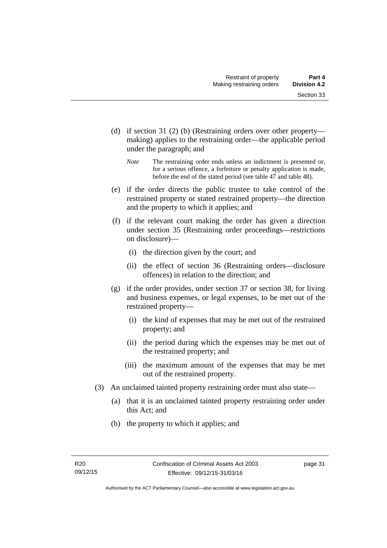- (d) if section 31 (2) (b) (Restraining orders over other property making) applies to the restraining order—the applicable period under the paragraph; and
	- *Note* The restraining order ends unless an indictment is presented or, for a serious offence, a forfeiture or penalty application is made, before the end of the stated period (see table 47 and table 48).
- (e) if the order directs the public trustee to take control of the restrained property or stated restrained property—the direction and the property to which it applies; and
- (f) if the relevant court making the order has given a direction under section 35 (Restraining order proceedings—restrictions on disclosure)—
	- (i) the direction given by the court; and
	- (ii) the effect of section 36 (Restraining orders—disclosure offences) in relation to the direction; and
- (g) if the order provides, under section 37 or section 38, for living and business expenses, or legal expenses, to be met out of the restrained property—
	- (i) the kind of expenses that may be met out of the restrained property; and
	- (ii) the period during which the expenses may be met out of the restrained property; and
	- (iii) the maximum amount of the expenses that may be met out of the restrained property.
- (3) An unclaimed tainted property restraining order must also state—
	- (a) that it is an unclaimed tainted property restraining order under this Act; and
	- (b) the property to which it applies; and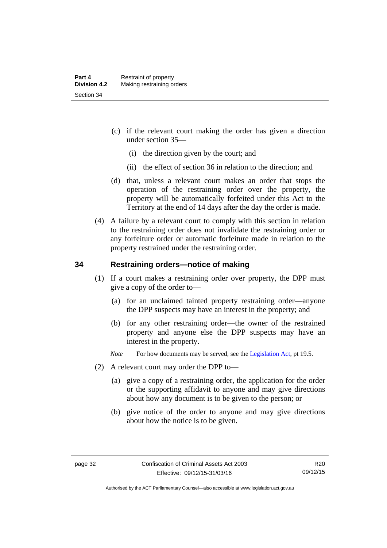- (c) if the relevant court making the order has given a direction under section 35—
	- (i) the direction given by the court; and
	- (ii) the effect of section 36 in relation to the direction; and
- (d) that, unless a relevant court makes an order that stops the operation of the restraining order over the property, the property will be automatically forfeited under this Act to the Territory at the end of 14 days after the day the order is made.
- (4) A failure by a relevant court to comply with this section in relation to the restraining order does not invalidate the restraining order or any forfeiture order or automatic forfeiture made in relation to the property restrained under the restraining order.

### **34 Restraining orders—notice of making**

- (1) If a court makes a restraining order over property, the DPP must give a copy of the order to—
	- (a) for an unclaimed tainted property restraining order—anyone the DPP suspects may have an interest in the property; and
	- (b) for any other restraining order—the owner of the restrained property and anyone else the DPP suspects may have an interest in the property.
	- *Note* For how documents may be served, see the [Legislation Act,](http://www.legislation.act.gov.au/a/2001-14) pt 19.5.
- (2) A relevant court may order the DPP to—
	- (a) give a copy of a restraining order, the application for the order or the supporting affidavit to anyone and may give directions about how any document is to be given to the person; or
	- (b) give notice of the order to anyone and may give directions about how the notice is to be given.

Authorised by the ACT Parliamentary Counsel—also accessible at www.legislation.act.gov.au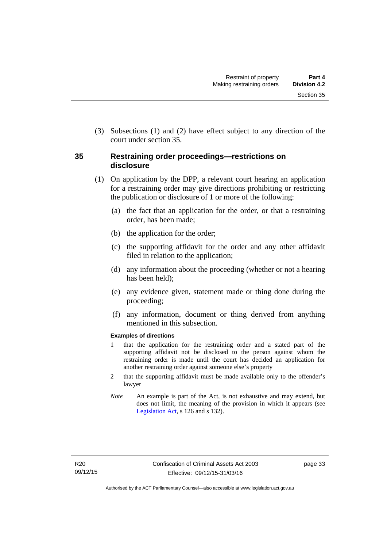(3) Subsections (1) and (2) have effect subject to any direction of the court under section 35.

# **35 Restraining order proceedings—restrictions on disclosure**

- (1) On application by the DPP, a relevant court hearing an application for a restraining order may give directions prohibiting or restricting the publication or disclosure of 1 or more of the following:
	- (a) the fact that an application for the order, or that a restraining order, has been made;
	- (b) the application for the order;
	- (c) the supporting affidavit for the order and any other affidavit filed in relation to the application;
	- (d) any information about the proceeding (whether or not a hearing has been held);
	- (e) any evidence given, statement made or thing done during the proceeding;
	- (f) any information, document or thing derived from anything mentioned in this subsection.

### **Examples of directions**

- 1 that the application for the restraining order and a stated part of the supporting affidavit not be disclosed to the person against whom the restraining order is made until the court has decided an application for another restraining order against someone else's property
- 2 that the supporting affidavit must be made available only to the offender's lawyer
- *Note* An example is part of the Act, is not exhaustive and may extend, but does not limit, the meaning of the provision in which it appears (see [Legislation Act,](http://www.legislation.act.gov.au/a/2001-14) s 126 and s 132).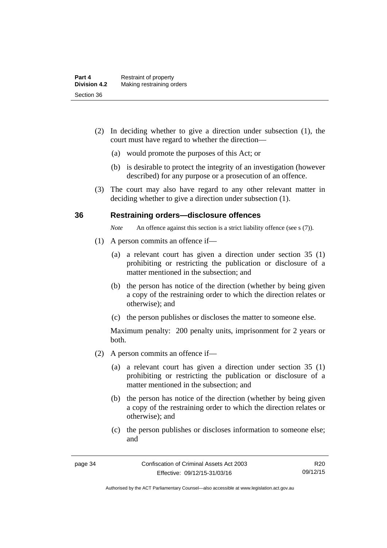- (2) In deciding whether to give a direction under subsection (1), the court must have regard to whether the direction—
	- (a) would promote the purposes of this Act; or
	- (b) is desirable to protect the integrity of an investigation (however described) for any purpose or a prosecution of an offence.
- (3) The court may also have regard to any other relevant matter in deciding whether to give a direction under subsection (1).

### **36 Restraining orders—disclosure offences**

*Note* An offence against this section is a strict liability offence (see s (7)).

- (1) A person commits an offence if—
	- (a) a relevant court has given a direction under section 35 (1) prohibiting or restricting the publication or disclosure of a matter mentioned in the subsection; and
	- (b) the person has notice of the direction (whether by being given a copy of the restraining order to which the direction relates or otherwise); and
	- (c) the person publishes or discloses the matter to someone else.

- (2) A person commits an offence if—
	- (a) a relevant court has given a direction under section 35 (1) prohibiting or restricting the publication or disclosure of a matter mentioned in the subsection; and
	- (b) the person has notice of the direction (whether by being given a copy of the restraining order to which the direction relates or otherwise); and
	- (c) the person publishes or discloses information to someone else; and

R20 09/12/15

Authorised by the ACT Parliamentary Counsel—also accessible at www.legislation.act.gov.au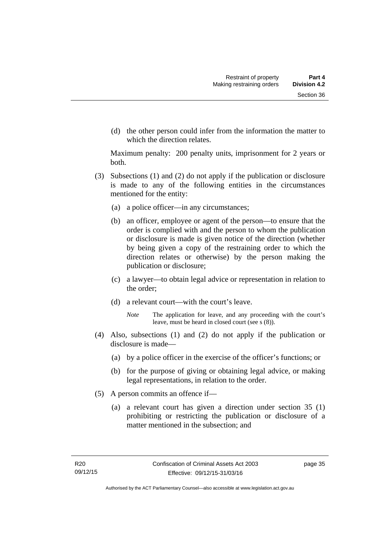(d) the other person could infer from the information the matter to which the direction relates.

- (3) Subsections (1) and (2) do not apply if the publication or disclosure is made to any of the following entities in the circumstances mentioned for the entity:
	- (a) a police officer—in any circumstances;
	- (b) an officer, employee or agent of the person—to ensure that the order is complied with and the person to whom the publication or disclosure is made is given notice of the direction (whether by being given a copy of the restraining order to which the direction relates or otherwise) by the person making the publication or disclosure;
	- (c) a lawyer—to obtain legal advice or representation in relation to the order;
	- (d) a relevant court—with the court's leave.
		- *Note* The application for leave, and any proceeding with the court's leave, must be heard in closed court (see s (8)).
- (4) Also, subsections (1) and (2) do not apply if the publication or disclosure is made—
	- (a) by a police officer in the exercise of the officer's functions; or
	- (b) for the purpose of giving or obtaining legal advice, or making legal representations, in relation to the order.
- (5) A person commits an offence if—
	- (a) a relevant court has given a direction under section 35 (1) prohibiting or restricting the publication or disclosure of a matter mentioned in the subsection; and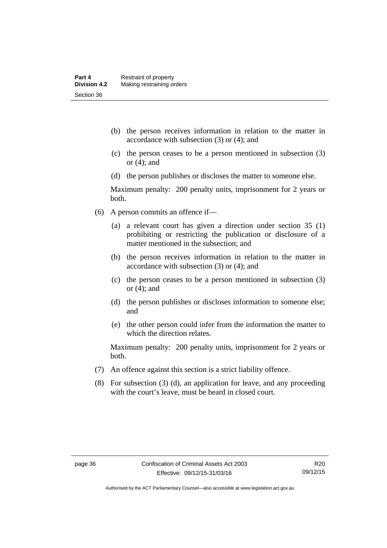- (b) the person receives information in relation to the matter in accordance with subsection (3) or (4); and
- (c) the person ceases to be a person mentioned in subsection (3) or (4); and
- (d) the person publishes or discloses the matter to someone else.

Maximum penalty: 200 penalty units, imprisonment for 2 years or both.

- (6) A person commits an offence if—
	- (a) a relevant court has given a direction under section 35 (1) prohibiting or restricting the publication or disclosure of a matter mentioned in the subsection; and
	- (b) the person receives information in relation to the matter in accordance with subsection (3) or (4); and
	- (c) the person ceases to be a person mentioned in subsection (3) or (4); and
	- (d) the person publishes or discloses information to someone else; and
	- (e) the other person could infer from the information the matter to which the direction relates.

- (7) An offence against this section is a strict liability offence.
- (8) For subsection (3) (d), an application for leave, and any proceeding with the court's leave, must be heard in closed court.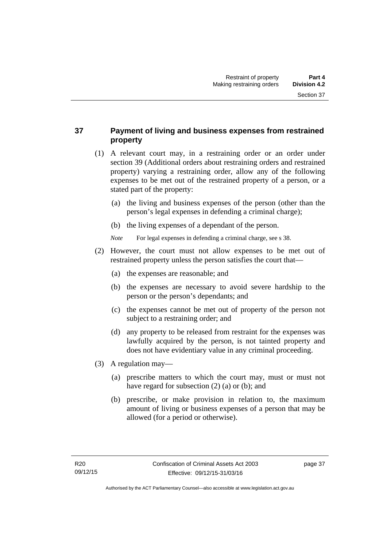# **37 Payment of living and business expenses from restrained property**

- (1) A relevant court may, in a restraining order or an order under section 39 (Additional orders about restraining orders and restrained property) varying a restraining order, allow any of the following expenses to be met out of the restrained property of a person, or a stated part of the property:
	- (a) the living and business expenses of the person (other than the person's legal expenses in defending a criminal charge);
	- (b) the living expenses of a dependant of the person.
	- *Note* For legal expenses in defending a criminal charge, see s 38.
- (2) However, the court must not allow expenses to be met out of restrained property unless the person satisfies the court that—
	- (a) the expenses are reasonable; and
	- (b) the expenses are necessary to avoid severe hardship to the person or the person's dependants; and
	- (c) the expenses cannot be met out of property of the person not subject to a restraining order; and
	- (d) any property to be released from restraint for the expenses was lawfully acquired by the person, is not tainted property and does not have evidentiary value in any criminal proceeding.
- (3) A regulation may—
	- (a) prescribe matters to which the court may, must or must not have regard for subsection (2) (a) or (b); and
	- (b) prescribe, or make provision in relation to, the maximum amount of living or business expenses of a person that may be allowed (for a period or otherwise).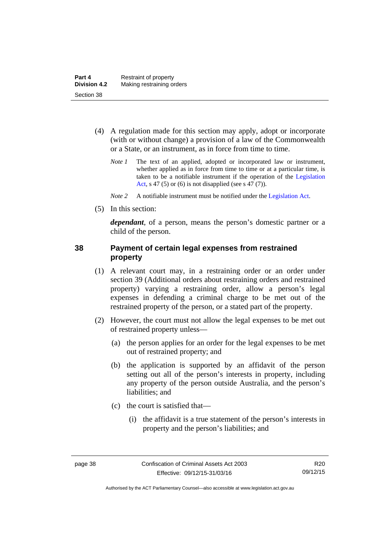- (4) A regulation made for this section may apply, adopt or incorporate (with or without change) a provision of a law of the Commonwealth or a State, or an instrument, as in force from time to time.
	- *Note 1* The text of an applied, adopted or incorporated law or instrument, whether applied as in force from time to time or at a particular time, is taken to be a notifiable instrument if the operation of the [Legislation](http://www.legislation.act.gov.au/a/2001-14)  [Act](http://www.legislation.act.gov.au/a/2001-14), s 47 (5) or (6) is not disapplied (see s 47 (7)).
	- *Note 2* A notifiable instrument must be notified under the [Legislation Act](http://www.legislation.act.gov.au/a/2001-14).
- (5) In this section:

*dependant*, of a person, means the person's domestic partner or a child of the person.

### **38 Payment of certain legal expenses from restrained property**

- (1) A relevant court may, in a restraining order or an order under section 39 (Additional orders about restraining orders and restrained property) varying a restraining order, allow a person's legal expenses in defending a criminal charge to be met out of the restrained property of the person, or a stated part of the property.
- (2) However, the court must not allow the legal expenses to be met out of restrained property unless—
	- (a) the person applies for an order for the legal expenses to be met out of restrained property; and
	- (b) the application is supported by an affidavit of the person setting out all of the person's interests in property, including any property of the person outside Australia, and the person's liabilities; and
	- (c) the court is satisfied that—
		- (i) the affidavit is a true statement of the person's interests in property and the person's liabilities; and

Authorised by the ACT Parliamentary Counsel—also accessible at www.legislation.act.gov.au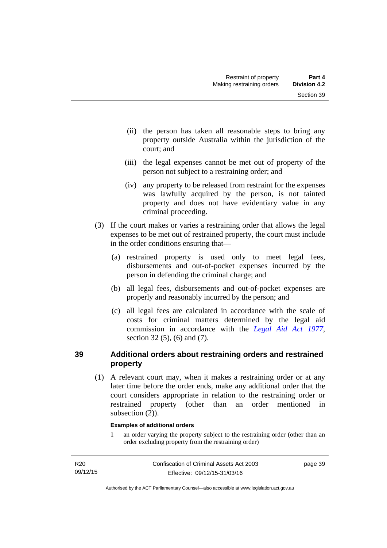- (ii) the person has taken all reasonable steps to bring any property outside Australia within the jurisdiction of the court; and
- (iii) the legal expenses cannot be met out of property of the person not subject to a restraining order; and
- (iv) any property to be released from restraint for the expenses was lawfully acquired by the person, is not tainted property and does not have evidentiary value in any criminal proceeding.
- (3) If the court makes or varies a restraining order that allows the legal expenses to be met out of restrained property, the court must include in the order conditions ensuring that—
	- (a) restrained property is used only to meet legal fees, disbursements and out-of-pocket expenses incurred by the person in defending the criminal charge; and
	- (b) all legal fees, disbursements and out-of-pocket expenses are properly and reasonably incurred by the person; and
	- (c) all legal fees are calculated in accordance with the scale of costs for criminal matters determined by the legal aid commission in accordance with the *[Legal Aid Act 1977](http://www.legislation.act.gov.au/a/1977-31)*, section 32 (5), (6) and (7).

# **39 Additional orders about restraining orders and restrained property**

 (1) A relevant court may, when it makes a restraining order or at any later time before the order ends, make any additional order that the court considers appropriate in relation to the restraining order or restrained property (other than an order mentioned in subsection  $(2)$ ).

### **Examples of additional orders**

1 an order varying the property subject to the restraining order (other than an order excluding property from the restraining order)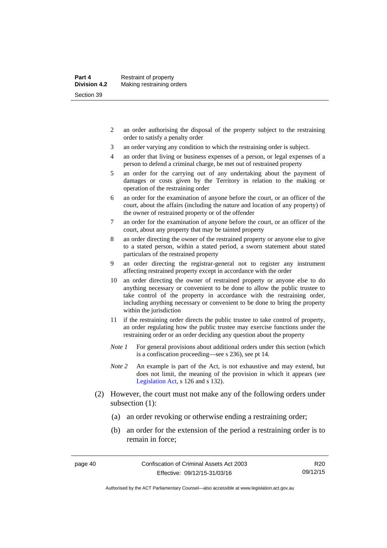- 2 an order authorising the disposal of the property subject to the restraining order to satisfy a penalty order
- 3 an order varying any condition to which the restraining order is subject.
- 4 an order that living or business expenses of a person, or legal expenses of a person to defend a criminal charge, be met out of restrained property
- 5 an order for the carrying out of any undertaking about the payment of damages or costs given by the Territory in relation to the making or operation of the restraining order
- 6 an order for the examination of anyone before the court, or an officer of the court, about the affairs (including the nature and location of any property) of the owner of restrained property or of the offender
- 7 an order for the examination of anyone before the court, or an officer of the court, about any property that may be tainted property
- 8 an order directing the owner of the restrained property or anyone else to give to a stated person, within a stated period, a sworn statement about stated particulars of the restrained property
- 9 an order directing the registrar-general not to register any instrument affecting restrained property except in accordance with the order
- 10 an order directing the owner of restrained property or anyone else to do anything necessary or convenient to be done to allow the public trustee to take control of the property in accordance with the restraining order, including anything necessary or convenient to be done to bring the property within the jurisdiction
- 11 if the restraining order directs the public trustee to take control of property, an order regulating how the public trustee may exercise functions under the restraining order or an order deciding any question about the property
- *Note 1* For general provisions about additional orders under this section (which is a confiscation proceeding—see s 236), see pt 14.
- *Note 2* An example is part of the Act, is not exhaustive and may extend, but does not limit, the meaning of the provision in which it appears (see [Legislation Act,](http://www.legislation.act.gov.au/a/2001-14) s 126 and s 132).
- (2) However, the court must not make any of the following orders under subsection (1):
	- (a) an order revoking or otherwise ending a restraining order;
	- (b) an order for the extension of the period a restraining order is to remain in force;

R20 09/12/15

Authorised by the ACT Parliamentary Counsel—also accessible at www.legislation.act.gov.au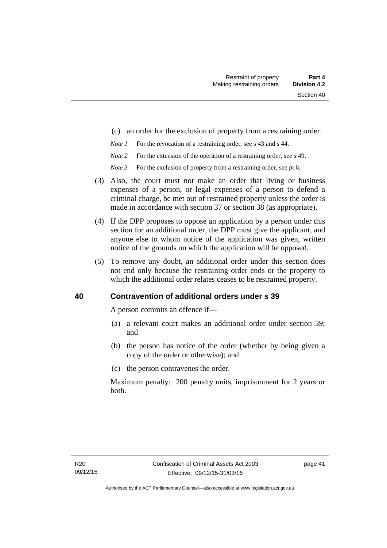- (c) an order for the exclusion of property from a restraining order.
- *Note 1* For the revocation of a restraining order, see s 43 and s 44.
- *Note 2* For the extension of the operation of a restraining order, see s 49.
- *Note 3* For the exclusion of property from a restraining order, see pt 6.
- (3) Also, the court must not make an order that living or business expenses of a person, or legal expenses of a person to defend a criminal charge, be met out of restrained property unless the order is made in accordance with section 37 or section 38 (as appropriate).
- (4) If the DPP proposes to oppose an application by a person under this section for an additional order, the DPP must give the applicant, and anyone else to whom notice of the application was given, written notice of the grounds on which the application will be opposed.
- (5) To remove any doubt, an additional order under this section does not end only because the restraining order ends or the property to which the additional order relates ceases to be restrained property.

### **40 Contravention of additional orders under s 39**

A person commits an offence if—

- (a) a relevant court makes an additional order under section 39; and
- (b) the person has notice of the order (whether by being given a copy of the order or otherwise); and
- (c) the person contravenes the order.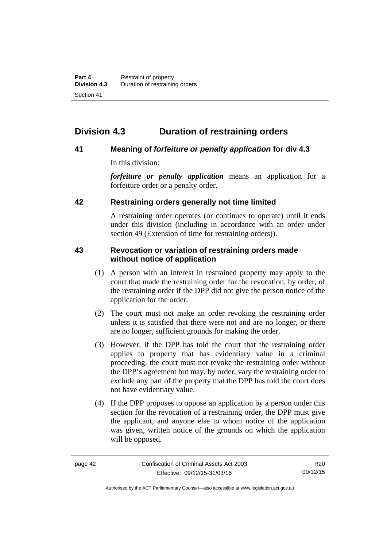# **Division 4.3 Duration of restraining orders**

### **41 Meaning of** *forfeiture or penalty application* **for div 4.3**

In this division:

*forfeiture or penalty application* means an application for a forfeiture order or a penalty order.

### **42 Restraining orders generally not time limited**

A restraining order operates (or continues to operate) until it ends under this division (including in accordance with an order under section 49 (Extension of time for restraining orders)).

### **43 Revocation or variation of restraining orders made without notice of application**

- (1) A person with an interest in restrained property may apply to the court that made the restraining order for the revocation, by order, of the restraining order if the DPP did not give the person notice of the application for the order.
- (2) The court must not make an order revoking the restraining order unless it is satisfied that there were not and are no longer, or there are no longer, sufficient grounds for making the order.
- (3) However, if the DPP has told the court that the restraining order applies to property that has evidentiary value in a criminal proceeding, the court must not revoke the restraining order without the DPP's agreement but may, by order, vary the restraining order to exclude any part of the property that the DPP has told the court does not have evidentiary value.
- (4) If the DPP proposes to oppose an application by a person under this section for the revocation of a restraining order, the DPP must give the applicant, and anyone else to whom notice of the application was given, written notice of the grounds on which the application will be opposed.

Authorised by the ACT Parliamentary Counsel—also accessible at www.legislation.act.gov.au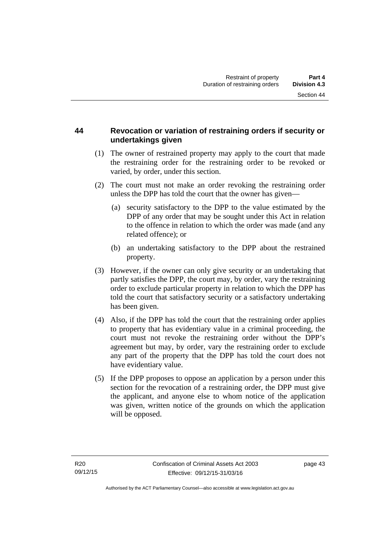# **44 Revocation or variation of restraining orders if security or undertakings given**

- (1) The owner of restrained property may apply to the court that made the restraining order for the restraining order to be revoked or varied, by order, under this section.
- (2) The court must not make an order revoking the restraining order unless the DPP has told the court that the owner has given—
	- (a) security satisfactory to the DPP to the value estimated by the DPP of any order that may be sought under this Act in relation to the offence in relation to which the order was made (and any related offence); or
	- (b) an undertaking satisfactory to the DPP about the restrained property.
- (3) However, if the owner can only give security or an undertaking that partly satisfies the DPP, the court may, by order, vary the restraining order to exclude particular property in relation to which the DPP has told the court that satisfactory security or a satisfactory undertaking has been given.
- (4) Also, if the DPP has told the court that the restraining order applies to property that has evidentiary value in a criminal proceeding, the court must not revoke the restraining order without the DPP's agreement but may, by order, vary the restraining order to exclude any part of the property that the DPP has told the court does not have evidentiary value.
- (5) If the DPP proposes to oppose an application by a person under this section for the revocation of a restraining order, the DPP must give the applicant, and anyone else to whom notice of the application was given, written notice of the grounds on which the application will be opposed.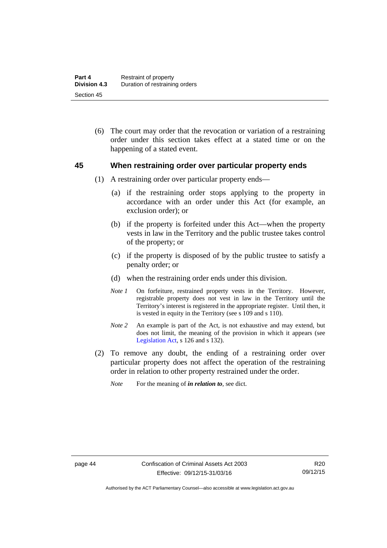(6) The court may order that the revocation or variation of a restraining order under this section takes effect at a stated time or on the happening of a stated event.

### **45 When restraining order over particular property ends**

- (1) A restraining order over particular property ends—
	- (a) if the restraining order stops applying to the property in accordance with an order under this Act (for example, an exclusion order); or
	- (b) if the property is forfeited under this Act—when the property vests in law in the Territory and the public trustee takes control of the property; or
	- (c) if the property is disposed of by the public trustee to satisfy a penalty order; or
	- (d) when the restraining order ends under this division.
	- *Note 1* On forfeiture, restrained property vests in the Territory. However, registrable property does not vest in law in the Territory until the Territory's interest is registered in the appropriate register. Until then, it is vested in equity in the Territory (see s 109 and s 110).
	- *Note 2* An example is part of the Act, is not exhaustive and may extend, but does not limit, the meaning of the provision in which it appears (see [Legislation Act,](http://www.legislation.act.gov.au/a/2001-14) s 126 and s 132).
- (2) To remove any doubt, the ending of a restraining order over particular property does not affect the operation of the restraining order in relation to other property restrained under the order.
	- *Note* For the meaning of *in relation to*, see dict.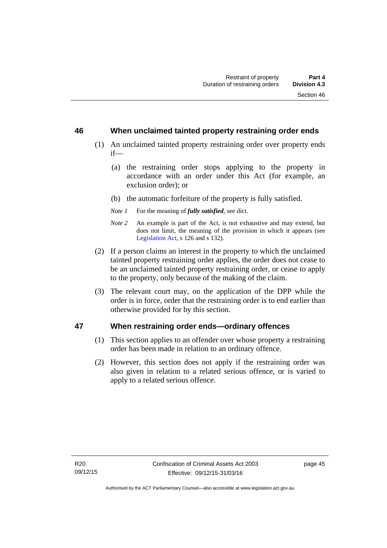### **46 When unclaimed tainted property restraining order ends**

- (1) An unclaimed tainted property restraining order over property ends if—
	- (a) the restraining order stops applying to the property in accordance with an order under this Act (for example, an exclusion order); or
	- (b) the automatic forfeiture of the property is fully satisfied.
	- *Note 1* For the meaning of *fully satisfied*, see dict.
	- *Note 2* An example is part of the Act, is not exhaustive and may extend, but does not limit, the meaning of the provision in which it appears (see [Legislation Act,](http://www.legislation.act.gov.au/a/2001-14) s 126 and s 132).
- (2) If a person claims an interest in the property to which the unclaimed tainted property restraining order applies, the order does not cease to be an unclaimed tainted property restraining order, or cease to apply to the property, only because of the making of the claim.
- (3) The relevant court may, on the application of the DPP while the order is in force, order that the restraining order is to end earlier than otherwise provided for by this section.

### **47 When restraining order ends—ordinary offences**

- (1) This section applies to an offender over whose property a restraining order has been made in relation to an ordinary offence.
- (2) However, this section does not apply if the restraining order was also given in relation to a related serious offence, or is varied to apply to a related serious offence.

page 45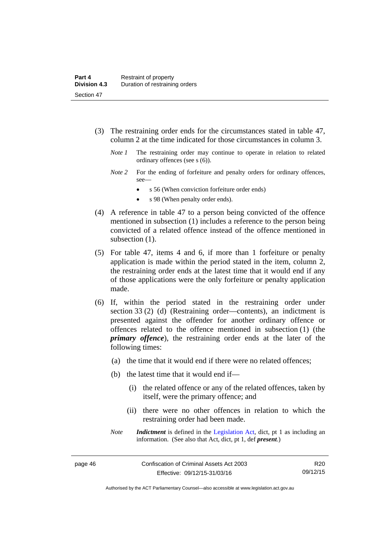- (3) The restraining order ends for the circumstances stated in table 47, column 2 at the time indicated for those circumstances in column 3.
	- *Note 1* The restraining order may continue to operate in relation to related ordinary offences (see s (6)).
	- *Note* 2 For the ending of forfeiture and penalty orders for ordinary offences, see—
		- s 56 (When conviction forfeiture order ends)
		- s 98 (When penalty order ends).
- (4) A reference in table 47 to a person being convicted of the offence mentioned in subsection (1) includes a reference to the person being convicted of a related offence instead of the offence mentioned in subsection  $(1)$ .
- (5) For table 47, items 4 and 6, if more than 1 forfeiture or penalty application is made within the period stated in the item, column 2, the restraining order ends at the latest time that it would end if any of those applications were the only forfeiture or penalty application made.
- (6) If, within the period stated in the restraining order under section 33 (2) (d) (Restraining order—contents), an indictment is presented against the offender for another ordinary offence or offences related to the offence mentioned in subsection (1) (the *primary offence*), the restraining order ends at the later of the following times:
	- (a) the time that it would end if there were no related offences;
	- (b) the latest time that it would end if—
		- (i) the related offence or any of the related offences, taken by itself, were the primary offence; and
		- (ii) there were no other offences in relation to which the restraining order had been made.
	- *Note Indictment* is defined in the [Legislation Act,](http://www.legislation.act.gov.au/a/2001-14) dict, pt 1 as including an information. (See also that Act, dict, pt 1, def *present*.)

Authorised by the ACT Parliamentary Counsel—also accessible at www.legislation.act.gov.au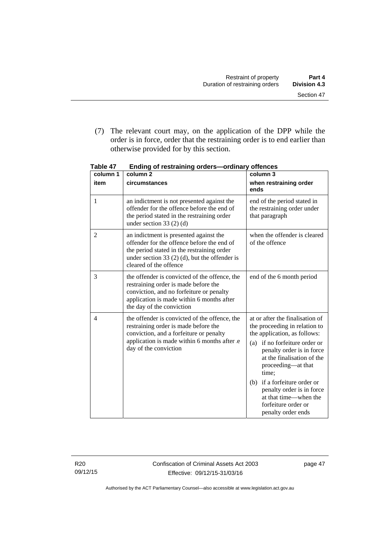(7) The relevant court may, on the application of the DPP while the order is in force, order that the restraining order is to end earlier than otherwise provided for by this section.

| column 1       | column <sub>2</sub>                                                                                                                                                                                             | column 3                                                                                                                                                                                                                                                                                                                                                          |
|----------------|-----------------------------------------------------------------------------------------------------------------------------------------------------------------------------------------------------------------|-------------------------------------------------------------------------------------------------------------------------------------------------------------------------------------------------------------------------------------------------------------------------------------------------------------------------------------------------------------------|
| item           | circumstances                                                                                                                                                                                                   | when restraining order<br>ends                                                                                                                                                                                                                                                                                                                                    |
| 1              | an indictment is not presented against the<br>offender for the offence before the end of<br>the period stated in the restraining order<br>under section 33 $(2)$ $(d)$                                          | end of the period stated in<br>the restraining order under<br>that paragraph                                                                                                                                                                                                                                                                                      |
| $\overline{2}$ | an indictment is presented against the<br>offender for the offence before the end of<br>the period stated in the restraining order<br>under section 33 $(2)$ (d), but the offender is<br>cleared of the offence | when the offender is cleared<br>of the offence                                                                                                                                                                                                                                                                                                                    |
| 3              | the offender is convicted of the offence, the<br>restraining order is made before the<br>conviction, and no forfeiture or penalty<br>application is made within 6 months after<br>the day of the conviction     | end of the 6 month period                                                                                                                                                                                                                                                                                                                                         |
| 4              | the offender is convicted of the offence, the<br>restraining order is made before the<br>conviction, and a forfeiture or penalty<br>application is made within 6 months after e<br>day of the conviction        | at or after the finalisation of<br>the proceeding in relation to<br>the application, as follows:<br>(a) if no forfeiture order or<br>penalty order is in force<br>at the finalisation of the<br>proceeding—at that<br>time:<br>if a forfeiture order or<br>(b)<br>penalty order is in force<br>at that time—when the<br>forfeiture order or<br>penalty order ends |

**Table 47 Ending of restraining orders—ordinary offences** 

R20 09/12/15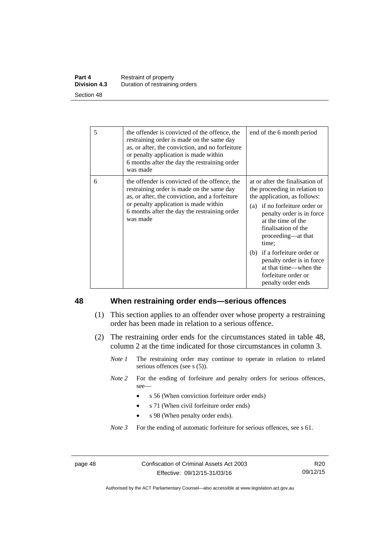| Part 4              | Restraint of property          |
|---------------------|--------------------------------|
| <b>Division 4.3</b> | Duration of restraining orders |
| Section 48          |                                |

| 5 | the offender is convicted of the offence, the<br>restraining order is made on the same day<br>as, or after, the conviction, and no forfeiture<br>or penalty application is made within<br>6 months after the day the restraining order<br>was made | end of the 6 month period                                                                                                                                                                                                                                                                                                                                                     |
|---|----------------------------------------------------------------------------------------------------------------------------------------------------------------------------------------------------------------------------------------------------|-------------------------------------------------------------------------------------------------------------------------------------------------------------------------------------------------------------------------------------------------------------------------------------------------------------------------------------------------------------------------------|
| 6 | the offender is convicted of the offence, the<br>restraining order is made on the same day<br>as, or after, the conviction, and a forfeiture<br>or penalty application is made within<br>6 months after the day the restraining order<br>was made  | at or after the finalisation of<br>the proceeding in relation to<br>the application, as follows:<br>(a) if no forfeiture order or<br>penalty order is in force<br>at the time of the<br>finalisation of the<br>proceeding-at that<br>time;<br>(b) if a forfeiture order or<br>penalty order is in force<br>at that time—when the<br>forfeiture order or<br>penalty order ends |

### **48 When restraining order ends—serious offences**

- (1) This section applies to an offender over whose property a restraining order has been made in relation to a serious offence.
- (2) The restraining order ends for the circumstances stated in table 48, column 2 at the time indicated for those circumstances in column 3.
	- *Note 1* The restraining order may continue to operate in relation to related serious offences (see s (5)).
	- *Note 2* For the ending of forfeiture and penalty orders for serious offences, see—
		- s 56 (When conviction forfeiture order ends)
		- s 71 (When civil forfeiture order ends)
		- s 98 (When penalty order ends).

*Note 3* For the ending of automatic forfeiture for serious offences, see s 61.

page 48 Confiscation of Criminal Assets Act 2003 Effective: 09/12/15-31/03/16

R20 09/12/15

Authorised by the ACT Parliamentary Counsel—also accessible at www.legislation.act.gov.au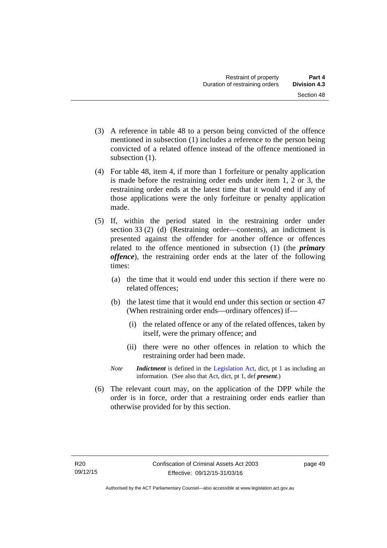- (3) A reference in table 48 to a person being convicted of the offence mentioned in subsection (1) includes a reference to the person being convicted of a related offence instead of the offence mentioned in subsection  $(1)$ .
- (4) For table 48, item 4, if more than 1 forfeiture or penalty application is made before the restraining order ends under item 1, 2 or 3, the restraining order ends at the latest time that it would end if any of those applications were the only forfeiture or penalty application made.
- (5) If, within the period stated in the restraining order under section 33 (2) (d) (Restraining order—contents), an indictment is presented against the offender for another offence or offences related to the offence mentioned in subsection (1) (the *primary offence*), the restraining order ends at the later of the following times:
	- (a) the time that it would end under this section if there were no related offences;
	- (b) the latest time that it would end under this section or section 47 (When restraining order ends—ordinary offences) if—
		- (i) the related offence or any of the related offences, taken by itself, were the primary offence; and
		- (ii) there were no other offences in relation to which the restraining order had been made.
	- *Note Indictment* is defined in the [Legislation Act,](http://www.legislation.act.gov.au/a/2001-14) dict, pt 1 as including an information. (See also that Act, dict, pt 1, def *present*.)
- (6) The relevant court may, on the application of the DPP while the order is in force, order that a restraining order ends earlier than otherwise provided for by this section.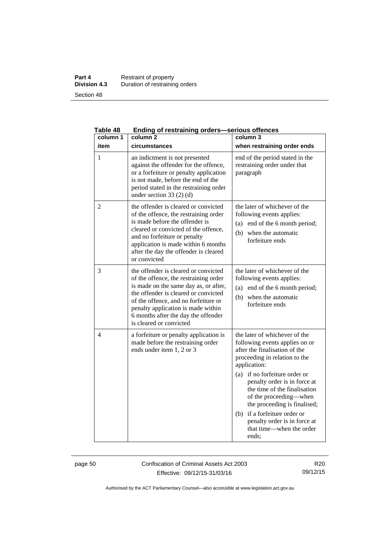### **Part 4 Restraint of property Division 4.3** Duration of restraining orders Section 48

| Table 48<br>column 1 | Ending of restraining orders—serious offences<br>column <sub>2</sub>                                                                                                                                                                                                                                           | column 3                                                                                                                                                                                                                                                                                                                                                                                                                |
|----------------------|----------------------------------------------------------------------------------------------------------------------------------------------------------------------------------------------------------------------------------------------------------------------------------------------------------------|-------------------------------------------------------------------------------------------------------------------------------------------------------------------------------------------------------------------------------------------------------------------------------------------------------------------------------------------------------------------------------------------------------------------------|
| item                 | circumstances                                                                                                                                                                                                                                                                                                  | when restraining order ends                                                                                                                                                                                                                                                                                                                                                                                             |
| 1                    | an indictment is not presented<br>against the offender for the offence,<br>or a forfeiture or penalty application<br>is not made, before the end of the<br>period stated in the restraining order<br>under section $33(2)(d)$                                                                                  | end of the period stated in the<br>restraining order under that<br>paragraph                                                                                                                                                                                                                                                                                                                                            |
| 2                    | the offender is cleared or convicted<br>of the offence, the restraining order<br>is made before the offender is<br>cleared or convicted of the offence,<br>and no forfeiture or penalty<br>application is made within 6 months<br>after the day the offender is cleared<br>or convicted                        | the later of whichever of the<br>following events applies:<br>end of the 6 month period;<br>(a)<br>(b) when the automatic<br>forfeiture ends                                                                                                                                                                                                                                                                            |
| 3                    | the offender is cleared or convicted<br>of the offence, the restraining order<br>is made on the same day as, or after,<br>the offender is cleared or convicted<br>of the offence, and no forfeiture or<br>penalty application is made within<br>6 months after the day the offender<br>is cleared or convicted | the later of whichever of the<br>following events applies:<br>(a) end of the 6 month period;<br>(b) when the automatic<br>forfeiture ends                                                                                                                                                                                                                                                                               |
| 4                    | a forfeiture or penalty application is<br>made before the restraining order<br>ends under item 1, 2 or 3                                                                                                                                                                                                       | the later of whichever of the<br>following events applies on or<br>after the finalisation of the<br>proceeding in relation to the<br>application:<br>if no forfeiture order or<br>(a)<br>penalty order is in force at<br>the time of the finalisation<br>of the proceeding-when<br>the proceeding is finalised;<br>if a forfeiture order or<br>(b)<br>penalty order is in force at<br>that time—when the order<br>ends; |

**Table 48 Ending of restraining orders—serious offences** 

page 50 Confiscation of Criminal Assets Act 2003 Effective: 09/12/15-31/03/16

R20 09/12/15

Authorised by the ACT Parliamentary Counsel—also accessible at www.legislation.act.gov.au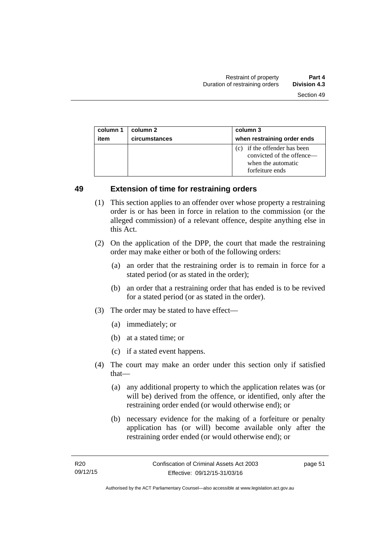| column 1 | column 2      | column 3                                                                                           |
|----------|---------------|----------------------------------------------------------------------------------------------------|
| item     | circumstances | when restraining order ends                                                                        |
|          |               | (c) if the offender has been<br>convicted of the offence—<br>when the automatic<br>forfeiture ends |

### **49 Extension of time for restraining orders**

- (1) This section applies to an offender over whose property a restraining order is or has been in force in relation to the commission (or the alleged commission) of a relevant offence, despite anything else in this Act.
- (2) On the application of the DPP, the court that made the restraining order may make either or both of the following orders:
	- (a) an order that the restraining order is to remain in force for a stated period (or as stated in the order);
	- (b) an order that a restraining order that has ended is to be revived for a stated period (or as stated in the order).
- (3) The order may be stated to have effect—
	- (a) immediately; or
	- (b) at a stated time; or
	- (c) if a stated event happens.
- (4) The court may make an order under this section only if satisfied that—
	- (a) any additional property to which the application relates was (or will be) derived from the offence, or identified, only after the restraining order ended (or would otherwise end); or
	- (b) necessary evidence for the making of a forfeiture or penalty application has (or will) become available only after the restraining order ended (or would otherwise end); or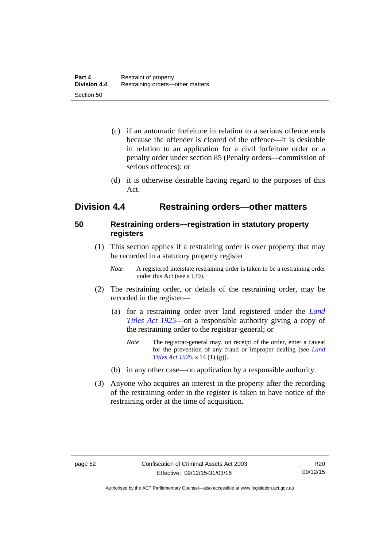- (c) if an automatic forfeiture in relation to a serious offence ends because the offender is cleared of the offence—it is desirable in relation to an application for a civil forfeiture order or a penalty order under section 85 (Penalty orders—commission of serious offences); or
- (d) it is otherwise desirable having regard to the purposes of this Act.

# **Division 4.4 Restraining orders—other matters**

# **50 Restraining orders—registration in statutory property registers**

- (1) This section applies if a restraining order is over property that may be recorded in a statutory property register
	- *Note* A registered interstate restraining order is taken to be a restraining order under this Act (see s 139).
- (2) The restraining order, or details of the restraining order, may be recorded in the register—
	- (a) for a restraining order over land registered under the *[Land](http://www.legislation.act.gov.au/a/1925-1)  [Titles Act 1925](http://www.legislation.act.gov.au/a/1925-1)*—on a responsible authority giving a copy of the restraining order to the registrar-general; or
		- *Note* The registrar-general may, on receipt of the order, enter a caveat for the prevention of any fraud or improper dealing (see *[Land](http://www.legislation.act.gov.au/a/1925-1/default.asp)  [Titles Act 1925](http://www.legislation.act.gov.au/a/1925-1/default.asp)*, s 14 (1) (g)).
	- (b) in any other case—on application by a responsible authority.
- (3) Anyone who acquires an interest in the property after the recording of the restraining order in the register is taken to have notice of the restraining order at the time of acquisition.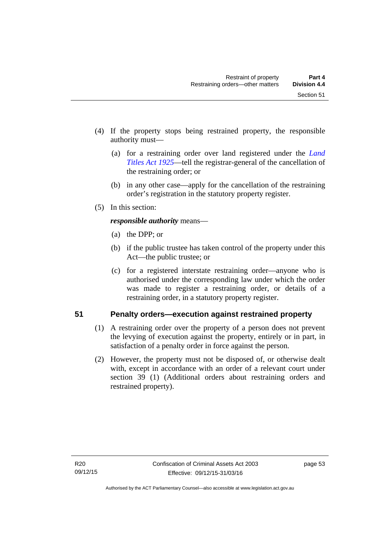- (4) If the property stops being restrained property, the responsible authority must—
	- (a) for a restraining order over land registered under the *[Land](http://www.legislation.act.gov.au/a/1925-1)  [Titles Act 1925](http://www.legislation.act.gov.au/a/1925-1)*—tell the registrar-general of the cancellation of the restraining order; or
	- (b) in any other case—apply for the cancellation of the restraining order's registration in the statutory property register.
- (5) In this section:

*responsible authority* means—

- (a) the DPP; or
- (b) if the public trustee has taken control of the property under this Act—the public trustee; or
- (c) for a registered interstate restraining order—anyone who is authorised under the corresponding law under which the order was made to register a restraining order, or details of a restraining order, in a statutory property register.

# **51 Penalty orders—execution against restrained property**

- (1) A restraining order over the property of a person does not prevent the levying of execution against the property, entirely or in part, in satisfaction of a penalty order in force against the person.
- (2) However, the property must not be disposed of, or otherwise dealt with, except in accordance with an order of a relevant court under section 39 (1) (Additional orders about restraining orders and restrained property).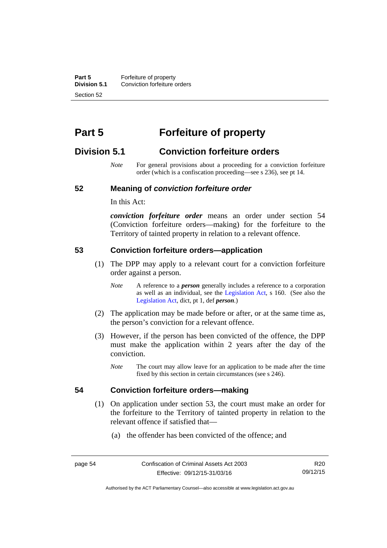**Part 5 Forfeiture of property**<br>**Division 5.1** Conviction forfeiture of **Division 5.1** Conviction forfeiture orders Section 52

# **Part 5 Forfeiture of property**

# **Division 5.1 Conviction forfeiture orders**

*Note* For general provisions about a proceeding for a conviction forfeiture order (which is a confiscation proceeding—see s 236), see pt 14.

### **52 Meaning of** *conviction forfeiture order*

In this Act:

*conviction forfeiture order* means an order under section 54 (Conviction forfeiture orders—making) for the forfeiture to the Territory of tainted property in relation to a relevant offence.

### **53 Conviction forfeiture orders—application**

- (1) The DPP may apply to a relevant court for a conviction forfeiture order against a person.
	- *Note* A reference to a *person* generally includes a reference to a corporation as well as an individual, see the [Legislation Act](http://www.legislation.act.gov.au/a/2001-14), s 160. (See also the [Legislation Act,](http://www.legislation.act.gov.au/a/2001-14) dict, pt 1, def *person*.)
- (2) The application may be made before or after, or at the same time as, the person's conviction for a relevant offence.
- (3) However, if the person has been convicted of the offence, the DPP must make the application within 2 years after the day of the conviction.
	- *Note* The court may allow leave for an application to be made after the time fixed by this section in certain circumstances (see s 246).

### **54 Conviction forfeiture orders—making**

- (1) On application under section 53, the court must make an order for the forfeiture to the Territory of tainted property in relation to the relevant offence if satisfied that—
	- (a) the offender has been convicted of the offence; and

Authorised by the ACT Parliamentary Counsel—also accessible at www.legislation.act.gov.au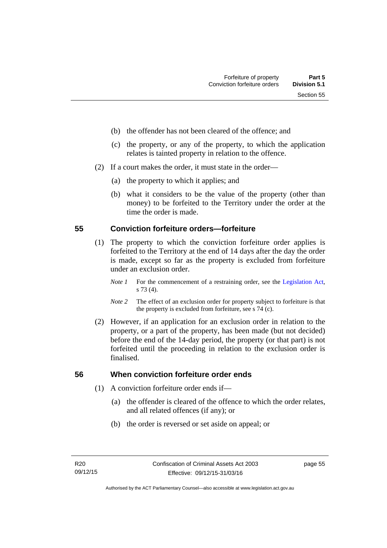- (b) the offender has not been cleared of the offence; and
- (c) the property, or any of the property, to which the application relates is tainted property in relation to the offence.
- (2) If a court makes the order, it must state in the order—
	- (a) the property to which it applies; and
	- (b) what it considers to be the value of the property (other than money) to be forfeited to the Territory under the order at the time the order is made.

### **55 Conviction forfeiture orders—forfeiture**

- (1) The property to which the conviction forfeiture order applies is forfeited to the Territory at the end of 14 days after the day the order is made, except so far as the property is excluded from forfeiture under an exclusion order.
	- *Note 1* For the commencement of a restraining order, see the [Legislation Act,](http://www.legislation.act.gov.au/a/2001-14) s 73 (4).
	- *Note 2* The effect of an exclusion order for property subject to forfeiture is that the property is excluded from forfeiture, see s 74 (c).
- (2) However, if an application for an exclusion order in relation to the property, or a part of the property, has been made (but not decided) before the end of the 14-day period, the property (or that part) is not forfeited until the proceeding in relation to the exclusion order is finalised.

# **56 When conviction forfeiture order ends**

- (1) A conviction forfeiture order ends if—
	- (a) the offender is cleared of the offence to which the order relates, and all related offences (if any); or
	- (b) the order is reversed or set aside on appeal; or

page 55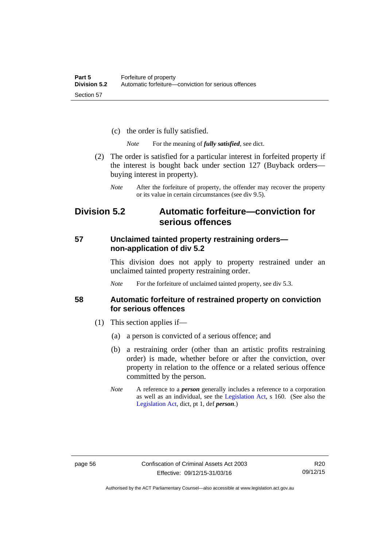- (c) the order is fully satisfied.
	- *Note* For the meaning of *fully satisfied*, see dict.
- (2) The order is satisfied for a particular interest in forfeited property if the interest is bought back under section 127 (Buyback orders buying interest in property).
	- *Note* After the forfeiture of property, the offender may recover the property or its value in certain circumstances (see div 9.5).

# **Division 5.2 Automatic forfeiture—conviction for serious offences**

### **57 Unclaimed tainted property restraining orders non-application of div 5.2**

This division does not apply to property restrained under an unclaimed tainted property restraining order.

*Note* For the forfeiture of unclaimed tainted property, see div 5.3.

### **58 Automatic forfeiture of restrained property on conviction for serious offences**

- (1) This section applies if—
	- (a) a person is convicted of a serious offence; and
	- (b) a restraining order (other than an artistic profits restraining order) is made, whether before or after the conviction, over property in relation to the offence or a related serious offence committed by the person.
	- *Note* A reference to a *person* generally includes a reference to a corporation as well as an individual, see the [Legislation Act](http://www.legislation.act.gov.au/a/2001-14), s 160. (See also the [Legislation Act,](http://www.legislation.act.gov.au/a/2001-14) dict, pt 1, def *person*.)

R20 09/12/15

Authorised by the ACT Parliamentary Counsel—also accessible at www.legislation.act.gov.au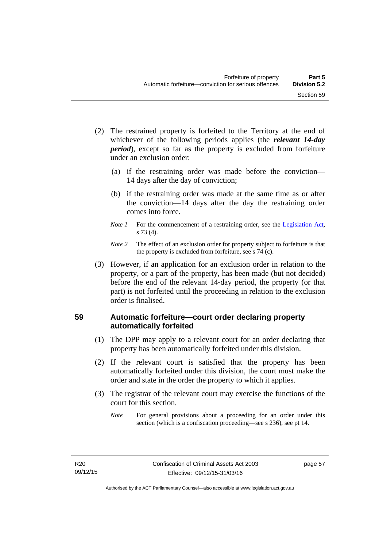- (2) The restrained property is forfeited to the Territory at the end of whichever of the following periods applies (the *relevant 14-day period*), except so far as the property is excluded from forfeiture under an exclusion order:
	- (a) if the restraining order was made before the conviction— 14 days after the day of conviction;
	- (b) if the restraining order was made at the same time as or after the conviction—14 days after the day the restraining order comes into force.
	- *Note 1* For the commencement of a restraining order, see the [Legislation Act,](http://www.legislation.act.gov.au/a/2001-14) s 73 (4).
	- *Note 2* The effect of an exclusion order for property subject to forfeiture is that the property is excluded from forfeiture, see s 74 (c).
- (3) However, if an application for an exclusion order in relation to the property, or a part of the property, has been made (but not decided) before the end of the relevant 14-day period, the property (or that part) is not forfeited until the proceeding in relation to the exclusion order is finalised.

# **59 Automatic forfeiture—court order declaring property automatically forfeited**

- (1) The DPP may apply to a relevant court for an order declaring that property has been automatically forfeited under this division.
- (2) If the relevant court is satisfied that the property has been automatically forfeited under this division, the court must make the order and state in the order the property to which it applies.
- (3) The registrar of the relevant court may exercise the functions of the court for this section.
	- *Note* For general provisions about a proceeding for an order under this section (which is a confiscation proceeding—see s 236), see pt 14.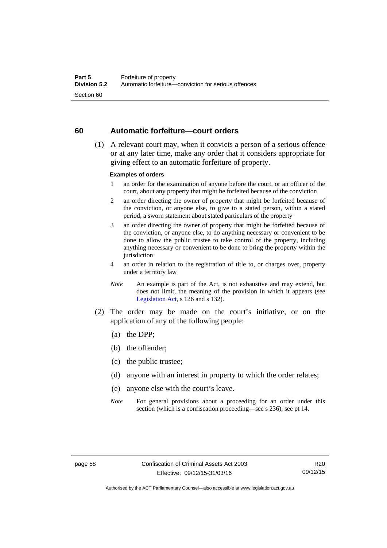### **60 Automatic forfeiture—court orders**

 (1) A relevant court may, when it convicts a person of a serious offence or at any later time, make any order that it considers appropriate for giving effect to an automatic forfeiture of property.

### **Examples of orders**

- 1 an order for the examination of anyone before the court, or an officer of the court, about any property that might be forfeited because of the conviction
- 2 an order directing the owner of property that might be forfeited because of the conviction, or anyone else, to give to a stated person, within a stated period, a sworn statement about stated particulars of the property
- 3 an order directing the owner of property that might be forfeited because of the conviction, or anyone else, to do anything necessary or convenient to be done to allow the public trustee to take control of the property, including anything necessary or convenient to be done to bring the property within the jurisdiction
- 4 an order in relation to the registration of title to, or charges over, property under a territory law
- *Note* An example is part of the Act, is not exhaustive and may extend, but does not limit, the meaning of the provision in which it appears (see [Legislation Act,](http://www.legislation.act.gov.au/a/2001-14) s 126 and s 132).
- (2) The order may be made on the court's initiative, or on the application of any of the following people:
	- (a) the DPP;
	- (b) the offender;
	- (c) the public trustee;
	- (d) anyone with an interest in property to which the order relates;
	- (e) anyone else with the court's leave.
	- *Note* For general provisions about a proceeding for an order under this section (which is a confiscation proceeding—see s 236), see pt 14.

Authorised by the ACT Parliamentary Counsel—also accessible at www.legislation.act.gov.au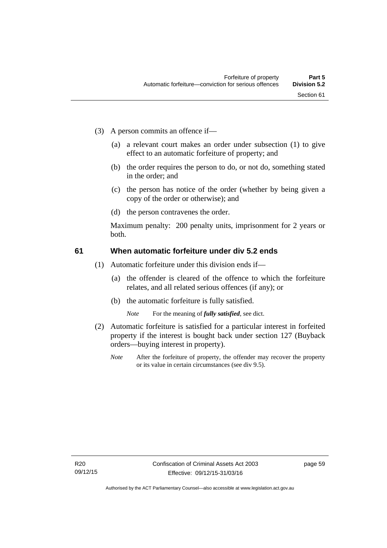- (3) A person commits an offence if—
	- (a) a relevant court makes an order under subsection (1) to give effect to an automatic forfeiture of property; and
	- (b) the order requires the person to do, or not do, something stated in the order; and
	- (c) the person has notice of the order (whether by being given a copy of the order or otherwise); and
	- (d) the person contravenes the order.

Maximum penalty: 200 penalty units, imprisonment for 2 years or both.

#### **61 When automatic forfeiture under div 5.2 ends**

- (1) Automatic forfeiture under this division ends if—
	- (a) the offender is cleared of the offence to which the forfeiture relates, and all related serious offences (if any); or
	- (b) the automatic forfeiture is fully satisfied.

*Note* For the meaning of *fully satisfied*, see dict.

- (2) Automatic forfeiture is satisfied for a particular interest in forfeited property if the interest is bought back under section 127 (Buyback orders—buying interest in property).
	- *Note* After the forfeiture of property, the offender may recover the property or its value in certain circumstances (see div 9.5).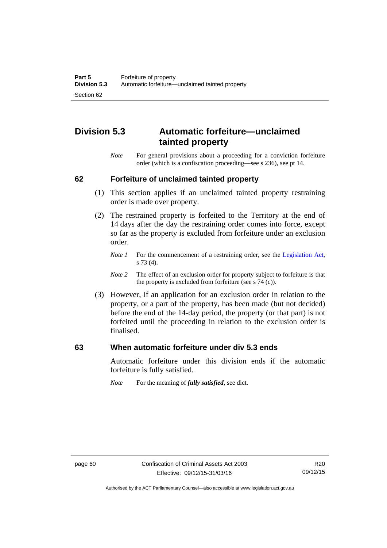# **Division 5.3 Automatic forfeiture—unclaimed tainted property**

*Note* For general provisions about a proceeding for a conviction forfeiture order (which is a confiscation proceeding—see s 236), see pt 14.

#### **62 Forfeiture of unclaimed tainted property**

- (1) This section applies if an unclaimed tainted property restraining order is made over property.
- (2) The restrained property is forfeited to the Territory at the end of 14 days after the day the restraining order comes into force, except so far as the property is excluded from forfeiture under an exclusion order.
	- *Note 1* For the commencement of a restraining order, see the [Legislation Act,](http://www.legislation.act.gov.au/a/2001-14) s 73 (4).
	- *Note 2* The effect of an exclusion order for property subject to forfeiture is that the property is excluded from forfeiture (see s 74 (c)).
- (3) However, if an application for an exclusion order in relation to the property, or a part of the property, has been made (but not decided) before the end of the 14-day period, the property (or that part) is not forfeited until the proceeding in relation to the exclusion order is finalised.

#### **63 When automatic forfeiture under div 5.3 ends**

Automatic forfeiture under this division ends if the automatic forfeiture is fully satisfied.

*Note* For the meaning of *fully satisfied*, see dict.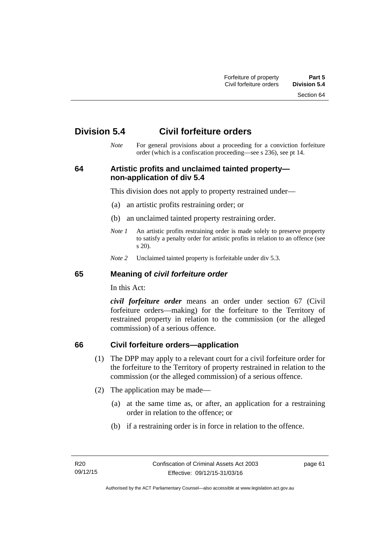Section 64

# **Division 5.4 Civil forfeiture orders**

*Note* For general provisions about a proceeding for a conviction forfeiture order (which is a confiscation proceeding—see s 236), see pt 14.

## **64 Artistic profits and unclaimed tainted property non-application of div 5.4**

This division does not apply to property restrained under—

- (a) an artistic profits restraining order; or
- (b) an unclaimed tainted property restraining order.
- *Note 1* An artistic profits restraining order is made solely to preserve property to satisfy a penalty order for artistic profits in relation to an offence (see s 20).
- *Note 2* Unclaimed tainted property is forfeitable under div 5.3.

#### **65 Meaning of** *civil forfeiture order*

In this Act:

*civil forfeiture order* means an order under section 67 (Civil forfeiture orders—making) for the forfeiture to the Territory of restrained property in relation to the commission (or the alleged commission) of a serious offence.

## **66 Civil forfeiture orders—application**

- (1) The DPP may apply to a relevant court for a civil forfeiture order for the forfeiture to the Territory of property restrained in relation to the commission (or the alleged commission) of a serious offence.
- (2) The application may be made—
	- (a) at the same time as, or after, an application for a restraining order in relation to the offence; or
	- (b) if a restraining order is in force in relation to the offence.

page 61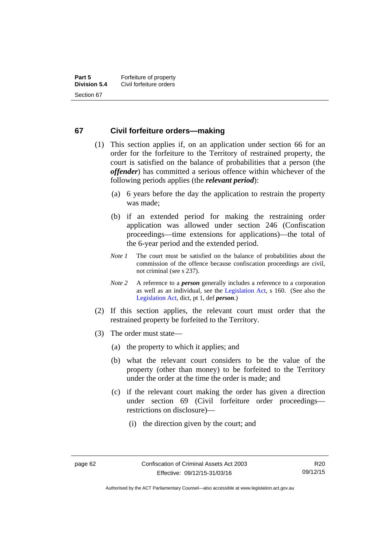#### **67 Civil forfeiture orders—making**

- (1) This section applies if, on an application under section 66 for an order for the forfeiture to the Territory of restrained property, the court is satisfied on the balance of probabilities that a person (the *offender*) has committed a serious offence within whichever of the following periods applies (the *relevant period*):
	- (a) 6 years before the day the application to restrain the property was made;
	- (b) if an extended period for making the restraining order application was allowed under section 246 (Confiscation proceedings—time extensions for applications)—the total of the 6-year period and the extended period.
	- *Note 1* The court must be satisfied on the balance of probabilities about the commission of the offence because confiscation proceedings are civil, not criminal (see s 237).
	- *Note 2* A reference to a *person* generally includes a reference to a corporation as well as an individual, see the [Legislation Act](http://www.legislation.act.gov.au/a/2001-14), s 160. (See also the [Legislation Act,](http://www.legislation.act.gov.au/a/2001-14) dict, pt 1, def *person*.)
- (2) If this section applies, the relevant court must order that the restrained property be forfeited to the Territory.
- (3) The order must state—
	- (a) the property to which it applies; and
	- (b) what the relevant court considers to be the value of the property (other than money) to be forfeited to the Territory under the order at the time the order is made; and
	- (c) if the relevant court making the order has given a direction under section 69 (Civil forfeiture order proceedings restrictions on disclosure)—
		- (i) the direction given by the court; and

Authorised by the ACT Parliamentary Counsel—also accessible at www.legislation.act.gov.au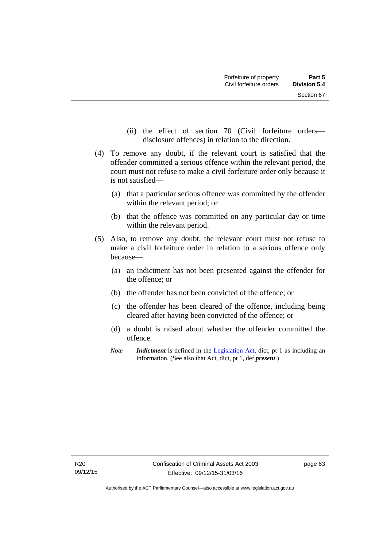- (ii) the effect of section 70 (Civil forfeiture orders disclosure offences) in relation to the direction.
- (4) To remove any doubt, if the relevant court is satisfied that the offender committed a serious offence within the relevant period, the court must not refuse to make a civil forfeiture order only because it is not satisfied—
	- (a) that a particular serious offence was committed by the offender within the relevant period; or
	- (b) that the offence was committed on any particular day or time within the relevant period.
- (5) Also, to remove any doubt, the relevant court must not refuse to make a civil forfeiture order in relation to a serious offence only because—
	- (a) an indictment has not been presented against the offender for the offence; or
	- (b) the offender has not been convicted of the offence; or
	- (c) the offender has been cleared of the offence, including being cleared after having been convicted of the offence; or
	- (d) a doubt is raised about whether the offender committed the offence.
	- *Note Indictment* is defined in the [Legislation Act,](http://www.legislation.act.gov.au/a/2001-14) dict, pt 1 as including an information. (See also that Act, dict, pt 1, def *present*.)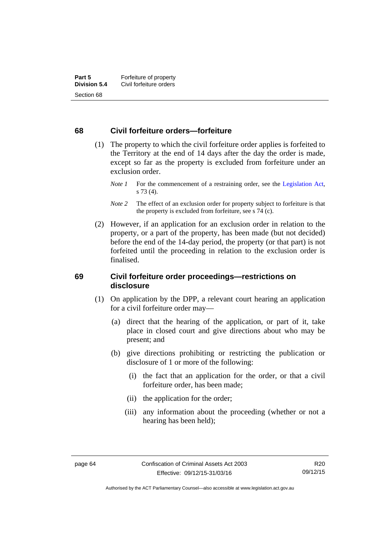#### **68 Civil forfeiture orders—forfeiture**

- (1) The property to which the civil forfeiture order applies is forfeited to the Territory at the end of 14 days after the day the order is made, except so far as the property is excluded from forfeiture under an exclusion order.
	- *Note 1* For the commencement of a restraining order, see the [Legislation Act,](http://www.legislation.act.gov.au/a/2001-14) s 73 (4).
	- *Note* 2 The effect of an exclusion order for property subject to forfeiture is that the property is excluded from forfeiture, see s 74 (c).
- (2) However, if an application for an exclusion order in relation to the property, or a part of the property, has been made (but not decided) before the end of the 14-day period, the property (or that part) is not forfeited until the proceeding in relation to the exclusion order is finalised.

#### **69 Civil forfeiture order proceedings—restrictions on disclosure**

- (1) On application by the DPP, a relevant court hearing an application for a civil forfeiture order may—
	- (a) direct that the hearing of the application, or part of it, take place in closed court and give directions about who may be present; and
	- (b) give directions prohibiting or restricting the publication or disclosure of 1 or more of the following:
		- (i) the fact that an application for the order, or that a civil forfeiture order, has been made;
		- (ii) the application for the order;
		- (iii) any information about the proceeding (whether or not a hearing has been held);

Authorised by the ACT Parliamentary Counsel—also accessible at www.legislation.act.gov.au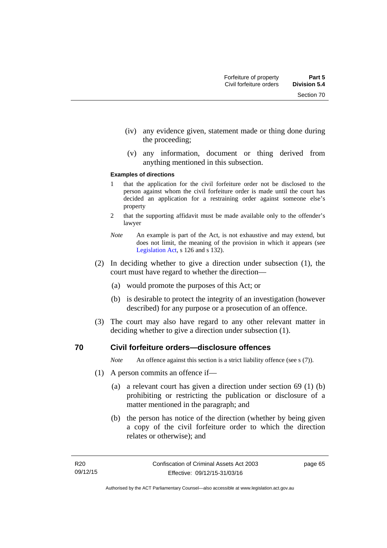- (iv) any evidence given, statement made or thing done during the proceeding;
- (v) any information, document or thing derived from anything mentioned in this subsection.

#### **Examples of directions**

- 1 that the application for the civil forfeiture order not be disclosed to the person against whom the civil forfeiture order is made until the court has decided an application for a restraining order against someone else's property
- 2 that the supporting affidavit must be made available only to the offender's lawyer
- *Note* An example is part of the Act, is not exhaustive and may extend, but does not limit, the meaning of the provision in which it appears (see [Legislation Act,](http://www.legislation.act.gov.au/a/2001-14) s 126 and s 132).
- (2) In deciding whether to give a direction under subsection (1), the court must have regard to whether the direction—
	- (a) would promote the purposes of this Act; or
	- (b) is desirable to protect the integrity of an investigation (however described) for any purpose or a prosecution of an offence.
- (3) The court may also have regard to any other relevant matter in deciding whether to give a direction under subsection (1).

#### **70 Civil forfeiture orders—disclosure offences**

*Note* An offence against this section is a strict liability offence (see s (7)).

- (1) A person commits an offence if—
	- (a) a relevant court has given a direction under section 69 (1) (b) prohibiting or restricting the publication or disclosure of a matter mentioned in the paragraph; and
	- (b) the person has notice of the direction (whether by being given a copy of the civil forfeiture order to which the direction relates or otherwise); and

page 65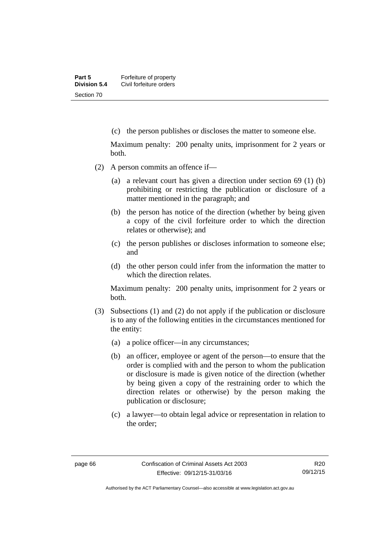(c) the person publishes or discloses the matter to someone else.

Maximum penalty: 200 penalty units, imprisonment for 2 years or both.

- (2) A person commits an offence if—
	- (a) a relevant court has given a direction under section 69 (1) (b) prohibiting or restricting the publication or disclosure of a matter mentioned in the paragraph; and
	- (b) the person has notice of the direction (whether by being given a copy of the civil forfeiture order to which the direction relates or otherwise); and
	- (c) the person publishes or discloses information to someone else; and
	- (d) the other person could infer from the information the matter to which the direction relates.

Maximum penalty: 200 penalty units, imprisonment for 2 years or both.

- (3) Subsections (1) and (2) do not apply if the publication or disclosure is to any of the following entities in the circumstances mentioned for the entity:
	- (a) a police officer—in any circumstances;
	- (b) an officer, employee or agent of the person—to ensure that the order is complied with and the person to whom the publication or disclosure is made is given notice of the direction (whether by being given a copy of the restraining order to which the direction relates or otherwise) by the person making the publication or disclosure;
	- (c) a lawyer—to obtain legal advice or representation in relation to the order;

Authorised by the ACT Parliamentary Counsel—also accessible at www.legislation.act.gov.au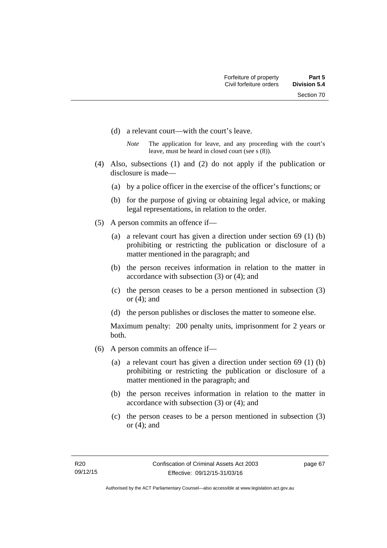- (d) a relevant court—with the court's leave.
	- *Note* The application for leave, and any proceeding with the court's leave, must be heard in closed court (see s (8)).
- (4) Also, subsections (1) and (2) do not apply if the publication or disclosure is made—
	- (a) by a police officer in the exercise of the officer's functions; or
	- (b) for the purpose of giving or obtaining legal advice, or making legal representations, in relation to the order.
- (5) A person commits an offence if—
	- (a) a relevant court has given a direction under section 69 (1) (b) prohibiting or restricting the publication or disclosure of a matter mentioned in the paragraph; and
	- (b) the person receives information in relation to the matter in accordance with subsection (3) or (4); and
	- (c) the person ceases to be a person mentioned in subsection (3) or (4); and
	- (d) the person publishes or discloses the matter to someone else.

Maximum penalty: 200 penalty units, imprisonment for 2 years or both.

- (6) A person commits an offence if—
	- (a) a relevant court has given a direction under section 69 (1) (b) prohibiting or restricting the publication or disclosure of a matter mentioned in the paragraph; and
	- (b) the person receives information in relation to the matter in accordance with subsection (3) or (4); and
	- (c) the person ceases to be a person mentioned in subsection (3) or (4); and

page 67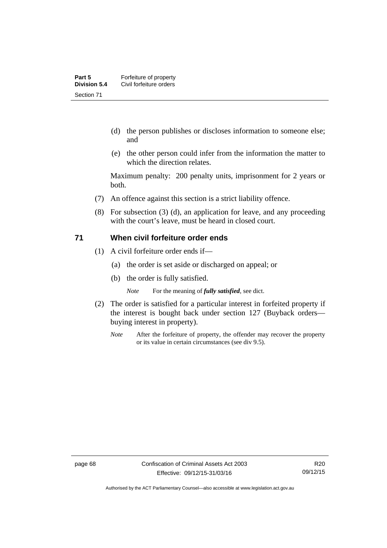- (d) the person publishes or discloses information to someone else; and
- (e) the other person could infer from the information the matter to which the direction relates.

Maximum penalty: 200 penalty units, imprisonment for 2 years or both.

- (7) An offence against this section is a strict liability offence.
- (8) For subsection (3) (d), an application for leave, and any proceeding with the court's leave, must be heard in closed court.

#### **71 When civil forfeiture order ends**

- (1) A civil forfeiture order ends if—
	- (a) the order is set aside or discharged on appeal; or
	- (b) the order is fully satisfied.

*Note* For the meaning of *fully satisfied*, see dict.

- (2) The order is satisfied for a particular interest in forfeited property if the interest is bought back under section 127 (Buyback orders buying interest in property).
	- *Note* After the forfeiture of property, the offender may recover the property or its value in certain circumstances (see div 9.5).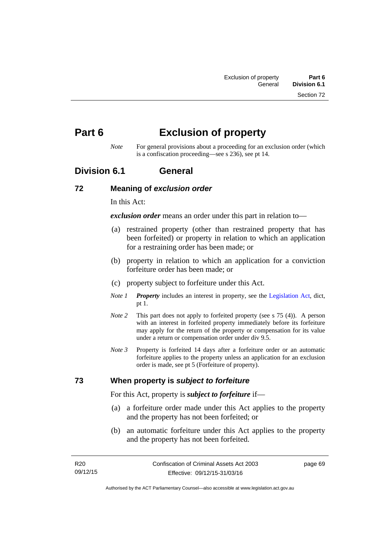# **Part 6 Exclusion of property**

*Note* For general provisions about a proceeding for an exclusion order (which is a confiscation proceeding—see s 236), see pt 14.

## **Division 6.1 General**

#### **72 Meaning of** *exclusion order*

In this Act:

*exclusion order* means an order under this part in relation to—

- (a) restrained property (other than restrained property that has been forfeited) or property in relation to which an application for a restraining order has been made; or
- (b) property in relation to which an application for a conviction forfeiture order has been made; or
- (c) property subject to forfeiture under this Act.
- *Note 1 Property* includes an interest in property, see the [Legislation Act,](http://www.legislation.act.gov.au/a/2001-14) dict, pt 1.
- *Note 2* This part does not apply to forfeited property (see s 75 (4)). A person with an interest in forfeited property immediately before its forfeiture may apply for the return of the property or compensation for its value under a return or compensation order under div 9.5.
- *Note 3* Property is forfeited 14 days after a forfeiture order or an automatic forfeiture applies to the property unless an application for an exclusion order is made, see pt 5 (Forfeiture of property).

## **73 When property is** *subject to forfeiture*

For this Act, property is *subject to forfeiture* if—

- (a) a forfeiture order made under this Act applies to the property and the property has not been forfeited; or
- (b) an automatic forfeiture under this Act applies to the property and the property has not been forfeited.

page 69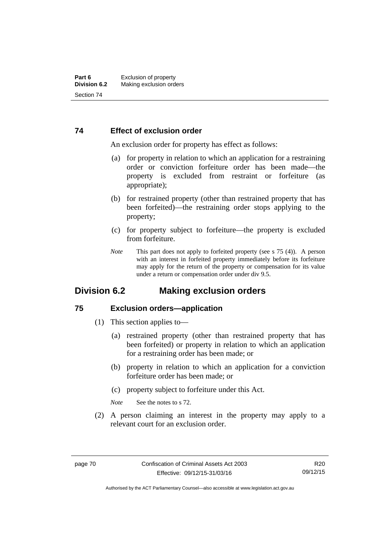#### **74 Effect of exclusion order**

An exclusion order for property has effect as follows:

- (a) for property in relation to which an application for a restraining order or conviction forfeiture order has been made—the property is excluded from restraint or forfeiture (as appropriate);
- (b) for restrained property (other than restrained property that has been forfeited)—the restraining order stops applying to the property;
- (c) for property subject to forfeiture—the property is excluded from forfeiture.
- *Note* This part does not apply to forfeited property (see s 75 (4)). A person with an interest in forfeited property immediately before its forfeiture may apply for the return of the property or compensation for its value under a return or compensation order under div 9.5.

## **Division 6.2 Making exclusion orders**

#### **75 Exclusion orders—application**

- (1) This section applies to—
	- (a) restrained property (other than restrained property that has been forfeited) or property in relation to which an application for a restraining order has been made; or
	- (b) property in relation to which an application for a conviction forfeiture order has been made; or
	- (c) property subject to forfeiture under this Act.

*Note* See the notes to s 72.

 (2) A person claiming an interest in the property may apply to a relevant court for an exclusion order.

Authorised by the ACT Parliamentary Counsel—also accessible at www.legislation.act.gov.au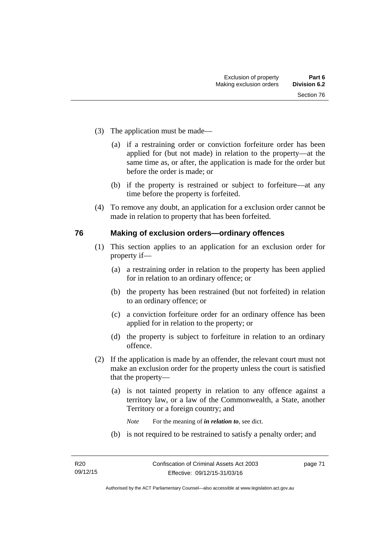- (3) The application must be made—
	- (a) if a restraining order or conviction forfeiture order has been applied for (but not made) in relation to the property—at the same time as, or after, the application is made for the order but before the order is made; or
	- (b) if the property is restrained or subject to forfeiture—at any time before the property is forfeited.
- (4) To remove any doubt, an application for a exclusion order cannot be made in relation to property that has been forfeited.

#### **76 Making of exclusion orders—ordinary offences**

- (1) This section applies to an application for an exclusion order for property if—
	- (a) a restraining order in relation to the property has been applied for in relation to an ordinary offence; or
	- (b) the property has been restrained (but not forfeited) in relation to an ordinary offence; or
	- (c) a conviction forfeiture order for an ordinary offence has been applied for in relation to the property; or
	- (d) the property is subject to forfeiture in relation to an ordinary offence.
- (2) If the application is made by an offender, the relevant court must not make an exclusion order for the property unless the court is satisfied that the property—
	- (a) is not tainted property in relation to any offence against a territory law, or a law of the Commonwealth, a State, another Territory or a foreign country; and
		- *Note* For the meaning of *in relation to*, see dict.
	- (b) is not required to be restrained to satisfy a penalty order; and

page 71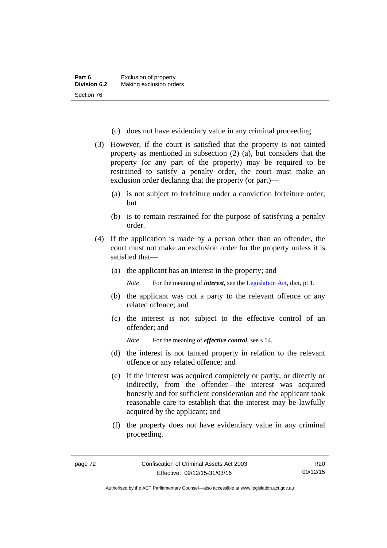- (c) does not have evidentiary value in any criminal proceeding.
- (3) However, if the court is satisfied that the property is not tainted property as mentioned in subsection (2) (a), but considers that the property (or any part of the property) may be required to be restrained to satisfy a penalty order, the court must make an exclusion order declaring that the property (or part)—
	- (a) is not subject to forfeiture under a conviction forfeiture order; but
	- (b) is to remain restrained for the purpose of satisfying a penalty order.
- (4) If the application is made by a person other than an offender, the court must not make an exclusion order for the property unless it is satisfied that—
	- (a) the applicant has an interest in the property; and

*Note* For the meaning of *interest*, see the [Legislation Act](http://www.legislation.act.gov.au/a/2001-14), dict, pt 1.

- (b) the applicant was not a party to the relevant offence or any related offence; and
- (c) the interest is not subject to the effective control of an offender; and
	- *Note* For the meaning of *effective control*, see s 14.
- (d) the interest is not tainted property in relation to the relevant offence or any related offence; and
- (e) if the interest was acquired completely or partly, or directly or indirectly, from the offender—the interest was acquired honestly and for sufficient consideration and the applicant took reasonable care to establish that the interest may be lawfully acquired by the applicant; and
- (f) the property does not have evidentiary value in any criminal proceeding.

Authorised by the ACT Parliamentary Counsel—also accessible at www.legislation.act.gov.au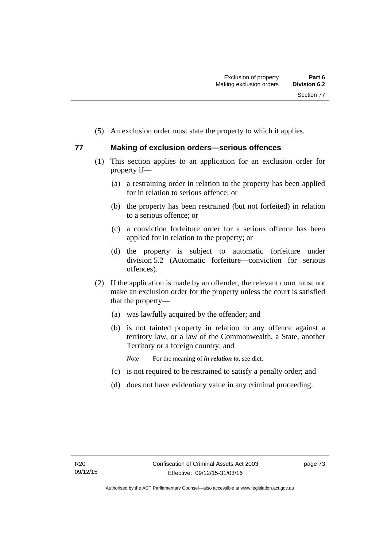(5) An exclusion order must state the property to which it applies.

## **77 Making of exclusion orders—serious offences**

- (1) This section applies to an application for an exclusion order for property if—
	- (a) a restraining order in relation to the property has been applied for in relation to serious offence; or
	- (b) the property has been restrained (but not forfeited) in relation to a serious offence; or
	- (c) a conviction forfeiture order for a serious offence has been applied for in relation to the property; or
	- (d) the property is subject to automatic forfeiture under division 5.2 (Automatic forfeiture—conviction for serious offences).
- (2) If the application is made by an offender, the relevant court must not make an exclusion order for the property unless the court is satisfied that the property—
	- (a) was lawfully acquired by the offender; and
	- (b) is not tainted property in relation to any offence against a territory law, or a law of the Commonwealth, a State, another Territory or a foreign country; and
		- *Note* For the meaning of *in relation to*, see dict.
	- (c) is not required to be restrained to satisfy a penalty order; and
	- (d) does not have evidentiary value in any criminal proceeding.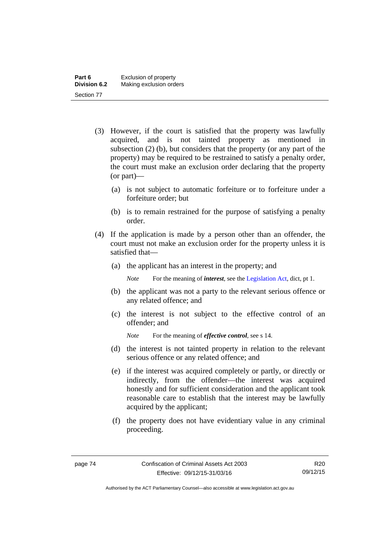- (3) However, if the court is satisfied that the property was lawfully acquired, and is not tainted property as mentioned in subsection (2) (b), but considers that the property (or any part of the property) may be required to be restrained to satisfy a penalty order, the court must make an exclusion order declaring that the property (or part)—
	- (a) is not subject to automatic forfeiture or to forfeiture under a forfeiture order; but
	- (b) is to remain restrained for the purpose of satisfying a penalty order.
- (4) If the application is made by a person other than an offender, the court must not make an exclusion order for the property unless it is satisfied that—
	- (a) the applicant has an interest in the property; and

*Note* For the meaning of *interest*, see the [Legislation Act](http://www.legislation.act.gov.au/a/2001-14), dict, pt 1.

- (b) the applicant was not a party to the relevant serious offence or any related offence; and
- (c) the interest is not subject to the effective control of an offender; and

*Note* For the meaning of *effective control*, see s 14.

- (d) the interest is not tainted property in relation to the relevant serious offence or any related offence; and
- (e) if the interest was acquired completely or partly, or directly or indirectly, from the offender—the interest was acquired honestly and for sufficient consideration and the applicant took reasonable care to establish that the interest may be lawfully acquired by the applicant;
- (f) the property does not have evidentiary value in any criminal proceeding.

Authorised by the ACT Parliamentary Counsel—also accessible at www.legislation.act.gov.au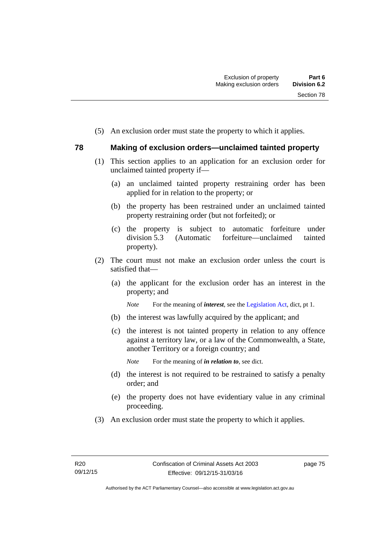(5) An exclusion order must state the property to which it applies.

## **78 Making of exclusion orders—unclaimed tainted property**

- (1) This section applies to an application for an exclusion order for unclaimed tainted property if—
	- (a) an unclaimed tainted property restraining order has been applied for in relation to the property; or
	- (b) the property has been restrained under an unclaimed tainted property restraining order (but not forfeited); or
	- (c) the property is subject to automatic forfeiture under division 5.3 (Automatic forfeiture—unclaimed tainted property).
- (2) The court must not make an exclusion order unless the court is satisfied that—
	- (a) the applicant for the exclusion order has an interest in the property; and

*Note* For the meaning of *interest*, see the [Legislation Act](http://www.legislation.act.gov.au/a/2001-14), dict, pt 1.

- (b) the interest was lawfully acquired by the applicant; and
- (c) the interest is not tainted property in relation to any offence against a territory law, or a law of the Commonwealth, a State, another Territory or a foreign country; and

*Note* For the meaning of *in relation to*, see dict.

- (d) the interest is not required to be restrained to satisfy a penalty order; and
- (e) the property does not have evidentiary value in any criminal proceeding.
- (3) An exclusion order must state the property to which it applies.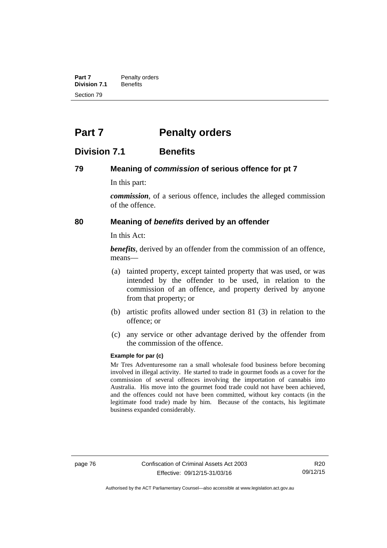**Part 7** Penalty orders<br>**Division 7.1** Benefits **Division 7.1** Section 79

# **Part 7** Penalty orders

## **Division 7.1 Benefits**

#### **79 Meaning of** *commission* **of serious offence for pt 7**

In this part:

*commission*, of a serious offence, includes the alleged commission of the offence.

#### **80 Meaning of** *benefits* **derived by an offender**

In this Act:

*benefits*, derived by an offender from the commission of an offence, means—

- (a) tainted property, except tainted property that was used, or was intended by the offender to be used, in relation to the commission of an offence, and property derived by anyone from that property; or
- (b) artistic profits allowed under section 81 (3) in relation to the offence; or
- (c) any service or other advantage derived by the offender from the commission of the offence.

#### **Example for par (c)**

Mr Tres Adventuresome ran a small wholesale food business before becoming involved in illegal activity. He started to trade in gourmet foods as a cover for the commission of several offences involving the importation of cannabis into Australia. His move into the gourmet food trade could not have been achieved, and the offences could not have been committed, without key contacts (in the legitimate food trade) made by him. Because of the contacts, his legitimate business expanded considerably.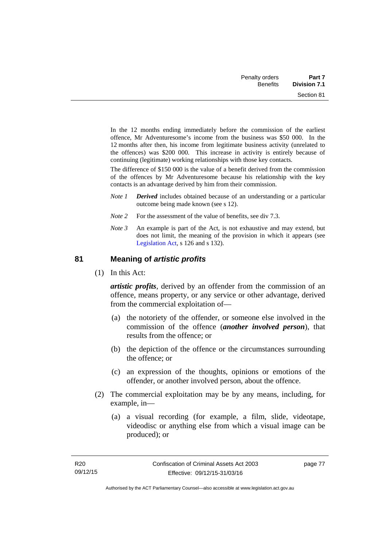| Part 7              | Penalty orders  |
|---------------------|-----------------|
| <b>Division 7.1</b> | <b>Benefits</b> |
| Section 81          |                 |

In the 12 months ending immediately before the commission of the earliest offence, Mr Adventuresome's income from the business was \$50 000. In the 12 months after then, his income from legitimate business activity (unrelated to the offences) was \$200 000. This increase in activity is entirely because of continuing (legitimate) working relationships with those key contacts.

The difference of \$150 000 is the value of a benefit derived from the commission of the offences by Mr Adventuresome because his relationship with the key contacts is an advantage derived by him from their commission.

- *Note 1 Derived* includes obtained because of an understanding or a particular outcome being made known (see s 12).
- *Note* 2 For the assessment of the value of benefits, see div 7.3.
- *Note 3* An example is part of the Act, is not exhaustive and may extend, but does not limit, the meaning of the provision in which it appears (see [Legislation Act,](http://www.legislation.act.gov.au/a/2001-14) s 126 and s 132).

#### **81 Meaning of** *artistic profits*

(1) In this Act:

*artistic profits*, derived by an offender from the commission of an offence, means property, or any service or other advantage, derived from the commercial exploitation of—

- (a) the notoriety of the offender, or someone else involved in the commission of the offence (*another involved person*), that results from the offence; or
- (b) the depiction of the offence or the circumstances surrounding the offence; or
- (c) an expression of the thoughts, opinions or emotions of the offender, or another involved person, about the offence.
- (2) The commercial exploitation may be by any means, including, for example, in—
	- (a) a visual recording (for example, a film, slide, videotape, videodisc or anything else from which a visual image can be produced); or

page 77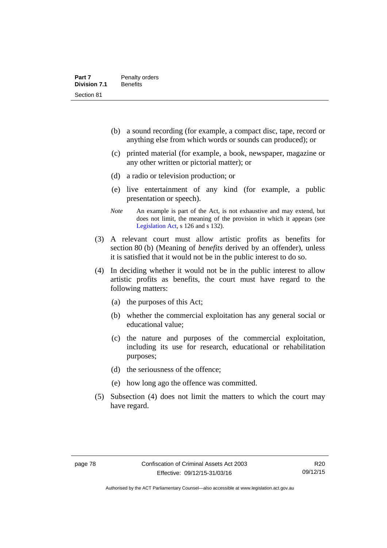- (b) a sound recording (for example, a compact disc, tape, record or anything else from which words or sounds can produced); or
- (c) printed material (for example, a book, newspaper, magazine or any other written or pictorial matter); or
- (d) a radio or television production; or
- (e) live entertainment of any kind (for example, a public presentation or speech).
- *Note* An example is part of the Act, is not exhaustive and may extend, but does not limit, the meaning of the provision in which it appears (see [Legislation Act,](http://www.legislation.act.gov.au/a/2001-14) s 126 and s 132).
- (3) A relevant court must allow artistic profits as benefits for section 80 (b) (Meaning of *benefits* derived by an offender), unless it is satisfied that it would not be in the public interest to do so.
- (4) In deciding whether it would not be in the public interest to allow artistic profits as benefits, the court must have regard to the following matters:
	- (a) the purposes of this Act;
	- (b) whether the commercial exploitation has any general social or educational value;
	- (c) the nature and purposes of the commercial exploitation, including its use for research, educational or rehabilitation purposes;
	- (d) the seriousness of the offence;
	- (e) how long ago the offence was committed.
- (5) Subsection (4) does not limit the matters to which the court may have regard.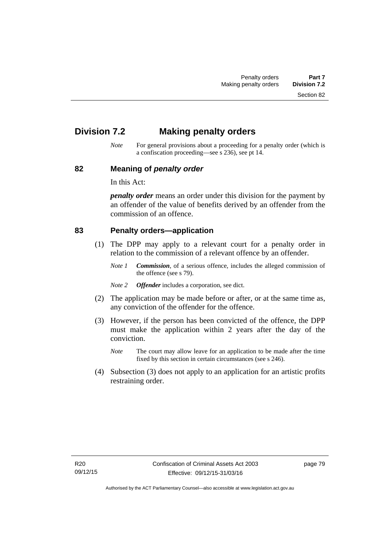Section 82

# **Division 7.2 Making penalty orders**

*Note* For general provisions about a proceeding for a penalty order (which is a confiscation proceeding—see s 236), see pt 14.

#### **82 Meaning of** *penalty order*

In this Act:

*penalty order* means an order under this division for the payment by an offender of the value of benefits derived by an offender from the commission of an offence.

#### **83 Penalty orders—application**

- (1) The DPP may apply to a relevant court for a penalty order in relation to the commission of a relevant offence by an offender.
	- *Note 1 Commission*, of a serious offence, includes the alleged commission of the offence (see s 79).
	- *Note 2 Offender* includes a corporation, see dict.
- (2) The application may be made before or after, or at the same time as, any conviction of the offender for the offence.
- (3) However, if the person has been convicted of the offence, the DPP must make the application within 2 years after the day of the conviction.
	- *Note* The court may allow leave for an application to be made after the time fixed by this section in certain circumstances (see s 246).
- (4) Subsection (3) does not apply to an application for an artistic profits restraining order.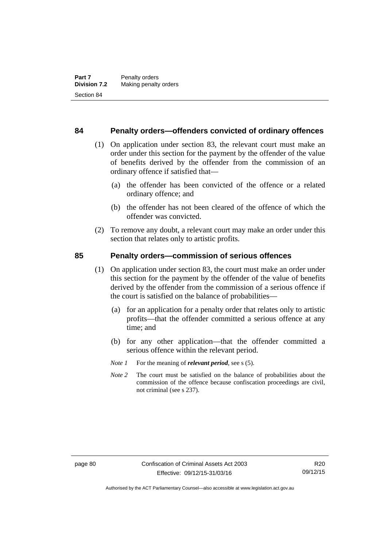#### **84 Penalty orders—offenders convicted of ordinary offences**

- (1) On application under section 83, the relevant court must make an order under this section for the payment by the offender of the value of benefits derived by the offender from the commission of an ordinary offence if satisfied that—
	- (a) the offender has been convicted of the offence or a related ordinary offence; and
	- (b) the offender has not been cleared of the offence of which the offender was convicted.
- (2) To remove any doubt, a relevant court may make an order under this section that relates only to artistic profits.

#### **85 Penalty orders—commission of serious offences**

- (1) On application under section 83, the court must make an order under this section for the payment by the offender of the value of benefits derived by the offender from the commission of a serious offence if the court is satisfied on the balance of probabilities—
	- (a) for an application for a penalty order that relates only to artistic profits—that the offender committed a serious offence at any time; and
	- (b) for any other application—that the offender committed a serious offence within the relevant period.
	- *Note 1* For the meaning of *relevant period*, see s (5).
	- *Note* 2 The court must be satisfied on the balance of probabilities about the commission of the offence because confiscation proceedings are civil, not criminal (see s 237).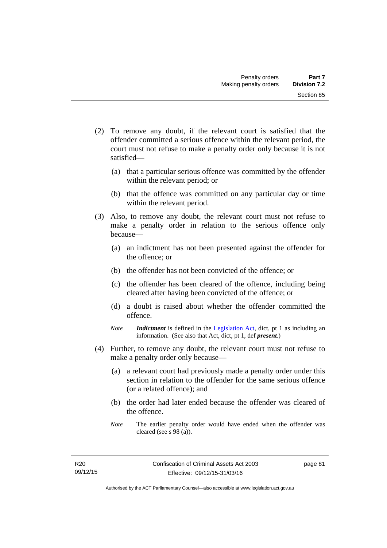- (2) To remove any doubt, if the relevant court is satisfied that the offender committed a serious offence within the relevant period, the court must not refuse to make a penalty order only because it is not satisfied—
	- (a) that a particular serious offence was committed by the offender within the relevant period; or
	- (b) that the offence was committed on any particular day or time within the relevant period.
- (3) Also, to remove any doubt, the relevant court must not refuse to make a penalty order in relation to the serious offence only because—
	- (a) an indictment has not been presented against the offender for the offence; or
	- (b) the offender has not been convicted of the offence; or
	- (c) the offender has been cleared of the offence, including being cleared after having been convicted of the offence; or
	- (d) a doubt is raised about whether the offender committed the offence.
	- *Note Indictment* is defined in the [Legislation Act,](http://www.legislation.act.gov.au/a/2001-14) dict, pt 1 as including an information. (See also that Act, dict, pt 1, def *present*.)
- (4) Further, to remove any doubt, the relevant court must not refuse to make a penalty order only because—
	- (a) a relevant court had previously made a penalty order under this section in relation to the offender for the same serious offence (or a related offence); and
	- (b) the order had later ended because the offender was cleared of the offence.
	- *Note* The earlier penalty order would have ended when the offender was cleared (see s 98 (a)).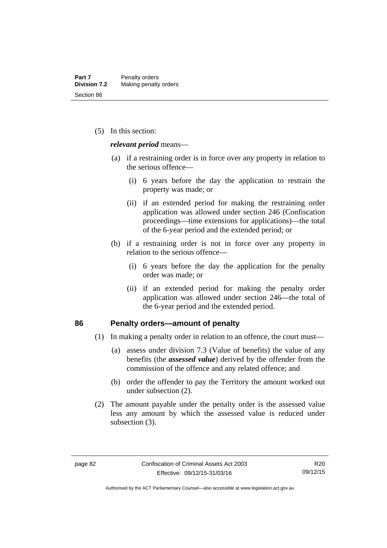(5) In this section:

*relevant period* means—

- (a) if a restraining order is in force over any property in relation to the serious offence—
	- (i) 6 years before the day the application to restrain the property was made; or
	- (ii) if an extended period for making the restraining order application was allowed under section 246 (Confiscation proceedings—time extensions for applications)—the total of the 6-year period and the extended period; or
- (b) if a restraining order is not in force over any property in relation to the serious offence—
	- (i) 6 years before the day the application for the penalty order was made; or
	- (ii) if an extended period for making the penalty order application was allowed under section 246—the total of the 6-year period and the extended period.

#### **86 Penalty orders—amount of penalty**

- (1) In making a penalty order in relation to an offence, the court must—
	- (a) assess under division 7.3 (Value of benefits) the value of any benefits (the *assessed value*) derived by the offender from the commission of the offence and any related offence; and
	- (b) order the offender to pay the Territory the amount worked out under subsection (2).
- (2) The amount payable under the penalty order is the assessed value less any amount by which the assessed value is reduced under subsection (3).

Authorised by the ACT Parliamentary Counsel—also accessible at www.legislation.act.gov.au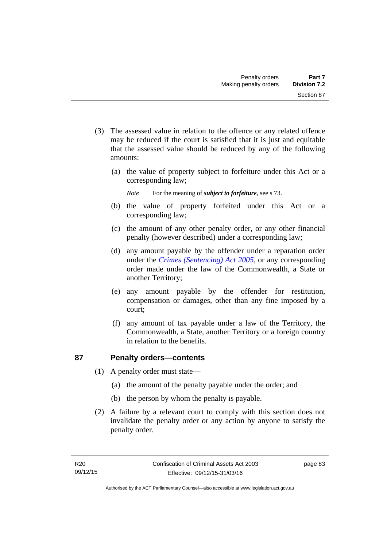- (3) The assessed value in relation to the offence or any related offence may be reduced if the court is satisfied that it is just and equitable that the assessed value should be reduced by any of the following amounts:
	- (a) the value of property subject to forfeiture under this Act or a corresponding law;
		- *Note* For the meaning of *subject to forfeiture*, see s 73.
	- (b) the value of property forfeited under this Act or a corresponding law;
	- (c) the amount of any other penalty order, or any other financial penalty (however described) under a corresponding law;
	- (d) any amount payable by the offender under a reparation order under the *[Crimes \(Sentencing\) Act 2005](http://www.legislation.act.gov.au/a/2005-58)*, or any corresponding order made under the law of the Commonwealth, a State or another Territory;
	- (e) any amount payable by the offender for restitution, compensation or damages, other than any fine imposed by a court;
	- (f) any amount of tax payable under a law of the Territory, the Commonwealth, a State, another Territory or a foreign country in relation to the benefits.

## **87 Penalty orders—contents**

- (1) A penalty order must state—
	- (a) the amount of the penalty payable under the order; and
	- (b) the person by whom the penalty is payable.
- (2) A failure by a relevant court to comply with this section does not invalidate the penalty order or any action by anyone to satisfy the penalty order.

page 83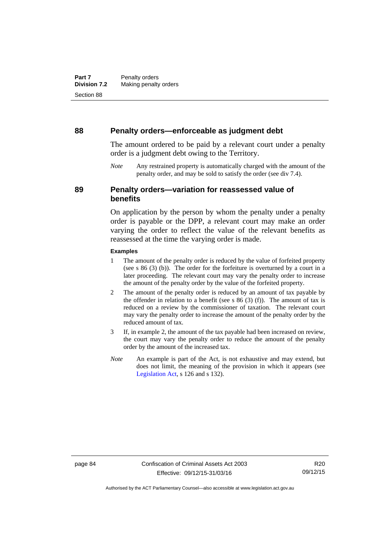#### **88 Penalty orders—enforceable as judgment debt**

The amount ordered to be paid by a relevant court under a penalty order is a judgment debt owing to the Territory.

*Note* Any restrained property is automatically charged with the amount of the penalty order, and may be sold to satisfy the order (see div 7.4).

## **89 Penalty orders—variation for reassessed value of benefits**

On application by the person by whom the penalty under a penalty order is payable or the DPP, a relevant court may make an order varying the order to reflect the value of the relevant benefits as reassessed at the time the varying order is made.

#### **Examples**

- 1 The amount of the penalty order is reduced by the value of forfeited property (see s 86 (3) (b)). The order for the forfeiture is overturned by a court in a later proceeding. The relevant court may vary the penalty order to increase the amount of the penalty order by the value of the forfeited property.
- 2 The amount of the penalty order is reduced by an amount of tax payable by the offender in relation to a benefit (see s  $86$  (3) (f)). The amount of tax is reduced on a review by the commissioner of taxation. The relevant court may vary the penalty order to increase the amount of the penalty order by the reduced amount of tax.
- 3 If, in example 2, the amount of the tax payable had been increased on review, the court may vary the penalty order to reduce the amount of the penalty order by the amount of the increased tax.
- *Note* An example is part of the Act, is not exhaustive and may extend, but does not limit, the meaning of the provision in which it appears (see [Legislation Act,](http://www.legislation.act.gov.au/a/2001-14) s 126 and s 132).

R20 09/12/15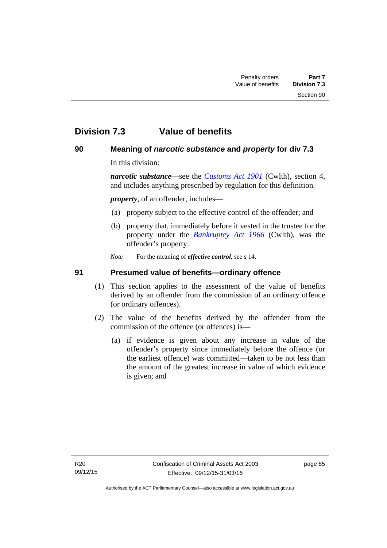# **Division 7.3 Value of benefits**

## **90 Meaning of** *narcotic substance* **and** *property* **for div 7.3**

In this division:

*narcotic substance*—see the *[Customs Act 1901](http://www.comlaw.gov.au/Details/C2013C00064)* (Cwlth), section 4, and includes anything prescribed by regulation for this definition.

*property*, of an offender, includes—

- (a) property subject to the effective control of the offender; and
- (b) property that, immediately before it vested in the trustee for the property under the *[Bankruptcy Act 1966](http://www.comlaw.gov.au/Details/C2012C00173)* (Cwlth), was the offender's property.
- *Note* For the meaning of *effective control*, see s 14.

## **91 Presumed value of benefits—ordinary offence**

- (1) This section applies to the assessment of the value of benefits derived by an offender from the commission of an ordinary offence (or ordinary offences).
- (2) The value of the benefits derived by the offender from the commission of the offence (or offences) is—
	- (a) if evidence is given about any increase in value of the offender's property since immediately before the offence (or the earliest offence) was committed—taken to be not less than the amount of the greatest increase in value of which evidence is given; and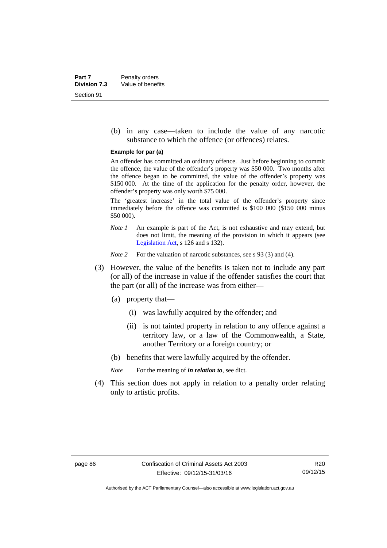(b) in any case—taken to include the value of any narcotic substance to which the offence (or offences) relates.

#### **Example for par (a)**

An offender has committed an ordinary offence. Just before beginning to commit the offence, the value of the offender's property was \$50 000. Two months after the offence began to be committed, the value of the offender's property was \$150 000. At the time of the application for the penalty order, however, the offender's property was only worth \$75 000.

The 'greatest increase' in the total value of the offender's property since immediately before the offence was committed is \$100 000 (\$150 000 minus \$50 000).

*Note 1* An example is part of the Act, is not exhaustive and may extend, but does not limit, the meaning of the provision in which it appears (see [Legislation Act,](http://www.legislation.act.gov.au/a/2001-14) s 126 and s 132).

*Note 2* For the valuation of narcotic substances, see s 93 (3) and (4).

- (3) However, the value of the benefits is taken not to include any part (or all) of the increase in value if the offender satisfies the court that the part (or all) of the increase was from either—
	- (a) property that—
		- (i) was lawfully acquired by the offender; and
		- (ii) is not tainted property in relation to any offence against a territory law, or a law of the Commonwealth, a State, another Territory or a foreign country; or
	- (b) benefits that were lawfully acquired by the offender.

*Note* For the meaning of *in relation to*, see dict.

 (4) This section does not apply in relation to a penalty order relating only to artistic profits.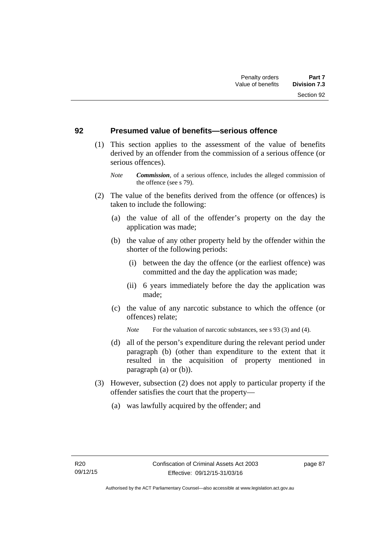#### **92 Presumed value of benefits—serious offence**

- (1) This section applies to the assessment of the value of benefits derived by an offender from the commission of a serious offence (or serious offences).
	- *Note Commission*, of a serious offence, includes the alleged commission of the offence (see s 79).
- (2) The value of the benefits derived from the offence (or offences) is taken to include the following:
	- (a) the value of all of the offender's property on the day the application was made;
	- (b) the value of any other property held by the offender within the shorter of the following periods:
		- (i) between the day the offence (or the earliest offence) was committed and the day the application was made;
		- (ii) 6 years immediately before the day the application was made;
	- (c) the value of any narcotic substance to which the offence (or offences) relate;
		- *Note* For the valuation of narcotic substances, see s 93 (3) and (4).
	- (d) all of the person's expenditure during the relevant period under paragraph (b) (other than expenditure to the extent that it resulted in the acquisition of property mentioned in paragraph (a) or (b)).
- (3) However, subsection (2) does not apply to particular property if the offender satisfies the court that the property—
	- (a) was lawfully acquired by the offender; and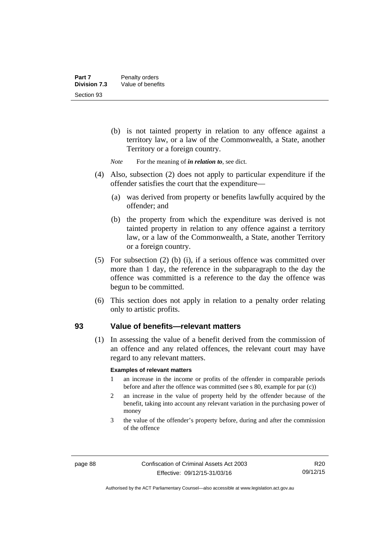- (b) is not tainted property in relation to any offence against a territory law, or a law of the Commonwealth, a State, another Territory or a foreign country.
- *Note* For the meaning of *in relation to*, see dict.
- (4) Also, subsection (2) does not apply to particular expenditure if the offender satisfies the court that the expenditure—
	- (a) was derived from property or benefits lawfully acquired by the offender; and
	- (b) the property from which the expenditure was derived is not tainted property in relation to any offence against a territory law, or a law of the Commonwealth, a State, another Territory or a foreign country.
- (5) For subsection (2) (b) (i), if a serious offence was committed over more than 1 day, the reference in the subparagraph to the day the offence was committed is a reference to the day the offence was begun to be committed.
- (6) This section does not apply in relation to a penalty order relating only to artistic profits.

#### **93 Value of benefits—relevant matters**

(1) In assessing the value of a benefit derived from the commission of an offence and any related offences, the relevant court may have regard to any relevant matters.

#### **Examples of relevant matters**

- 1 an increase in the income or profits of the offender in comparable periods before and after the offence was committed (see s 80, example for par (c))
- 2 an increase in the value of property held by the offender because of the benefit, taking into account any relevant variation in the purchasing power of money
- 3 the value of the offender's property before, during and after the commission of the offence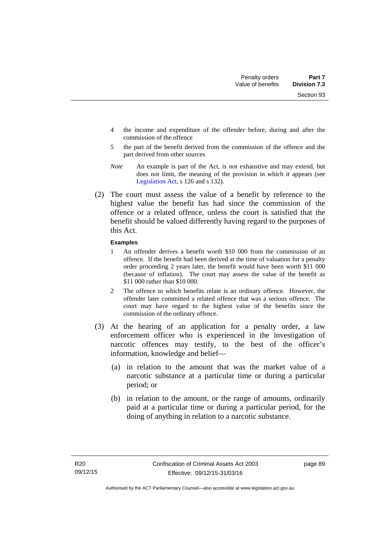Section 93

- 4 the income and expenditure of the offender before, during and after the commission of the offence
- 5 the part of the benefit derived from the commission of the offence and the part derived from other sources
- *Note* An example is part of the Act, is not exhaustive and may extend, but does not limit, the meaning of the provision in which it appears (see [Legislation Act,](http://www.legislation.act.gov.au/a/2001-14) s 126 and s 132).
- (2) The court must assess the value of a benefit by reference to the highest value the benefit has had since the commission of the offence or a related offence, unless the court is satisfied that the benefit should be valued differently having regard to the purposes of this Act.

#### **Examples**

- 1 An offender derives a benefit worth \$10 000 from the commission of an offence. If the benefit had been derived at the time of valuation for a penalty order proceeding 2 years later, the benefit would have been worth \$11 000 (because of inflation). The court may assess the value of the benefit as \$11 000 rather than \$10 000.
- 2 The offence to which benefits relate is an ordinary offence. However, the offender later committed a related offence that was a serious offence. The court may have regard to the highest value of the benefits since the commission of the ordinary offence.
- (3) At the hearing of an application for a penalty order, a law enforcement officer who is experienced in the investigation of narcotic offences may testify, to the best of the officer's information, knowledge and belief—
	- (a) in relation to the amount that was the market value of a narcotic substance at a particular time or during a particular period; or
	- (b) in relation to the amount, or the range of amounts, ordinarily paid at a particular time or during a particular period, for the doing of anything in relation to a narcotic substance.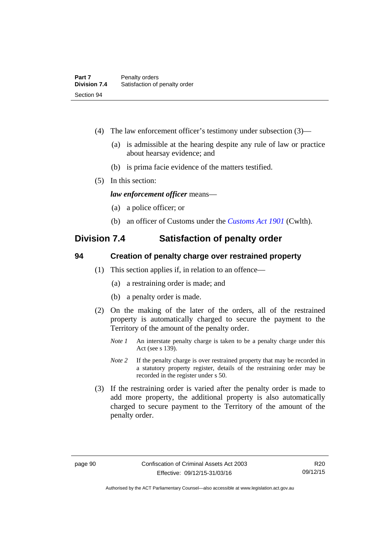- (4) The law enforcement officer's testimony under subsection (3)—
	- (a) is admissible at the hearing despite any rule of law or practice about hearsay evidence; and
	- (b) is prima facie evidence of the matters testified.
- (5) In this section:

*law enforcement officer* means—

- (a) a police officer; or
- (b) an officer of Customs under the *[Customs Act 1901](http://www.comlaw.gov.au/Details/C2013C00064)* (Cwlth).

## **Division 7.4 Satisfaction of penalty order**

#### **94 Creation of penalty charge over restrained property**

- (1) This section applies if, in relation to an offence—
	- (a) a restraining order is made; and
	- (b) a penalty order is made.
- (2) On the making of the later of the orders, all of the restrained property is automatically charged to secure the payment to the Territory of the amount of the penalty order.
	- *Note 1* An interstate penalty charge is taken to be a penalty charge under this Act (see s 139).
	- *Note 2* If the penalty charge is over restrained property that may be recorded in a statutory property register, details of the restraining order may be recorded in the register under s 50.
- (3) If the restraining order is varied after the penalty order is made to add more property, the additional property is also automatically charged to secure payment to the Territory of the amount of the penalty order.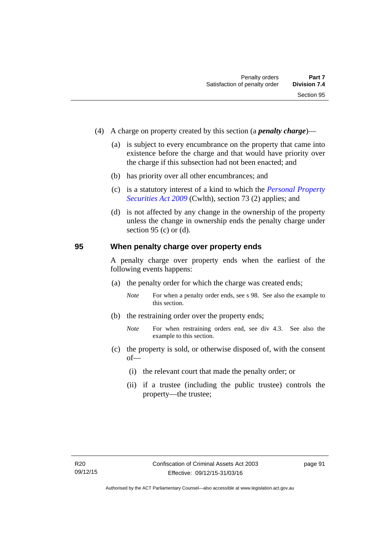- (4) A charge on property created by this section (a *penalty charge*)—
	- (a) is subject to every encumbrance on the property that came into existence before the charge and that would have priority over the charge if this subsection had not been enacted; and
	- (b) has priority over all other encumbrances; and
	- (c) is a statutory interest of a kind to which the *[Personal Property](http://www.comlaw.gov.au/Details/C2012C00151)  [Securities Act 2009](http://www.comlaw.gov.au/Details/C2012C00151)* (Cwlth), section 73 (2) applies; and
	- (d) is not affected by any change in the ownership of the property unless the change in ownership ends the penalty charge under section 95 (c) or  $(d)$ .

#### **95 When penalty charge over property ends**

A penalty charge over property ends when the earliest of the following events happens:

- (a) the penalty order for which the charge was created ends;
	- *Note* For when a penalty order ends, see s 98. See also the example to this section.
- (b) the restraining order over the property ends;
	- *Note* For when restraining orders end, see div 4.3. See also the example to this section.
- (c) the property is sold, or otherwise disposed of, with the consent of—
	- (i) the relevant court that made the penalty order; or
	- (ii) if a trustee (including the public trustee) controls the property—the trustee;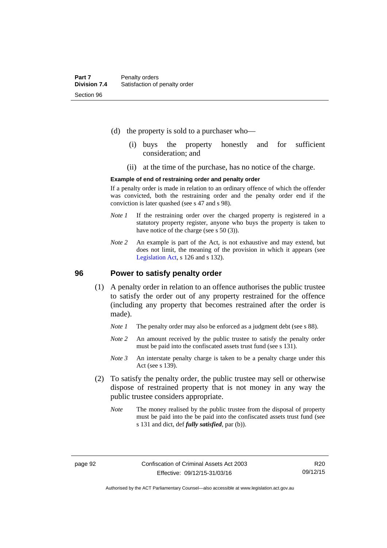- (d) the property is sold to a purchaser who—
	- (i) buys the property honestly and for sufficient consideration; and
	- (ii) at the time of the purchase, has no notice of the charge.

#### **Example of end of restraining order and penalty order**

If a penalty order is made in relation to an ordinary offence of which the offender was convicted, both the restraining order and the penalty order end if the conviction is later quashed (see s 47 and s 98).

- *Note 1* If the restraining order over the charged property is registered in a statutory property register, anyone who buys the property is taken to have notice of the charge (see s 50 (3)).
- *Note* 2 An example is part of the Act, is not exhaustive and may extend, but does not limit, the meaning of the provision in which it appears (see [Legislation Act,](http://www.legislation.act.gov.au/a/2001-14) s 126 and s 132).

#### **96 Power to satisfy penalty order**

- (1) A penalty order in relation to an offence authorises the public trustee to satisfy the order out of any property restrained for the offence (including any property that becomes restrained after the order is made).
	- *Note 1* The penalty order may also be enforced as a judgment debt (see s 88).
	- *Note* 2 An amount received by the public trustee to satisfy the penalty order must be paid into the confiscated assets trust fund (see s 131).
	- *Note 3* An interstate penalty charge is taken to be a penalty charge under this Act (see s 139).
- (2) To satisfy the penalty order, the public trustee may sell or otherwise dispose of restrained property that is not money in any way the public trustee considers appropriate.
	- *Note* The money realised by the public trustee from the disposal of property must be paid into the be paid into the confiscated assets trust fund (see s 131 and dict, def *fully satisfied*, par (b)).

Authorised by the ACT Parliamentary Counsel—also accessible at www.legislation.act.gov.au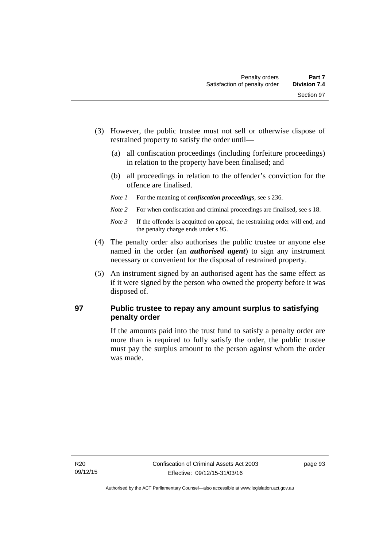- (3) However, the public trustee must not sell or otherwise dispose of restrained property to satisfy the order until—
	- (a) all confiscation proceedings (including forfeiture proceedings) in relation to the property have been finalised; and
	- (b) all proceedings in relation to the offender's conviction for the offence are finalised.
	- *Note 1* For the meaning of *confiscation proceedings*, see s 236.
	- *Note 2* For when confiscation and criminal proceedings are finalised, see s 18.
	- *Note 3* If the offender is acquitted on appeal, the restraining order will end, and the penalty charge ends under s 95.
- (4) The penalty order also authorises the public trustee or anyone else named in the order (an *authorised agent*) to sign any instrument necessary or convenient for the disposal of restrained property.
- (5) An instrument signed by an authorised agent has the same effect as if it were signed by the person who owned the property before it was disposed of.

## **97 Public trustee to repay any amount surplus to satisfying penalty order**

If the amounts paid into the trust fund to satisfy a penalty order are more than is required to fully satisfy the order, the public trustee must pay the surplus amount to the person against whom the order was made.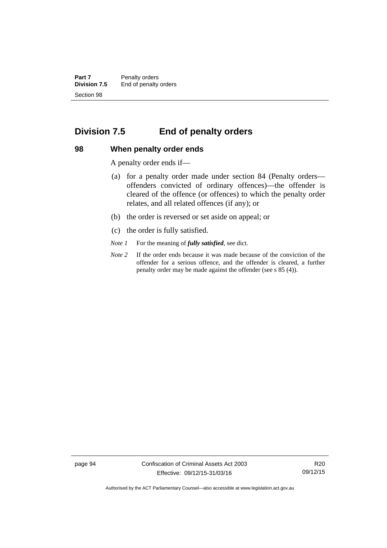**Part 7** Penalty orders<br>**Division 7.5** End of penalty End of penalty orders Section 98

## **Division 7.5 End of penalty orders**

#### **98 When penalty order ends**

A penalty order ends if—

- (a) for a penalty order made under section 84 (Penalty orders offenders convicted of ordinary offences)—the offender is cleared of the offence (or offences) to which the penalty order relates, and all related offences (if any); or
- (b) the order is reversed or set aside on appeal; or
- (c) the order is fully satisfied.
- *Note 1* For the meaning of *fully satisfied*, see dict.
- *Note 2* If the order ends because it was made because of the conviction of the offender for a serious offence, and the offender is cleared, a further penalty order may be made against the offender (see s 85 (4)).

page 94 Confiscation of Criminal Assets Act 2003 Effective: 09/12/15-31/03/16

R20 09/12/15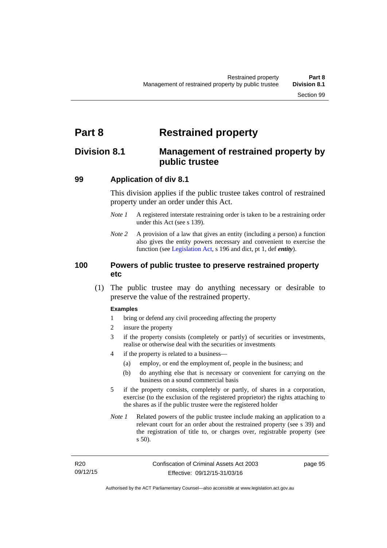# **Part 8 Restrained property**

## **Division 8.1 Management of restrained property by public trustee**

#### **99 Application of div 8.1**

This division applies if the public trustee takes control of restrained property under an order under this Act.

- *Note 1* A registered interstate restraining order is taken to be a restraining order under this Act (see s 139).
- *Note 2* A provision of a law that gives an entity (including a person) a function also gives the entity powers necessary and convenient to exercise the function (see [Legislation Act](http://www.legislation.act.gov.au/a/2001-14), s 196 and dict, pt 1, def *entity*).

#### **100 Powers of public trustee to preserve restrained property etc**

 (1) The public trustee may do anything necessary or desirable to preserve the value of the restrained property.

#### **Examples**

- 1 bring or defend any civil proceeding affecting the property
- 2 insure the property
- 3 if the property consists (completely or partly) of securities or investments, realise or otherwise deal with the securities or investments
- 4 if the property is related to a business—
	- (a) employ, or end the employment of, people in the business; and
	- (b) do anything else that is necessary or convenient for carrying on the business on a sound commercial basis
- 5 if the property consists, completely or partly, of shares in a corporation, exercise (to the exclusion of the registered proprietor) the rights attaching to the shares as if the public trustee were the registered holder
- *Note 1* Related powers of the public trustee include making an application to a relevant court for an order about the restrained property (see s 39) and the registration of title to, or charges over, registrable property (see s 50).

page 95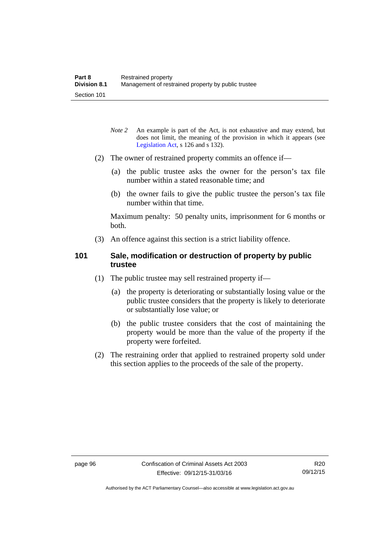- *Note* 2 An example is part of the Act, is not exhaustive and may extend, but does not limit, the meaning of the provision in which it appears (see [Legislation Act,](http://www.legislation.act.gov.au/a/2001-14) s 126 and s 132).
- (2) The owner of restrained property commits an offence if—
	- (a) the public trustee asks the owner for the person's tax file number within a stated reasonable time; and
	- (b) the owner fails to give the public trustee the person's tax file number within that time.

Maximum penalty: 50 penalty units, imprisonment for 6 months or both.

(3) An offence against this section is a strict liability offence.

#### **101 Sale, modification or destruction of property by public trustee**

- (1) The public trustee may sell restrained property if—
	- (a) the property is deteriorating or substantially losing value or the public trustee considers that the property is likely to deteriorate or substantially lose value; or
	- (b) the public trustee considers that the cost of maintaining the property would be more than the value of the property if the property were forfeited.
- (2) The restraining order that applied to restrained property sold under this section applies to the proceeds of the sale of the property.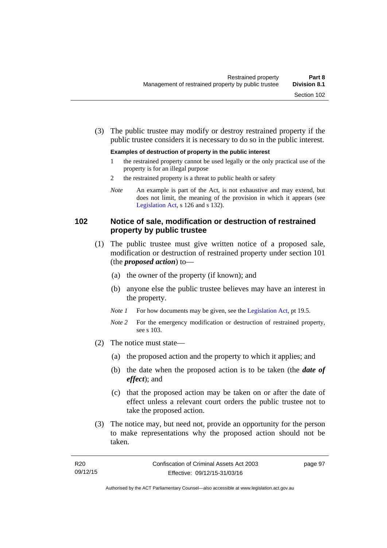(3) The public trustee may modify or destroy restrained property if the public trustee considers it is necessary to do so in the public interest.

#### **Examples of destruction of property in the public interest**

- 1 the restrained property cannot be used legally or the only practical use of the property is for an illegal purpose
- 2 the restrained property is a threat to public health or safety
- *Note* An example is part of the Act, is not exhaustive and may extend, but does not limit, the meaning of the provision in which it appears (see [Legislation Act,](http://www.legislation.act.gov.au/a/2001-14) s 126 and s 132).

#### **102 Notice of sale, modification or destruction of restrained property by public trustee**

- (1) The public trustee must give written notice of a proposed sale, modification or destruction of restrained property under section 101 (the *proposed action*) to—
	- (a) the owner of the property (if known); and
	- (b) anyone else the public trustee believes may have an interest in the property.
	- *Note 1* For how documents may be given, see the [Legislation Act,](http://www.legislation.act.gov.au/a/2001-14) pt 19.5.
	- *Note 2* For the emergency modification or destruction of restrained property, see s 103.
- (2) The notice must state—
	- (a) the proposed action and the property to which it applies; and
	- (b) the date when the proposed action is to be taken (the *date of effect*); and
	- (c) that the proposed action may be taken on or after the date of effect unless a relevant court orders the public trustee not to take the proposed action.
- (3) The notice may, but need not, provide an opportunity for the person to make representations why the proposed action should not be taken.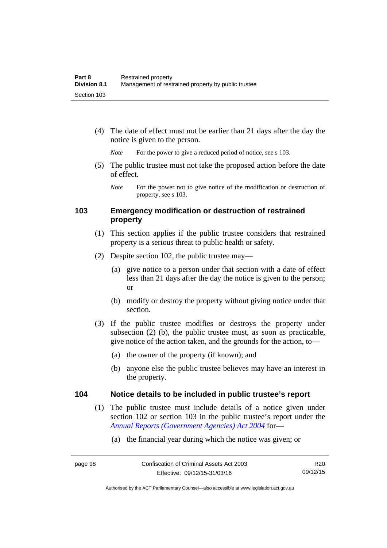(4) The date of effect must not be earlier than 21 days after the day the notice is given to the person.

*Note* For the power to give a reduced period of notice, see s 103.

 (5) The public trustee must not take the proposed action before the date of effect.

### **103 Emergency modification or destruction of restrained property**

- (1) This section applies if the public trustee considers that restrained property is a serious threat to public health or safety.
- (2) Despite section 102, the public trustee may—
	- (a) give notice to a person under that section with a date of effect less than 21 days after the day the notice is given to the person; or
	- (b) modify or destroy the property without giving notice under that section.
- (3) If the public trustee modifies or destroys the property under subsection (2) (b), the public trustee must, as soon as practicable, give notice of the action taken, and the grounds for the action, to—
	- (a) the owner of the property (if known); and
	- (b) anyone else the public trustee believes may have an interest in the property.

#### **104 Notice details to be included in public trustee's report**

- (1) The public trustee must include details of a notice given under section 102 or section 103 in the public trustee's report under the *[Annual Reports \(Government Agencies\) Act 2004](http://www.legislation.act.gov.au/a/2004-8)* for—
	- (a) the financial year during which the notice was given; or

*Note* For the power not to give notice of the modification or destruction of property, see s 103.

R20 09/12/15

Authorised by the ACT Parliamentary Counsel—also accessible at www.legislation.act.gov.au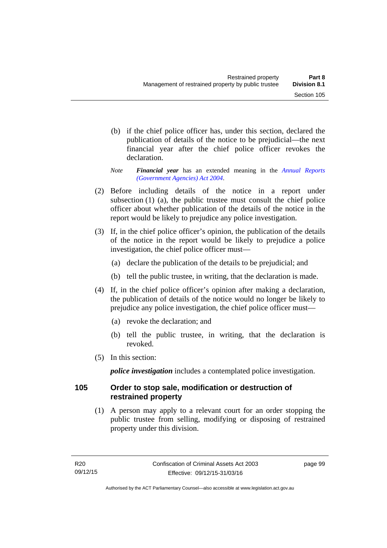- (b) if the chief police officer has, under this section, declared the publication of details of the notice to be prejudicial—the next financial year after the chief police officer revokes the declaration.
- *Note Financial year* has an extended meaning in the *[Annual Reports](http://www.legislation.act.gov.au/a/2004-8)  [\(Government Agencies\) Act 2004](http://www.legislation.act.gov.au/a/2004-8)*.
- (2) Before including details of the notice in a report under subsection (1) (a), the public trustee must consult the chief police officer about whether publication of the details of the notice in the report would be likely to prejudice any police investigation.
- (3) If, in the chief police officer's opinion, the publication of the details of the notice in the report would be likely to prejudice a police investigation, the chief police officer must—
	- (a) declare the publication of the details to be prejudicial; and
	- (b) tell the public trustee, in writing, that the declaration is made.
- (4) If, in the chief police officer's opinion after making a declaration, the publication of details of the notice would no longer be likely to prejudice any police investigation, the chief police officer must—
	- (a) revoke the declaration; and
	- (b) tell the public trustee, in writing, that the declaration is revoked.
- (5) In this section:

*police investigation* includes a contemplated police investigation.

#### **105 Order to stop sale, modification or destruction of restrained property**

 (1) A person may apply to a relevant court for an order stopping the public trustee from selling, modifying or disposing of restrained property under this division.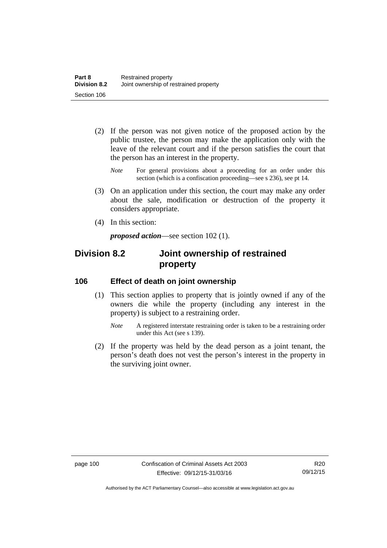- (2) If the person was not given notice of the proposed action by the public trustee, the person may make the application only with the leave of the relevant court and if the person satisfies the court that the person has an interest in the property.
	- *Note* For general provisions about a proceeding for an order under this section (which is a confiscation proceeding—see s 236), see pt 14.
- (3) On an application under this section, the court may make any order about the sale, modification or destruction of the property it considers appropriate.
- (4) In this section:

*proposed action*—see section 102 (1).

## **Division 8.2 Joint ownership of restrained property**

#### **106 Effect of death on joint ownership**

- (1) This section applies to property that is jointly owned if any of the owners die while the property (including any interest in the property) is subject to a restraining order.
	- *Note* A registered interstate restraining order is taken to be a restraining order under this Act (see s 139).
- (2) If the property was held by the dead person as a joint tenant, the person's death does not vest the person's interest in the property in the surviving joint owner.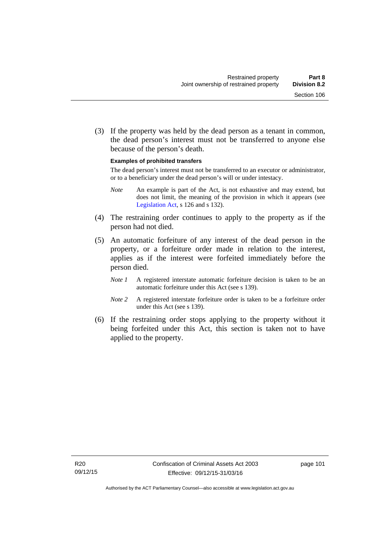(3) If the property was held by the dead person as a tenant in common, the dead person's interest must not be transferred to anyone else because of the person's death.

#### **Examples of prohibited transfers**

The dead person's interest must not be transferred to an executor or administrator, or to a beneficiary under the dead person's will or under intestacy.

- *Note* An example is part of the Act, is not exhaustive and may extend, but does not limit, the meaning of the provision in which it appears (see [Legislation Act,](http://www.legislation.act.gov.au/a/2001-14) s 126 and s 132).
- (4) The restraining order continues to apply to the property as if the person had not died.
- (5) An automatic forfeiture of any interest of the dead person in the property, or a forfeiture order made in relation to the interest, applies as if the interest were forfeited immediately before the person died.
	- *Note 1* A registered interstate automatic forfeiture decision is taken to be an automatic forfeiture under this Act (see s 139).
	- *Note 2* A registered interstate forfeiture order is taken to be a forfeiture order under this Act (see s 139).
- (6) If the restraining order stops applying to the property without it being forfeited under this Act, this section is taken not to have applied to the property.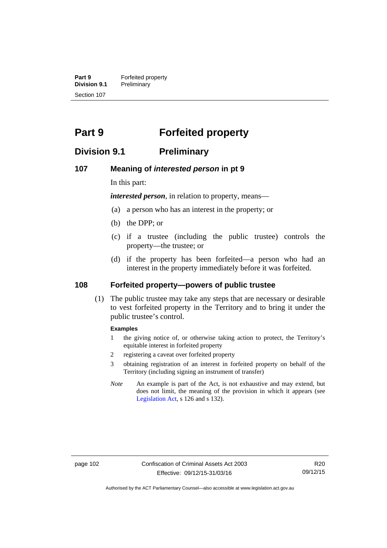**Part 9 Forfeited property**<br>**Division 9.1 Preliminary Division 9.1** Preliminary Section 107

# **Part 9 Forfeited property**

## **Division 9.1 Preliminary**

#### **107 Meaning of** *interested person* **in pt 9**

In this part:

*interested person*, in relation to property, means—

- (a) a person who has an interest in the property; or
- (b) the DPP; or
- (c) if a trustee (including the public trustee) controls the property—the trustee; or
- (d) if the property has been forfeited—a person who had an interest in the property immediately before it was forfeited.

### **108 Forfeited property—powers of public trustee**

(1) The public trustee may take any steps that are necessary or desirable to vest forfeited property in the Territory and to bring it under the public trustee's control.

#### **Examples**

- 1 the giving notice of, or otherwise taking action to protect, the Territory's equitable interest in forfeited property
- 2 registering a caveat over forfeited property
- 3 obtaining registration of an interest in forfeited property on behalf of the Territory (including signing an instrument of transfer)
- *Note* An example is part of the Act, is not exhaustive and may extend, but does not limit, the meaning of the provision in which it appears (see [Legislation Act,](http://www.legislation.act.gov.au/a/2001-14) s 126 and s 132).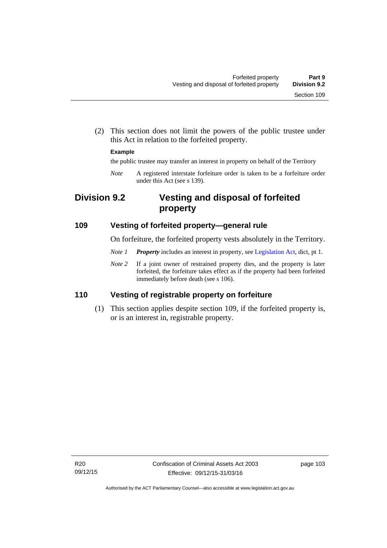(2) This section does not limit the powers of the public trustee under this Act in relation to the forfeited property.

#### **Example**

the public trustee may transfer an interest in property on behalf of the Territory

*Note* A registered interstate forfeiture order is taken to be a forfeiture order under this Act (see s 139).

## **Division 9.2 Vesting and disposal of forfeited property**

#### **109 Vesting of forfeited property—general rule**

On forfeiture, the forfeited property vests absolutely in the Territory.

- *Note 1 Property* includes an interest in property, see [Legislation Act](http://www.legislation.act.gov.au/a/2001-14), dict, pt 1.
- *Note 2* If a joint owner of restrained property dies, and the property is later forfeited, the forfeiture takes effect as if the property had been forfeited immediately before death (see s 106).

### **110 Vesting of registrable property on forfeiture**

 (1) This section applies despite section 109, if the forfeited property is, or is an interest in, registrable property.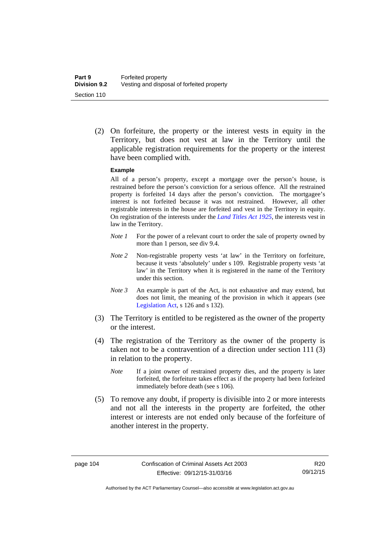(2) On forfeiture, the property or the interest vests in equity in the Territory, but does not vest at law in the Territory until the applicable registration requirements for the property or the interest have been complied with.

#### **Example**

All of a person's property, except a mortgage over the person's house, is restrained before the person's conviction for a serious offence. All the restrained property is forfeited 14 days after the person's conviction. The mortgagee's interest is not forfeited because it was not restrained. However, all other registrable interests in the house are forfeited and vest in the Territory in equity. On registration of the interests under the *[Land Titles Act 1925](http://www.legislation.act.gov.au/a/1925-1)*, the interests vest in law in the Territory.

- *Note 1* For the power of a relevant court to order the sale of property owned by more than 1 person, see div 9.4.
- *Note 2* Non-registrable property vests 'at law' in the Territory on forfeiture, because it vests 'absolutely' under s 109. Registrable property vests 'at law' in the Territory when it is registered in the name of the Territory under this section.
- *Note 3* An example is part of the Act, is not exhaustive and may extend, but does not limit, the meaning of the provision in which it appears (see [Legislation Act,](http://www.legislation.act.gov.au/a/2001-14) s 126 and s 132).
- (3) The Territory is entitled to be registered as the owner of the property or the interest.
- (4) The registration of the Territory as the owner of the property is taken not to be a contravention of a direction under section 111 (3) in relation to the property.
	- *Note* If a joint owner of restrained property dies, and the property is later forfeited, the forfeiture takes effect as if the property had been forfeited immediately before death (see s 106).
- (5) To remove any doubt, if property is divisible into 2 or more interests and not all the interests in the property are forfeited, the other interest or interests are not ended only because of the forfeiture of another interest in the property.

Authorised by the ACT Parliamentary Counsel—also accessible at www.legislation.act.gov.au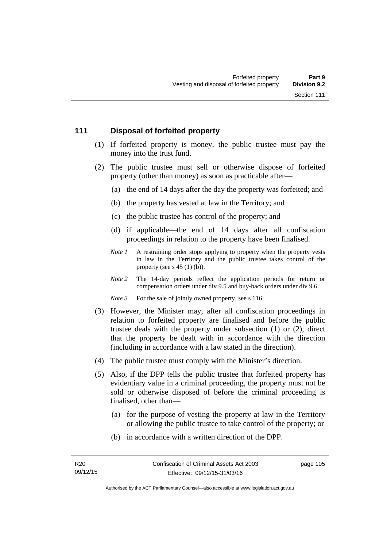### **111 Disposal of forfeited property**

- (1) If forfeited property is money, the public trustee must pay the money into the trust fund.
- (2) The public trustee must sell or otherwise dispose of forfeited property (other than money) as soon as practicable after—
	- (a) the end of 14 days after the day the property was forfeited; and
	- (b) the property has vested at law in the Territory; and
	- (c) the public trustee has control of the property; and
	- (d) if applicable—the end of 14 days after all confiscation proceedings in relation to the property have been finalised.
	- *Note 1* A restraining order stops applying to property when the property vests in law in the Territory and the public trustee takes control of the property (see  $s$  45 (1) (b)).
	- *Note 2* The 14-day periods reflect the application periods for return or compensation orders under div 9.5 and buy-back orders under div 9.6.

*Note 3* For the sale of jointly owned property, see s 116.

- (3) However, the Minister may, after all confiscation proceedings in relation to forfeited property are finalised and before the public trustee deals with the property under subsection (1) or (2), direct that the property be dealt with in accordance with the direction (including in accordance with a law stated in the direction).
- (4) The public trustee must comply with the Minister's direction.
- (5) Also, if the DPP tells the public trustee that forfeited property has evidentiary value in a criminal proceeding, the property must not be sold or otherwise disposed of before the criminal proceeding is finalised, other than—
	- (a) for the purpose of vesting the property at law in the Territory or allowing the public trustee to take control of the property; or
	- (b) in accordance with a written direction of the DPP.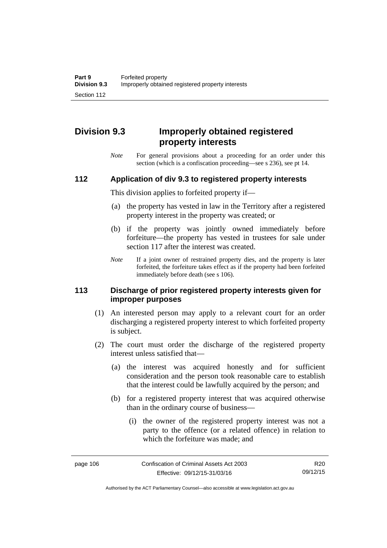# **Division 9.3 Improperly obtained registered property interests**

*Note* For general provisions about a proceeding for an order under this section (which is a confiscation proceeding—see s 236), see pt 14.

#### **112 Application of div 9.3 to registered property interests**

This division applies to forfeited property if—

- (a) the property has vested in law in the Territory after a registered property interest in the property was created; or
- (b) if the property was jointly owned immediately before forfeiture—the property has vested in trustees for sale under section 117 after the interest was created.
- *Note* If a joint owner of restrained property dies, and the property is later forfeited, the forfeiture takes effect as if the property had been forfeited immediately before death (see s 106).

#### **113 Discharge of prior registered property interests given for improper purposes**

- (1) An interested person may apply to a relevant court for an order discharging a registered property interest to which forfeited property is subject.
- (2) The court must order the discharge of the registered property interest unless satisfied that—
	- (a) the interest was acquired honestly and for sufficient consideration and the person took reasonable care to establish that the interest could be lawfully acquired by the person; and
	- (b) for a registered property interest that was acquired otherwise than in the ordinary course of business—
		- (i) the owner of the registered property interest was not a party to the offence (or a related offence) in relation to which the forfeiture was made; and

Authorised by the ACT Parliamentary Counsel—also accessible at www.legislation.act.gov.au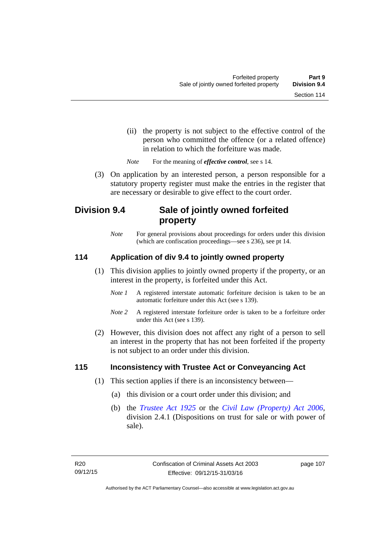- (ii) the property is not subject to the effective control of the person who committed the offence (or a related offence) in relation to which the forfeiture was made.
- *Note* For the meaning of *effective control*, see s 14.
- (3) On application by an interested person, a person responsible for a statutory property register must make the entries in the register that are necessary or desirable to give effect to the court order.

## **Division 9.4 Sale of jointly owned forfeited property**

*Note* For general provisions about proceedings for orders under this division (which are confiscation proceedings—see s 236), see pt 14.

### **114 Application of div 9.4 to jointly owned property**

- (1) This division applies to jointly owned property if the property, or an interest in the property, is forfeited under this Act.
	- *Note 1* A registered interstate automatic forfeiture decision is taken to be an automatic forfeiture under this Act (see s 139).
	- *Note 2* A registered interstate forfeiture order is taken to be a forfeiture order under this Act (see s 139).
- (2) However, this division does not affect any right of a person to sell an interest in the property that has not been forfeited if the property is not subject to an order under this division.

#### **115 Inconsistency with Trustee Act or Conveyancing Act**

- (1) This section applies if there is an inconsistency between—
	- (a) this division or a court order under this division; and
	- (b) the *[Trustee Act 1925](http://www.legislation.act.gov.au/a/1925-14)* or the *[Civil Law \(Property\) Act 2006](http://www.legislation.act.gov.au/a/2006-38)*, division 2.4.1 (Dispositions on trust for sale or with power of sale).

page 107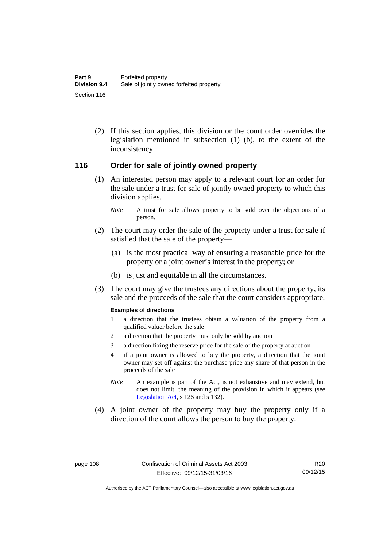(2) If this section applies, this division or the court order overrides the legislation mentioned in subsection (1) (b), to the extent of the inconsistency.

#### **116 Order for sale of jointly owned property**

- (1) An interested person may apply to a relevant court for an order for the sale under a trust for sale of jointly owned property to which this division applies.
	- *Note* A trust for sale allows property to be sold over the objections of a person.
- (2) The court may order the sale of the property under a trust for sale if satisfied that the sale of the property—
	- (a) is the most practical way of ensuring a reasonable price for the property or a joint owner's interest in the property; or
	- (b) is just and equitable in all the circumstances.
- (3) The court may give the trustees any directions about the property, its sale and the proceeds of the sale that the court considers appropriate.

#### **Examples of directions**

- 1 a direction that the trustees obtain a valuation of the property from a qualified valuer before the sale
- 2 a direction that the property must only be sold by auction
- 3 a direction fixing the reserve price for the sale of the property at auction
- 4 if a joint owner is allowed to buy the property, a direction that the joint owner may set off against the purchase price any share of that person in the proceeds of the sale
- *Note* An example is part of the Act, is not exhaustive and may extend, but does not limit, the meaning of the provision in which it appears (see [Legislation Act,](http://www.legislation.act.gov.au/a/2001-14) s 126 and s 132).
- (4) A joint owner of the property may buy the property only if a direction of the court allows the person to buy the property.

Authorised by the ACT Parliamentary Counsel—also accessible at www.legislation.act.gov.au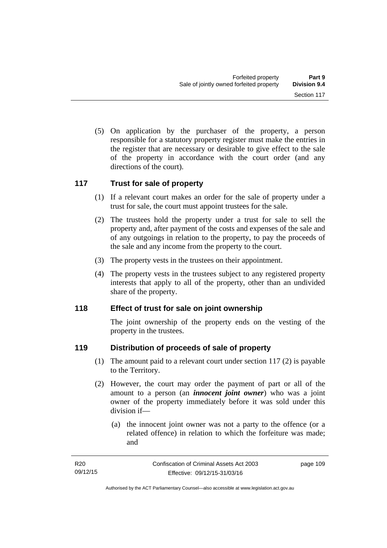(5) On application by the purchaser of the property, a person responsible for a statutory property register must make the entries in the register that are necessary or desirable to give effect to the sale of the property in accordance with the court order (and any directions of the court).

#### **117 Trust for sale of property**

- (1) If a relevant court makes an order for the sale of property under a trust for sale, the court must appoint trustees for the sale.
- (2) The trustees hold the property under a trust for sale to sell the property and, after payment of the costs and expenses of the sale and of any outgoings in relation to the property, to pay the proceeds of the sale and any income from the property to the court.
- (3) The property vests in the trustees on their appointment.
- (4) The property vests in the trustees subject to any registered property interests that apply to all of the property, other than an undivided share of the property.

### **118 Effect of trust for sale on joint ownership**

The joint ownership of the property ends on the vesting of the property in the trustees.

### **119 Distribution of proceeds of sale of property**

- (1) The amount paid to a relevant court under section 117 (2) is payable to the Territory.
- (2) However, the court may order the payment of part or all of the amount to a person (an *innocent joint owner*) who was a joint owner of the property immediately before it was sold under this division if—
	- (a) the innocent joint owner was not a party to the offence (or a related offence) in relation to which the forfeiture was made; and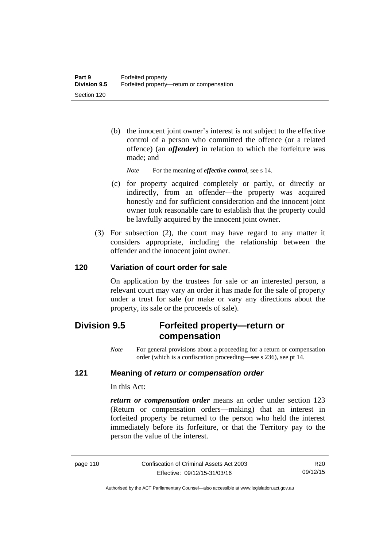- (b) the innocent joint owner's interest is not subject to the effective control of a person who committed the offence (or a related offence) (an *offender*) in relation to which the forfeiture was made; and
	- *Note* For the meaning of *effective control*, see s 14.
- (c) for property acquired completely or partly, or directly or indirectly, from an offender—the property was acquired honestly and for sufficient consideration and the innocent joint owner took reasonable care to establish that the property could be lawfully acquired by the innocent joint owner.
- (3) For subsection (2), the court may have regard to any matter it considers appropriate, including the relationship between the offender and the innocent joint owner.

### **120 Variation of court order for sale**

On application by the trustees for sale or an interested person, a relevant court may vary an order it has made for the sale of property under a trust for sale (or make or vary any directions about the property, its sale or the proceeds of sale).

## **Division 9.5 Forfeited property—return or compensation**

*Note* For general provisions about a proceeding for a return or compensation order (which is a confiscation proceeding—see s 236), see pt 14.

#### **121 Meaning of** *return or compensation order*

In this Act:

*return or compensation order* means an order under section 123 (Return or compensation orders—making) that an interest in forfeited property be returned to the person who held the interest immediately before its forfeiture, or that the Territory pay to the person the value of the interest.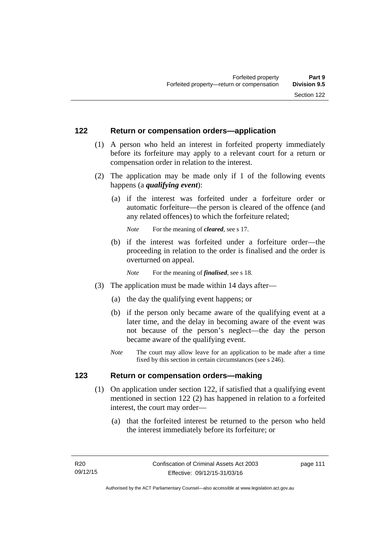#### **122 Return or compensation orders—application**

- (1) A person who held an interest in forfeited property immediately before its forfeiture may apply to a relevant court for a return or compensation order in relation to the interest.
- (2) The application may be made only if 1 of the following events happens (a *qualifying event*):
	- (a) if the interest was forfeited under a forfeiture order or automatic forfeiture—the person is cleared of the offence (and any related offences) to which the forfeiture related;

*Note* For the meaning of *cleared*, see s 17.

 (b) if the interest was forfeited under a forfeiture order—the proceeding in relation to the order is finalised and the order is overturned on appeal.

*Note* For the meaning of *finalised*, see s 18.

- (3) The application must be made within 14 days after—
	- (a) the day the qualifying event happens; or
	- (b) if the person only became aware of the qualifying event at a later time, and the delay in becoming aware of the event was not because of the person's neglect—the day the person became aware of the qualifying event.
	- *Note* The court may allow leave for an application to be made after a time fixed by this section in certain circumstances (see s 246).

### **123 Return or compensation orders—making**

- (1) On application under section 122, if satisfied that a qualifying event mentioned in section 122 (2) has happened in relation to a forfeited interest, the court may order—
	- (a) that the forfeited interest be returned to the person who held the interest immediately before its forfeiture; or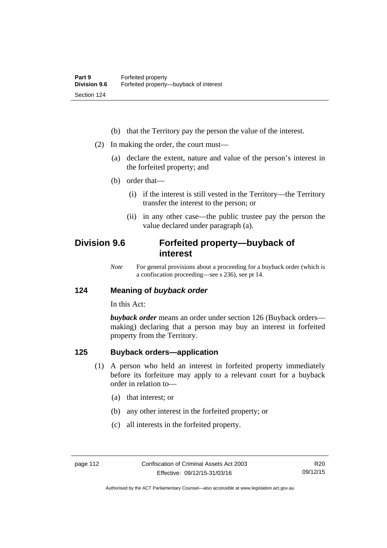- (b) that the Territory pay the person the value of the interest.
- (2) In making the order, the court must—
	- (a) declare the extent, nature and value of the person's interest in the forfeited property; and
	- (b) order that—
		- (i) if the interest is still vested in the Territory—the Territory transfer the interest to the person; or
		- (ii) in any other case—the public trustee pay the person the value declared under paragraph (a).

## **Division 9.6 Forfeited property—buyback of interest**

*Note* For general provisions about a proceeding for a buyback order (which is a confiscation proceeding—see s 236), see pt 14.

#### **124 Meaning of** *buyback order*

In this Act:

*buyback order* means an order under section 126 (Buyback orders making) declaring that a person may buy an interest in forfeited property from the Territory.

### **125 Buyback orders—application**

- (1) A person who held an interest in forfeited property immediately before its forfeiture may apply to a relevant court for a buyback order in relation to—
	- (a) that interest; or
	- (b) any other interest in the forfeited property; or
	- (c) all interests in the forfeited property.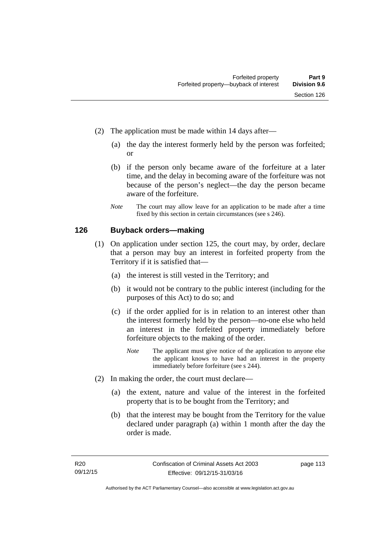- (2) The application must be made within 14 days after—
	- (a) the day the interest formerly held by the person was forfeited; or
	- (b) if the person only became aware of the forfeiture at a later time, and the delay in becoming aware of the forfeiture was not because of the person's neglect—the day the person became aware of the forfeiture.
	- *Note* The court may allow leave for an application to be made after a time fixed by this section in certain circumstances (see s 246).

#### **126 Buyback orders—making**

- (1) On application under section 125, the court may, by order, declare that a person may buy an interest in forfeited property from the Territory if it is satisfied that—
	- (a) the interest is still vested in the Territory; and
	- (b) it would not be contrary to the public interest (including for the purposes of this Act) to do so; and
	- (c) if the order applied for is in relation to an interest other than the interest formerly held by the person—no-one else who held an interest in the forfeited property immediately before forfeiture objects to the making of the order.
		- *Note* The applicant must give notice of the application to anyone else the applicant knows to have had an interest in the property immediately before forfeiture (see s 244).
- (2) In making the order, the court must declare—
	- (a) the extent, nature and value of the interest in the forfeited property that is to be bought from the Territory; and
	- (b) that the interest may be bought from the Territory for the value declared under paragraph (a) within 1 month after the day the order is made.

page 113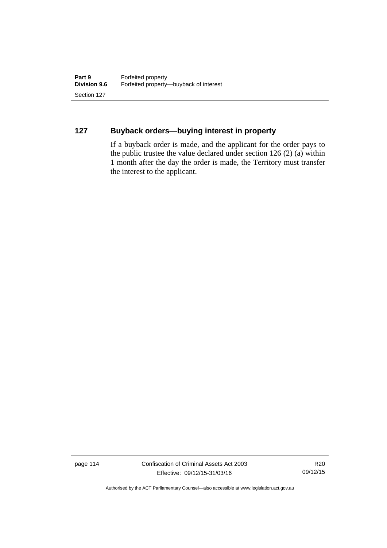## **127 Buyback orders—buying interest in property**

If a buyback order is made, and the applicant for the order pays to the public trustee the value declared under section 126 (2) (a) within 1 month after the day the order is made, the Territory must transfer the interest to the applicant.

page 114 Confiscation of Criminal Assets Act 2003 Effective: 09/12/15-31/03/16

R20 09/12/15

Authorised by the ACT Parliamentary Counsel—also accessible at www.legislation.act.gov.au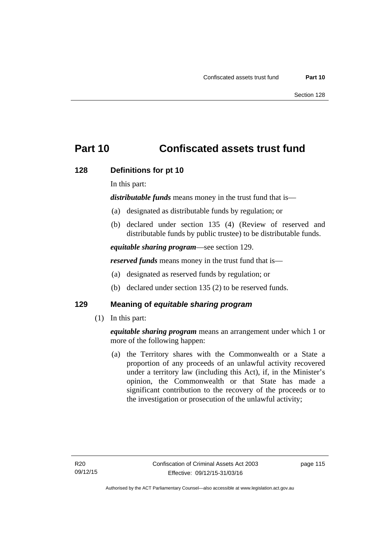# **Part 10 Confiscated assets trust fund**

#### **128 Definitions for pt 10**

In this part:

*distributable funds* means money in the trust fund that is—

- (a) designated as distributable funds by regulation; or
- (b) declared under section 135 (4) (Review of reserved and distributable funds by public trustee) to be distributable funds.

*equitable sharing program*—see section 129.

*reserved funds* means money in the trust fund that is—

- (a) designated as reserved funds by regulation; or
- (b) declared under section 135 (2) to be reserved funds.

### **129 Meaning of** *equitable sharing program*

(1) In this part:

*equitable sharing program* means an arrangement under which 1 or more of the following happen:

 (a) the Territory shares with the Commonwealth or a State a proportion of any proceeds of an unlawful activity recovered under a territory law (including this Act), if, in the Minister's opinion, the Commonwealth or that State has made a significant contribution to the recovery of the proceeds or to the investigation or prosecution of the unlawful activity;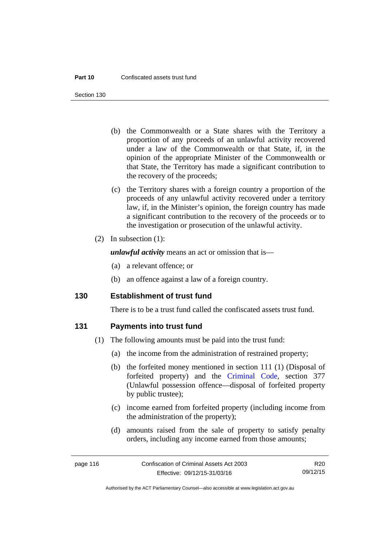Section 130

- (b) the Commonwealth or a State shares with the Territory a proportion of any proceeds of an unlawful activity recovered under a law of the Commonwealth or that State, if, in the opinion of the appropriate Minister of the Commonwealth or that State, the Territory has made a significant contribution to the recovery of the proceeds;
- (c) the Territory shares with a foreign country a proportion of the proceeds of any unlawful activity recovered under a territory law, if, in the Minister's opinion, the foreign country has made a significant contribution to the recovery of the proceeds or to the investigation or prosecution of the unlawful activity.
- (2) In subsection (1):

*unlawful activity* means an act or omission that is—

- (a) a relevant offence; or
- (b) an offence against a law of a foreign country.

#### **130 Establishment of trust fund**

There is to be a trust fund called the confiscated assets trust fund.

#### **131 Payments into trust fund**

- (1) The following amounts must be paid into the trust fund:
	- (a) the income from the administration of restrained property;
	- (b) the forfeited money mentioned in section 111 (1) (Disposal of forfeited property) and the [Criminal Code,](http://www.legislation.act.gov.au/a/2002-51) section 377 (Unlawful possession offence—disposal of forfeited property by public trustee);
	- (c) income earned from forfeited property (including income from the administration of the property);
	- (d) amounts raised from the sale of property to satisfy penalty orders, including any income earned from those amounts;

R20 09/12/15

Authorised by the ACT Parliamentary Counsel—also accessible at www.legislation.act.gov.au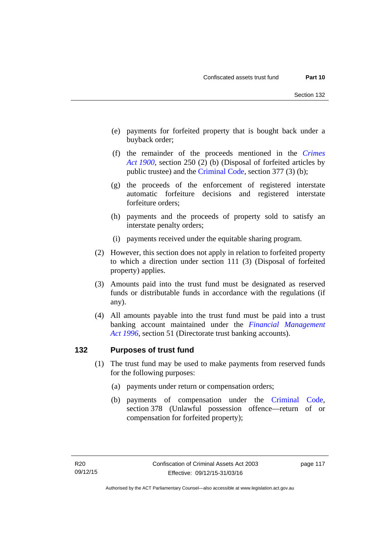- (e) payments for forfeited property that is bought back under a buyback order;
- (f) the remainder of the proceeds mentioned in the *[Crimes](http://www.legislation.act.gov.au/a/1900-40)  [Act 1900](http://www.legislation.act.gov.au/a/1900-40)*, section 250 (2) (b) (Disposal of forfeited articles by public trustee) and the [Criminal Code,](http://www.legislation.act.gov.au/a/2002-51) section 377 (3) (b);
- (g) the proceeds of the enforcement of registered interstate automatic forfeiture decisions and registered interstate forfeiture orders;
- (h) payments and the proceeds of property sold to satisfy an interstate penalty orders;
- (i) payments received under the equitable sharing program.
- (2) However, this section does not apply in relation to forfeited property to which a direction under section 111 (3) (Disposal of forfeited property) applies.
- (3) Amounts paid into the trust fund must be designated as reserved funds or distributable funds in accordance with the regulations (if any).
- (4) All amounts payable into the trust fund must be paid into a trust banking account maintained under the *[Financial Management](http://www.legislation.act.gov.au/a/1996-22)  [Act 1996](http://www.legislation.act.gov.au/a/1996-22)*, section 51 (Directorate trust banking accounts).

#### **132 Purposes of trust fund**

- (1) The trust fund may be used to make payments from reserved funds for the following purposes:
	- (a) payments under return or compensation orders;
	- (b) payments of compensation under the [Criminal Code](http://www.legislation.act.gov.au/a/2002-51), section 378 (Unlawful possession offence—return of or compensation for forfeited property);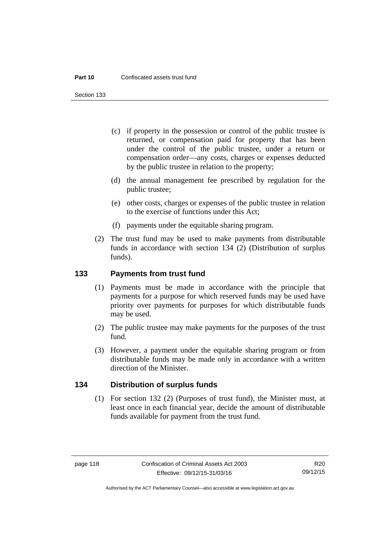#### **Part 10** Confiscated assets trust fund

Section 133

- (c) if property in the possession or control of the public trustee is returned, or compensation paid for property that has been under the control of the public trustee, under a return or compensation order—any costs, charges or expenses deducted by the public trustee in relation to the property;
- (d) the annual management fee prescribed by regulation for the public trustee;
- (e) other costs, charges or expenses of the public trustee in relation to the exercise of functions under this Act;
- (f) payments under the equitable sharing program.
- (2) The trust fund may be used to make payments from distributable funds in accordance with section 134 (2) (Distribution of surplus funds).

#### **133 Payments from trust fund**

- (1) Payments must be made in accordance with the principle that payments for a purpose for which reserved funds may be used have priority over payments for purposes for which distributable funds may be used.
- (2) The public trustee may make payments for the purposes of the trust fund.
- (3) However, a payment under the equitable sharing program or from distributable funds may be made only in accordance with a written direction of the Minister.

#### **134 Distribution of surplus funds**

(1) For section 132 (2) (Purposes of trust fund), the Minister must, at least once in each financial year, decide the amount of distributable funds available for payment from the trust fund.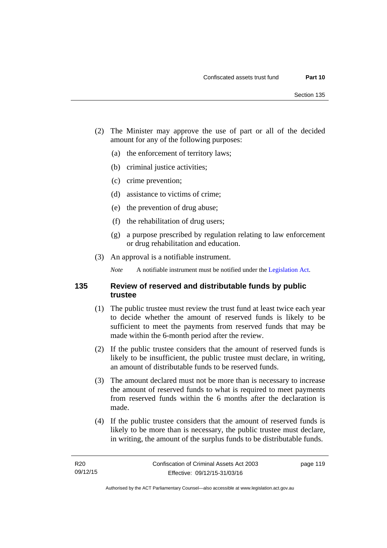- (2) The Minister may approve the use of part or all of the decided amount for any of the following purposes:
	- (a) the enforcement of territory laws;
	- (b) criminal justice activities;
	- (c) crime prevention;
	- (d) assistance to victims of crime;
	- (e) the prevention of drug abuse;
	- (f) the rehabilitation of drug users;
	- (g) a purpose prescribed by regulation relating to law enforcement or drug rehabilitation and education.
- (3) An approval is a notifiable instrument.

*Note* A notifiable instrument must be notified under the [Legislation Act](http://www.legislation.act.gov.au/a/2001-14).

#### **135 Review of reserved and distributable funds by public trustee**

- (1) The public trustee must review the trust fund at least twice each year to decide whether the amount of reserved funds is likely to be sufficient to meet the payments from reserved funds that may be made within the 6-month period after the review.
- (2) If the public trustee considers that the amount of reserved funds is likely to be insufficient, the public trustee must declare, in writing, an amount of distributable funds to be reserved funds.
- (3) The amount declared must not be more than is necessary to increase the amount of reserved funds to what is required to meet payments from reserved funds within the 6 months after the declaration is made.
- (4) If the public trustee considers that the amount of reserved funds is likely to be more than is necessary, the public trustee must declare, in writing, the amount of the surplus funds to be distributable funds.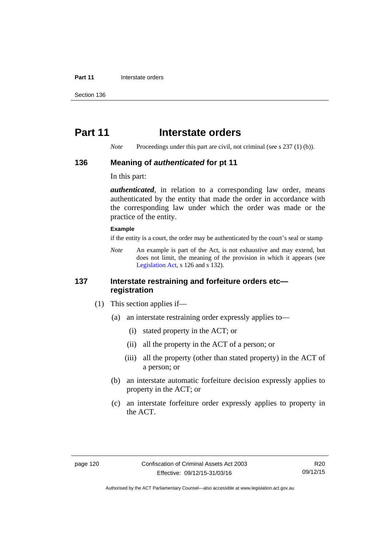#### **Part 11** Interstate orders

Section 136

## **Part 11** Interstate orders

*Note* Proceedings under this part are civil, not criminal (see s 237 (1) (b)).

#### **136 Meaning of** *authenticated* **for pt 11**

In this part:

*authenticated*, in relation to a corresponding law order, means authenticated by the entity that made the order in accordance with the corresponding law under which the order was made or the practice of the entity.

#### **Example**

if the entity is a court, the order may be authenticated by the court's seal or stamp

*Note* An example is part of the Act, is not exhaustive and may extend, but does not limit, the meaning of the provision in which it appears (see [Legislation Act,](http://www.legislation.act.gov.au/a/2001-14) s 126 and s 132).

#### **137 Interstate restraining and forfeiture orders etc registration**

- (1) This section applies if—
	- (a) an interstate restraining order expressly applies to—
		- (i) stated property in the ACT; or
		- (ii) all the property in the ACT of a person; or
		- (iii) all the property (other than stated property) in the ACT of a person; or
	- (b) an interstate automatic forfeiture decision expressly applies to property in the ACT; or
	- (c) an interstate forfeiture order expressly applies to property in the ACT.

Authorised by the ACT Parliamentary Counsel—also accessible at www.legislation.act.gov.au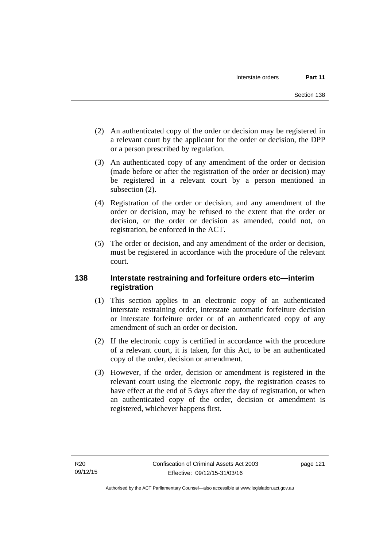- (2) An authenticated copy of the order or decision may be registered in a relevant court by the applicant for the order or decision, the DPP or a person prescribed by regulation.
- (3) An authenticated copy of any amendment of the order or decision (made before or after the registration of the order or decision) may be registered in a relevant court by a person mentioned in subsection  $(2)$ .
- (4) Registration of the order or decision, and any amendment of the order or decision, may be refused to the extent that the order or decision, or the order or decision as amended, could not, on registration, be enforced in the ACT.
- (5) The order or decision, and any amendment of the order or decision, must be registered in accordance with the procedure of the relevant court.

### **138 Interstate restraining and forfeiture orders etc—interim registration**

- (1) This section applies to an electronic copy of an authenticated interstate restraining order, interstate automatic forfeiture decision or interstate forfeiture order or of an authenticated copy of any amendment of such an order or decision.
- (2) If the electronic copy is certified in accordance with the procedure of a relevant court, it is taken, for this Act, to be an authenticated copy of the order, decision or amendment.
- (3) However, if the order, decision or amendment is registered in the relevant court using the electronic copy, the registration ceases to have effect at the end of 5 days after the day of registration, or when an authenticated copy of the order, decision or amendment is registered, whichever happens first.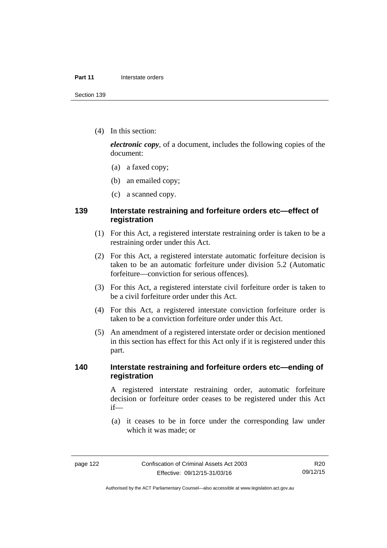(4) In this section:

*electronic copy*, of a document, includes the following copies of the document:

- (a) a faxed copy;
- (b) an emailed copy;
- (c) a scanned copy.

### **139 Interstate restraining and forfeiture orders etc—effect of registration**

- (1) For this Act, a registered interstate restraining order is taken to be a restraining order under this Act.
- (2) For this Act, a registered interstate automatic forfeiture decision is taken to be an automatic forfeiture under division 5.2 (Automatic forfeiture—conviction for serious offences).
- (3) For this Act, a registered interstate civil forfeiture order is taken to be a civil forfeiture order under this Act.
- (4) For this Act, a registered interstate conviction forfeiture order is taken to be a conviction forfeiture order under this Act.
- (5) An amendment of a registered interstate order or decision mentioned in this section has effect for this Act only if it is registered under this part.

#### **140 Interstate restraining and forfeiture orders etc—ending of registration**

A registered interstate restraining order, automatic forfeiture decision or forfeiture order ceases to be registered under this Act if—

 (a) it ceases to be in force under the corresponding law under which it was made; or

R20 09/12/15

Authorised by the ACT Parliamentary Counsel—also accessible at www.legislation.act.gov.au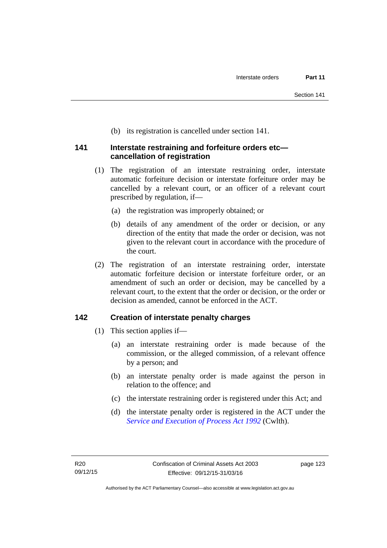(b) its registration is cancelled under section 141.

#### **141 Interstate restraining and forfeiture orders etc cancellation of registration**

- (1) The registration of an interstate restraining order, interstate automatic forfeiture decision or interstate forfeiture order may be cancelled by a relevant court, or an officer of a relevant court prescribed by regulation, if—
	- (a) the registration was improperly obtained; or
	- (b) details of any amendment of the order or decision, or any direction of the entity that made the order or decision, was not given to the relevant court in accordance with the procedure of the court.
- (2) The registration of an interstate restraining order, interstate automatic forfeiture decision or interstate forfeiture order, or an amendment of such an order or decision, may be cancelled by a relevant court, to the extent that the order or decision, or the order or decision as amended, cannot be enforced in the ACT.

### **142 Creation of interstate penalty charges**

- (1) This section applies if—
	- (a) an interstate restraining order is made because of the commission, or the alleged commission, of a relevant offence by a person; and
	- (b) an interstate penalty order is made against the person in relation to the offence; and
	- (c) the interstate restraining order is registered under this Act; and
	- (d) the interstate penalty order is registered in the ACT under the *[Service and Execution of Process Act 1992](http://www.comlaw.gov.au/Details/C2011C00436)* (Cwlth).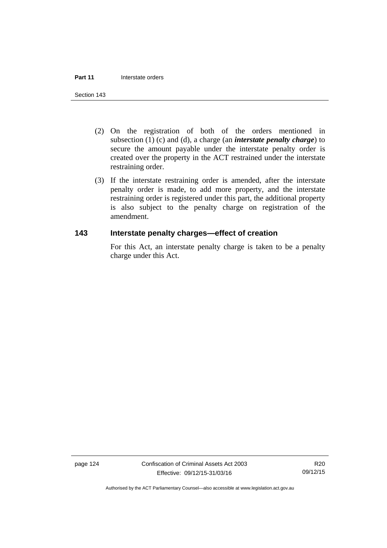- (2) On the registration of both of the orders mentioned in subsection (1) (c) and (d), a charge (an *interstate penalty charge*) to secure the amount payable under the interstate penalty order is created over the property in the ACT restrained under the interstate restraining order.
- (3) If the interstate restraining order is amended, after the interstate penalty order is made, to add more property, and the interstate restraining order is registered under this part, the additional property is also subject to the penalty charge on registration of the amendment.

## **143 Interstate penalty charges—effect of creation**

For this Act, an interstate penalty charge is taken to be a penalty charge under this Act.

page 124 Confiscation of Criminal Assets Act 2003 Effective: 09/12/15-31/03/16

R20 09/12/15

Authorised by the ACT Parliamentary Counsel—also accessible at www.legislation.act.gov.au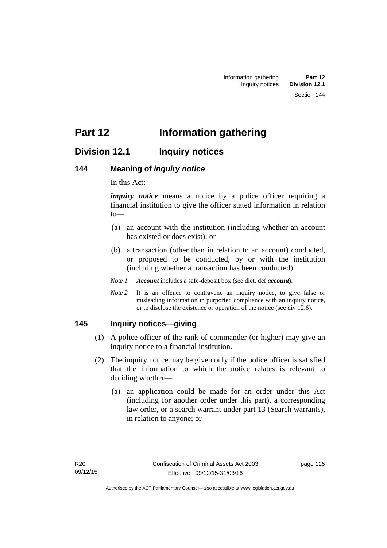# **Part 12 Information gathering**

## **Division 12.1 Inquiry notices**

#### **144 Meaning of** *inquiry notice*

In this Act:

*inquiry notice* means a notice by a police officer requiring a financial institution to give the officer stated information in relation to—

- (a) an account with the institution (including whether an account has existed or does exist); or
- (b) a transaction (other than in relation to an account) conducted, or proposed to be conducted, by or with the institution (including whether a transaction has been conducted).
- *Note 1 Account* includes a safe-deposit box (see dict, def *account*).
- *Note* 2 It is an offence to contravene an inquiry notice, to give false or misleading information in purported compliance with an inquiry notice, or to disclose the existence or operation of the notice (see div 12.6).

#### **145 Inquiry notices—giving**

- (1) A police officer of the rank of commander (or higher) may give an inquiry notice to a financial institution.
- (2) The inquiry notice may be given only if the police officer is satisfied that the information to which the notice relates is relevant to deciding whether—
	- (a) an application could be made for an order under this Act (including for another order under this part), a corresponding law order, or a search warrant under part 13 (Search warrants), in relation to anyone; or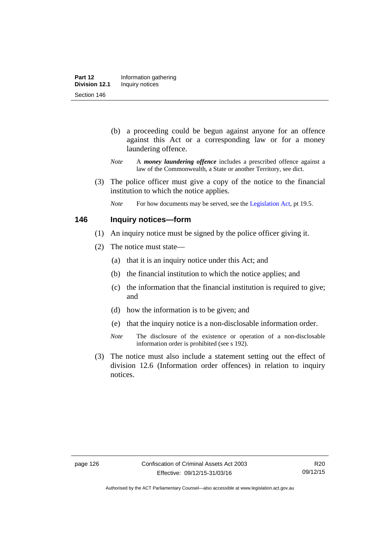- (b) a proceeding could be begun against anyone for an offence against this Act or a corresponding law or for a money laundering offence.
- *Note* A *money laundering offence* includes a prescribed offence against a law of the Commonwealth, a State or another Territory, see dict.
- (3) The police officer must give a copy of the notice to the financial institution to which the notice applies.
	- *Note* For how documents may be served, see the [Legislation Act,](http://www.legislation.act.gov.au/a/2001-14) pt 19.5.

#### **146 Inquiry notices—form**

- (1) An inquiry notice must be signed by the police officer giving it.
- (2) The notice must state—
	- (a) that it is an inquiry notice under this Act; and
	- (b) the financial institution to which the notice applies; and
	- (c) the information that the financial institution is required to give; and
	- (d) how the information is to be given; and
	- (e) that the inquiry notice is a non-disclosable information order.
	- *Note* The disclosure of the existence or operation of a non-disclosable information order is prohibited (see s 192).
- (3) The notice must also include a statement setting out the effect of division 12.6 (Information order offences) in relation to inquiry notices.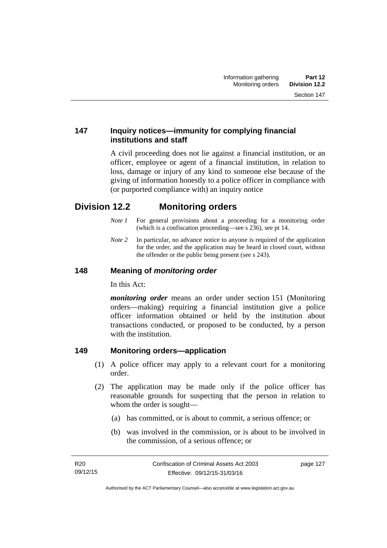### **147 Inquiry notices—immunity for complying financial institutions and staff**

A civil proceeding does not lie against a financial institution, or an officer, employee or agent of a financial institution, in relation to loss, damage or injury of any kind to someone else because of the giving of information honestly to a police officer in compliance with (or purported compliance with) an inquiry notice

## **Division 12.2 Monitoring orders**

- *Note 1* For general provisions about a proceeding for a monitoring order (which is a confiscation proceeding—see s 236), see pt 14.
- *Note 2* In particular, no advance notice to anyone is required of the application for the order, and the application may be heard in closed court, without the offender or the public being present (see s 243).

#### **148 Meaning of** *monitoring order*

In this Act:

*monitoring order* means an order under section 151 (Monitoring orders—making) requiring a financial institution give a police officer information obtained or held by the institution about transactions conducted, or proposed to be conducted, by a person with the institution.

#### **149 Monitoring orders—application**

- (1) A police officer may apply to a relevant court for a monitoring order.
- (2) The application may be made only if the police officer has reasonable grounds for suspecting that the person in relation to whom the order is sought—
	- (a) has committed, or is about to commit, a serious offence; or
	- (b) was involved in the commission, or is about to be involved in the commission, of a serious offence; or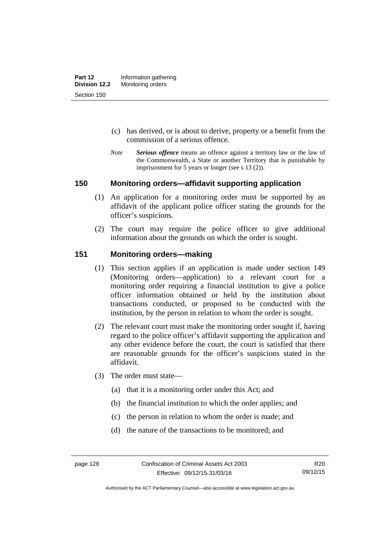- (c) has derived, or is about to derive, property or a benefit from the commission of a serious offence.
- *Note Serious offence* means an offence against a territory law or the law of the Commonwealth, a State or another Territory that is punishable by imprisonment for 5 years or longer (see s 13 (2)).

#### **150 Monitoring orders—affidavit supporting application**

- (1) An application for a monitoring order must be supported by an affidavit of the applicant police officer stating the grounds for the officer's suspicions.
- (2) The court may require the police officer to give additional information about the grounds on which the order is sought.

#### **151 Monitoring orders—making**

- (1) This section applies if an application is made under section 149 (Monitoring orders—application) to a relevant court for a monitoring order requiring a financial institution to give a police officer information obtained or held by the institution about transactions conducted, or proposed to be conducted with the institution, by the person in relation to whom the order is sought.
- (2) The relevant court must make the monitoring order sought if, having regard to the police officer's affidavit supporting the application and any other evidence before the court, the court is satisfied that there are reasonable grounds for the officer's suspicions stated in the affidavit.
- (3) The order must state—
	- (a) that it is a monitoring order under this Act; and
	- (b) the financial institution to which the order applies; and
	- (c) the person in relation to whom the order is made; and
	- (d) the nature of the transactions to be monitored; and

Authorised by the ACT Parliamentary Counsel—also accessible at www.legislation.act.gov.au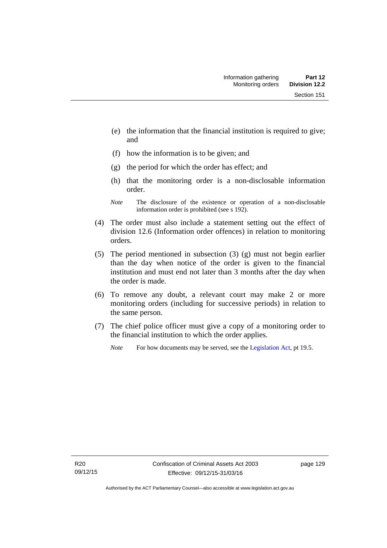- (e) the information that the financial institution is required to give; and
- (f) how the information is to be given; and
- (g) the period for which the order has effect; and
- (h) that the monitoring order is a non-disclosable information order.
- *Note* The disclosure of the existence or operation of a non-disclosable information order is prohibited (see s 192).
- (4) The order must also include a statement setting out the effect of division 12.6 (Information order offences) in relation to monitoring orders.
- (5) The period mentioned in subsection (3) (g) must not begin earlier than the day when notice of the order is given to the financial institution and must end not later than 3 months after the day when the order is made.
- (6) To remove any doubt, a relevant court may make 2 or more monitoring orders (including for successive periods) in relation to the same person.
- (7) The chief police officer must give a copy of a monitoring order to the financial institution to which the order applies.
	- *Note* For how documents may be served, see the [Legislation Act,](http://www.legislation.act.gov.au/a/2001-14) pt 19.5.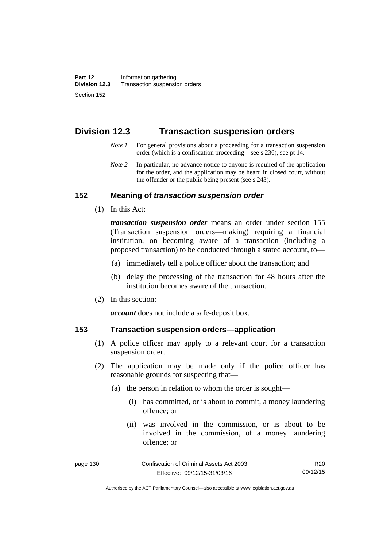## **Division 12.3 Transaction suspension orders**

- *Note 1* For general provisions about a proceeding for a transaction suspension order (which is a confiscation proceeding—see s 236), see pt 14.
- *Note 2* In particular, no advance notice to anyone is required of the application for the order, and the application may be heard in closed court, without the offender or the public being present (see s 243).

#### **152 Meaning of** *transaction suspension order*

(1) In this Act:

*transaction suspension order* means an order under section 155 (Transaction suspension orders—making) requiring a financial institution, on becoming aware of a transaction (including a proposed transaction) to be conducted through a stated account, to—

- (a) immediately tell a police officer about the transaction; and
- (b) delay the processing of the transaction for 48 hours after the institution becomes aware of the transaction.
- (2) In this section:

*account* does not include a safe-deposit box.

#### **153 Transaction suspension orders—application**

- (1) A police officer may apply to a relevant court for a transaction suspension order.
- (2) The application may be made only if the police officer has reasonable grounds for suspecting that—
	- (a) the person in relation to whom the order is sought—
		- (i) has committed, or is about to commit, a money laundering offence; or
		- (ii) was involved in the commission, or is about to be involved in the commission, of a money laundering offence; or

R20 09/12/15

Authorised by the ACT Parliamentary Counsel—also accessible at www.legislation.act.gov.au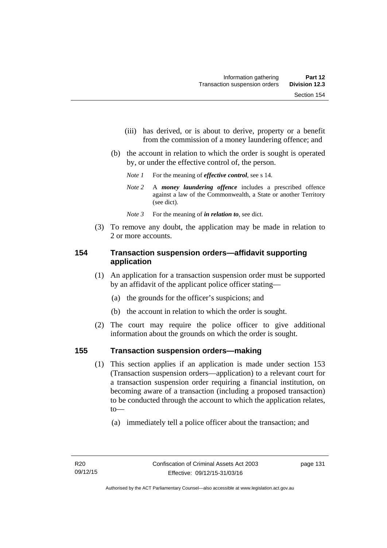- (iii) has derived, or is about to derive, property or a benefit from the commission of a money laundering offence; and
- (b) the account in relation to which the order is sought is operated by, or under the effective control of, the person.
	- *Note 1* For the meaning of *effective control*, see s 14.
	- *Note 2* A *money laundering offence* includes a prescribed offence against a law of the Commonwealth, a State or another Territory (see dict).
	- *Note* 3 For the meaning of *in relation to*, see dict.
- (3) To remove any doubt, the application may be made in relation to 2 or more accounts.

# **154 Transaction suspension orders—affidavit supporting application**

- (1) An application for a transaction suspension order must be supported by an affidavit of the applicant police officer stating—
	- (a) the grounds for the officer's suspicions; and
	- (b) the account in relation to which the order is sought.
- (2) The court may require the police officer to give additional information about the grounds on which the order is sought.

# **155 Transaction suspension orders—making**

- (1) This section applies if an application is made under section 153 (Transaction suspension orders—application) to a relevant court for a transaction suspension order requiring a financial institution, on becoming aware of a transaction (including a proposed transaction) to be conducted through the account to which the application relates, to—
	- (a) immediately tell a police officer about the transaction; and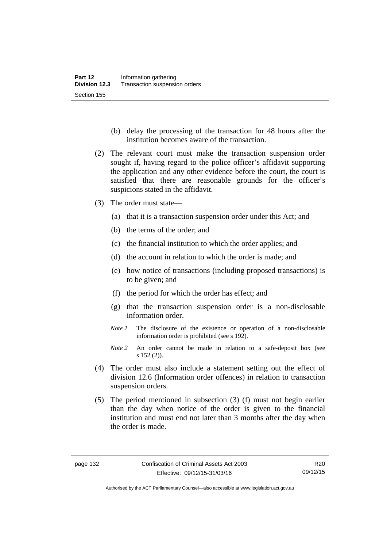- (b) delay the processing of the transaction for 48 hours after the institution becomes aware of the transaction.
- (2) The relevant court must make the transaction suspension order sought if, having regard to the police officer's affidavit supporting the application and any other evidence before the court, the court is satisfied that there are reasonable grounds for the officer's suspicions stated in the affidavit.
- (3) The order must state—
	- (a) that it is a transaction suspension order under this Act; and
	- (b) the terms of the order; and
	- (c) the financial institution to which the order applies; and
	- (d) the account in relation to which the order is made; and
	- (e) how notice of transactions (including proposed transactions) is to be given; and
	- (f) the period for which the order has effect; and
	- (g) that the transaction suspension order is a non-disclosable information order.
	- *Note 1* The disclosure of the existence or operation of a non-disclosable information order is prohibited (see s 192).
	- *Note 2* An order cannot be made in relation to a safe-deposit box (see s 152 (2)).
- (4) The order must also include a statement setting out the effect of division 12.6 (Information order offences) in relation to transaction suspension orders.
- (5) The period mentioned in subsection (3) (f) must not begin earlier than the day when notice of the order is given to the financial institution and must end not later than 3 months after the day when the order is made.

R20 09/12/15

Authorised by the ACT Parliamentary Counsel—also accessible at www.legislation.act.gov.au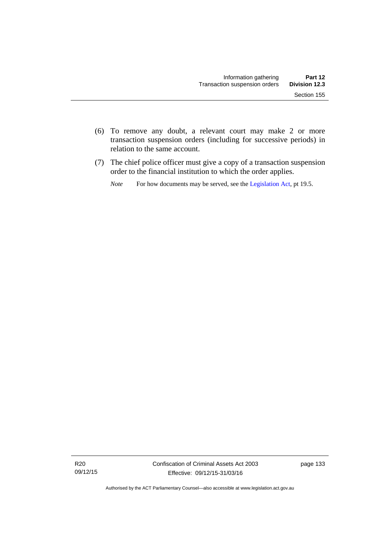- (6) To remove any doubt, a relevant court may make 2 or more transaction suspension orders (including for successive periods) in relation to the same account.
- (7) The chief police officer must give a copy of a transaction suspension order to the financial institution to which the order applies.
	- *Note* For how documents may be served, see the [Legislation Act,](http://www.legislation.act.gov.au/a/2001-14) pt 19.5.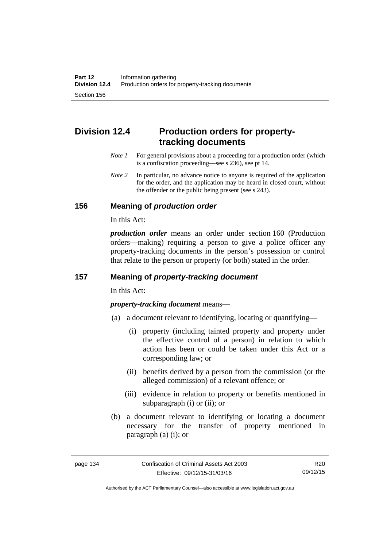# **Division 12.4 Production orders for propertytracking documents**

- *Note 1* For general provisions about a proceeding for a production order (which is a confiscation proceeding—see s 236), see pt 14.
- *Note* 2 In particular, no advance notice to anyone is required of the application for the order, and the application may be heard in closed court, without the offender or the public being present (see s 243).

#### **156 Meaning of** *production order*

In this Act:

*production order* means an order under section 160 (Production orders—making) requiring a person to give a police officer any property-tracking documents in the person's possession or control that relate to the person or property (or both) stated in the order.

# **157 Meaning of** *property-tracking document*

In this Act:

*property-tracking document* means—

- (a) a document relevant to identifying, locating or quantifying—
	- (i) property (including tainted property and property under the effective control of a person) in relation to which action has been or could be taken under this Act or a corresponding law; or
	- (ii) benefits derived by a person from the commission (or the alleged commission) of a relevant offence; or
	- (iii) evidence in relation to property or benefits mentioned in subparagraph (i) or (ii); or
- (b) a document relevant to identifying or locating a document necessary for the transfer of property mentioned in paragraph (a) (i); or

Authorised by the ACT Parliamentary Counsel—also accessible at www.legislation.act.gov.au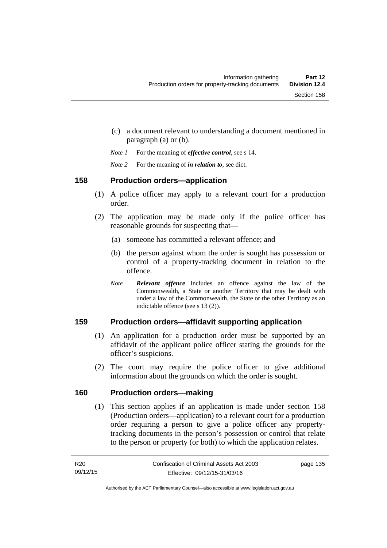- (c) a document relevant to understanding a document mentioned in paragraph (a) or (b).
- *Note 1* For the meaning of *effective control*, see s 14.
- *Note 2* For the meaning of *in relation to*, see dict.

#### **158 Production orders—application**

- (1) A police officer may apply to a relevant court for a production order.
- (2) The application may be made only if the police officer has reasonable grounds for suspecting that—
	- (a) someone has committed a relevant offence; and
	- (b) the person against whom the order is sought has possession or control of a property-tracking document in relation to the offence.
	- *Note Relevant offence* includes an offence against the law of the Commonwealth, a State or another Territory that may be dealt with under a law of the Commonwealth, the State or the other Territory as an indictable offence (see s 13 (2)).

# **159 Production orders—affidavit supporting application**

- (1) An application for a production order must be supported by an affidavit of the applicant police officer stating the grounds for the officer's suspicions.
- (2) The court may require the police officer to give additional information about the grounds on which the order is sought.

### **160 Production orders—making**

(1) This section applies if an application is made under section 158 (Production orders—application) to a relevant court for a production order requiring a person to give a police officer any propertytracking documents in the person's possession or control that relate to the person or property (or both) to which the application relates.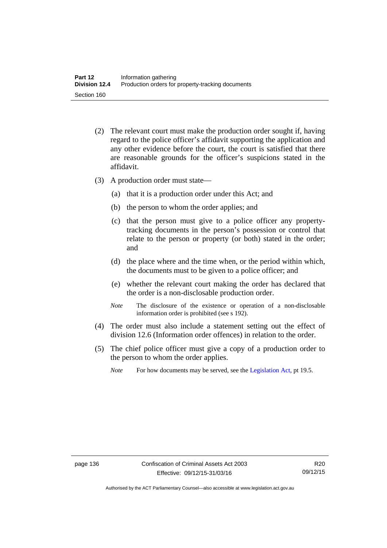- (2) The relevant court must make the production order sought if, having regard to the police officer's affidavit supporting the application and any other evidence before the court, the court is satisfied that there are reasonable grounds for the officer's suspicions stated in the affidavit.
- (3) A production order must state—
	- (a) that it is a production order under this Act; and
	- (b) the person to whom the order applies; and
	- (c) that the person must give to a police officer any propertytracking documents in the person's possession or control that relate to the person or property (or both) stated in the order; and
	- (d) the place where and the time when, or the period within which, the documents must to be given to a police officer; and
	- (e) whether the relevant court making the order has declared that the order is a non-disclosable production order.
	- *Note* The disclosure of the existence or operation of a non-disclosable information order is prohibited (see s 192).
- (4) The order must also include a statement setting out the effect of division 12.6 (Information order offences) in relation to the order.
- (5) The chief police officer must give a copy of a production order to the person to whom the order applies.
	- *Note* For how documents may be served, see the [Legislation Act,](http://www.legislation.act.gov.au/a/2001-14) pt 19.5.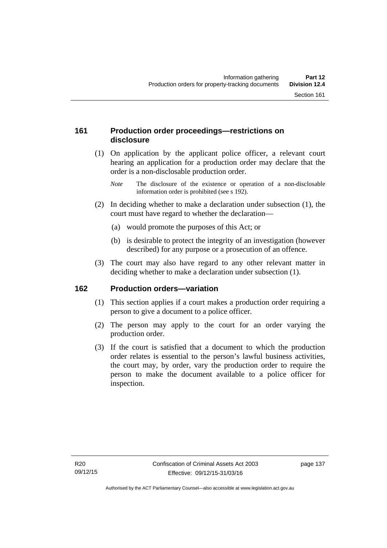# **161 Production order proceedings—restrictions on disclosure**

 (1) On application by the applicant police officer, a relevant court hearing an application for a production order may declare that the order is a non-disclosable production order.

- (2) In deciding whether to make a declaration under subsection (1), the court must have regard to whether the declaration—
	- (a) would promote the purposes of this Act; or
	- (b) is desirable to protect the integrity of an investigation (however described) for any purpose or a prosecution of an offence.
- (3) The court may also have regard to any other relevant matter in deciding whether to make a declaration under subsection (1).

# **162 Production orders—variation**

- (1) This section applies if a court makes a production order requiring a person to give a document to a police officer.
- (2) The person may apply to the court for an order varying the production order.
- (3) If the court is satisfied that a document to which the production order relates is essential to the person's lawful business activities, the court may, by order, vary the production order to require the person to make the document available to a police officer for inspection.

*Note* The disclosure of the existence or operation of a non-disclosable information order is prohibited (see s 192).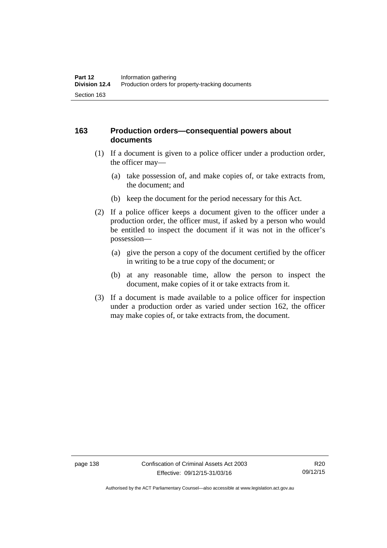## **163 Production orders—consequential powers about documents**

- (1) If a document is given to a police officer under a production order, the officer may—
	- (a) take possession of, and make copies of, or take extracts from, the document; and
	- (b) keep the document for the period necessary for this Act.
- (2) If a police officer keeps a document given to the officer under a production order, the officer must, if asked by a person who would be entitled to inspect the document if it was not in the officer's possession—
	- (a) give the person a copy of the document certified by the officer in writing to be a true copy of the document; or
	- (b) at any reasonable time, allow the person to inspect the document, make copies of it or take extracts from it.
- (3) If a document is made available to a police officer for inspection under a production order as varied under section 162, the officer may make copies of, or take extracts from, the document.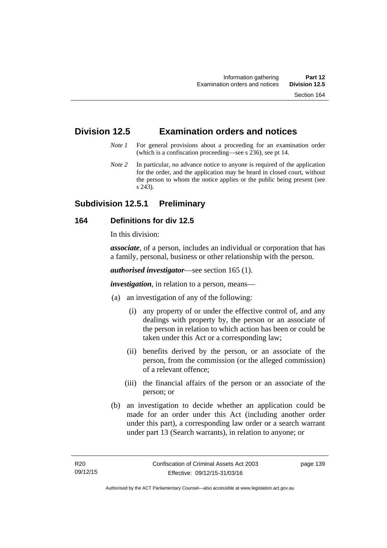# **Division 12.5 Examination orders and notices**

- *Note 1* For general provisions about a proceeding for an examination order (which is a confiscation proceeding—see s 236), see pt 14.
- *Note 2* In particular, no advance notice to anyone is required of the application for the order, and the application may be heard in closed court, without the person to whom the notice applies or the public being present (see s 243).

# **Subdivision 12.5.1 Preliminary**

#### **164 Definitions for div 12.5**

In this division:

*associate*, of a person, includes an individual or corporation that has a family, personal, business or other relationship with the person.

*authorised investigator*—see section 165 (1).

*investigation*, in relation to a person, means—

- (a) an investigation of any of the following:
	- (i) any property of or under the effective control of, and any dealings with property by, the person or an associate of the person in relation to which action has been or could be taken under this Act or a corresponding law;
	- (ii) benefits derived by the person, or an associate of the person, from the commission (or the alleged commission) of a relevant offence;
	- (iii) the financial affairs of the person or an associate of the person; or
- (b) an investigation to decide whether an application could be made for an order under this Act (including another order under this part), a corresponding law order or a search warrant under part 13 (Search warrants), in relation to anyone; or

page 139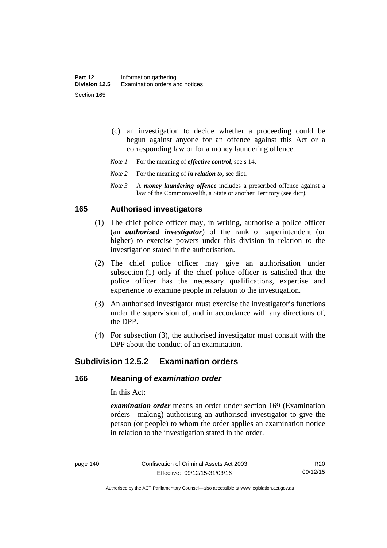- (c) an investigation to decide whether a proceeding could be begun against anyone for an offence against this Act or a corresponding law or for a money laundering offence.
- *Note 1* For the meaning of *effective control*, see s 14.
- *Note* 2 For the meaning of *in relation to*, see dict.
- *Note 3* A *money laundering offence* includes a prescribed offence against a law of the Commonwealth, a State or another Territory (see dict).

## **165 Authorised investigators**

- (1) The chief police officer may, in writing, authorise a police officer (an *authorised investigator*) of the rank of superintendent (or higher) to exercise powers under this division in relation to the investigation stated in the authorisation.
- (2) The chief police officer may give an authorisation under subsection (1) only if the chief police officer is satisfied that the police officer has the necessary qualifications, expertise and experience to examine people in relation to the investigation.
- (3) An authorised investigator must exercise the investigator's functions under the supervision of, and in accordance with any directions of, the DPP.
- (4) For subsection (3), the authorised investigator must consult with the DPP about the conduct of an examination.

# **Subdivision 12.5.2 Examination orders**

#### **166 Meaning of** *examination order*

In this Act:

*examination order* means an order under section 169 (Examination orders—making) authorising an authorised investigator to give the person (or people) to whom the order applies an examination notice in relation to the investigation stated in the order.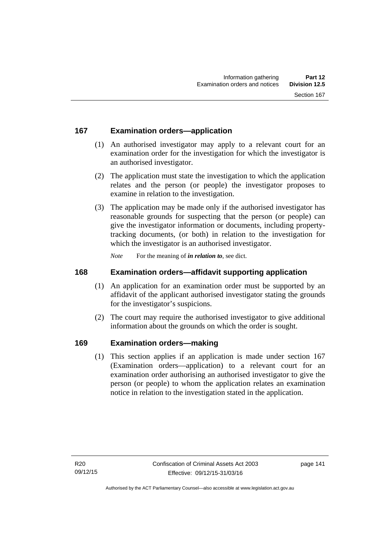# **167 Examination orders—application**

- (1) An authorised investigator may apply to a relevant court for an examination order for the investigation for which the investigator is an authorised investigator.
- (2) The application must state the investigation to which the application relates and the person (or people) the investigator proposes to examine in relation to the investigation.
- (3) The application may be made only if the authorised investigator has reasonable grounds for suspecting that the person (or people) can give the investigator information or documents, including propertytracking documents, (or both) in relation to the investigation for which the investigator is an authorised investigator.

*Note* For the meaning of *in relation to*, see dict.

# **168 Examination orders—affidavit supporting application**

- (1) An application for an examination order must be supported by an affidavit of the applicant authorised investigator stating the grounds for the investigator's suspicions.
- (2) The court may require the authorised investigator to give additional information about the grounds on which the order is sought.

# **169 Examination orders—making**

(1) This section applies if an application is made under section 167 (Examination orders—application) to a relevant court for an examination order authorising an authorised investigator to give the person (or people) to whom the application relates an examination notice in relation to the investigation stated in the application.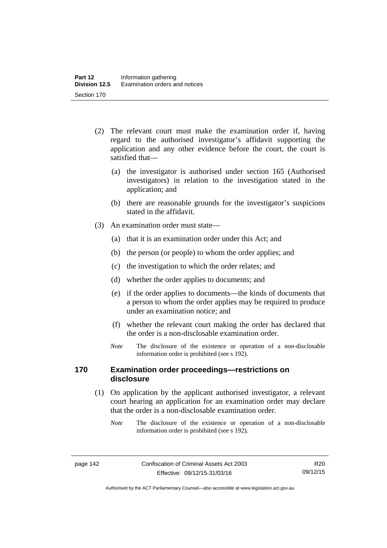- (2) The relevant court must make the examination order if, having regard to the authorised investigator's affidavit supporting the application and any other evidence before the court, the court is satisfied that—
	- (a) the investigator is authorised under section 165 (Authorised investigators) in relation to the investigation stated in the application; and
	- (b) there are reasonable grounds for the investigator's suspicions stated in the affidavit.
- (3) An examination order must state—
	- (a) that it is an examination order under this Act; and
	- (b) the person (or people) to whom the order applies; and
	- (c) the investigation to which the order relates; and
	- (d) whether the order applies to documents; and
	- (e) if the order applies to documents—the kinds of documents that a person to whom the order applies may be required to produce under an examination notice; and
	- (f) whether the relevant court making the order has declared that the order is a non-disclosable examination order.
	- *Note* The disclosure of the existence or operation of a non-disclosable information order is prohibited (see s 192).

# **170 Examination order proceedings—restrictions on disclosure**

- (1) On application by the applicant authorised investigator, a relevant court hearing an application for an examination order may declare that the order is a non-disclosable examination order.
	- *Note* The disclosure of the existence or operation of a non-disclosable information order is prohibited (see s 192).

Authorised by the ACT Parliamentary Counsel—also accessible at www.legislation.act.gov.au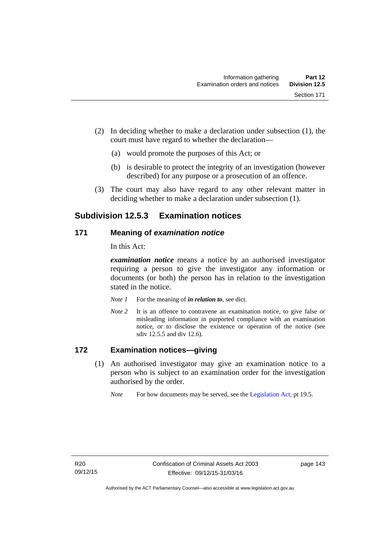- (2) In deciding whether to make a declaration under subsection (1), the court must have regard to whether the declaration—
	- (a) would promote the purposes of this Act; or
	- (b) is desirable to protect the integrity of an investigation (however described) for any purpose or a prosecution of an offence.
- (3) The court may also have regard to any other relevant matter in deciding whether to make a declaration under subsection (1).

# **Subdivision 12.5.3 Examination notices**

#### **171 Meaning of** *examination notice*

In this Act:

*examination notice* means a notice by an authorised investigator requiring a person to give the investigator any information or documents (or both) the person has in relation to the investigation stated in the notice.

- *Note 1* For the meaning of *in relation to*, see dict.
- *Note* 2 It is an offence to contravene an examination notice, to give false or misleading information in purported compliance with an examination notice, or to disclose the existence or operation of the notice (see sdiv 12.5.5 and div 12.6).

## **172 Examination notices—giving**

- (1) An authorised investigator may give an examination notice to a person who is subject to an examination order for the investigation authorised by the order.
	- *Note* For how documents may be served, see the [Legislation Act,](http://www.legislation.act.gov.au/a/2001-14) pt 19.5.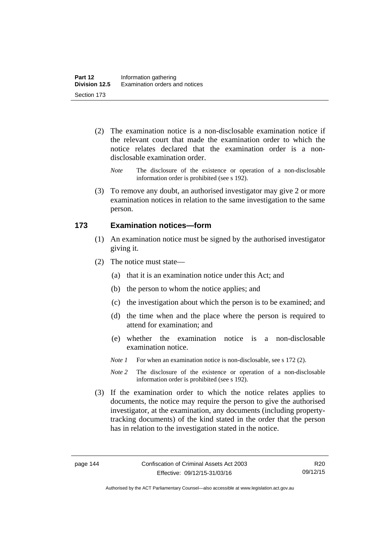- (2) The examination notice is a non-disclosable examination notice if the relevant court that made the examination order to which the notice relates declared that the examination order is a nondisclosable examination order.
	- *Note* The disclosure of the existence or operation of a non-disclosable information order is prohibited (see s 192).
- (3) To remove any doubt, an authorised investigator may give 2 or more examination notices in relation to the same investigation to the same person.

#### **173 Examination notices—form**

- (1) An examination notice must be signed by the authorised investigator giving it.
- (2) The notice must state—
	- (a) that it is an examination notice under this Act; and
	- (b) the person to whom the notice applies; and
	- (c) the investigation about which the person is to be examined; and
	- (d) the time when and the place where the person is required to attend for examination; and
	- (e) whether the examination notice is a non-disclosable examination notice.
	- *Note 1* For when an examination notice is non-disclosable, see s 172 (2).
	- *Note* 2 The disclosure of the existence or operation of a non-disclosable information order is prohibited (see s 192).
- (3) If the examination order to which the notice relates applies to documents, the notice may require the person to give the authorised investigator, at the examination, any documents (including propertytracking documents) of the kind stated in the order that the person has in relation to the investigation stated in the notice.

R20 09/12/15

Authorised by the ACT Parliamentary Counsel—also accessible at www.legislation.act.gov.au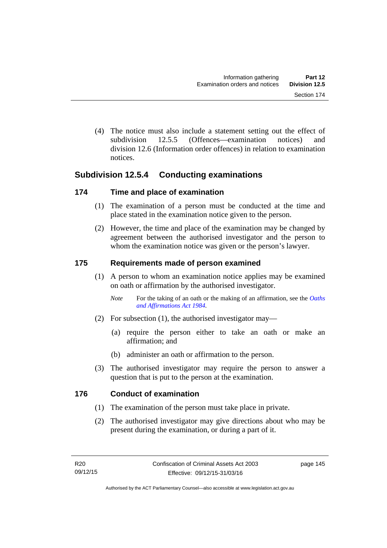(4) The notice must also include a statement setting out the effect of subdivision 12.5.5 (Offences—examination notices) and division 12.6 (Information order offences) in relation to examination notices.

# **Subdivision 12.5.4 Conducting examinations**

## **174 Time and place of examination**

- (1) The examination of a person must be conducted at the time and place stated in the examination notice given to the person.
- (2) However, the time and place of the examination may be changed by agreement between the authorised investigator and the person to whom the examination notice was given or the person's lawyer.

## **175 Requirements made of person examined**

- (1) A person to whom an examination notice applies may be examined on oath or affirmation by the authorised investigator.
	- *Note* For the taking of an oath or the making of an affirmation, see the *Oaths [and Affirmations Act 1984.](http://www.legislation.act.gov.au/a/1984-79)*
- (2) For subsection (1), the authorised investigator may—
	- (a) require the person either to take an oath or make an affirmation; and
	- (b) administer an oath or affirmation to the person.
- (3) The authorised investigator may require the person to answer a question that is put to the person at the examination.

# **176 Conduct of examination**

- (1) The examination of the person must take place in private.
- (2) The authorised investigator may give directions about who may be present during the examination, or during a part of it.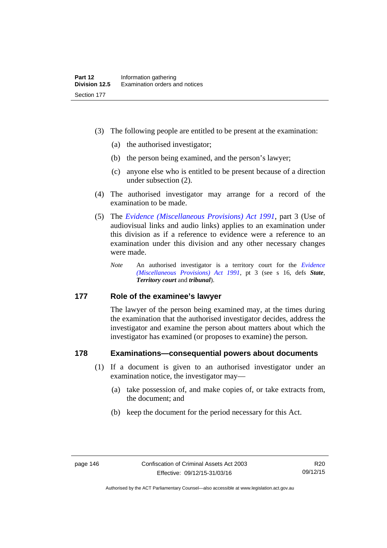- (3) The following people are entitled to be present at the examination:
	- (a) the authorised investigator;
	- (b) the person being examined, and the person's lawyer;
	- (c) anyone else who is entitled to be present because of a direction under subsection (2).
- (4) The authorised investigator may arrange for a record of the examination to be made.
- (5) The *[Evidence \(Miscellaneous Provisions\) Act 1991](http://www.legislation.act.gov.au/a/1991-34)*, part 3 (Use of audiovisual links and audio links) applies to an examination under this division as if a reference to evidence were a reference to an examination under this division and any other necessary changes were made.
	- *Note* An authorised investigator is a territory court for the *[Evidence](http://www.legislation.act.gov.au/a/1991-34)  [\(Miscellaneous Provisions\) Act 1991](http://www.legislation.act.gov.au/a/1991-34)*, pt 3 (see s 16, defs *State*, *Territory court* and *tribunal*).

#### **177 Role of the examinee's lawyer**

The lawyer of the person being examined may, at the times during the examination that the authorised investigator decides, address the investigator and examine the person about matters about which the investigator has examined (or proposes to examine) the person.

#### **178 Examinations—consequential powers about documents**

- (1) If a document is given to an authorised investigator under an examination notice, the investigator may—
	- (a) take possession of, and make copies of, or take extracts from, the document; and
	- (b) keep the document for the period necessary for this Act.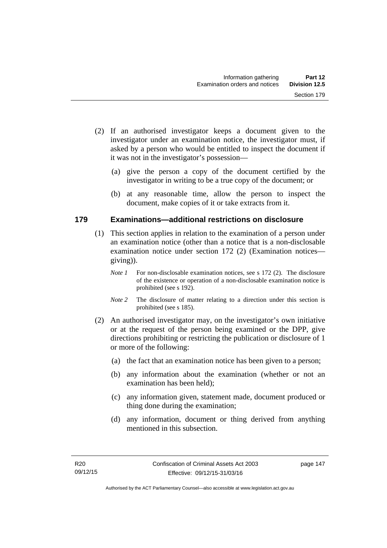- (2) If an authorised investigator keeps a document given to the investigator under an examination notice, the investigator must, if asked by a person who would be entitled to inspect the document if it was not in the investigator's possession—
	- (a) give the person a copy of the document certified by the investigator in writing to be a true copy of the document; or
	- (b) at any reasonable time, allow the person to inspect the document, make copies of it or take extracts from it.

#### **179 Examinations—additional restrictions on disclosure**

- (1) This section applies in relation to the examination of a person under an examination notice (other than a notice that is a non-disclosable examination notice under section 172 (2) (Examination notices giving)).
	- *Note 1* For non-disclosable examination notices, see s 172 (2). The disclosure of the existence or operation of a non-disclosable examination notice is prohibited (see s 192).
	- *Note* 2 The disclosure of matter relating to a direction under this section is prohibited (see s 185).
- (2) An authorised investigator may, on the investigator's own initiative or at the request of the person being examined or the DPP, give directions prohibiting or restricting the publication or disclosure of 1 or more of the following:
	- (a) the fact that an examination notice has been given to a person;
	- (b) any information about the examination (whether or not an examination has been held);
	- (c) any information given, statement made, document produced or thing done during the examination;
	- (d) any information, document or thing derived from anything mentioned in this subsection.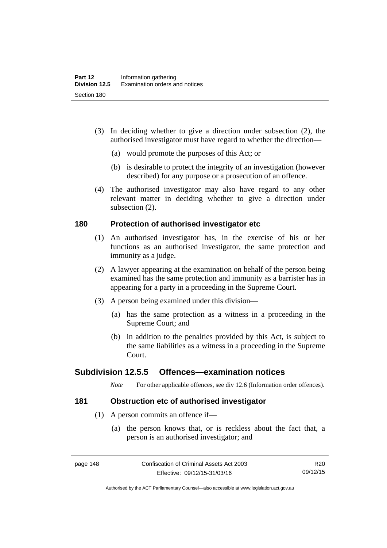- (3) In deciding whether to give a direction under subsection (2), the authorised investigator must have regard to whether the direction—
	- (a) would promote the purposes of this Act; or
	- (b) is desirable to protect the integrity of an investigation (however described) for any purpose or a prosecution of an offence.
- (4) The authorised investigator may also have regard to any other relevant matter in deciding whether to give a direction under subsection (2).

## **180 Protection of authorised investigator etc**

- (1) An authorised investigator has, in the exercise of his or her functions as an authorised investigator, the same protection and immunity as a judge.
- (2) A lawyer appearing at the examination on behalf of the person being examined has the same protection and immunity as a barrister has in appearing for a party in a proceeding in the Supreme Court.
- (3) A person being examined under this division—
	- (a) has the same protection as a witness in a proceeding in the Supreme Court; and
	- (b) in addition to the penalties provided by this Act, is subject to the same liabilities as a witness in a proceeding in the Supreme Court.

# **Subdivision 12.5.5 Offences—examination notices**

*Note* For other applicable offences, see div 12.6 (Information order offences).

#### **181 Obstruction etc of authorised investigator**

- (1) A person commits an offence if—
	- (a) the person knows that, or is reckless about the fact that, a person is an authorised investigator; and

R20 09/12/15

Authorised by the ACT Parliamentary Counsel—also accessible at www.legislation.act.gov.au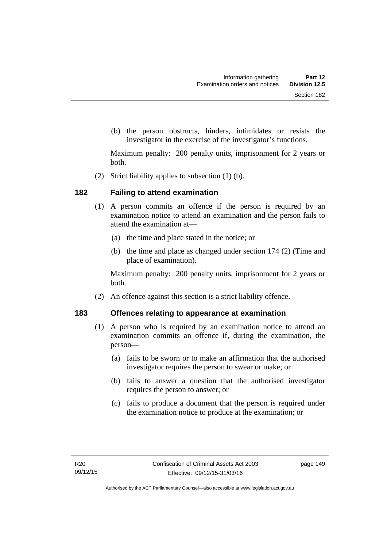(b) the person obstructs, hinders, intimidates or resists the investigator in the exercise of the investigator's functions.

Maximum penalty: 200 penalty units, imprisonment for 2 years or both.

(2) Strict liability applies to subsection (1) (b).

## **182 Failing to attend examination**

- (1) A person commits an offence if the person is required by an examination notice to attend an examination and the person fails to attend the examination at—
	- (a) the time and place stated in the notice; or
	- (b) the time and place as changed under section 174 (2) (Time and place of examination).

Maximum penalty: 200 penalty units, imprisonment for 2 years or both.

(2) An offence against this section is a strict liability offence.

#### **183 Offences relating to appearance at examination**

- (1) A person who is required by an examination notice to attend an examination commits an offence if, during the examination, the person—
	- (a) fails to be sworn or to make an affirmation that the authorised investigator requires the person to swear or make; or
	- (b) fails to answer a question that the authorised investigator requires the person to answer; or
	- (c) fails to produce a document that the person is required under the examination notice to produce at the examination; or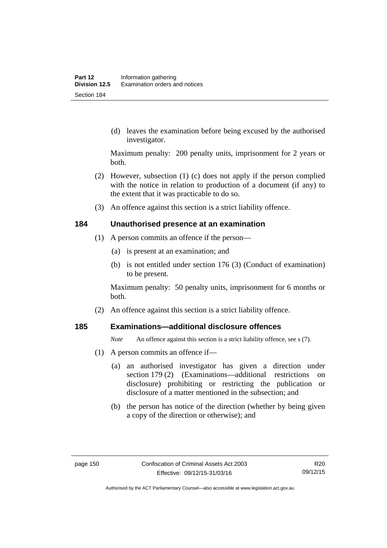(d) leaves the examination before being excused by the authorised investigator.

Maximum penalty: 200 penalty units, imprisonment for 2 years or both.

- (2) However, subsection (1) (c) does not apply if the person complied with the notice in relation to production of a document (if any) to the extent that it was practicable to do so.
- (3) An offence against this section is a strict liability offence.

#### **184 Unauthorised presence at an examination**

- (1) A person commits an offence if the person—
	- (a) is present at an examination; and
	- (b) is not entitled under section 176 (3) (Conduct of examination) to be present.

Maximum penalty: 50 penalty units, imprisonment for 6 months or both.

(2) An offence against this section is a strict liability offence.

#### **185 Examinations—additional disclosure offences**

*Note* An offence against this section is a strict liability offence, see s (7).

- (1) A person commits an offence if—
	- (a) an authorised investigator has given a direction under section 179 (2) (Examinations—additional restrictions on disclosure) prohibiting or restricting the publication or disclosure of a matter mentioned in the subsection; and
	- (b) the person has notice of the direction (whether by being given a copy of the direction or otherwise); and

R20 09/12/15

Authorised by the ACT Parliamentary Counsel—also accessible at www.legislation.act.gov.au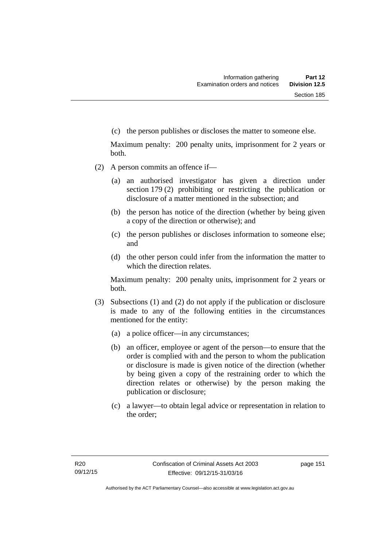(c) the person publishes or discloses the matter to someone else.

Maximum penalty: 200 penalty units, imprisonment for 2 years or both.

- (2) A person commits an offence if—
	- (a) an authorised investigator has given a direction under section 179 (2) prohibiting or restricting the publication or disclosure of a matter mentioned in the subsection; and
	- (b) the person has notice of the direction (whether by being given a copy of the direction or otherwise); and
	- (c) the person publishes or discloses information to someone else; and
	- (d) the other person could infer from the information the matter to which the direction relates.

Maximum penalty: 200 penalty units, imprisonment for 2 years or both.

- (3) Subsections (1) and (2) do not apply if the publication or disclosure is made to any of the following entities in the circumstances mentioned for the entity:
	- (a) a police officer—in any circumstances;
	- (b) an officer, employee or agent of the person—to ensure that the order is complied with and the person to whom the publication or disclosure is made is given notice of the direction (whether by being given a copy of the restraining order to which the direction relates or otherwise) by the person making the publication or disclosure;
	- (c) a lawyer—to obtain legal advice or representation in relation to the order;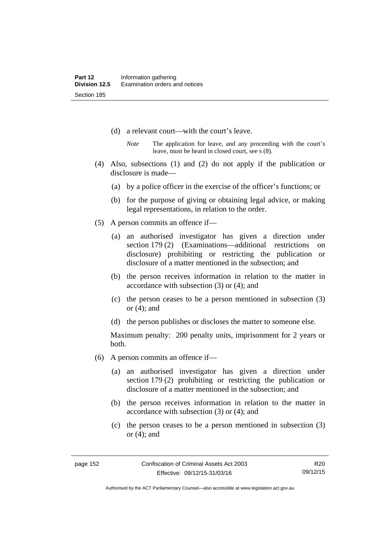- (d) a relevant court—with the court's leave.
	- *Note* The application for leave, and any proceeding with the court's leave, must be heard in closed court, see s (8).
- (4) Also, subsections (1) and (2) do not apply if the publication or disclosure is made—
	- (a) by a police officer in the exercise of the officer's functions; or
	- (b) for the purpose of giving or obtaining legal advice, or making legal representations, in relation to the order.
- (5) A person commits an offence if—
	- (a) an authorised investigator has given a direction under section 179 (2) (Examinations—additional restrictions on disclosure) prohibiting or restricting the publication or disclosure of a matter mentioned in the subsection; and
	- (b) the person receives information in relation to the matter in accordance with subsection (3) or (4); and
	- (c) the person ceases to be a person mentioned in subsection (3) or  $(4)$ ; and
	- (d) the person publishes or discloses the matter to someone else.

Maximum penalty: 200 penalty units, imprisonment for 2 years or both.

- (6) A person commits an offence if—
	- (a) an authorised investigator has given a direction under section 179 (2) prohibiting or restricting the publication or disclosure of a matter mentioned in the subsection; and
	- (b) the person receives information in relation to the matter in accordance with subsection (3) or (4); and
	- (c) the person ceases to be a person mentioned in subsection (3) or (4); and

R20 09/12/15

Authorised by the ACT Parliamentary Counsel—also accessible at www.legislation.act.gov.au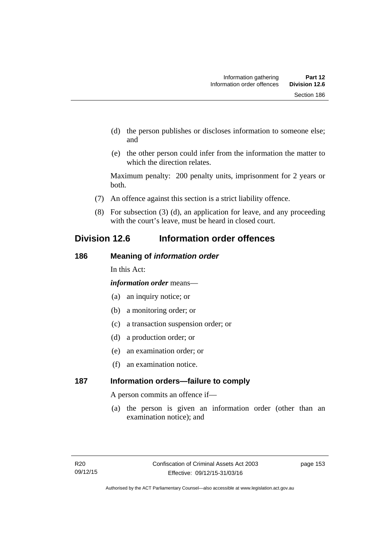- (d) the person publishes or discloses information to someone else; and
- (e) the other person could infer from the information the matter to which the direction relates.

Maximum penalty: 200 penalty units, imprisonment for 2 years or both.

- (7) An offence against this section is a strict liability offence.
- (8) For subsection (3) (d), an application for leave, and any proceeding with the court's leave, must be heard in closed court.

# **Division 12.6 Information order offences**

# **186 Meaning of** *information order*

In this Act:

*information order* means—

- (a) an inquiry notice; or
- (b) a monitoring order; or
- (c) a transaction suspension order; or
- (d) a production order; or
- (e) an examination order; or
- (f) an examination notice.

# **187 Information orders—failure to comply**

A person commits an offence if—

(a) the person is given an information order (other than an examination notice); and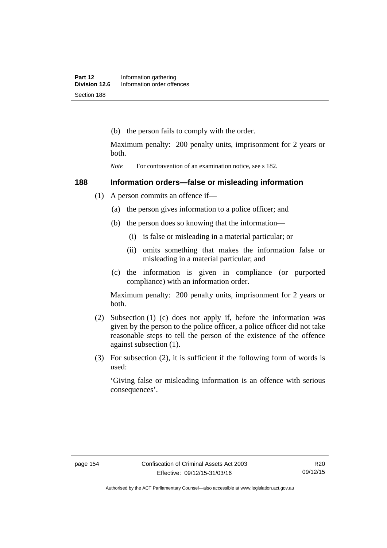(b) the person fails to comply with the order.

Maximum penalty: 200 penalty units, imprisonment for 2 years or both.

*Note* For contravention of an examination notice, see s 182.

# **188 Information orders—false or misleading information**

- (1) A person commits an offence if—
	- (a) the person gives information to a police officer; and
	- (b) the person does so knowing that the information—
		- (i) is false or misleading in a material particular; or
		- (ii) omits something that makes the information false or misleading in a material particular; and
	- (c) the information is given in compliance (or purported compliance) with an information order.

Maximum penalty: 200 penalty units, imprisonment for 2 years or both.

- (2) Subsection (1) (c) does not apply if, before the information was given by the person to the police officer, a police officer did not take reasonable steps to tell the person of the existence of the offence against subsection (1).
- (3) For subsection (2), it is sufficient if the following form of words is used:

'Giving false or misleading information is an offence with serious consequences'.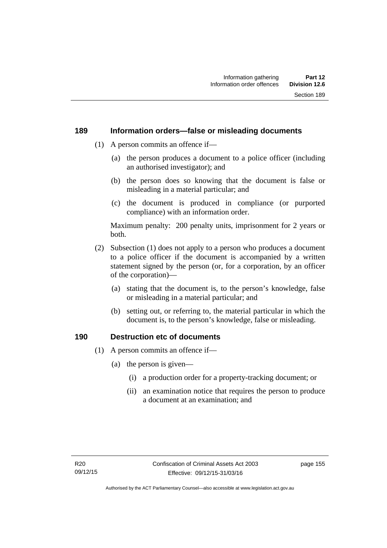#### **189 Information orders—false or misleading documents**

- (1) A person commits an offence if—
	- (a) the person produces a document to a police officer (including an authorised investigator); and
	- (b) the person does so knowing that the document is false or misleading in a material particular; and
	- (c) the document is produced in compliance (or purported compliance) with an information order.

Maximum penalty: 200 penalty units, imprisonment for 2 years or both.

- (2) Subsection (1) does not apply to a person who produces a document to a police officer if the document is accompanied by a written statement signed by the person (or, for a corporation, by an officer of the corporation)—
	- (a) stating that the document is, to the person's knowledge, false or misleading in a material particular; and
	- (b) setting out, or referring to, the material particular in which the document is, to the person's knowledge, false or misleading.

# **190 Destruction etc of documents**

- (1) A person commits an offence if—
	- (a) the person is given—
		- (i) a production order for a property-tracking document; or
		- (ii) an examination notice that requires the person to produce a document at an examination; and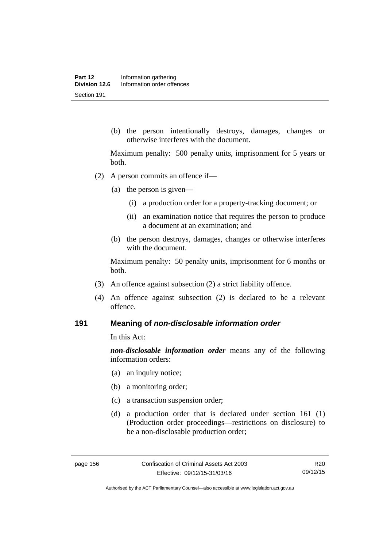(b) the person intentionally destroys, damages, changes or otherwise interferes with the document.

Maximum penalty: 500 penalty units, imprisonment for 5 years or both.

- (2) A person commits an offence if—
	- (a) the person is given—
		- (i) a production order for a property-tracking document; or
		- (ii) an examination notice that requires the person to produce a document at an examination; and
	- (b) the person destroys, damages, changes or otherwise interferes with the document.

Maximum penalty: 50 penalty units, imprisonment for 6 months or both.

- (3) An offence against subsection (2) a strict liability offence.
- (4) An offence against subsection (2) is declared to be a relevant offence.

#### **191 Meaning of** *non-disclosable information order*

In this Act:

*non-disclosable information order* means any of the following information orders:

- (a) an inquiry notice;
- (b) a monitoring order;
- (c) a transaction suspension order;
- (d) a production order that is declared under section 161 (1) (Production order proceedings—restrictions on disclosure) to be a non-disclosable production order;

R20 09/12/15

Authorised by the ACT Parliamentary Counsel—also accessible at www.legislation.act.gov.au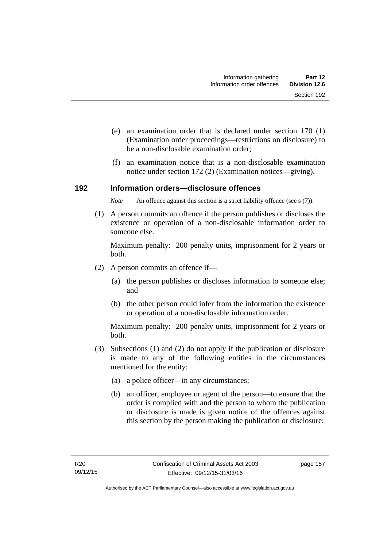- (e) an examination order that is declared under section 170 (1) (Examination order proceedings—restrictions on disclosure) to be a non-disclosable examination order;
- (f) an examination notice that is a non-disclosable examination notice under section 172 (2) (Examination notices—giving).

#### **192 Information orders—disclosure offences**

*Note* An offence against this section is a strict liability offence (see s (7)).

 (1) A person commits an offence if the person publishes or discloses the existence or operation of a non-disclosable information order to someone else.

Maximum penalty: 200 penalty units, imprisonment for 2 years or both.

- (2) A person commits an offence if—
	- (a) the person publishes or discloses information to someone else; and
	- (b) the other person could infer from the information the existence or operation of a non-disclosable information order.

Maximum penalty: 200 penalty units, imprisonment for 2 years or both.

- (3) Subsections (1) and (2) do not apply if the publication or disclosure is made to any of the following entities in the circumstances mentioned for the entity:
	- (a) a police officer—in any circumstances;
	- (b) an officer, employee or agent of the person—to ensure that the order is complied with and the person to whom the publication or disclosure is made is given notice of the offences against this section by the person making the publication or disclosure;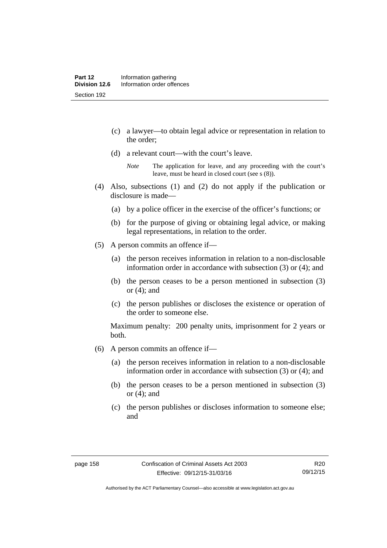- (c) a lawyer—to obtain legal advice or representation in relation to the order;
- (d) a relevant court—with the court's leave.

- (4) Also, subsections (1) and (2) do not apply if the publication or disclosure is made—
	- (a) by a police officer in the exercise of the officer's functions; or
	- (b) for the purpose of giving or obtaining legal advice, or making legal representations, in relation to the order.
- (5) A person commits an offence if—
	- (a) the person receives information in relation to a non-disclosable information order in accordance with subsection (3) or (4); and
	- (b) the person ceases to be a person mentioned in subsection (3) or  $(4)$ ; and
	- (c) the person publishes or discloses the existence or operation of the order to someone else.

Maximum penalty: 200 penalty units, imprisonment for 2 years or both.

- (6) A person commits an offence if—
	- (a) the person receives information in relation to a non-disclosable information order in accordance with subsection (3) or (4); and
	- (b) the person ceases to be a person mentioned in subsection (3) or  $(4)$ ; and
	- (c) the person publishes or discloses information to someone else; and

*Note* The application for leave, and any proceeding with the court's leave, must be heard in closed court (see s (8)).

Authorised by the ACT Parliamentary Counsel—also accessible at www.legislation.act.gov.au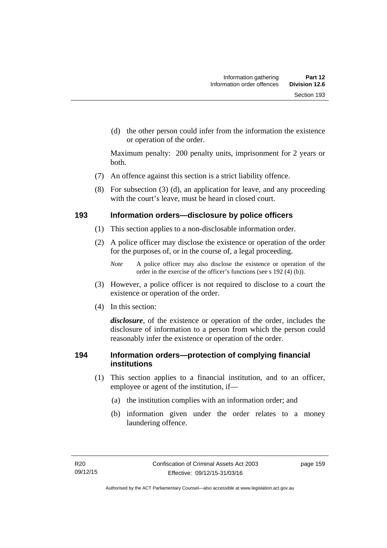(d) the other person could infer from the information the existence or operation of the order.

Maximum penalty: 200 penalty units, imprisonment for 2 years or both.

- (7) An offence against this section is a strict liability offence.
- (8) For subsection (3) (d), an application for leave, and any proceeding with the court's leave, must be heard in closed court.

# **193 Information orders—disclosure by police officers**

- (1) This section applies to a non-disclosable information order.
- (2) A police officer may disclose the existence or operation of the order for the purposes of, or in the course of, a legal proceeding.

- (3) However, a police officer is not required to disclose to a court the existence or operation of the order.
- (4) In this section:

*disclosure*, of the existence or operation of the order, includes the disclosure of information to a person from which the person could reasonably infer the existence or operation of the order.

# **194 Information orders—protection of complying financial institutions**

- (1) This section applies to a financial institution, and to an officer, employee or agent of the institution, if—
	- (a) the institution complies with an information order; and
	- (b) information given under the order relates to a money laundering offence.

*Note* A police officer may also disclose the existence or operation of the order in the exercise of the officer's functions (see s 192 (4) (b)).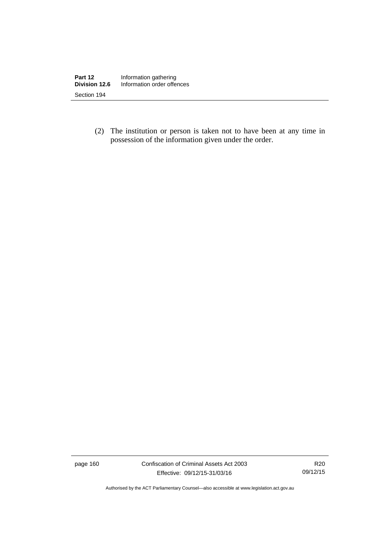(2) The institution or person is taken not to have been at any time in possession of the information given under the order.

page 160 Confiscation of Criminal Assets Act 2003 Effective: 09/12/15-31/03/16

R20 09/12/15

Authorised by the ACT Parliamentary Counsel—also accessible at www.legislation.act.gov.au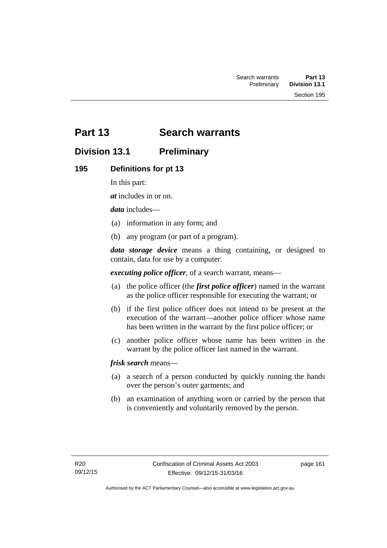# **Part 13 Search warrants**

# **Division 13.1 Preliminary**

## **195 Definitions for pt 13**

In this part:

*at* includes in or on.

*data* includes—

- (a) information in any form; and
- (b) any program (or part of a program).

*data storage device* means a thing containing, or designed to contain, data for use by a computer.

*executing police officer*, of a search warrant, means—

- (a) the police officer (the *first police officer*) named in the warrant as the police officer responsible for executing the warrant; or
- (b) if the first police officer does not intend to be present at the execution of the warrant—another police officer whose name has been written in the warrant by the first police officer; or
- (c) another police officer whose name has been written in the warrant by the police officer last named in the warrant.

*frisk search* means—

- (a) a search of a person conducted by quickly running the hands over the person's outer garments; and
- (b) an examination of anything worn or carried by the person that is conveniently and voluntarily removed by the person.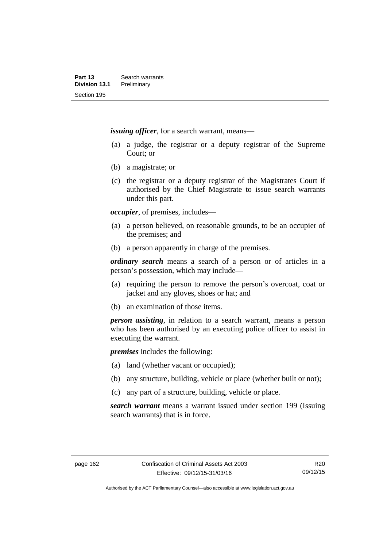*issuing officer*, for a search warrant, means—

- (a) a judge, the registrar or a deputy registrar of the Supreme Court; or
- (b) a magistrate; or
- (c) the registrar or a deputy registrar of the Magistrates Court if authorised by the Chief Magistrate to issue search warrants under this part.

*occupier*, of premises, includes—

- (a) a person believed, on reasonable grounds, to be an occupier of the premises; and
- (b) a person apparently in charge of the premises.

*ordinary search* means a search of a person or of articles in a person's possession, which may include—

- (a) requiring the person to remove the person's overcoat, coat or jacket and any gloves, shoes or hat; and
- (b) an examination of those items.

*person assisting*, in relation to a search warrant, means a person who has been authorised by an executing police officer to assist in executing the warrant.

*premises* includes the following:

- (a) land (whether vacant or occupied);
- (b) any structure, building, vehicle or place (whether built or not);
- (c) any part of a structure, building, vehicle or place.

*search warrant* means a warrant issued under section 199 (Issuing search warrants) that is in force.

R20 09/12/15

Authorised by the ACT Parliamentary Counsel—also accessible at www.legislation.act.gov.au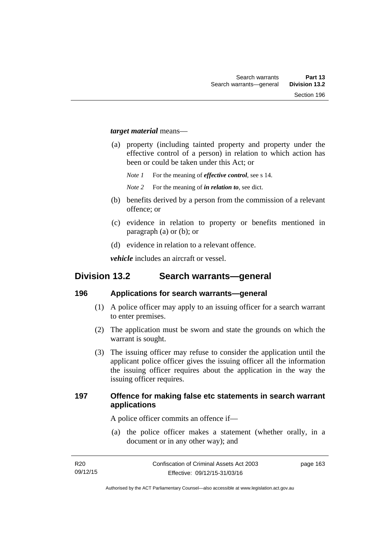#### *target material* means—

- (a) property (including tainted property and property under the effective control of a person) in relation to which action has been or could be taken under this Act; or
	- *Note 1* For the meaning of *effective control*, see s 14.
	- *Note 2* For the meaning of *in relation to*, see dict.
- (b) benefits derived by a person from the commission of a relevant offence; or
- (c) evidence in relation to property or benefits mentioned in paragraph (a) or (b); or
- (d) evidence in relation to a relevant offence.

*vehicle* includes an aircraft or vessel.

# **Division 13.2 Search warrants—general**

#### **196 Applications for search warrants—general**

- (1) A police officer may apply to an issuing officer for a search warrant to enter premises.
- (2) The application must be sworn and state the grounds on which the warrant is sought.
- (3) The issuing officer may refuse to consider the application until the applicant police officer gives the issuing officer all the information the issuing officer requires about the application in the way the issuing officer requires.

## **197 Offence for making false etc statements in search warrant applications**

A police officer commits an offence if—

 (a) the police officer makes a statement (whether orally, in a document or in any other way); and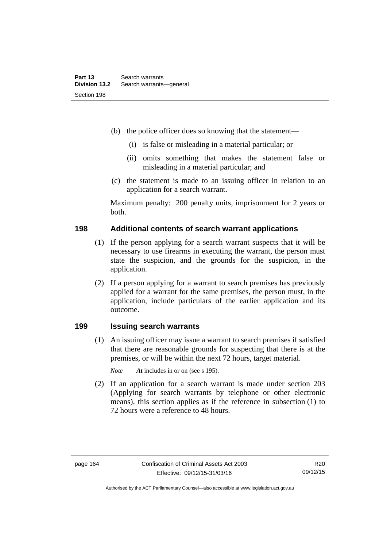- (b) the police officer does so knowing that the statement—
	- (i) is false or misleading in a material particular; or
	- (ii) omits something that makes the statement false or misleading in a material particular; and
- (c) the statement is made to an issuing officer in relation to an application for a search warrant.

Maximum penalty: 200 penalty units, imprisonment for 2 years or both.

#### **198 Additional contents of search warrant applications**

- (1) If the person applying for a search warrant suspects that it will be necessary to use firearms in executing the warrant, the person must state the suspicion, and the grounds for the suspicion, in the application.
- (2) If a person applying for a warrant to search premises has previously applied for a warrant for the same premises, the person must, in the application, include particulars of the earlier application and its outcome.

# **199 Issuing search warrants**

(1) An issuing officer may issue a warrant to search premises if satisfied that there are reasonable grounds for suspecting that there is at the premises, or will be within the next 72 hours, target material.

*Note At* includes in or on (see s 195).

 (2) If an application for a search warrant is made under section 203 (Applying for search warrants by telephone or other electronic means), this section applies as if the reference in subsection (1) to 72 hours were a reference to 48 hours.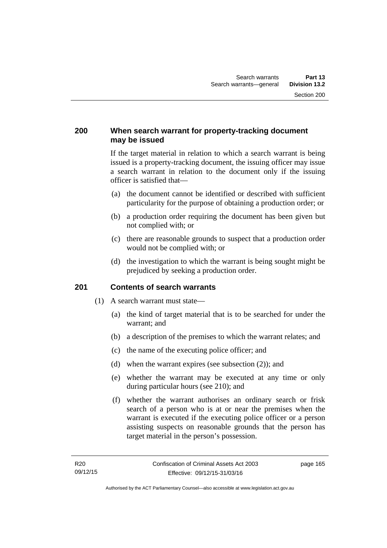## **200 When search warrant for property-tracking document may be issued**

If the target material in relation to which a search warrant is being issued is a property-tracking document, the issuing officer may issue a search warrant in relation to the document only if the issuing officer is satisfied that—

- (a) the document cannot be identified or described with sufficient particularity for the purpose of obtaining a production order; or
- (b) a production order requiring the document has been given but not complied with; or
- (c) there are reasonable grounds to suspect that a production order would not be complied with; or
- (d) the investigation to which the warrant is being sought might be prejudiced by seeking a production order.

#### **201 Contents of search warrants**

- (1) A search warrant must state—
	- (a) the kind of target material that is to be searched for under the warrant; and
	- (b) a description of the premises to which the warrant relates; and
	- (c) the name of the executing police officer; and
	- (d) when the warrant expires (see subsection (2)); and
	- (e) whether the warrant may be executed at any time or only during particular hours (see 210); and
	- (f) whether the warrant authorises an ordinary search or frisk search of a person who is at or near the premises when the warrant is executed if the executing police officer or a person assisting suspects on reasonable grounds that the person has target material in the person's possession.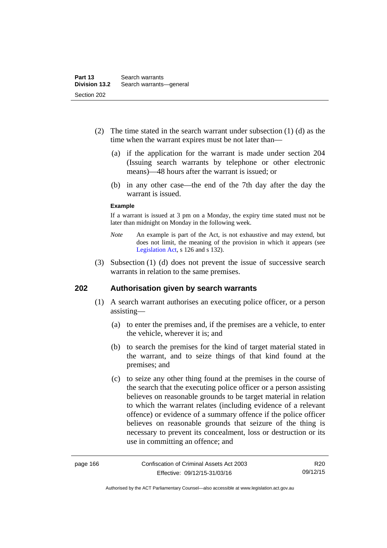- (2) The time stated in the search warrant under subsection (1) (d) as the time when the warrant expires must be not later than—
	- (a) if the application for the warrant is made under section 204 (Issuing search warrants by telephone or other electronic means)—48 hours after the warrant is issued; or
	- (b) in any other case—the end of the 7th day after the day the warrant is issued.

#### **Example**

If a warrant is issued at 3 pm on a Monday, the expiry time stated must not be later than midnight on Monday in the following week.

- *Note* An example is part of the Act, is not exhaustive and may extend, but does not limit, the meaning of the provision in which it appears (see [Legislation Act,](http://www.legislation.act.gov.au/a/2001-14) s 126 and s 132).
- (3) Subsection (1) (d) does not prevent the issue of successive search warrants in relation to the same premises.

#### **202 Authorisation given by search warrants**

- (1) A search warrant authorises an executing police officer, or a person assisting—
	- (a) to enter the premises and, if the premises are a vehicle, to enter the vehicle, wherever it is; and
	- (b) to search the premises for the kind of target material stated in the warrant, and to seize things of that kind found at the premises; and
	- (c) to seize any other thing found at the premises in the course of the search that the executing police officer or a person assisting believes on reasonable grounds to be target material in relation to which the warrant relates (including evidence of a relevant offence) or evidence of a summary offence if the police officer believes on reasonable grounds that seizure of the thing is necessary to prevent its concealment, loss or destruction or its use in committing an offence; and

Authorised by the ACT Parliamentary Counsel—also accessible at www.legislation.act.gov.au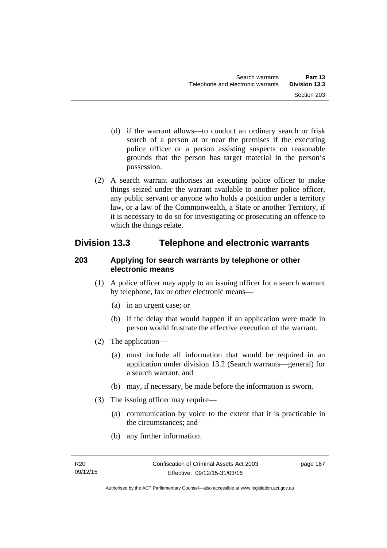- (d) if the warrant allows—to conduct an ordinary search or frisk search of a person at or near the premises if the executing police officer or a person assisting suspects on reasonable grounds that the person has target material in the person's possession.
- (2) A search warrant authorises an executing police officer to make things seized under the warrant available to another police officer, any public servant or anyone who holds a position under a territory law, or a law of the Commonwealth, a State or another Territory, if it is necessary to do so for investigating or prosecuting an offence to which the things relate.

# **Division 13.3 Telephone and electronic warrants**

# **203 Applying for search warrants by telephone or other electronic means**

- (1) A police officer may apply to an issuing officer for a search warrant by telephone, fax or other electronic means—
	- (a) in an urgent case; or
	- (b) if the delay that would happen if an application were made in person would frustrate the effective execution of the warrant.
- (2) The application—
	- (a) must include all information that would be required in an application under division 13.2 (Search warrants—general) for a search warrant; and
	- (b) may, if necessary, be made before the information is sworn.
- (3) The issuing officer may require—
	- (a) communication by voice to the extent that it is practicable in the circumstances; and
	- (b) any further information.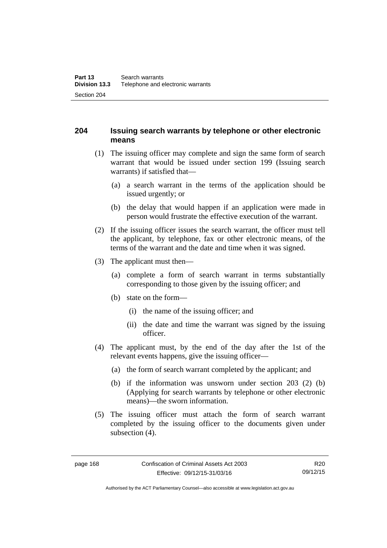# **204 Issuing search warrants by telephone or other electronic means**

- (1) The issuing officer may complete and sign the same form of search warrant that would be issued under section 199 (Issuing search warrants) if satisfied that—
	- (a) a search warrant in the terms of the application should be issued urgently; or
	- (b) the delay that would happen if an application were made in person would frustrate the effective execution of the warrant.
- (2) If the issuing officer issues the search warrant, the officer must tell the applicant, by telephone, fax or other electronic means, of the terms of the warrant and the date and time when it was signed.
- (3) The applicant must then—
	- (a) complete a form of search warrant in terms substantially corresponding to those given by the issuing officer; and
	- (b) state on the form—
		- (i) the name of the issuing officer; and
		- (ii) the date and time the warrant was signed by the issuing officer.
- (4) The applicant must, by the end of the day after the 1st of the relevant events happens, give the issuing officer—
	- (a) the form of search warrant completed by the applicant; and
	- (b) if the information was unsworn under section 203 (2) (b) (Applying for search warrants by telephone or other electronic means)—the sworn information.
- (5) The issuing officer must attach the form of search warrant completed by the issuing officer to the documents given under subsection  $(4)$ .

Authorised by the ACT Parliamentary Counsel—also accessible at www.legislation.act.gov.au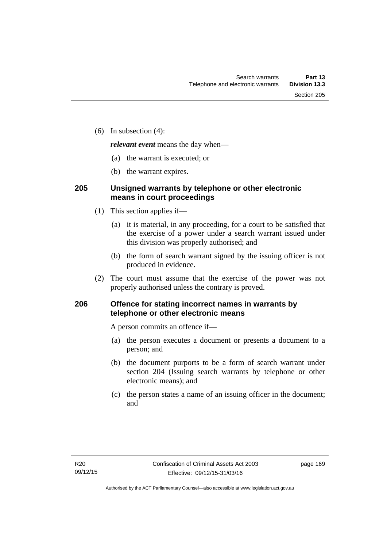(6) In subsection (4):

*relevant event* means the day when—

- (a) the warrant is executed; or
- (b) the warrant expires.

# **205 Unsigned warrants by telephone or other electronic means in court proceedings**

- (1) This section applies if—
	- (a) it is material, in any proceeding, for a court to be satisfied that the exercise of a power under a search warrant issued under this division was properly authorised; and
	- (b) the form of search warrant signed by the issuing officer is not produced in evidence.
- (2) The court must assume that the exercise of the power was not properly authorised unless the contrary is proved.

# **206 Offence for stating incorrect names in warrants by telephone or other electronic means**

A person commits an offence if—

- (a) the person executes a document or presents a document to a person; and
- (b) the document purports to be a form of search warrant under section 204 (Issuing search warrants by telephone or other electronic means); and
- (c) the person states a name of an issuing officer in the document; and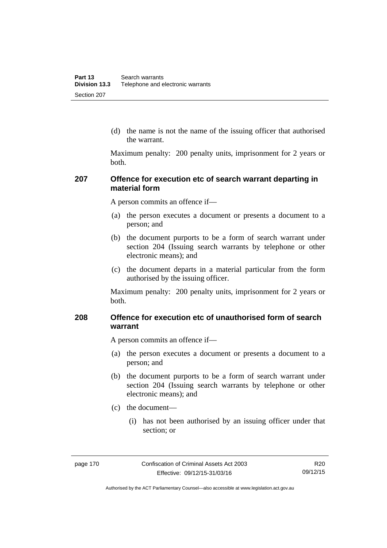(d) the name is not the name of the issuing officer that authorised the warrant.

Maximum penalty: 200 penalty units, imprisonment for 2 years or both.

### **207 Offence for execution etc of search warrant departing in material form**

A person commits an offence if—

- (a) the person executes a document or presents a document to a person; and
- (b) the document purports to be a form of search warrant under section 204 (Issuing search warrants by telephone or other electronic means); and
- (c) the document departs in a material particular from the form authorised by the issuing officer.

Maximum penalty: 200 penalty units, imprisonment for 2 years or both.

# **208 Offence for execution etc of unauthorised form of search warrant**

A person commits an offence if—

- (a) the person executes a document or presents a document to a person; and
- (b) the document purports to be a form of search warrant under section 204 (Issuing search warrants by telephone or other electronic means); and
- (c) the document—
	- (i) has not been authorised by an issuing officer under that section; or

Authorised by the ACT Parliamentary Counsel—also accessible at www.legislation.act.gov.au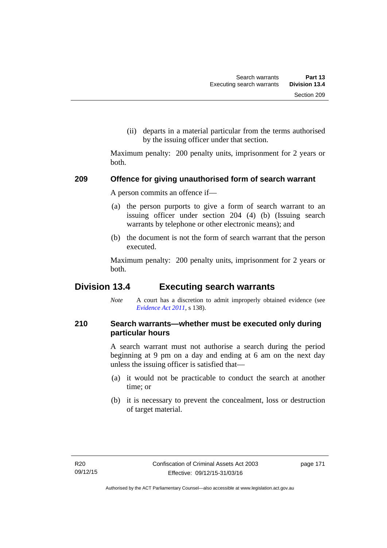(ii) departs in a material particular from the terms authorised by the issuing officer under that section.

Maximum penalty: 200 penalty units, imprisonment for 2 years or both.

### **209 Offence for giving unauthorised form of search warrant**

A person commits an offence if—

- (a) the person purports to give a form of search warrant to an issuing officer under section 204 (4) (b) (Issuing search warrants by telephone or other electronic means); and
- (b) the document is not the form of search warrant that the person executed.

Maximum penalty: 200 penalty units, imprisonment for 2 years or both.

# **Division 13.4 Executing search warrants**

*Note* A court has a discretion to admit improperly obtained evidence (see *[Evidence Act 2011](http://www.legislation.act.gov.au/a/2011-12)*, s 138).

# **210 Search warrants—whether must be executed only during particular hours**

A search warrant must not authorise a search during the period beginning at 9 pm on a day and ending at 6 am on the next day unless the issuing officer is satisfied that—

- (a) it would not be practicable to conduct the search at another time; or
- (b) it is necessary to prevent the concealment, loss or destruction of target material.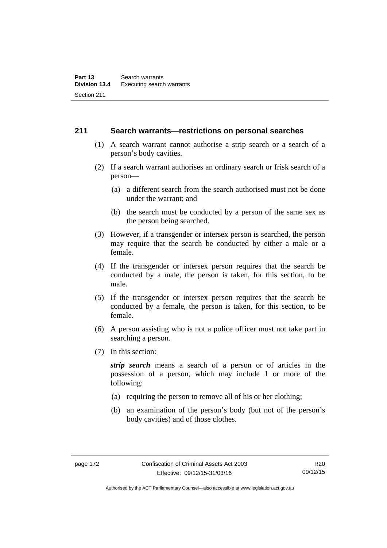### **211 Search warrants—restrictions on personal searches**

- (1) A search warrant cannot authorise a strip search or a search of a person's body cavities.
- (2) If a search warrant authorises an ordinary search or frisk search of a person—
	- (a) a different search from the search authorised must not be done under the warrant; and
	- (b) the search must be conducted by a person of the same sex as the person being searched.
- (3) However, if a transgender or intersex person is searched, the person may require that the search be conducted by either a male or a female.
- (4) If the transgender or intersex person requires that the search be conducted by a male, the person is taken, for this section, to be male.
- (5) If the transgender or intersex person requires that the search be conducted by a female, the person is taken, for this section, to be female.
- (6) A person assisting who is not a police officer must not take part in searching a person.
- (7) In this section:

*strip search* means a search of a person or of articles in the possession of a person, which may include 1 or more of the following:

- (a) requiring the person to remove all of his or her clothing;
- (b) an examination of the person's body (but not of the person's body cavities) and of those clothes.

R20 09/12/15

Authorised by the ACT Parliamentary Counsel—also accessible at www.legislation.act.gov.au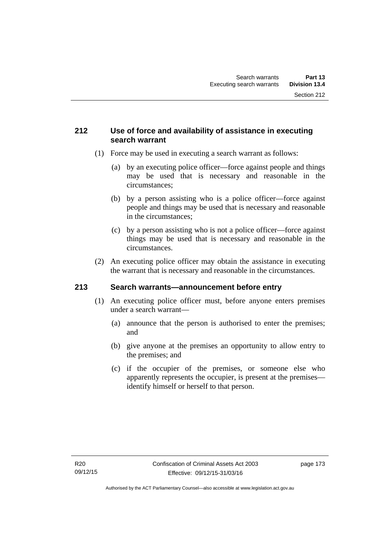# **212 Use of force and availability of assistance in executing search warrant**

- (1) Force may be used in executing a search warrant as follows:
	- (a) by an executing police officer—force against people and things may be used that is necessary and reasonable in the circumstances;
	- (b) by a person assisting who is a police officer—force against people and things may be used that is necessary and reasonable in the circumstances;
	- (c) by a person assisting who is not a police officer—force against things may be used that is necessary and reasonable in the circumstances.
- (2) An executing police officer may obtain the assistance in executing the warrant that is necessary and reasonable in the circumstances.

# **213 Search warrants—announcement before entry**

- (1) An executing police officer must, before anyone enters premises under a search warrant—
	- (a) announce that the person is authorised to enter the premises; and
	- (b) give anyone at the premises an opportunity to allow entry to the premises; and
	- (c) if the occupier of the premises, or someone else who apparently represents the occupier, is present at the premises identify himself or herself to that person.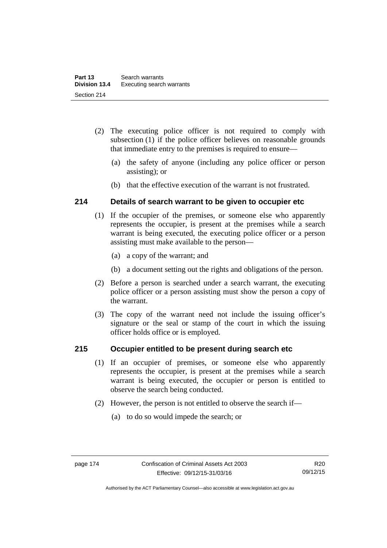- (2) The executing police officer is not required to comply with subsection (1) if the police officer believes on reasonable grounds that immediate entry to the premises is required to ensure—
	- (a) the safety of anyone (including any police officer or person assisting); or
	- (b) that the effective execution of the warrant is not frustrated.

# **214 Details of search warrant to be given to occupier etc**

- (1) If the occupier of the premises, or someone else who apparently represents the occupier, is present at the premises while a search warrant is being executed, the executing police officer or a person assisting must make available to the person—
	- (a) a copy of the warrant; and
	- (b) a document setting out the rights and obligations of the person.
- (2) Before a person is searched under a search warrant, the executing police officer or a person assisting must show the person a copy of the warrant.
- (3) The copy of the warrant need not include the issuing officer's signature or the seal or stamp of the court in which the issuing officer holds office or is employed.

# **215 Occupier entitled to be present during search etc**

- (1) If an occupier of premises, or someone else who apparently represents the occupier, is present at the premises while a search warrant is being executed, the occupier or person is entitled to observe the search being conducted.
- (2) However, the person is not entitled to observe the search if—
	- (a) to do so would impede the search; or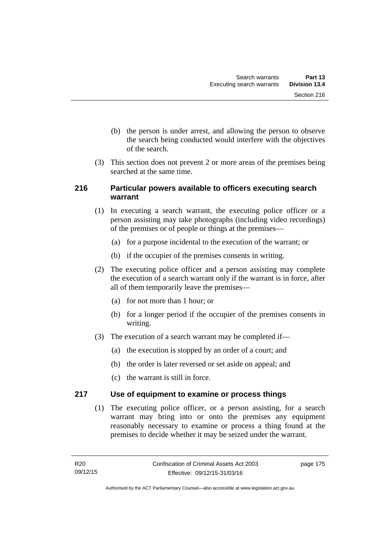- (b) the person is under arrest, and allowing the person to observe the search being conducted would interfere with the objectives of the search.
- (3) This section does not prevent 2 or more areas of the premises being searched at the same time.

# **216 Particular powers available to officers executing search warrant**

- (1) In executing a search warrant, the executing police officer or a person assisting may take photographs (including video recordings) of the premises or of people or things at the premises—
	- (a) for a purpose incidental to the execution of the warrant; or
	- (b) if the occupier of the premises consents in writing.
- (2) The executing police officer and a person assisting may complete the execution of a search warrant only if the warrant is in force, after all of them temporarily leave the premises—
	- (a) for not more than 1 hour; or
	- (b) for a longer period if the occupier of the premises consents in writing.
- (3) The execution of a search warrant may be completed if—
	- (a) the execution is stopped by an order of a court; and
	- (b) the order is later reversed or set aside on appeal; and
	- (c) the warrant is still in force.

# **217 Use of equipment to examine or process things**

(1) The executing police officer, or a person assisting, for a search warrant may bring into or onto the premises any equipment reasonably necessary to examine or process a thing found at the premises to decide whether it may be seized under the warrant.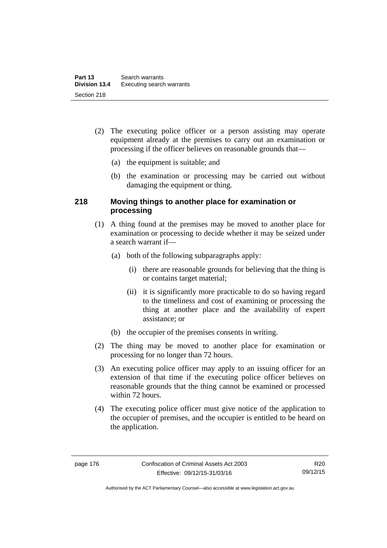- (2) The executing police officer or a person assisting may operate equipment already at the premises to carry out an examination or processing if the officer believes on reasonable grounds that—
	- (a) the equipment is suitable; and
	- (b) the examination or processing may be carried out without damaging the equipment or thing.

# **218 Moving things to another place for examination or processing**

- (1) A thing found at the premises may be moved to another place for examination or processing to decide whether it may be seized under a search warrant if—
	- (a) both of the following subparagraphs apply:
		- (i) there are reasonable grounds for believing that the thing is or contains target material;
		- (ii) it is significantly more practicable to do so having regard to the timeliness and cost of examining or processing the thing at another place and the availability of expert assistance; or
	- (b) the occupier of the premises consents in writing.
- (2) The thing may be moved to another place for examination or processing for no longer than 72 hours.
- (3) An executing police officer may apply to an issuing officer for an extension of that time if the executing police officer believes on reasonable grounds that the thing cannot be examined or processed within 72 hours.
- (4) The executing police officer must give notice of the application to the occupier of premises, and the occupier is entitled to be heard on the application.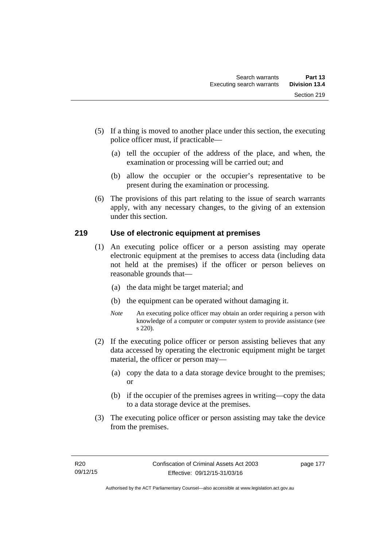- (5) If a thing is moved to another place under this section, the executing police officer must, if practicable—
	- (a) tell the occupier of the address of the place, and when, the examination or processing will be carried out; and
	- (b) allow the occupier or the occupier's representative to be present during the examination or processing.
- (6) The provisions of this part relating to the issue of search warrants apply, with any necessary changes, to the giving of an extension under this section.

# **219 Use of electronic equipment at premises**

- (1) An executing police officer or a person assisting may operate electronic equipment at the premises to access data (including data not held at the premises) if the officer or person believes on reasonable grounds that—
	- (a) the data might be target material; and
	- (b) the equipment can be operated without damaging it.
	- *Note* An executing police officer may obtain an order requiring a person with knowledge of a computer or computer system to provide assistance (see s 220).
- (2) If the executing police officer or person assisting believes that any data accessed by operating the electronic equipment might be target material, the officer or person may—
	- (a) copy the data to a data storage device brought to the premises; or
	- (b) if the occupier of the premises agrees in writing—copy the data to a data storage device at the premises.
- (3) The executing police officer or person assisting may take the device from the premises.

page 177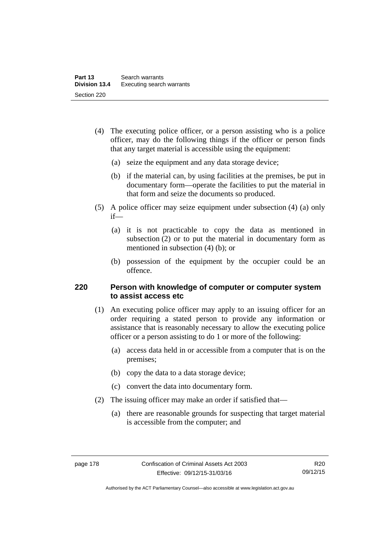- (4) The executing police officer, or a person assisting who is a police officer, may do the following things if the officer or person finds that any target material is accessible using the equipment:
	- (a) seize the equipment and any data storage device;
	- (b) if the material can, by using facilities at the premises, be put in documentary form—operate the facilities to put the material in that form and seize the documents so produced.
- (5) A police officer may seize equipment under subsection (4) (a) only if—
	- (a) it is not practicable to copy the data as mentioned in subsection (2) or to put the material in documentary form as mentioned in subsection (4) (b); or
	- (b) possession of the equipment by the occupier could be an offence.

### **220 Person with knowledge of computer or computer system to assist access etc**

- (1) An executing police officer may apply to an issuing officer for an order requiring a stated person to provide any information or assistance that is reasonably necessary to allow the executing police officer or a person assisting to do 1 or more of the following:
	- (a) access data held in or accessible from a computer that is on the premises;
	- (b) copy the data to a data storage device;
	- (c) convert the data into documentary form.
- (2) The issuing officer may make an order if satisfied that—
	- (a) there are reasonable grounds for suspecting that target material is accessible from the computer; and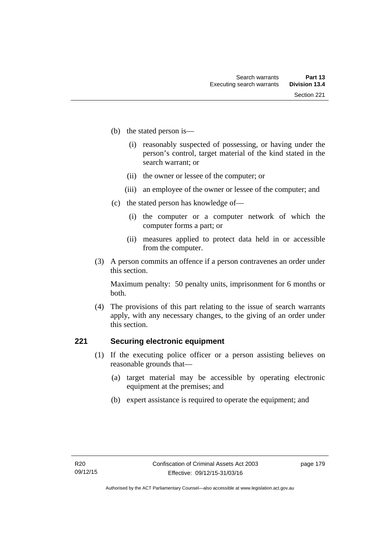- (b) the stated person is—
	- (i) reasonably suspected of possessing, or having under the person's control, target material of the kind stated in the search warrant; or
	- (ii) the owner or lessee of the computer; or
	- (iii) an employee of the owner or lessee of the computer; and
- (c) the stated person has knowledge of—
	- (i) the computer or a computer network of which the computer forms a part; or
	- (ii) measures applied to protect data held in or accessible from the computer.
- (3) A person commits an offence if a person contravenes an order under this section.

Maximum penalty: 50 penalty units, imprisonment for 6 months or both.

 (4) The provisions of this part relating to the issue of search warrants apply, with any necessary changes, to the giving of an order under this section.

## **221 Securing electronic equipment**

- (1) If the executing police officer or a person assisting believes on reasonable grounds that—
	- (a) target material may be accessible by operating electronic equipment at the premises; and
	- (b) expert assistance is required to operate the equipment; and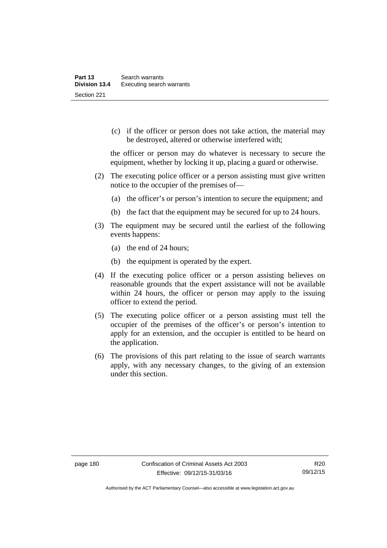(c) if the officer or person does not take action, the material may be destroyed, altered or otherwise interfered with;

the officer or person may do whatever is necessary to secure the equipment, whether by locking it up, placing a guard or otherwise.

- (2) The executing police officer or a person assisting must give written notice to the occupier of the premises of—
	- (a) the officer's or person's intention to secure the equipment; and
	- (b) the fact that the equipment may be secured for up to 24 hours.
- (3) The equipment may be secured until the earliest of the following events happens:
	- (a) the end of 24 hours;
	- (b) the equipment is operated by the expert.
- (4) If the executing police officer or a person assisting believes on reasonable grounds that the expert assistance will not be available within 24 hours, the officer or person may apply to the issuing officer to extend the period.
- (5) The executing police officer or a person assisting must tell the occupier of the premises of the officer's or person's intention to apply for an extension, and the occupier is entitled to be heard on the application.
- (6) The provisions of this part relating to the issue of search warrants apply, with any necessary changes, to the giving of an extension under this section.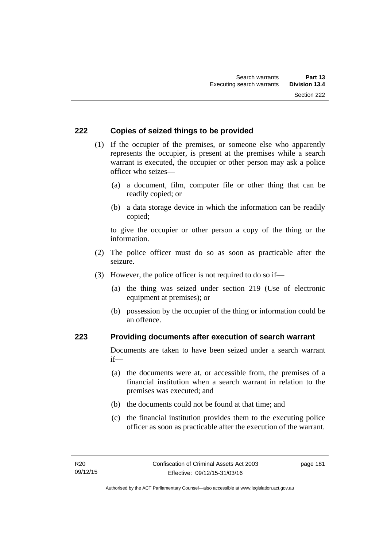## **222 Copies of seized things to be provided**

- (1) If the occupier of the premises, or someone else who apparently represents the occupier, is present at the premises while a search warrant is executed, the occupier or other person may ask a police officer who seizes—
	- (a) a document, film, computer file or other thing that can be readily copied; or
	- (b) a data storage device in which the information can be readily copied;

to give the occupier or other person a copy of the thing or the information.

- (2) The police officer must do so as soon as practicable after the seizure.
- (3) However, the police officer is not required to do so if—
	- (a) the thing was seized under section 219 (Use of electronic equipment at premises); or
	- (b) possession by the occupier of the thing or information could be an offence.

### **223 Providing documents after execution of search warrant**

Documents are taken to have been seized under a search warrant if—

- (a) the documents were at, or accessible from, the premises of a financial institution when a search warrant in relation to the premises was executed; and
- (b) the documents could not be found at that time; and
- (c) the financial institution provides them to the executing police officer as soon as practicable after the execution of the warrant.

page 181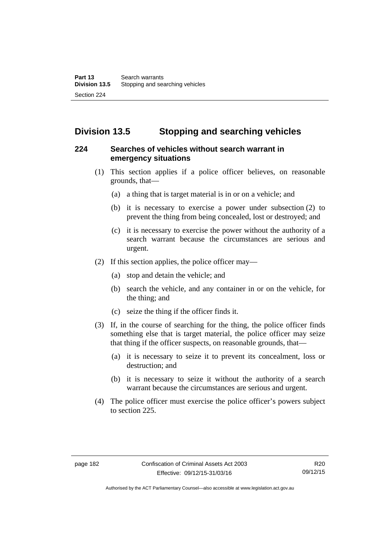# **Division 13.5 Stopping and searching vehicles**

# **224 Searches of vehicles without search warrant in emergency situations**

- (1) This section applies if a police officer believes, on reasonable grounds, that—
	- (a) a thing that is target material is in or on a vehicle; and
	- (b) it is necessary to exercise a power under subsection (2) to prevent the thing from being concealed, lost or destroyed; and
	- (c) it is necessary to exercise the power without the authority of a search warrant because the circumstances are serious and urgent.
- (2) If this section applies, the police officer may—
	- (a) stop and detain the vehicle; and
	- (b) search the vehicle, and any container in or on the vehicle, for the thing; and
	- (c) seize the thing if the officer finds it.
- (3) If, in the course of searching for the thing, the police officer finds something else that is target material, the police officer may seize that thing if the officer suspects, on reasonable grounds, that—
	- (a) it is necessary to seize it to prevent its concealment, loss or destruction; and
	- (b) it is necessary to seize it without the authority of a search warrant because the circumstances are serious and urgent.
- (4) The police officer must exercise the police officer's powers subject to section 225.

Authorised by the ACT Parliamentary Counsel—also accessible at www.legislation.act.gov.au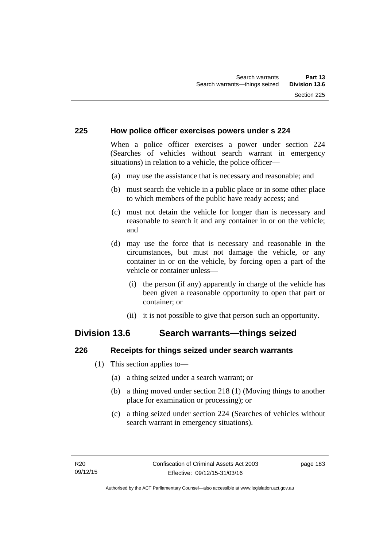### **225 How police officer exercises powers under s 224**

When a police officer exercises a power under section 224 (Searches of vehicles without search warrant in emergency situations) in relation to a vehicle, the police officer—

- (a) may use the assistance that is necessary and reasonable; and
- (b) must search the vehicle in a public place or in some other place to which members of the public have ready access; and
- (c) must not detain the vehicle for longer than is necessary and reasonable to search it and any container in or on the vehicle; and
- (d) may use the force that is necessary and reasonable in the circumstances, but must not damage the vehicle, or any container in or on the vehicle, by forcing open a part of the vehicle or container unless—
	- (i) the person (if any) apparently in charge of the vehicle has been given a reasonable opportunity to open that part or container; or
	- (ii) it is not possible to give that person such an opportunity.

# **Division 13.6 Search warrants—things seized**

### **226 Receipts for things seized under search warrants**

- (1) This section applies to—
	- (a) a thing seized under a search warrant; or
	- (b) a thing moved under section 218 (1) (Moving things to another place for examination or processing); or
	- (c) a thing seized under section 224 (Searches of vehicles without search warrant in emergency situations).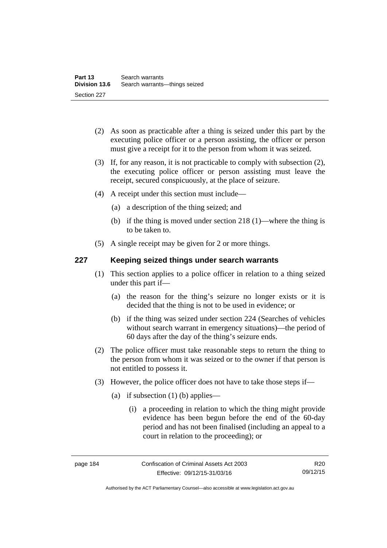- (2) As soon as practicable after a thing is seized under this part by the executing police officer or a person assisting, the officer or person must give a receipt for it to the person from whom it was seized.
- (3) If, for any reason, it is not practicable to comply with subsection (2), the executing police officer or person assisting must leave the receipt, secured conspicuously, at the place of seizure.
- (4) A receipt under this section must include—
	- (a) a description of the thing seized; and
	- (b) if the thing is moved under section 218 (1)—where the thing is to be taken to.
- (5) A single receipt may be given for 2 or more things.

# **227 Keeping seized things under search warrants**

- (1) This section applies to a police officer in relation to a thing seized under this part if—
	- (a) the reason for the thing's seizure no longer exists or it is decided that the thing is not to be used in evidence; or
	- (b) if the thing was seized under section 224 (Searches of vehicles without search warrant in emergency situations)—the period of 60 days after the day of the thing's seizure ends.
- (2) The police officer must take reasonable steps to return the thing to the person from whom it was seized or to the owner if that person is not entitled to possess it.
- (3) However, the police officer does not have to take those steps if—
	- (a) if subsection  $(1)$  (b) applies—
		- (i) a proceeding in relation to which the thing might provide evidence has been begun before the end of the 60-day period and has not been finalised (including an appeal to a court in relation to the proceeding); or

Authorised by the ACT Parliamentary Counsel—also accessible at www.legislation.act.gov.au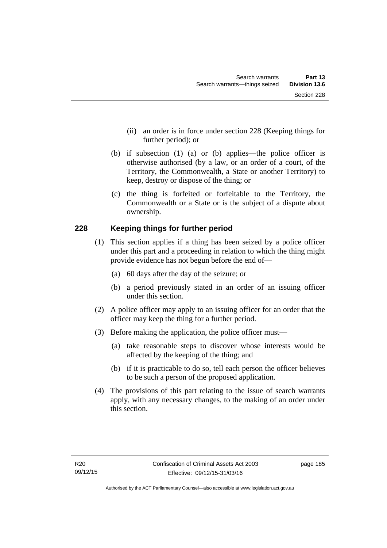- (ii) an order is in force under section 228 (Keeping things for further period); or
- (b) if subsection (1) (a) or (b) applies—the police officer is otherwise authorised (by a law, or an order of a court, of the Territory, the Commonwealth, a State or another Territory) to keep, destroy or dispose of the thing; or
- (c) the thing is forfeited or forfeitable to the Territory, the Commonwealth or a State or is the subject of a dispute about ownership.

# **228 Keeping things for further period**

- (1) This section applies if a thing has been seized by a police officer under this part and a proceeding in relation to which the thing might provide evidence has not begun before the end of—
	- (a) 60 days after the day of the seizure; or
	- (b) a period previously stated in an order of an issuing officer under this section.
- (2) A police officer may apply to an issuing officer for an order that the officer may keep the thing for a further period.
- (3) Before making the application, the police officer must—
	- (a) take reasonable steps to discover whose interests would be affected by the keeping of the thing; and
	- (b) if it is practicable to do so, tell each person the officer believes to be such a person of the proposed application.
- (4) The provisions of this part relating to the issue of search warrants apply, with any necessary changes, to the making of an order under this section.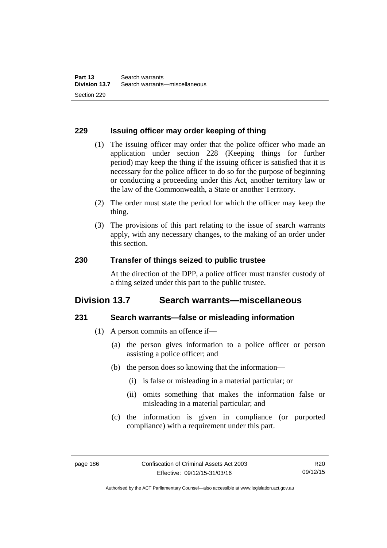## **229 Issuing officer may order keeping of thing**

- (1) The issuing officer may order that the police officer who made an application under section 228 (Keeping things for further period) may keep the thing if the issuing officer is satisfied that it is necessary for the police officer to do so for the purpose of beginning or conducting a proceeding under this Act, another territory law or the law of the Commonwealth, a State or another Territory.
- (2) The order must state the period for which the officer may keep the thing.
- (3) The provisions of this part relating to the issue of search warrants apply, with any necessary changes, to the making of an order under this section.

### **230 Transfer of things seized to public trustee**

At the direction of the DPP, a police officer must transfer custody of a thing seized under this part to the public trustee.

# **Division 13.7 Search warrants—miscellaneous**

### **231 Search warrants—false or misleading information**

- (1) A person commits an offence if—
	- (a) the person gives information to a police officer or person assisting a police officer; and
	- (b) the person does so knowing that the information—
		- (i) is false or misleading in a material particular; or
		- (ii) omits something that makes the information false or misleading in a material particular; and
	- (c) the information is given in compliance (or purported compliance) with a requirement under this part.

Authorised by the ACT Parliamentary Counsel—also accessible at www.legislation.act.gov.au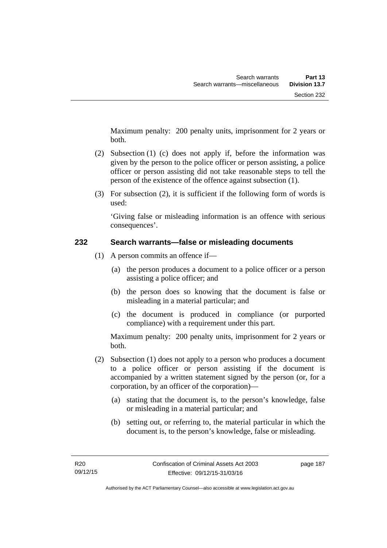Maximum penalty: 200 penalty units, imprisonment for 2 years or both.

- (2) Subsection (1) (c) does not apply if, before the information was given by the person to the police officer or person assisting, a police officer or person assisting did not take reasonable steps to tell the person of the existence of the offence against subsection (1).
- (3) For subsection (2), it is sufficient if the following form of words is used:

'Giving false or misleading information is an offence with serious consequences'.

# **232 Search warrants—false or misleading documents**

- (1) A person commits an offence if—
	- (a) the person produces a document to a police officer or a person assisting a police officer; and
	- (b) the person does so knowing that the document is false or misleading in a material particular; and
	- (c) the document is produced in compliance (or purported compliance) with a requirement under this part.

Maximum penalty: 200 penalty units, imprisonment for 2 years or both.

- (2) Subsection (1) does not apply to a person who produces a document to a police officer or person assisting if the document is accompanied by a written statement signed by the person (or, for a corporation, by an officer of the corporation)—
	- (a) stating that the document is, to the person's knowledge, false or misleading in a material particular; and
	- (b) setting out, or referring to, the material particular in which the document is, to the person's knowledge, false or misleading.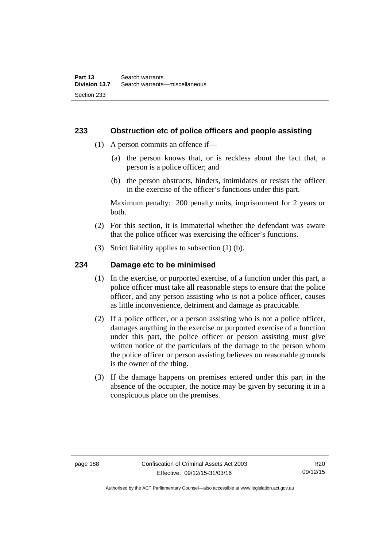### **233 Obstruction etc of police officers and people assisting**

- (1) A person commits an offence if—
	- (a) the person knows that, or is reckless about the fact that, a person is a police officer; and
	- (b) the person obstructs, hinders, intimidates or resists the officer in the exercise of the officer's functions under this part.

Maximum penalty: 200 penalty units, imprisonment for 2 years or both.

- (2) For this section, it is immaterial whether the defendant was aware that the police officer was exercising the officer's functions.
- (3) Strict liability applies to subsection (1) (b).

### **234 Damage etc to be minimised**

- (1) In the exercise, or purported exercise, of a function under this part, a police officer must take all reasonable steps to ensure that the police officer, and any person assisting who is not a police officer, causes as little inconvenience, detriment and damage as practicable.
- (2) If a police officer, or a person assisting who is not a police officer, damages anything in the exercise or purported exercise of a function under this part, the police officer or person assisting must give written notice of the particulars of the damage to the person whom the police officer or person assisting believes on reasonable grounds is the owner of the thing.
- (3) If the damage happens on premises entered under this part in the absence of the occupier, the notice may be given by securing it in a conspicuous place on the premises.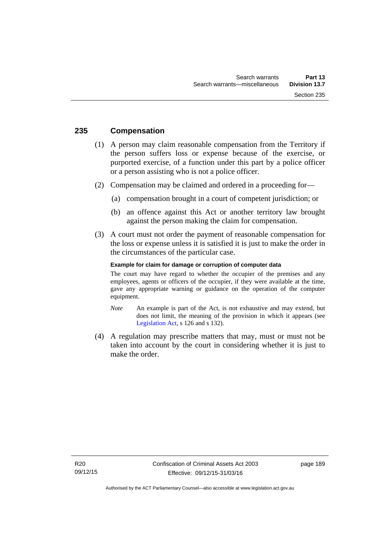## **235 Compensation**

- (1) A person may claim reasonable compensation from the Territory if the person suffers loss or expense because of the exercise, or purported exercise, of a function under this part by a police officer or a person assisting who is not a police officer.
- (2) Compensation may be claimed and ordered in a proceeding for—
	- (a) compensation brought in a court of competent jurisdiction; or
	- (b) an offence against this Act or another territory law brought against the person making the claim for compensation.
- (3) A court must not order the payment of reasonable compensation for the loss or expense unless it is satisfied it is just to make the order in the circumstances of the particular case.

#### **Example for claim for damage or corruption of computer data**

The court may have regard to whether the occupier of the premises and any employees, agents or officers of the occupier, if they were available at the time, gave any appropriate warning or guidance on the operation of the computer equipment.

- *Note* An example is part of the Act, is not exhaustive and may extend, but does not limit, the meaning of the provision in which it appears (see [Legislation Act,](http://www.legislation.act.gov.au/a/2001-14) s 126 and s 132).
- (4) A regulation may prescribe matters that may, must or must not be taken into account by the court in considering whether it is just to make the order.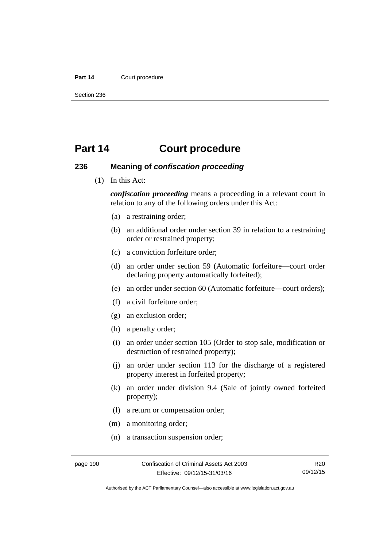#### Part 14 **Court procedure**

Section 236

# **Part 14 Court procedure**

### **236 Meaning of** *confiscation proceeding*

(1) In this Act:

*confiscation proceeding* means a proceeding in a relevant court in relation to any of the following orders under this Act:

- (a) a restraining order;
- (b) an additional order under section 39 in relation to a restraining order or restrained property;
- (c) a conviction forfeiture order;
- (d) an order under section 59 (Automatic forfeiture—court order declaring property automatically forfeited);
- (e) an order under section 60 (Automatic forfeiture—court orders);
- (f) a civil forfeiture order;
- (g) an exclusion order;
- (h) a penalty order;
- (i) an order under section 105 (Order to stop sale, modification or destruction of restrained property);
- (j) an order under section 113 for the discharge of a registered property interest in forfeited property;
- (k) an order under division 9.4 (Sale of jointly owned forfeited property);
- (l) a return or compensation order;
- (m) a monitoring order;
- (n) a transaction suspension order;

Authorised by the ACT Parliamentary Counsel—also accessible at www.legislation.act.gov.au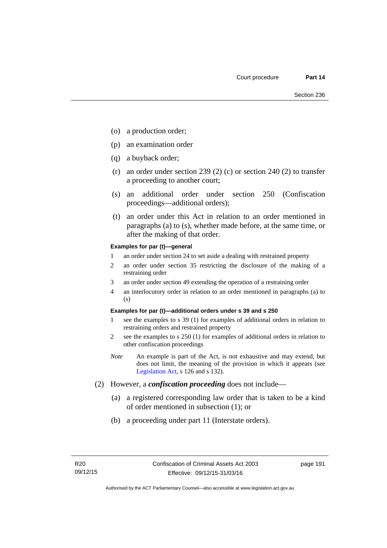- (o) a production order;
- (p) an examination order
- (q) a buyback order;
- (r) an order under section 239 (2) (c) or section 240 (2) to transfer a proceeding to another court;
- (s) an additional order under section 250 (Confiscation proceedings—additional orders);
- (t) an order under this Act in relation to an order mentioned in paragraphs (a) to (s), whether made before, at the same time, or after the making of that order.

#### **Examples for par (t)—general**

- 1 an order under section 24 to set aside a dealing with restrained property
- 2 an order under section 35 restricting the disclosure of the making of a restraining order
- 3 an order under section 49 extending the operation of a restraining order
- 4 an interlocutory order in relation to an order mentioned in paragraphs (a) to (s)

#### **Examples for par (t)—additional orders under s 39 and s 250**

- 1 see the examples to s 39 (1) for examples of additional orders in relation to restraining orders and restrained property
- 2 see the examples to s 250 (1) for examples of additional orders in relation to other confiscation proceedings
- *Note* An example is part of the Act, is not exhaustive and may extend, but does not limit, the meaning of the provision in which it appears (see [Legislation Act,](http://www.legislation.act.gov.au/a/2001-14) s 126 and s 132).
- (2) However, a *confiscation proceeding* does not include—
	- (a) a registered corresponding law order that is taken to be a kind of order mentioned in subsection (1); or
	- (b) a proceeding under part 11 (Interstate orders).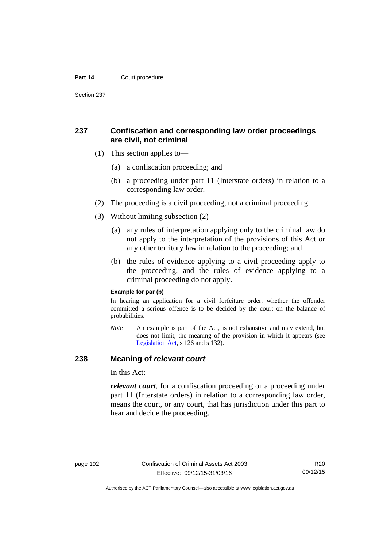#### Part 14 **Court procedure**

Section 237

# **237 Confiscation and corresponding law order proceedings are civil, not criminal**

- (1) This section applies to—
	- (a) a confiscation proceeding; and
	- (b) a proceeding under part 11 (Interstate orders) in relation to a corresponding law order.
- (2) The proceeding is a civil proceeding, not a criminal proceeding.
- (3) Without limiting subsection (2)—
	- (a) any rules of interpretation applying only to the criminal law do not apply to the interpretation of the provisions of this Act or any other territory law in relation to the proceeding; and
	- (b) the rules of evidence applying to a civil proceeding apply to the proceeding, and the rules of evidence applying to a criminal proceeding do not apply.

#### **Example for par (b)**

In hearing an application for a civil forfeiture order, whether the offender committed a serious offence is to be decided by the court on the balance of probabilities.

*Note* An example is part of the Act, is not exhaustive and may extend, but does not limit, the meaning of the provision in which it appears (see [Legislation Act,](http://www.legislation.act.gov.au/a/2001-14) s 126 and s 132).

### **238 Meaning of** *relevant court*

In this Act:

*relevant court*, for a confiscation proceeding or a proceeding under part 11 (Interstate orders) in relation to a corresponding law order, means the court, or any court, that has jurisdiction under this part to hear and decide the proceeding.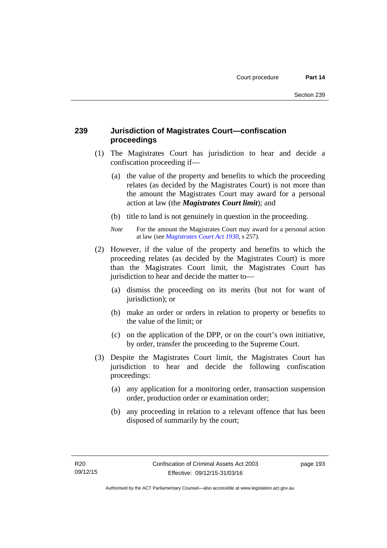# **239 Jurisdiction of Magistrates Court—confiscation proceedings**

- (1) The Magistrates Court has jurisdiction to hear and decide a confiscation proceeding if—
	- (a) the value of the property and benefits to which the proceeding relates (as decided by the Magistrates Court) is not more than the amount the Magistrates Court may award for a personal action at law (the *Magistrates Court limit*); and
	- (b) title to land is not genuinely in question in the proceeding.
	- *Note* For the amount the Magistrates Court may award for a personal action at law (see *[Magistrates Court Act 1930](http://www.legislation.act.gov.au/a/1930-21)*, s 257).
- (2) However, if the value of the property and benefits to which the proceeding relates (as decided by the Magistrates Court) is more than the Magistrates Court limit, the Magistrates Court has jurisdiction to hear and decide the matter to—
	- (a) dismiss the proceeding on its merits (but not for want of jurisdiction); or
	- (b) make an order or orders in relation to property or benefits to the value of the limit; or
	- (c) on the application of the DPP, or on the court's own initiative, by order, transfer the proceeding to the Supreme Court.
- (3) Despite the Magistrates Court limit, the Magistrates Court has jurisdiction to hear and decide the following confiscation proceedings:
	- (a) any application for a monitoring order, transaction suspension order, production order or examination order;
	- (b) any proceeding in relation to a relevant offence that has been disposed of summarily by the court;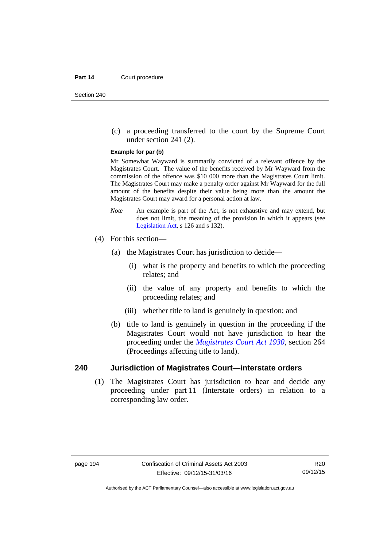(c) a proceeding transferred to the court by the Supreme Court under section 241 (2).

#### **Example for par (b)**

Mr Somewhat Wayward is summarily convicted of a relevant offence by the Magistrates Court. The value of the benefits received by Mr Wayward from the commission of the offence was \$10 000 more than the Magistrates Court limit. The Magistrates Court may make a penalty order against Mr Wayward for the full amount of the benefits despite their value being more than the amount the Magistrates Court may award for a personal action at law.

- *Note* An example is part of the Act, is not exhaustive and may extend, but does not limit, the meaning of the provision in which it appears (see [Legislation Act,](http://www.legislation.act.gov.au/a/2001-14) s 126 and s 132).
- (4) For this section—
	- (a) the Magistrates Court has jurisdiction to decide—
		- (i) what is the property and benefits to which the proceeding relates; and
		- (ii) the value of any property and benefits to which the proceeding relates; and
		- (iii) whether title to land is genuinely in question; and
	- (b) title to land is genuinely in question in the proceeding if the Magistrates Court would not have jurisdiction to hear the proceeding under the *[Magistrates Court Act 1930](http://www.legislation.act.gov.au/a/1930-21)*, section 264 (Proceedings affecting title to land).

### **240 Jurisdiction of Magistrates Court—interstate orders**

(1) The Magistrates Court has jurisdiction to hear and decide any proceeding under part 11 (Interstate orders) in relation to a corresponding law order.

Authorised by the ACT Parliamentary Counsel—also accessible at www.legislation.act.gov.au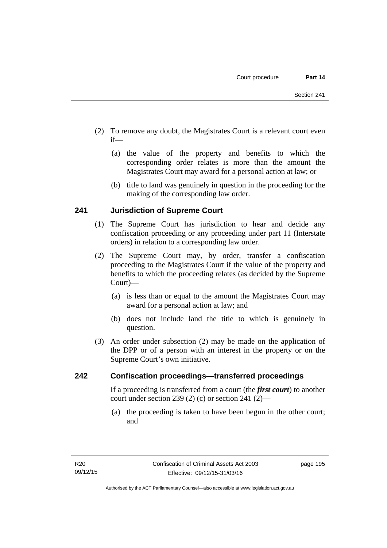- (2) To remove any doubt, the Magistrates Court is a relevant court even if—
	- (a) the value of the property and benefits to which the corresponding order relates is more than the amount the Magistrates Court may award for a personal action at law; or
	- (b) title to land was genuinely in question in the proceeding for the making of the corresponding law order.

# **241 Jurisdiction of Supreme Court**

- (1) The Supreme Court has jurisdiction to hear and decide any confiscation proceeding or any proceeding under part 11 (Interstate orders) in relation to a corresponding law order.
- (2) The Supreme Court may, by order, transfer a confiscation proceeding to the Magistrates Court if the value of the property and benefits to which the proceeding relates (as decided by the Supreme Court)—
	- (a) is less than or equal to the amount the Magistrates Court may award for a personal action at law; and
	- (b) does not include land the title to which is genuinely in question.
- (3) An order under subsection (2) may be made on the application of the DPP or of a person with an interest in the property or on the Supreme Court's own initiative.

# **242 Confiscation proceedings—transferred proceedings**

If a proceeding is transferred from a court (the *first court*) to another court under section 239 (2) (c) or section 241 (2)—

 (a) the proceeding is taken to have been begun in the other court; and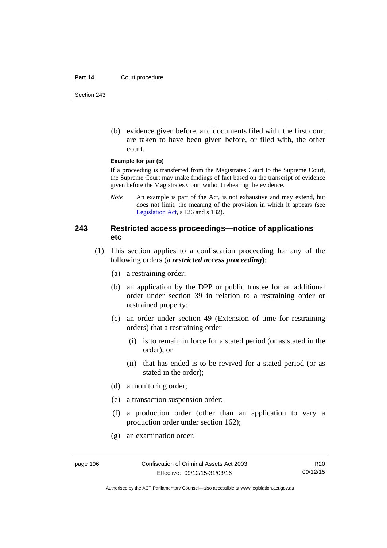#### Part 14 **Court procedure**

Section 243

 (b) evidence given before, and documents filed with, the first court are taken to have been given before, or filed with, the other court.

#### **Example for par (b)**

If a proceeding is transferred from the Magistrates Court to the Supreme Court, the Supreme Court may make findings of fact based on the transcript of evidence given before the Magistrates Court without rehearing the evidence.

*Note* An example is part of the Act, is not exhaustive and may extend, but does not limit, the meaning of the provision in which it appears (see [Legislation Act,](http://www.legislation.act.gov.au/a/2001-14) s 126 and s 132).

### **243 Restricted access proceedings—notice of applications etc**

- (1) This section applies to a confiscation proceeding for any of the following orders (a *restricted access proceeding*):
	- (a) a restraining order;
	- (b) an application by the DPP or public trustee for an additional order under section 39 in relation to a restraining order or restrained property;
	- (c) an order under section 49 (Extension of time for restraining orders) that a restraining order—
		- (i) is to remain in force for a stated period (or as stated in the order); or
		- (ii) that has ended is to be revived for a stated period (or as stated in the order);
	- (d) a monitoring order;
	- (e) a transaction suspension order;
	- (f) a production order (other than an application to vary a production order under section 162);
	- (g) an examination order.

R20 09/12/15

Authorised by the ACT Parliamentary Counsel—also accessible at www.legislation.act.gov.au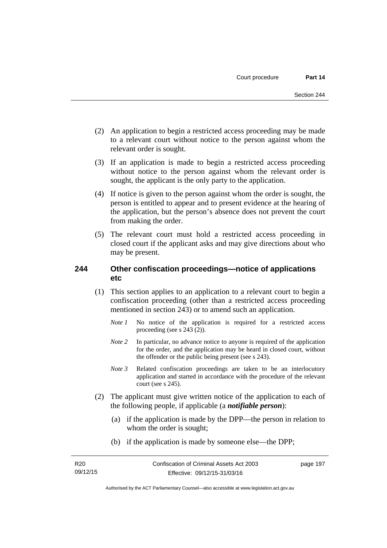- (2) An application to begin a restricted access proceeding may be made to a relevant court without notice to the person against whom the relevant order is sought.
- (3) If an application is made to begin a restricted access proceeding without notice to the person against whom the relevant order is sought, the applicant is the only party to the application.
- (4) If notice is given to the person against whom the order is sought, the person is entitled to appear and to present evidence at the hearing of the application, but the person's absence does not prevent the court from making the order.
- (5) The relevant court must hold a restricted access proceeding in closed court if the applicant asks and may give directions about who may be present.

# **244 Other confiscation proceedings—notice of applications etc**

- (1) This section applies to an application to a relevant court to begin a confiscation proceeding (other than a restricted access proceeding mentioned in section 243) or to amend such an application.
	- *Note 1* No notice of the application is required for a restricted access proceeding (see s 243 (2)).
	- *Note 2* In particular, no advance notice to anyone is required of the application for the order, and the application may be heard in closed court, without the offender or the public being present (see s 243).
	- *Note 3* Related confiscation proceedings are taken to be an interlocutory application and started in accordance with the procedure of the relevant court (see s 245).
- (2) The applicant must give written notice of the application to each of the following people, if applicable (a *notifiable person*):
	- (a) if the application is made by the DPP—the person in relation to whom the order is sought;
	- (b) if the application is made by someone else—the DPP;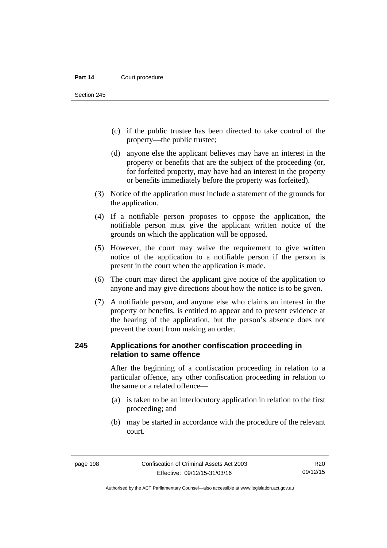Section 245

- (c) if the public trustee has been directed to take control of the property—the public trustee;
- (d) anyone else the applicant believes may have an interest in the property or benefits that are the subject of the proceeding (or, for forfeited property, may have had an interest in the property or benefits immediately before the property was forfeited).
- (3) Notice of the application must include a statement of the grounds for the application.
- (4) If a notifiable person proposes to oppose the application, the notifiable person must give the applicant written notice of the grounds on which the application will be opposed.
- (5) However, the court may waive the requirement to give written notice of the application to a notifiable person if the person is present in the court when the application is made.
- (6) The court may direct the applicant give notice of the application to anyone and may give directions about how the notice is to be given.
- (7) A notifiable person, and anyone else who claims an interest in the property or benefits, is entitled to appear and to present evidence at the hearing of the application, but the person's absence does not prevent the court from making an order.

# **245 Applications for another confiscation proceeding in relation to same offence**

After the beginning of a confiscation proceeding in relation to a particular offence, any other confiscation proceeding in relation to the same or a related offence—

- (a) is taken to be an interlocutory application in relation to the first proceeding; and
- (b) may be started in accordance with the procedure of the relevant court.

R20 09/12/15

Authorised by the ACT Parliamentary Counsel—also accessible at www.legislation.act.gov.au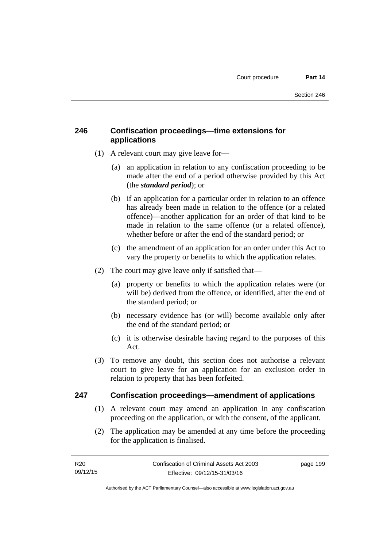# **246 Confiscation proceedings—time extensions for applications**

- (1) A relevant court may give leave for—
	- (a) an application in relation to any confiscation proceeding to be made after the end of a period otherwise provided by this Act (the *standard period*); or
	- (b) if an application for a particular order in relation to an offence has already been made in relation to the offence (or a related offence)—another application for an order of that kind to be made in relation to the same offence (or a related offence), whether before or after the end of the standard period; or
	- (c) the amendment of an application for an order under this Act to vary the property or benefits to which the application relates.
- (2) The court may give leave only if satisfied that—
	- (a) property or benefits to which the application relates were (or will be) derived from the offence, or identified, after the end of the standard period; or
	- (b) necessary evidence has (or will) become available only after the end of the standard period; or
	- (c) it is otherwise desirable having regard to the purposes of this Act.
- (3) To remove any doubt, this section does not authorise a relevant court to give leave for an application for an exclusion order in relation to property that has been forfeited.

# **247 Confiscation proceedings—amendment of applications**

- (1) A relevant court may amend an application in any confiscation proceeding on the application, or with the consent, of the applicant.
- (2) The application may be amended at any time before the proceeding for the application is finalised.

page 199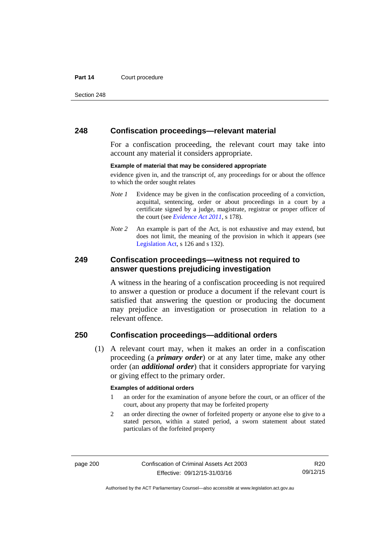#### Part 14 **Court procedure**

Section 248

### **248 Confiscation proceedings—relevant material**

For a confiscation proceeding, the relevant court may take into account any material it considers appropriate.

#### **Example of material that may be considered appropriate**

evidence given in, and the transcript of, any proceedings for or about the offence to which the order sought relates

- *Note 1* Evidence may be given in the confiscation proceeding of a conviction, acquittal, sentencing, order or about proceedings in a court by a certificate signed by a judge, magistrate, registrar or proper officer of the court (see *[Evidence Act 2011](http://www.legislation.act.gov.au/a/2011-12)*, s 178).
- *Note* 2 An example is part of the Act, is not exhaustive and may extend, but does not limit, the meaning of the provision in which it appears (see [Legislation Act,](http://www.legislation.act.gov.au/a/2001-14) s 126 and s 132).

### **249 Confiscation proceedings—witness not required to answer questions prejudicing investigation**

A witness in the hearing of a confiscation proceeding is not required to answer a question or produce a document if the relevant court is satisfied that answering the question or producing the document may prejudice an investigation or prosecution in relation to a relevant offence.

# **250 Confiscation proceedings—additional orders**

 (1) A relevant court may, when it makes an order in a confiscation proceeding (a *primary order*) or at any later time, make any other order (an *additional order*) that it considers appropriate for varying or giving effect to the primary order.

#### **Examples of additional orders**

- 1 an order for the examination of anyone before the court, or an officer of the court, about any property that may be forfeited property
- 2 an order directing the owner of forfeited property or anyone else to give to a stated person, within a stated period, a sworn statement about stated particulars of the forfeited property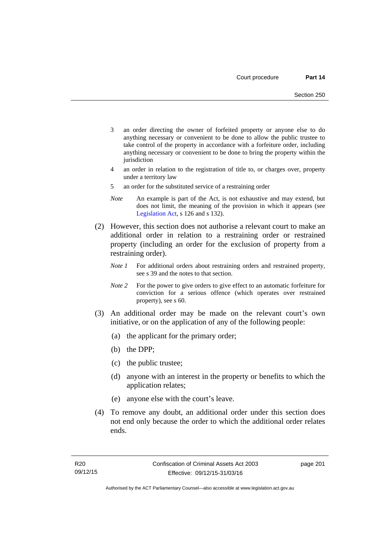- 3 an order directing the owner of forfeited property or anyone else to do anything necessary or convenient to be done to allow the public trustee to take control of the property in accordance with a forfeiture order, including anything necessary or convenient to be done to bring the property within the jurisdiction
- 4 an order in relation to the registration of title to, or charges over, property under a territory law
- 5 an order for the substituted service of a restraining order
- *Note* An example is part of the Act, is not exhaustive and may extend, but does not limit, the meaning of the provision in which it appears (see [Legislation Act,](http://www.legislation.act.gov.au/a/2001-14) s 126 and s 132).
- (2) However, this section does not authorise a relevant court to make an additional order in relation to a restraining order or restrained property (including an order for the exclusion of property from a restraining order).
	- *Note 1* For additional orders about restraining orders and restrained property, see s 39 and the notes to that section.
	- *Note 2* For the power to give orders to give effect to an automatic forfeiture for conviction for a serious offence (which operates over restrained property), see s 60.
- (3) An additional order may be made on the relevant court's own initiative, or on the application of any of the following people:
	- (a) the applicant for the primary order;
	- (b) the DPP;
	- (c) the public trustee;
	- (d) anyone with an interest in the property or benefits to which the application relates;
	- (e) anyone else with the court's leave.
- (4) To remove any doubt, an additional order under this section does not end only because the order to which the additional order relates ends.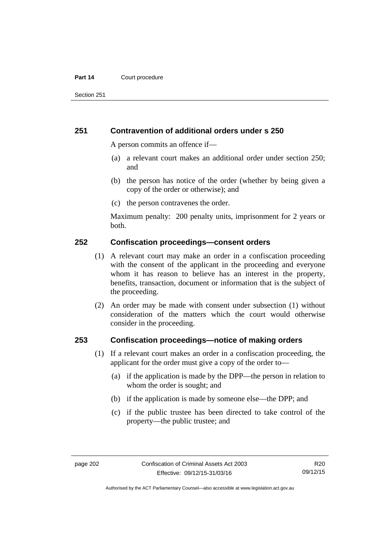#### Part 14 **Court procedure**

Section 251

### **251 Contravention of additional orders under s 250**

A person commits an offence if—

- (a) a relevant court makes an additional order under section 250; and
- (b) the person has notice of the order (whether by being given a copy of the order or otherwise); and
- (c) the person contravenes the order.

Maximum penalty: 200 penalty units, imprisonment for 2 years or both.

### **252 Confiscation proceedings—consent orders**

- (1) A relevant court may make an order in a confiscation proceeding with the consent of the applicant in the proceeding and everyone whom it has reason to believe has an interest in the property, benefits, transaction, document or information that is the subject of the proceeding.
- (2) An order may be made with consent under subsection (1) without consideration of the matters which the court would otherwise consider in the proceeding.

### **253 Confiscation proceedings—notice of making orders**

- (1) If a relevant court makes an order in a confiscation proceeding, the applicant for the order must give a copy of the order to—
	- (a) if the application is made by the DPP—the person in relation to whom the order is sought; and
	- (b) if the application is made by someone else—the DPP; and
	- (c) if the public trustee has been directed to take control of the property—the public trustee; and

Authorised by the ACT Parliamentary Counsel—also accessible at www.legislation.act.gov.au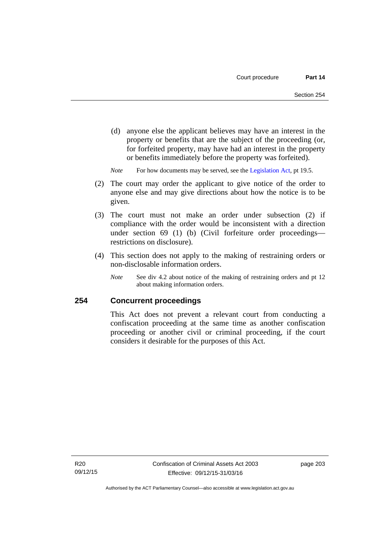- (d) anyone else the applicant believes may have an interest in the property or benefits that are the subject of the proceeding (or, for forfeited property, may have had an interest in the property or benefits immediately before the property was forfeited).
- *Note* For how documents may be served, see the [Legislation Act,](http://www.legislation.act.gov.au/a/2001-14) pt 19.5.
- (2) The court may order the applicant to give notice of the order to anyone else and may give directions about how the notice is to be given.
- (3) The court must not make an order under subsection (2) if compliance with the order would be inconsistent with a direction under section 69 (1) (b) (Civil forfeiture order proceedings restrictions on disclosure).
- (4) This section does not apply to the making of restraining orders or non-disclosable information orders.
	- *Note* See div 4.2 about notice of the making of restraining orders and pt 12 about making information orders.

## **254 Concurrent proceedings**

This Act does not prevent a relevant court from conducting a confiscation proceeding at the same time as another confiscation proceeding or another civil or criminal proceeding, if the court considers it desirable for the purposes of this Act.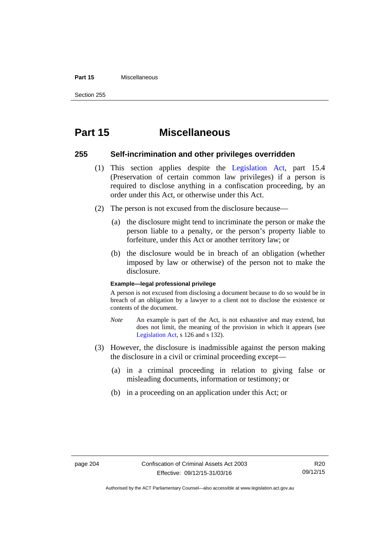#### **Part 15** Miscellaneous

Section 255

# **Part 15 Miscellaneous**

## **255 Self-incrimination and other privileges overridden**

- (1) This section applies despite the [Legislation Act](http://www.legislation.act.gov.au/a/2001-14), part 15.4 (Preservation of certain common law privileges) if a person is required to disclose anything in a confiscation proceeding, by an order under this Act, or otherwise under this Act.
- (2) The person is not excused from the disclosure because—
	- (a) the disclosure might tend to incriminate the person or make the person liable to a penalty, or the person's property liable to forfeiture, under this Act or another territory law; or
	- (b) the disclosure would be in breach of an obligation (whether imposed by law or otherwise) of the person not to make the disclosure.

## **Example—legal professional privilege**

A person is not excused from disclosing a document because to do so would be in breach of an obligation by a lawyer to a client not to disclose the existence or contents of the document.

- *Note* An example is part of the Act, is not exhaustive and may extend, but does not limit, the meaning of the provision in which it appears (see [Legislation Act,](http://www.legislation.act.gov.au/a/2001-14) s 126 and s 132).
- (3) However, the disclosure is inadmissible against the person making the disclosure in a civil or criminal proceeding except—
	- (a) in a criminal proceeding in relation to giving false or misleading documents, information or testimony; or
	- (b) in a proceeding on an application under this Act; or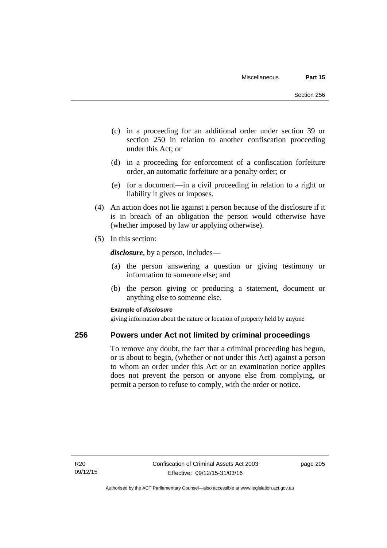- (c) in a proceeding for an additional order under section 39 or section 250 in relation to another confiscation proceeding under this Act; or
- (d) in a proceeding for enforcement of a confiscation forfeiture order, an automatic forfeiture or a penalty order; or
- (e) for a document—in a civil proceeding in relation to a right or liability it gives or imposes.
- (4) An action does not lie against a person because of the disclosure if it is in breach of an obligation the person would otherwise have (whether imposed by law or applying otherwise).
- (5) In this section:

*disclosure*, by a person, includes—

- (a) the person answering a question or giving testimony or information to someone else; and
- (b) the person giving or producing a statement, document or anything else to someone else.

## **Example of** *disclosure*

giving information about the nature or location of property held by anyone

## **256 Powers under Act not limited by criminal proceedings**

To remove any doubt, the fact that a criminal proceeding has begun, or is about to begin, (whether or not under this Act) against a person to whom an order under this Act or an examination notice applies does not prevent the person or anyone else from complying, or permit a person to refuse to comply, with the order or notice.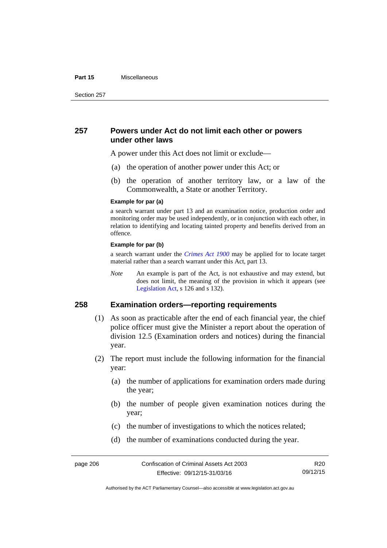#### **Part 15** Miscellaneous

Section 257

## **257 Powers under Act do not limit each other or powers under other laws**

A power under this Act does not limit or exclude—

- (a) the operation of another power under this Act; or
- (b) the operation of another territory law, or a law of the Commonwealth, a State or another Territory.

#### **Example for par (a)**

a search warrant under part 13 and an examination notice, production order and monitoring order may be used independently, or in conjunction with each other, in relation to identifying and locating tainted property and benefits derived from an offence.

## **Example for par (b)**

a search warrant under the *[Crimes Act 1900](http://www.legislation.act.gov.au/a/1900-40)* may be applied for to locate target material rather than a search warrant under this Act, part 13.

*Note* An example is part of the Act, is not exhaustive and may extend, but does not limit, the meaning of the provision in which it appears (see [Legislation Act,](http://www.legislation.act.gov.au/a/2001-14) s 126 and s 132).

## **258 Examination orders—reporting requirements**

- (1) As soon as practicable after the end of each financial year, the chief police officer must give the Minister a report about the operation of division 12.5 (Examination orders and notices) during the financial year.
- (2) The report must include the following information for the financial year:
	- (a) the number of applications for examination orders made during the year;
	- (b) the number of people given examination notices during the year;
	- (c) the number of investigations to which the notices related;
	- (d) the number of examinations conducted during the year.

R20 09/12/15

Authorised by the ACT Parliamentary Counsel—also accessible at www.legislation.act.gov.au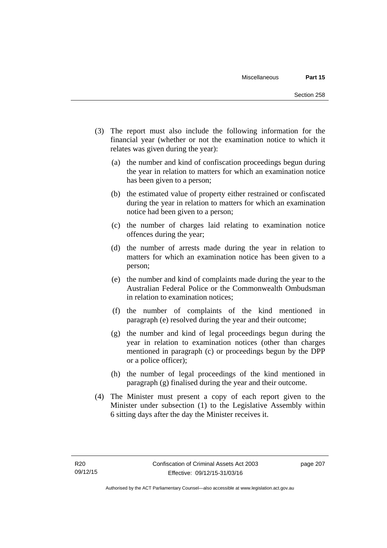- (3) The report must also include the following information for the financial year (whether or not the examination notice to which it relates was given during the year):
	- (a) the number and kind of confiscation proceedings begun during the year in relation to matters for which an examination notice has been given to a person;
	- (b) the estimated value of property either restrained or confiscated during the year in relation to matters for which an examination notice had been given to a person;
	- (c) the number of charges laid relating to examination notice offences during the year;
	- (d) the number of arrests made during the year in relation to matters for which an examination notice has been given to a person;
	- (e) the number and kind of complaints made during the year to the Australian Federal Police or the Commonwealth Ombudsman in relation to examination notices;
	- (f) the number of complaints of the kind mentioned in paragraph (e) resolved during the year and their outcome;
	- (g) the number and kind of legal proceedings begun during the year in relation to examination notices (other than charges mentioned in paragraph (c) or proceedings begun by the DPP or a police officer);
	- (h) the number of legal proceedings of the kind mentioned in paragraph (g) finalised during the year and their outcome.
- (4) The Minister must present a copy of each report given to the Minister under subsection (1) to the Legislative Assembly within 6 sitting days after the day the Minister receives it.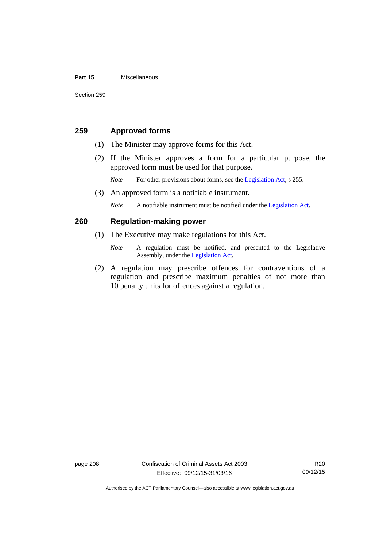## **Part 15** Miscellaneous

## **259 Approved forms**

- (1) The Minister may approve forms for this Act.
- (2) If the Minister approves a form for a particular purpose, the approved form must be used for that purpose.

*Note* For other provisions about forms, see the [Legislation Act,](http://www.legislation.act.gov.au/a/2001-14) s 255.

(3) An approved form is a notifiable instrument.

*Note* A notifiable instrument must be notified under the [Legislation Act](http://www.legislation.act.gov.au/a/2001-14).

## **260 Regulation-making power**

- (1) The Executive may make regulations for this Act.
	- *Note* A regulation must be notified, and presented to the Legislative Assembly, under the [Legislation Act](http://www.legislation.act.gov.au/a/2001-14).
- (2) A regulation may prescribe offences for contraventions of a regulation and prescribe maximum penalties of not more than 10 penalty units for offences against a regulation.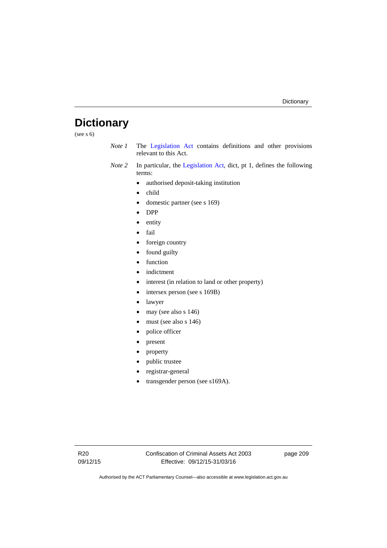# **Dictionary**

(see s 6)

- *Note 1* The [Legislation Act](http://www.legislation.act.gov.au/a/2001-14) contains definitions and other provisions relevant to this Act.
- *Note 2* In particular, the [Legislation Act,](http://www.legislation.act.gov.au/a/2001-14) dict, pt 1, defines the following terms:
	- authorised deposit-taking institution
	- child
	- domestic partner (see s 169)
	- DPP
	- entity
	- fail
	- foreign country
	- found guilty
	- function
	- indictment
	- interest (in relation to land or other property)
	- intersex person (see s 169B)
	- lawyer
	- $\bullet$  may (see also s 146)
	- must (see also s 146)
	- police officer
	- present
	- property
	- public trustee
	- registrar-general
	- transgender person (see s169A).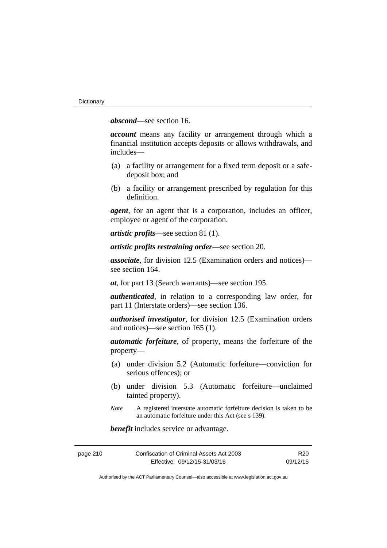*abscond*—see section 16.

*account* means any facility or arrangement through which a financial institution accepts deposits or allows withdrawals, and includes—

- (a) a facility or arrangement for a fixed term deposit or a safedeposit box; and
- (b) a facility or arrangement prescribed by regulation for this definition.

*agent*, for an agent that is a corporation, includes an officer, employee or agent of the corporation.

*artistic profits*—see section 81 (1).

*artistic profits restraining order*—see section 20.

*associate*, for division 12.5 (Examination orders and notices) see section 164.

*at*, for part 13 (Search warrants)—see section 195.

*authenticated*, in relation to a corresponding law order, for part 11 (Interstate orders)—see section 136.

*authorised investigator*, for division 12.5 (Examination orders and notices)—see section 165 (1).

*automatic forfeiture*, of property, means the forfeiture of the property—

- (a) under division 5.2 (Automatic forfeiture—conviction for serious offences); or
- (b) under division 5.3 (Automatic forfeiture—unclaimed tainted property).
- *Note* A registered interstate automatic forfeiture decision is taken to be an automatic forfeiture under this Act (see s 139).

*benefit* includes service or advantage.

| page 210 | Confiscation of Criminal Assets Act 2003 | R <sub>20</sub> |
|----------|------------------------------------------|-----------------|
|          | Effective: 09/12/15-31/03/16             | 09/12/15        |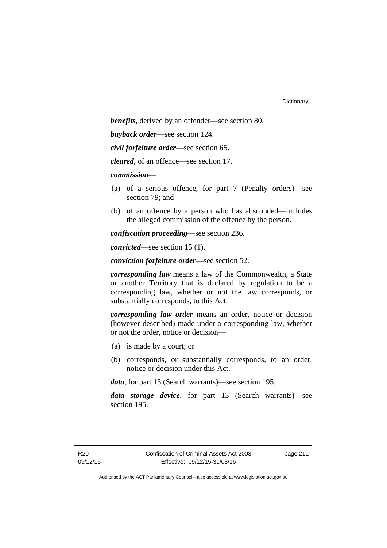*benefits*, derived by an offender—see section 80.

*buyback order*—see section 124.

*civil forfeiture order*—see section 65.

*cleared*, of an offence—see section 17.

*commission*—

- (a) of a serious offence, for part 7 (Penalty orders)—see section 79; and
- (b) of an offence by a person who has absconded—includes the alleged commission of the offence by the person.

*confiscation proceeding*—see section 236.

*convicted*—see section 15 (1).

*conviction forfeiture order*—see section 52.

*corresponding law* means a law of the Commonwealth, a State or another Territory that is declared by regulation to be a corresponding law, whether or not the law corresponds, or substantially corresponds, to this Act.

*corresponding law order* means an order, notice or decision (however described) made under a corresponding law, whether or not the order, notice or decision—

- (a) is made by a court; or
- (b) corresponds, or substantially corresponds, to an order, notice or decision under this Act.

*data*, for part 13 (Search warrants)—see section 195.

*data storage device*, for part 13 (Search warrants)—see section 195.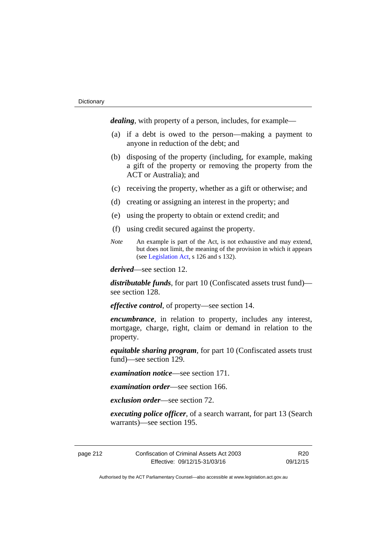*dealing*, with property of a person, includes, for example—

- (a) if a debt is owed to the person—making a payment to anyone in reduction of the debt; and
- (b) disposing of the property (including, for example, making a gift of the property or removing the property from the ACT or Australia); and
- (c) receiving the property, whether as a gift or otherwise; and
- (d) creating or assigning an interest in the property; and
- (e) using the property to obtain or extend credit; and
- (f) using credit secured against the property.
- *Note* An example is part of the Act, is not exhaustive and may extend, but does not limit, the meaning of the provision in which it appears (see [Legislation Act,](http://www.legislation.act.gov.au/a/2001-14) s 126 and s 132).

*derived*—see section 12.

*distributable funds*, for part 10 (Confiscated assets trust fund) see section 128.

*effective control*, of property—see section 14.

*encumbrance*, in relation to property, includes any interest, mortgage, charge, right, claim or demand in relation to the property.

*equitable sharing program*, for part 10 (Confiscated assets trust fund)—see section 129.

*examination notice*—see section 171.

*examination order*—see section 166.

*exclusion order*—see section 72.

*executing police officer*, of a search warrant, for part 13 (Search warrants)—see section 195.

page 212 Confiscation of Criminal Assets Act 2003 Effective: 09/12/15-31/03/16

R20 09/12/15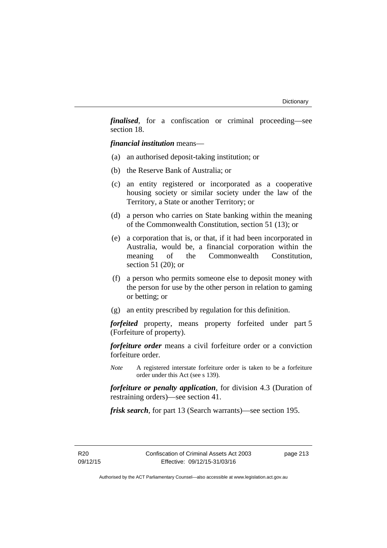*finalised*, for a confiscation or criminal proceeding—see section 18.

*financial institution* means—

- (a) an authorised deposit-taking institution; or
- (b) the Reserve Bank of Australia; or
- (c) an entity registered or incorporated as a cooperative housing society or similar society under the law of the Territory, a State or another Territory; or
- (d) a person who carries on State banking within the meaning of the Commonwealth Constitution, section 51 (13); or
- (e) a corporation that is, or that, if it had been incorporated in Australia, would be, a financial corporation within the meaning of the Commonwealth Constitution, section 51 (20); or
- (f) a person who permits someone else to deposit money with the person for use by the other person in relation to gaming or betting; or
- (g) an entity prescribed by regulation for this definition.

*forfeited* property, means property forfeited under part 5 (Forfeiture of property).

*forfeiture order* means a civil forfeiture order or a conviction forfeiture order.

*Note* A registered interstate forfeiture order is taken to be a forfeiture order under this Act (see s 139).

*forfeiture or penalty application*, for division 4.3 (Duration of restraining orders)—see section 41.

*frisk search*, for part 13 (Search warrants)—see section 195.

R20 09/12/15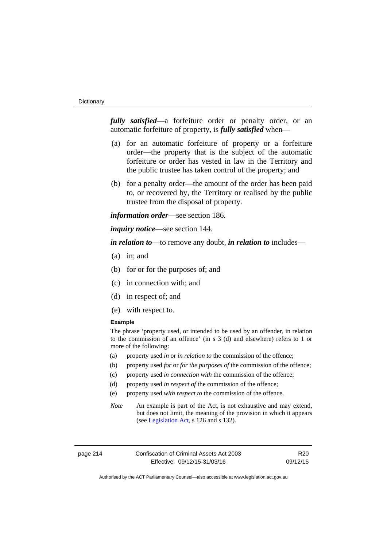#### **Dictionary**

*fully satisfied*—a forfeiture order or penalty order, or an automatic forfeiture of property, is *fully satisfied* when—

- (a) for an automatic forfeiture of property or a forfeiture order—the property that is the subject of the automatic forfeiture or order has vested in law in the Territory and the public trustee has taken control of the property; and
- (b) for a penalty order—the amount of the order has been paid to, or recovered by, the Territory or realised by the public trustee from the disposal of property.

*information order*—see section 186.

*inquiry notice*—see section 144.

*in relation to*—to remove any doubt, *in relation to* includes—

- (a) in; and
- (b) for or for the purposes of; and
- (c) in connection with; and
- (d) in respect of; and
- (e) with respect to.

## **Example**

The phrase 'property used, or intended to be used by an offender, in relation to the commission of an offence' (in s 3 (d) and elsewhere) refers to 1 or more of the following:

- (a) property used *in* or *in relation to* the commission of the offence;
- (b) property used *for* or *for the purposes of* the commission of the offence;
- (c) property used *in connection with* the commission of the offence;
- (d) property used *in respect of* the commission of the offence;
- (e) property used *with respect to* the commission of the offence.
- *Note* An example is part of the Act, is not exhaustive and may extend, but does not limit, the meaning of the provision in which it appears (see [Legislation Act,](http://www.legislation.act.gov.au/a/2001-14) s 126 and s 132).

page 214 Confiscation of Criminal Assets Act 2003 Effective: 09/12/15-31/03/16

R20 09/12/15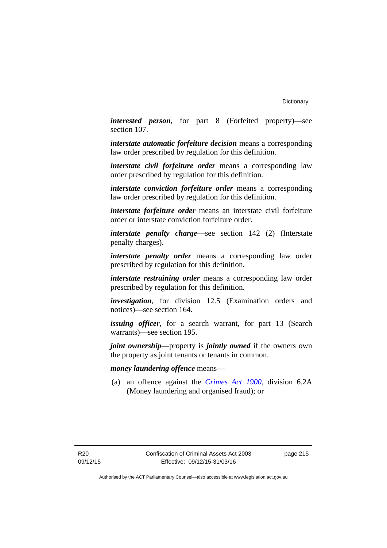*interested person*, for part 8 (Forfeited property)—see section 107.

*interstate automatic forfeiture decision* means a corresponding law order prescribed by regulation for this definition.

*interstate civil forfeiture order* means a corresponding law order prescribed by regulation for this definition.

*interstate conviction forfeiture order* means a corresponding law order prescribed by regulation for this definition.

*interstate forfeiture order* means an interstate civil forfeiture order or interstate conviction forfeiture order.

*interstate penalty charge*—see section 142 (2) (Interstate penalty charges).

*interstate penalty order* means a corresponding law order prescribed by regulation for this definition.

*interstate restraining order* means a corresponding law order prescribed by regulation for this definition.

*investigation*, for division 12.5 (Examination orders and notices)—see section 164.

*issuing officer*, for a search warrant, for part 13 (Search warrants)—see section 195.

*joint ownership*—property is *jointly owned* if the owners own the property as joint tenants or tenants in common.

## *money laundering offence* means—

 (a) an offence against the *[Crimes Act 1900](http://www.legislation.act.gov.au/a/1900-40)*, division 6.2A (Money laundering and organised fraud); or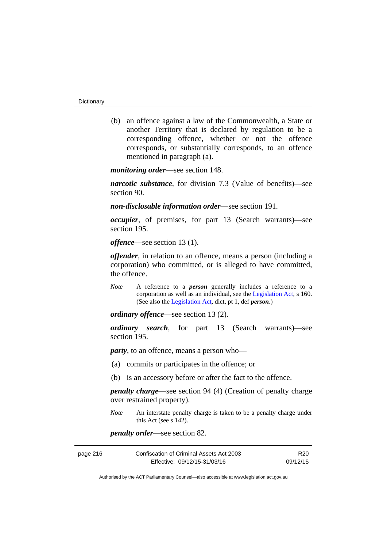(b) an offence against a law of the Commonwealth, a State or another Territory that is declared by regulation to be a corresponding offence, whether or not the offence corresponds, or substantially corresponds, to an offence mentioned in paragraph (a).

*monitoring order*—see section 148.

*narcotic substance*, for division 7.3 (Value of benefits)—see section 90.

*non-disclosable information order*—see section 191.

*occupier*, of premises, for part 13 (Search warrants)—see section 195.

*offence*—see section 13 (1).

*offender*, in relation to an offence, means a person (including a corporation) who committed, or is alleged to have committed, the offence.

*Note* A reference to a *person* generally includes a reference to a corporation as well as an individual, see the [Legislation Act](http://www.legislation.act.gov.au/a/2001-14), s 160. (See also the [Legislation Act,](http://www.legislation.act.gov.au/a/2001-14) dict, pt 1, def *person*.)

*ordinary offence*—see section 13 (2).

*ordinary search*, for part 13 (Search warrants)—see section 195.

*party*, to an offence, means a person who—

- (a) commits or participates in the offence; or
- (b) is an accessory before or after the fact to the offence.

*penalty charge*—see section 94 (4) (Creation of penalty charge over restrained property).

*Note* An interstate penalty charge is taken to be a penalty charge under this Act (see s 142).

*penalty order*—see section 82.

| page 216 | Confiscation of Criminal Assets Act 2003 | R <sub>20</sub> |
|----------|------------------------------------------|-----------------|
|          | Effective: 09/12/15-31/03/16             | 09/12/15        |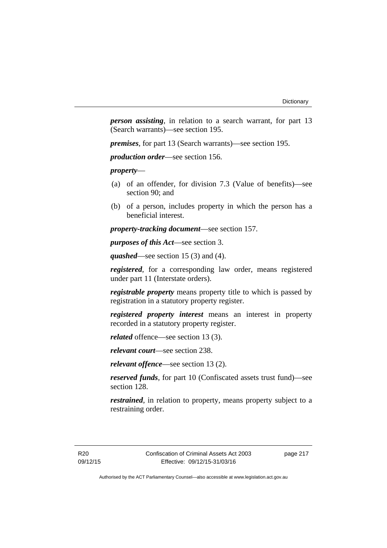*person assisting*, in relation to a search warrant, for part 13 (Search warrants)—see section 195.

*premises*, for part 13 (Search warrants)—see section 195.

*production order*—see section 156.

*property*—

- (a) of an offender, for division 7.3 (Value of benefits)—see section 90; and
- (b) of a person, includes property in which the person has a beneficial interest.

*property-tracking document*—see section 157.

*purposes of this Act*—see section 3.

*quashed*—see section 15 (3) and (4).

*registered*, for a corresponding law order, means registered under part 11 (Interstate orders).

*registrable property* means property title to which is passed by registration in a statutory property register.

*registered property interest* means an interest in property recorded in a statutory property register.

*related* offence—see section 13 (3).

*relevant court*—see section 238.

*relevant offence*—see section 13 (2).

*reserved funds*, for part 10 (Confiscated assets trust fund)—see section 128.

*restrained*, in relation to property, means property subject to a restraining order.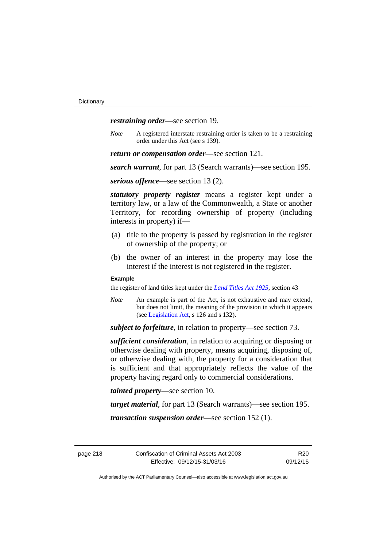*restraining order*—see section 19.

*Note* A registered interstate restraining order is taken to be a restraining order under this Act (see s 139).

*return or compensation order*—see section 121.

*search warrant*, for part 13 (Search warrants)—see section 195.

*serious offence*—see section 13 (2).

*statutory property register* means a register kept under a territory law, or a law of the Commonwealth, a State or another Territory, for recording ownership of property (including interests in property) if—

- (a) title to the property is passed by registration in the register of ownership of the property; or
- (b) the owner of an interest in the property may lose the interest if the interest is not registered in the register.

#### **Example**

the register of land titles kept under the *[Land Titles Act 1925](http://www.legislation.act.gov.au/a/1925-1)*, section 43

*Note* An example is part of the Act, is not exhaustive and may extend, but does not limit, the meaning of the provision in which it appears (see [Legislation Act,](http://www.legislation.act.gov.au/a/2001-14) s 126 and s 132).

*subject to forfeiture*, in relation to property—see section 73.

*sufficient consideration*, in relation to acquiring or disposing or otherwise dealing with property, means acquiring, disposing of, or otherwise dealing with, the property for a consideration that is sufficient and that appropriately reflects the value of the property having regard only to commercial considerations.

*tainted property*—see section 10.

*target material*, for part 13 (Search warrants)—see section 195.

*transaction suspension order*—see section 152 (1).

R20 09/12/15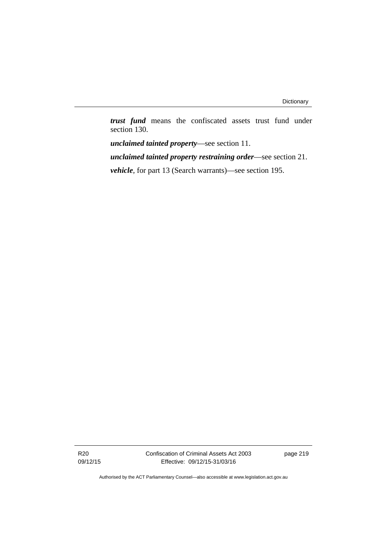*trust fund* means the confiscated assets trust fund under section 130.

*unclaimed tainted property*—see section 11. *unclaimed tainted property restraining order*—see section 21. *vehicle*, for part 13 (Search warrants)—see section 195.

R20 09/12/15 Confiscation of Criminal Assets Act 2003 Effective: 09/12/15-31/03/16

page 219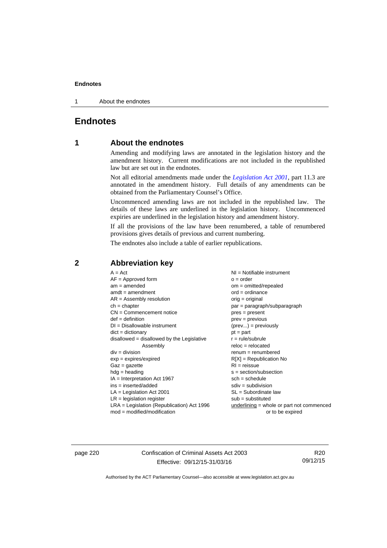1 About the endnotes

## **Endnotes**

## **1 About the endnotes**

Amending and modifying laws are annotated in the legislation history and the amendment history. Current modifications are not included in the republished law but are set out in the endnotes.

Not all editorial amendments made under the *[Legislation Act 2001](http://www.legislation.act.gov.au/a/2001-14)*, part 11.3 are annotated in the amendment history. Full details of any amendments can be obtained from the Parliamentary Counsel's Office.

Uncommenced amending laws are not included in the republished law. The details of these laws are underlined in the legislation history. Uncommenced expiries are underlined in the legislation history and amendment history.

If all the provisions of the law have been renumbered, a table of renumbered provisions gives details of previous and current numbering.

The endnotes also include a table of earlier republications.

## **2 Abbreviation key**

page 220 Confiscation of Criminal Assets Act 2003 Effective: 09/12/15-31/03/16

R20 09/12/15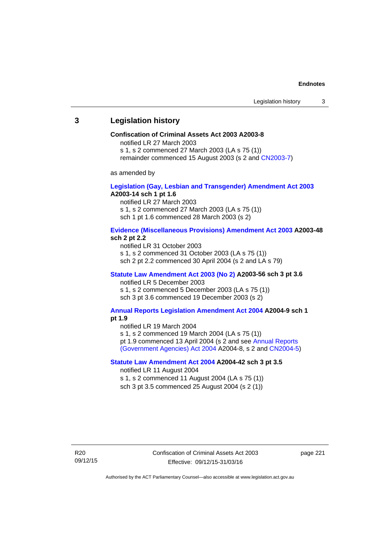## **3 Legislation history**

#### **Confiscation of Criminal Assets Act 2003 A2003-8**

notified LR 27 March 2003

s 1, s 2 commenced 27 March 2003 (LA s 75 (1))

remainder commenced 15 August 2003 (s 2 and [CN2003-7](http://www.legislation.act.gov.au/cn/2003-7/default.asp))

as amended by

## **[Legislation \(Gay, Lesbian and Transgender\) Amendment Act 2003](http://www.legislation.act.gov.au/a/2003-14) A2003-14 sch 1 pt 1.6**

notified LR 27 March 2003 s 1, s 2 commenced 27 March 2003 (LA s 75 (1)) sch 1 pt 1.6 commenced 28 March 2003 (s 2)

## **[Evidence \(Miscellaneous Provisions\) Amendment Act 2003](http://www.legislation.act.gov.au/a/2003-48) A2003-48 sch 2 pt 2.2**

notified LR 31 October 2003 s 1, s 2 commenced 31 October 2003 (LA s 75 (1)) sch 2 pt 2.2 commenced 30 April 2004 (s 2 and LA s 79)

#### **[Statute Law Amendment Act 2003 \(No 2\)](http://www.legislation.act.gov.au/a/2003-56) A2003-56 sch 3 pt 3.6**  notified LR 5 December 2003

s 1, s 2 commenced 5 December 2003 (LA s 75 (1)) sch 3 pt 3.6 commenced 19 December 2003 (s 2)

#### **[Annual Reports Legislation Amendment Act 2004](http://www.legislation.act.gov.au/a/2004-9) A2004-9 sch 1 pt 1.9**

notified LR 19 March 2004

s 1, s 2 commenced 19 March 2004 (LA s 75 (1))

pt 1.9 commenced 13 April 2004 (s 2 and see [Annual Reports](http://www.legislation.act.gov.au/a/2004-8) 

[\(Government Agencies\) Act 2004](http://www.legislation.act.gov.au/a/2004-8) A2004-8, s 2 and [CN2004-5](http://www.legislation.act.gov.au/cn/2004-5/default.asp))

## **[Statute Law Amendment Act 2004](http://www.legislation.act.gov.au/a/2004-42) A2004-42 sch 3 pt 3.5**

notified LR 11 August 2004

s 1, s 2 commenced 11 August 2004 (LA s 75 (1)) sch 3 pt 3.5 commenced 25 August 2004 (s 2 (1))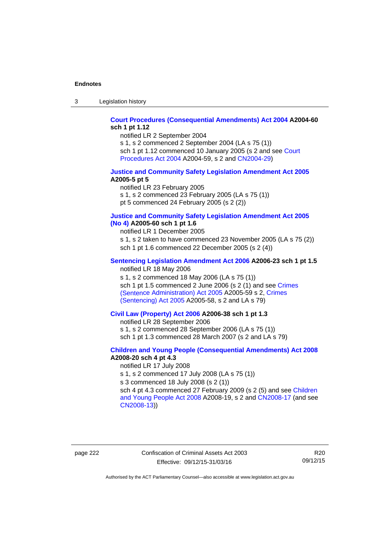3 Legislation history

## **[Court Procedures \(Consequential Amendments\) Act 2004](http://www.legislation.act.gov.au/a/2004-60) A2004-60 sch 1 pt 1.12**

notified LR 2 September 2004

s 1, s 2 commenced 2 September 2004 (LA s 75 (1)) sch 1 pt 1.12 commenced 10 January 2005 (s 2 and see Court [Procedures Act 2004](http://www.legislation.act.gov.au/a/2004-59) A2004-59, s 2 and [CN2004-29\)](http://www.legislation.act.gov.au/cn/2004-29/default.asp)

#### **[Justice and Community Safety Legislation Amendment Act 2005](http://www.legislation.act.gov.au/a/2005-5) A2005-5 pt 5**

notified LR 23 February 2005 s 1, s 2 commenced 23 February 2005 (LA s 75 (1)) pt 5 commenced 24 February 2005 (s 2 (2))

### **[Justice and Community Safety Legislation Amendment Act 2005](http://www.legislation.act.gov.au/a/2005-60)  [\(No 4\)](http://www.legislation.act.gov.au/a/2005-60) A2005-60 sch 1 pt 1.6**

notified LR 1 December 2005 s 1, s 2 taken to have commenced 23 November 2005 (LA s 75 (2)) sch 1 pt 1.6 commenced 22 December 2005 (s 2 (4))

## **[Sentencing Legislation Amendment Act 2006](http://www.legislation.act.gov.au/a/2006-23) A2006-23 sch 1 pt 1.5**

notified LR 18 May 2006

s 1, s 2 commenced 18 May 2006 (LA s 75 (1)) sch 1 pt 1.5 commenced 2 June 2006 (s 2 (1) and see [Crimes](http://www.legislation.act.gov.au/a/2005-59)  [\(Sentence Administration\) Act 2005](http://www.legislation.act.gov.au/a/2005-59) A2005-59 s 2, [Crimes](http://www.legislation.act.gov.au/a/2005-58)  [\(Sentencing\) Act 2005](http://www.legislation.act.gov.au/a/2005-58) A2005-58, s 2 and LA s 79)

## **[Civil Law \(Property\) Act 2006](http://www.legislation.act.gov.au/a/2006-38) A2006-38 sch 1 pt 1.3**

notified LR 28 September 2006

s 1, s 2 commenced 28 September 2006 (LA s 75 (1))

sch 1 pt 1.3 commenced 28 March 2007 (s 2 and LA s 79)

## **[Children and Young People \(Consequential Amendments\) Act 2008](http://www.legislation.act.gov.au/a/2008-20) A2008-20 sch 4 pt 4.3**

notified LR 17 July 2008

s 1, s 2 commenced 17 July 2008 (LA s 75 (1))

s 3 commenced 18 July 2008 (s 2 (1))

sch 4 pt 4.3 commenced 27 February 2009 (s 2 (5) and see [Children](http://www.legislation.act.gov.au/a/2008-19)  [and Young People Act 2008](http://www.legislation.act.gov.au/a/2008-19) A2008-19, s 2 and [CN2008-17 \(](http://www.legislation.act.gov.au/cn/2008-17/default.asp)and see [CN2008-13](http://www.legislation.act.gov.au/cn/2008-13/default.asp)))

page 222 Confiscation of Criminal Assets Act 2003 Effective: 09/12/15-31/03/16

R20 09/12/15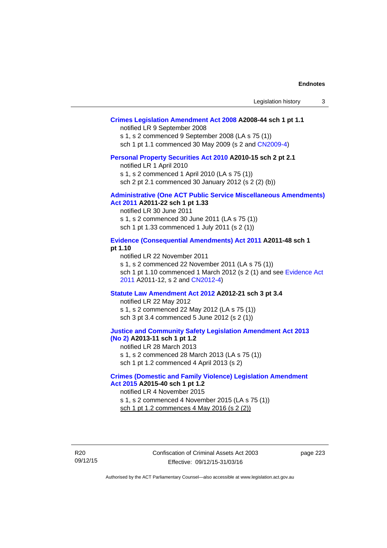| Legislation history |  |
|---------------------|--|
|---------------------|--|

## **[Crimes Legislation Amendment Act 2008](http://www.legislation.act.gov.au/a/2008-44) A2008-44 sch 1 pt 1.1**

notified LR 9 September 2008

s 1, s 2 commenced 9 September 2008 (LA s 75 (1))

sch 1 pt 1.1 commenced 30 May 2009 (s 2 and [CN2009-4\)](http://www.legislation.act.gov.au/cn/2009-4/default.asp)

#### **[Personal Property Securities Act 2010](http://www.legislation.act.gov.au/a/2010-15) A2010-15 sch 2 pt 2.1**

notified LR 1 April 2010

s 1, s 2 commenced 1 April 2010 (LA s 75 (1))

sch 2 pt 2.1 commenced 30 January 2012 (s 2 (2) (b))

## **[Administrative \(One ACT Public Service Miscellaneous Amendments\)](http://www.legislation.act.gov.au/a/2011-22)**

**[Act 2011](http://www.legislation.act.gov.au/a/2011-22) A2011-22 sch 1 pt 1.33**  notified LR 30 June 2011 s 1, s 2 commenced 30 June 2011 (LA s 75 (1)) sch 1 pt 1.33 commenced 1 July 2011 (s 2 (1))

## **[Evidence \(Consequential Amendments\) Act 2011](http://www.legislation.act.gov.au/a/2011-48) A2011-48 sch 1 pt 1.10**

notified LR 22 November 2011 s 1, s 2 commenced 22 November 2011 (LA s 75 (1)) sch 1 pt 1.10 commenced 1 March 2012 (s 2 (1) and see [Evidence Act](http://www.legislation.act.gov.au/a/2011-12)  [2011](http://www.legislation.act.gov.au/a/2011-12) A2011-12, s 2 and [CN2012-4](http://www.legislation.act.gov.au/cn/2012-4/default.asp))

#### **[Statute Law Amendment Act 2012](http://www.legislation.act.gov.au/a/2012-21) A2012-21 sch 3 pt 3.4**

notified LR 22 May 2012 s 1, s 2 commenced 22 May 2012 (LA s 75 (1)) sch 3 pt 3.4 commenced 5 June 2012 (s 2 (1))

#### **[Justice and Community Safety Legislation Amendment Act 2013](http://www.legislation.act.gov.au/a/2013-11)  [\(No 2\)](http://www.legislation.act.gov.au/a/2013-11) A2013-11 sch 1 pt 1.2**

notified LR 28 March 2013 s 1, s 2 commenced 28 March 2013 (LA s 75 (1)) sch 1 pt 1.2 commenced 4 April 2013 (s 2)

#### **[Crimes \(Domestic and Family Violence\) Legislation Amendment](http://www.legislation.act.gov.au/a/2015-40)  [Act 2015](http://www.legislation.act.gov.au/a/2015-40) A2015-40 sch 1 pt 1.2**

notified LR 4 November 2015 s 1, s 2 commenced 4 November 2015 (LA s 75 (1)) sch 1 pt 1.2 commences 4 May 2016 (s 2 (2))

R20 09/12/15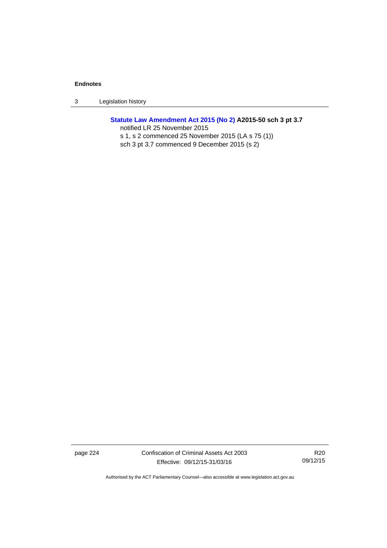3 Legislation history

## **[Statute Law Amendment Act 2015 \(No 2\)](http://www.legislation.act.gov.au/a/2015-50) A2015-50 sch 3 pt 3.7**

notified LR 25 November 2015 s 1, s 2 commenced 25 November 2015 (LA s 75 (1)) sch 3 pt 3.7 commenced 9 December 2015 (s 2)

page 224 Confiscation of Criminal Assets Act 2003 Effective: 09/12/15-31/03/16

R20 09/12/15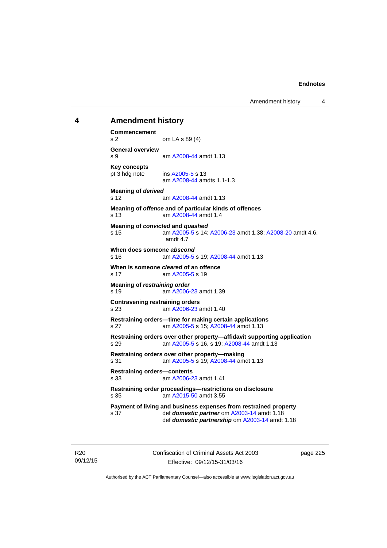Amendment history 4

## **4 Amendment history Commencement**  s 2 om LA s 89 (4) **General overview**  s 9 am [A2008-44](http://www.legislation.act.gov.au/a/2008-44) amdt 1.13 **Key concepts**  pt 3 hdg note ins [A2005-5](http://www.legislation.act.gov.au/a/2005-5) s 13 am [A2008-44](http://www.legislation.act.gov.au/a/2008-44) amdts 1.1-1.3 **Meaning of** *derived*  s 12 am [A2008-44](http://www.legislation.act.gov.au/a/2008-44) amdt 1.13 **Meaning of** *offence* **and of particular kinds of offences**  s 13 am [A2008-44](http://www.legislation.act.gov.au/a/2008-44) amdt 1.4 **Meaning of** *convicted* **and** *quashed* s 15 am [A2005-5](http://www.legislation.act.gov.au/a/2005-5) s 14; [A2006-23](http://www.legislation.act.gov.au/a/2006-23) amdt 1.38; [A2008-20](http://www.legislation.act.gov.au/a/2008-20) amdt 4.6, amdt 4.7 **When does someone** *abscond* s 16 am [A2005-5](http://www.legislation.act.gov.au/a/2005-5) s 19; [A2008-44](http://www.legislation.act.gov.au/a/2008-44) amdt 1.13 **When is someone** *cleared* **of an offence**  s 17 am [A2005-5](http://www.legislation.act.gov.au/a/2005-5) s 19 **Meaning of** *restraining order*  s 19 **am [A2006-23](http://www.legislation.act.gov.au/a/2006-23) amdt 1.39 Contravening restraining orders**  s 23 am [A2006-23](http://www.legislation.act.gov.au/a/2006-23) amdt 1.40 **Restraining orders—time for making certain applications**  s 27 am [A2005-5](http://www.legislation.act.gov.au/a/2005-5) s 15; [A2008-44](http://www.legislation.act.gov.au/a/2008-44) amdt 1.13 **Restraining orders over other property—affidavit supporting application**  s 29 am [A2005-5](http://www.legislation.act.gov.au/a/2005-5) s 16, s 19; [A2008-44](http://www.legislation.act.gov.au/a/2008-44) amdt 1.13 **Restraining orders over other property—making**  s 31 am [A2005-5](http://www.legislation.act.gov.au/a/2005-5) s 19; [A2008-44](http://www.legislation.act.gov.au/a/2008-44) amdt 1.13 **Restraining orders—contents**  s 33 am [A2006-23](http://www.legislation.act.gov.au/a/2006-23) amdt 1.41 **Restraining order proceedings—restrictions on disclosure**  s 35 am [A2015-50](http://www.legislation.act.gov.au/a/2015-50) amdt 3.55 **Payment of living and business expenses from restrained property**  s 37 def *domestic partner* om [A2003-14](http://www.legislation.act.gov.au/a/2003-14) amdt 1.18 def *domestic partnership* om [A2003-14](http://www.legislation.act.gov.au/a/2003-14) amdt 1.18

R20 09/12/15 Confiscation of Criminal Assets Act 2003 Effective: 09/12/15-31/03/16

page 225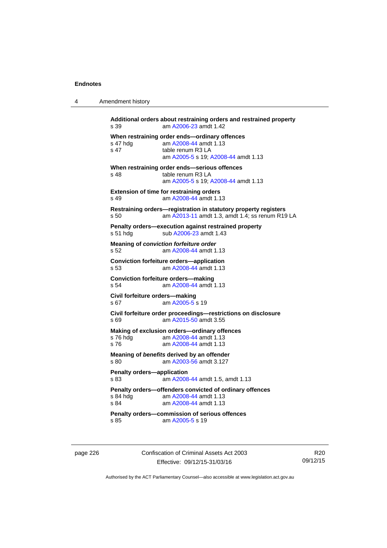4 Amendment history

| s 39                              | am A2006-23 amdt 1.42                                                |
|-----------------------------------|----------------------------------------------------------------------|
|                                   | When restraining order ends-ordinary offences                        |
| s 47 hdg                          | am A2008-44 amdt 1.13                                                |
| s <sub>47</sub>                   | table renum R3 LA<br>am A2005-5 s 19; A2008-44 amdt 1.13             |
|                                   |                                                                      |
|                                   | When restraining order ends-serious offences                         |
| s <sub>48</sub>                   | table renum R3 LA                                                    |
|                                   | am A2005-5 s 19; A2008-44 amdt 1.13                                  |
|                                   | Extension of time for restraining orders                             |
| $s$ 49                            | am A2008-44 amdt 1.13                                                |
|                                   | Restraining orders-registration in statutory property registers      |
| s, 50                             | am A2013-11 amdt 1.3, amdt 1.4; ss renum R19 LA                      |
|                                   |                                                                      |
|                                   | Penalty orders-execution against restrained property                 |
| s 51 hdg                          | sub A2006-23 amdt 1.43                                               |
|                                   | Meaning of conviction forfeiture order                               |
| s 52                              | am A2008-44 amdt 1.13                                                |
|                                   | <b>Conviction forfeiture orders-application</b>                      |
| s 53                              | am A2008-44 amdt 1.13                                                |
|                                   | <b>Conviction forfeiture orders-making</b>                           |
| s 54                              | am A2008-44 amdt 1.13                                                |
|                                   |                                                                      |
|                                   | Civil forfeiture orders-making                                       |
| s 67                              | am A2005-5 s 19                                                      |
|                                   | Civil forfeiture order proceedings-restrictions on disclosure        |
| s 69                              | am A2015-50 amdt 3.55                                                |
|                                   | Making of exclusion orders-ordinary offences                         |
| s 76 hdg                          | am A2008-44 amdt 1.13                                                |
| s76                               | am A2008-44 amdt 1.13                                                |
|                                   |                                                                      |
|                                   | Meaning of benefits derived by an offender<br>am A2003-56 amdt 3.127 |
| s 80                              |                                                                      |
| <b>Penalty orders-application</b> |                                                                      |
| s 83                              | am A2008-44 amdt 1.5, amdt 1.13                                      |
|                                   | Penalty orders-offenders convicted of ordinary offences              |
| s 84 hdg                          | am A2008-44 amdt 1.13                                                |
| s 84                              | am A2008-44 amdt 1.13                                                |
|                                   |                                                                      |
|                                   | Penalty orders-commission of serious offences                        |

page 226 Confiscation of Criminal Assets Act 2003 Effective: 09/12/15-31/03/16

R20 09/12/15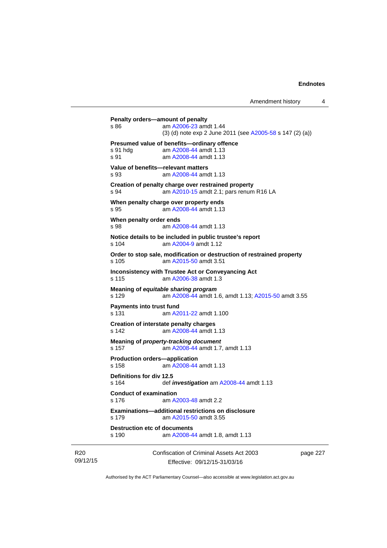| s 190                                                    | am A2008-44 amdt 1.8, amdt 1.13<br>Confiscation of Criminal Assets Act 2003                     | page 227 |
|----------------------------------------------------------|-------------------------------------------------------------------------------------------------|----------|
| s 179<br><b>Destruction etc of documents</b>             | <b>Examinations-additional restrictions on disclosure</b><br>am A2015-50 amdt 3.55              |          |
| <b>Conduct of examination</b><br>s 176                   | am A2003-48 amdt 2.2                                                                            |          |
| Definitions for div 12.5<br>s 164                        | def <i>investigation</i> am A2008-44 amdt 1.13                                                  |          |
| <b>Production orders-application</b><br>s <sub>158</sub> | am A2008-44 amdt 1.13                                                                           |          |
| s 157                                                    | Meaning of property-tracking document<br>am A2008-44 amdt 1.7, amdt 1.13                        |          |
| s 142                                                    | Creation of interstate penalty charges<br>am A2008-44 amdt 1.13                                 |          |
| <b>Payments into trust fund</b><br>s 131                 | am A2011-22 amdt 1.100                                                                          |          |
| s 129                                                    | Meaning of equitable sharing program<br>am A2008-44 amdt 1.6, amdt 1.13; A2015-50 amdt 3.55     |          |
| s 115                                                    | <b>Inconsistency with Trustee Act or Conveyancing Act</b><br>am A2006-38 amdt 1.3               |          |
| s 105                                                    | Order to stop sale, modification or destruction of restrained property<br>am A2015-50 amdt 3.51 |          |
| s 104                                                    | Notice details to be included in public trustee's report<br>am A2004-9 amdt 1.12                |          |
| When penalty order ends<br>s 98                          | am A2008-44 amdt 1.13                                                                           |          |
| s 95                                                     | When penalty charge over property ends<br>am A2008-44 amdt 1.13                                 |          |
| s 94                                                     | Creation of penalty charge over restrained property<br>am A2010-15 amdt 2.1; pars renum R16 LA  |          |
| Value of benefits-relevant matters<br>s 93               | am A2008-44 amdt 1.13                                                                           |          |
| s 91 hda<br>s.91                                         | Presumed value of benefits-ordinary offence<br>am A2008-44 amdt 1.13<br>am A2008-44 amdt 1.13   |          |
| s 86                                                     | am A2006-23 amdt 1.44<br>(3) (d) note exp 2 June 2011 (see A2005-58 s 147 (2) (a))              |          |

09/12/15

R20

Effective: 09/12/15-31/03/16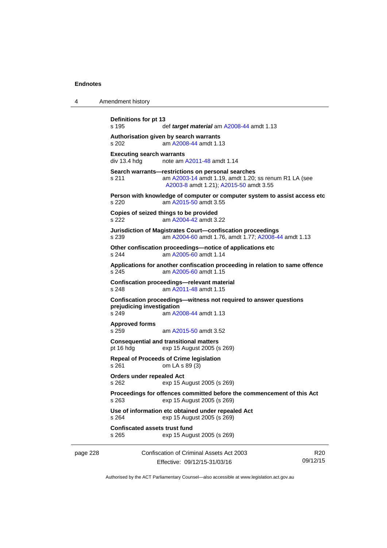| $\boldsymbol{\Lambda}$ | Amendment history |
|------------------------|-------------------|
|------------------------|-------------------|

```
page 228 Confiscation of Criminal Assets Act 2003 
                                                                 R20
Definitions for pt 13 
s 195 def target material am A2008-44 amdt 1.13 
Authorisation given by search warrants 
s 202 am A2008-44 amdt 1.13
Executing search warrants<br>div 13.4 hdg note am
                A2011-48 amdt 1.14
Search warrants—restrictions on personal searches 
s 211 am A2003-14 amdt 1.19, amdt 1.20; ss renum R1 LA (see 
                 A2003-8 amdt 1.21); A2015-50 amdt 3.55
Person with knowledge of computer or computer system to assist access etc 
s 220 am A2015-50 amdt 3.55
Copies of seized things to be provided 
s 222 am A2004-42 amdt 3.22
Jurisdiction of Magistrates Court—confiscation proceedings 
s 239 am A2004-60 amdt 1.76, amdt 1.77; A2008-44 amdt 1.13 
Other confiscation proceedings—notice of applications etc 
s 244 am A2005-60 amdt 1.14
Applications for another confiscation proceeding in relation to same offence 
s 245 am A2005-60 amdt 1.15
Confiscation proceedings—relevant material 
s 248 am A2011-48 amdt 1.15
Confiscation proceedings—witness not required to answer questions 
prejudicing investigation 
s 249 am A2008-44 amdt 1.13
Approved forms 
                 A2015-50 amdt 3.52
Consequential and transitional matters 
pt 16 hdg exp 15 August 2005 (s 269) 
Repeal of Proceeds of Crime legislation 
s 261 om LA s 89 (3) 
Orders under repealed Act 
s 262 exp 15 August 2005 (s 269) 
Proceedings for offences committed before the commencement of this Act 
s 263 exp 15 August 2005 (s 269) 
Use of information etc obtained under repealed Act 
s 264 exp 15 August 2005 (s 269) 
Confiscated assets trust fund 
s 265 exp 15 August 2005 (s 269)
```
Effective: 09/12/15-31/03/16 09/12/15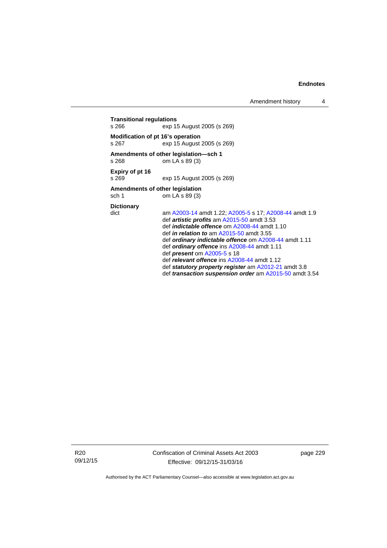Amendment history 4

**Transitional regulations**  exp 15 August 2005 (s 269) **Modification of pt 16's operation**  s 267 exp 15 August 2005 (s 269) **Amendments of other legislation—sch 1**  om  $LA$  s 89 (3) **Expiry of pt 16**  s 269 exp 15 August 2005 (s 269) **Amendments of other legislation**  sch 1 om  $\overline{LA}$  s 89 (3) **Dictionary**  dict am [A2003-14](http://www.legislation.act.gov.au/a/2003-14) amdt 1.22; [A2005-5](http://www.legislation.act.gov.au/a/2005-5) s 17; [A2008-44](http://www.legislation.act.gov.au/a/2008-44) amdt 1.9 def *artistic profits* am [A2015-50](http://www.legislation.act.gov.au/a/2015-50) amdt 3.53 def *indictable offence* om [A2008-44](http://www.legislation.act.gov.au/a/2008-44) amdt 1.10 def *in relation to* am [A2015-50](http://www.legislation.act.gov.au/a/2015-50) amdt 3.55 def *ordinary indictable offence* om [A2008-44](http://www.legislation.act.gov.au/a/2008-44) amdt 1.11 def *ordinary offence* ins [A2008-44](http://www.legislation.act.gov.au/a/2008-44) amdt 1.11 def *present* om [A2005-5](http://www.legislation.act.gov.au/a/2005-5) s 18 def *relevant offence* ins [A2008-44](http://www.legislation.act.gov.au/a/2008-44) amdt 1.12 def *statutory property register* am [A2012-21](http://www.legislation.act.gov.au/a/2012-21) amdt 3.8

def *transaction suspension order* am [A2015-50](http://www.legislation.act.gov.au/a/2015-50) amdt 3.54

R20 09/12/15 Confiscation of Criminal Assets Act 2003 Effective: 09/12/15-31/03/16

page 229